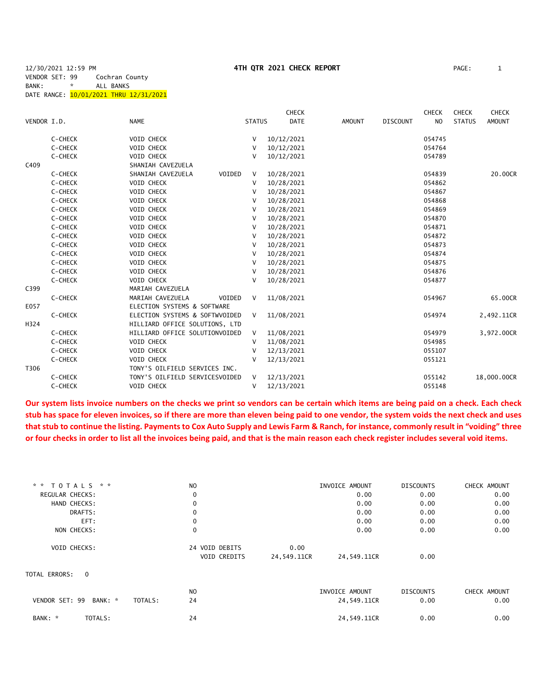|             |         |                                |               | <b>CHECK</b> |               |                 | <b>CHECK</b>   | <b>CHECK</b>  | <b>CHECK</b>  |
|-------------|---------|--------------------------------|---------------|--------------|---------------|-----------------|----------------|---------------|---------------|
| VENDOR I.D. |         | <b>NAME</b>                    | <b>STATUS</b> | <b>DATE</b>  | <b>AMOUNT</b> | <b>DISCOUNT</b> | N <sub>O</sub> | <b>STATUS</b> | <b>AMOUNT</b> |
|             | C-CHECK | VOID CHECK                     | V             | 10/12/2021   |               |                 | 054745         |               |               |
|             | C-CHECK | VOID CHECK                     | V             | 10/12/2021   |               |                 | 054764         |               |               |
|             | C-CHECK | VOID CHECK                     | v             | 10/12/2021   |               |                 | 054789         |               |               |
| C409        |         | SHANIAH CAVEZUELA              |               |              |               |                 |                |               |               |
|             | C-CHECK | SHANIAH CAVEZUELA<br>VOIDED    | V             | 10/28/2021   |               |                 | 054839         |               | 20.00CR       |
|             | C-CHECK | VOID CHECK                     | V             | 10/28/2021   |               |                 | 054862         |               |               |
|             | C-CHECK | VOID CHECK                     | v             | 10/28/2021   |               |                 | 054867         |               |               |
|             | C-CHECK | VOID CHECK                     | v             | 10/28/2021   |               |                 | 054868         |               |               |
|             | C-CHECK | VOID CHECK                     | v             | 10/28/2021   |               |                 | 054869         |               |               |
|             | C-CHECK | VOID CHECK                     | v             | 10/28/2021   |               |                 | 054870         |               |               |
|             | C-CHECK | VOID CHECK                     | v             | 10/28/2021   |               |                 | 054871         |               |               |
|             | C-CHECK | VOID CHECK                     | V             | 10/28/2021   |               |                 | 054872         |               |               |
|             | C-CHECK | VOID CHECK                     | v             | 10/28/2021   |               |                 | 054873         |               |               |
|             | C-CHECK | VOID CHECK                     | V             | 10/28/2021   |               |                 | 054874         |               |               |
|             | C-CHECK | VOID CHECK                     | V             | 10/28/2021   |               |                 | 054875         |               |               |
|             | C-CHECK | VOID CHECK                     | v             | 10/28/2021   |               |                 | 054876         |               |               |
|             | C-CHECK | VOID CHECK                     | v             | 10/28/2021   |               |                 | 054877         |               |               |
| C399        |         | MARIAH CAVEZUELA               |               |              |               |                 |                |               |               |
|             | C-CHECK | MARIAH CAVEZUELA<br>VOIDED     | V             | 11/08/2021   |               |                 | 054967         |               | 65.00CR       |
| E057        |         | ELECTION SYSTEMS & SOFTWARE    |               |              |               |                 |                |               |               |
|             | C-CHECK | ELECTION SYSTEMS & SOFTWVOIDED | $\vee$        | 11/08/2021   |               |                 | 054974         |               | 2,492.11CR    |
| H324        |         | HILLIARD OFFICE SOLUTIONS, LTD |               |              |               |                 |                |               |               |
|             | C-CHECK | HILLIARD OFFICE SOLUTIONVOIDED | $\vee$        | 11/08/2021   |               |                 | 054979         |               | 3,972.00CR    |
|             | C-CHECK | <b>VOID CHECK</b>              | v             | 11/08/2021   |               |                 | 054985         |               |               |
|             | C-CHECK | VOID CHECK                     |               | 12/13/2021   |               |                 | 055107         |               |               |
|             | C-CHECK | <b>VOID CHECK</b>              |               | 12/13/2021   |               |                 | 055121         |               |               |
| T306        |         | TONY'S OILFIELD SERVICES INC.  |               |              |               |                 |                |               |               |
|             | C-CHECK | TONY'S OILFIELD SERVICESVOIDED | V             | 12/13/2021   |               |                 | 055142         |               | 18,000.00CR   |
|             | C-CHECK | <b>VOID CHECK</b>              | v             | 12/13/2021   |               |                 | 055148         |               |               |

**Our system lists invoice numbers on the checks we print so vendors can be certain which items are being paid on a check. Each check stub has space for eleven invoices, so if there are more than eleven being paid to one vendor, the system voids the next check and uses that stub to continue the listing. Payments to Cox Auto Supply and Lewis Farm & Ranch, for instance, commonly result in "voiding" three or four checks in order to list all the invoices being paid, and that is the main reason each check register includes several void items.**

| * *<br>TOTALS * *                    | N <sub>O</sub> |             | INVOICE AMOUNT | <b>DISCOUNTS</b> | CHECK AMOUNT |
|--------------------------------------|----------------|-------------|----------------|------------------|--------------|
| REGULAR CHECKS:                      | $\mathbf 0$    |             | 0.00           | 0.00             | 0.00         |
| HAND CHECKS:                         | $\mathbf 0$    |             | 0.00           | 0.00             | 0.00         |
| DRAFTS:                              | 0              |             | 0.00           | 0.00             | 0.00         |
| EFT:                                 | 0              |             | 0.00           | 0.00             | 0.00         |
| NON CHECKS:                          | $\mathbf 0$    |             | 0.00           | 0.00             | 0.00         |
| VOID CHECKS:                         | 24 VOID DEBITS | 0.00        |                |                  |              |
|                                      | VOID CREDITS   | 24,549.11CR | 24,549.11CR    | 0.00             |              |
| TOTAL ERRORS: 0                      |                |             |                |                  |              |
|                                      | N <sub>O</sub> |             | INVOICE AMOUNT | <b>DISCOUNTS</b> | CHECK AMOUNT |
| VENDOR SET: 99<br>BANK: *<br>TOTALS: | 24             |             | 24,549.11CR    | 0.00             | 0.00         |
| TOTALS:<br>BANK: *                   | 24             |             | 24,549.11CR    | 0.00             | 0.00         |
|                                      |                |             |                |                  |              |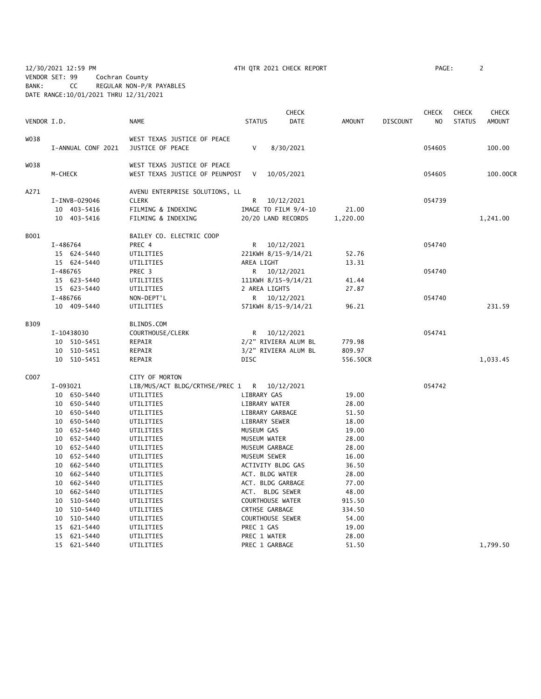12/30/2021 12:59 PM 4TH QTR 2021 CHECK REPORT PAGE: 2 VENDOR SET: 99 Cochran County BANK: CC REGULAR NON-P/R PAYABLES DATE RANGE:10/01/2021 THRU 12/31/2021

| VENDOR I.D. |                    | <b>NAME</b>                                    | <b>STATUS</b>           | <b>CHECK</b><br>DATE | <b>AMOUNT</b> | <b>DISCOUNT</b> | <b>CHECK</b><br>NO. | CHECK<br><b>STATUS</b> | <b>CHECK</b><br><b>AMOUNT</b> |
|-------------|--------------------|------------------------------------------------|-------------------------|----------------------|---------------|-----------------|---------------------|------------------------|-------------------------------|
|             |                    |                                                |                         |                      |               |                 |                     |                        |                               |
| W038        |                    | WEST TEXAS JUSTICE OF PEACE                    |                         |                      |               |                 |                     |                        |                               |
|             | I-ANNUAL CONF 2021 | JUSTICE OF PEACE                               | $\mathsf{V}$            | 8/30/2021            |               |                 | 054605              |                        | 100.00                        |
| W038        |                    | WEST TEXAS JUSTICE OF PEACE                    |                         |                      |               |                 |                     |                        |                               |
|             | M-CHECK            | WEST TEXAS JUSTICE OF PEUNPOST                 | V                       | 10/05/2021           |               |                 | 054605              |                        | 100.00CR                      |
|             |                    |                                                |                         |                      |               |                 |                     |                        |                               |
| A271        | I-INVB-029046      | AVENU ENTERPRISE SOLUTIONS, LL<br><b>CLERK</b> | R                       | 10/12/2021           |               |                 | 054739              |                        |                               |
|             | 10 403-5416        | FILMING & INDEXING                             |                         | IMAGE TO FILM 9/4-10 | 21.00         |                 |                     |                        |                               |
|             | 10 403-5416        | FILMING & INDEXING                             |                         | 20/20 LAND RECORDS   | 1,220.00      |                 |                     |                        | 1,241.00                      |
|             |                    |                                                |                         |                      |               |                 |                     |                        |                               |
| B001        |                    | BAILEY CO. ELECTRIC COOP                       |                         |                      |               |                 |                     |                        |                               |
|             | I-486764           | PREC 4                                         |                         | R 10/12/2021         |               |                 | 054740              |                        |                               |
|             | 15 624-5440        | UTILITIES                                      |                         | 221KWH 8/15-9/14/21  | 52.76         |                 |                     |                        |                               |
|             | 15 624-5440        | UTILITIES                                      | AREA LIGHT              |                      | 13.31         |                 |                     |                        |                               |
|             | I-486765           | PREC 3                                         |                         | R 10/12/2021         |               |                 | 054740              |                        |                               |
|             | 15 623-5440        | UTILITIES                                      |                         | 111KWH 8/15-9/14/21  | 41.44         |                 |                     |                        |                               |
|             | 15 623-5440        | UTILITIES                                      | 2 AREA LIGHTS           |                      | 27.87         |                 |                     |                        |                               |
|             | I-486766           | NON-DEPT'L                                     |                         | R $10/12/2021$       |               |                 | 054740              |                        |                               |
|             | 10 409-5440        | UTILITIES                                      |                         | 571KWH 8/15-9/14/21  | 96.21         |                 |                     |                        | 231.59                        |
| B309        |                    | BLINDS.COM                                     |                         |                      |               |                 |                     |                        |                               |
|             | I-10438030         | COURTHOUSE/CLERK                               |                         | R $10/12/2021$       |               |                 | 054741              |                        |                               |
|             | 10 510-5451        | REPAIR                                         |                         | 2/2" RIVIERA ALUM BL | 779.98        |                 |                     |                        |                               |
|             | 10 510-5451        | REPAIR                                         |                         | 3/2" RIVIERA ALUM BL | 809.97        |                 |                     |                        |                               |
|             | 10 510-5451        | REPAIR                                         | <b>DISC</b>             |                      | 556.50CR      |                 |                     |                        | 1,033.45                      |
| C007        |                    | CITY OF MORTON                                 |                         |                      |               |                 |                     |                        |                               |
|             | I-093021           | LIB/MUS/ACT BLDG/CRTHSE/PREC 1 R 10/12/2021    |                         |                      |               |                 | 054742              |                        |                               |
|             | 10 650-5440        | UTILITIES                                      | LIBRARY GAS             |                      | 19.00         |                 |                     |                        |                               |
|             | 10 650-5440        | UTILITIES                                      | LIBRARY WATER           |                      | 28.00         |                 |                     |                        |                               |
|             | 10 650-5440        | UTILITIES                                      | LIBRARY GARBAGE         |                      | 51.50         |                 |                     |                        |                               |
|             | 10 650-5440        | UTILITIES                                      | LIBRARY SEWER           |                      | 18.00         |                 |                     |                        |                               |
|             | 10 652-5440        | UTILITIES                                      | MUSEUM GAS              |                      | 19.00         |                 |                     |                        |                               |
|             | 10 652-5440        | UTILITIES                                      | MUSEUM WATER            |                      | 28.00         |                 |                     |                        |                               |
|             | 10 652-5440        | UTILITIES                                      | MUSEUM GARBAGE          |                      | 28.00         |                 |                     |                        |                               |
|             | 10 652-5440        | UTILITIES                                      | MUSEUM SEWER            |                      | 16.00         |                 |                     |                        |                               |
|             | 10 662-5440        | UTILITIES                                      | ACTIVITY BLDG GAS       |                      | 36.50         |                 |                     |                        |                               |
|             | 10 662-5440        | UTILITIES                                      | ACT. BLDG WATER         |                      | 28.00         |                 |                     |                        |                               |
|             | 10 662-5440        | UTILITIES                                      | ACT. BLDG GARBAGE       |                      | 77.00         |                 |                     |                        |                               |
|             | 10 662-5440        | UTILITIES                                      | ACT. BLDG SEWER         |                      | 48.00         |                 |                     |                        |                               |
|             | 10 510-5440        | UTILITIES                                      | <b>COURTHOUSE WATER</b> |                      | 915.50        |                 |                     |                        |                               |
|             | 10 510-5440        | UTILITIES                                      | CRTHSE GARBAGE          |                      | 334.50        |                 |                     |                        |                               |
|             | 10 510-5440        | UTILITIES                                      | COURTHOUSE SEWER        |                      | 54.00         |                 |                     |                        |                               |
|             | 15 621-5440        | UTILITIES                                      | PREC 1 GAS              |                      | 19.00         |                 |                     |                        |                               |
|             | 15 621-5440        | UTILITIES                                      | PREC 1 WATER            |                      | 28.00         |                 |                     |                        |                               |
|             | 15 621-5440        | UTILITIES                                      | PREC 1 GARBAGE          |                      | 51.50         |                 |                     |                        | 1,799.50                      |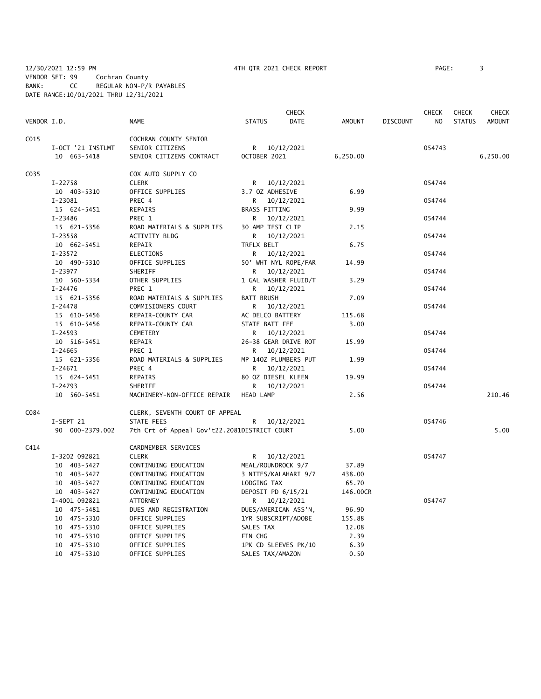12/30/2021 12:59 PM 4TH QTR 2021 CHECK REPORT PAGE: 3 VENDOR SET: 99 Cochran County BANK: CC REGULAR NON-P/R PAYABLES DATE RANGE:10/01/2021 THRU 12/31/2021

|             |                   |                                              | <b>CHECK</b>         |                      |          | <b>CHECK</b>    |                | <b>CHECK</b>  | CHECK         |
|-------------|-------------------|----------------------------------------------|----------------------|----------------------|----------|-----------------|----------------|---------------|---------------|
| VENDOR I.D. |                   | <b>NAME</b>                                  | <b>STATUS</b>        | DATE                 | AMOUNT   | <b>DISCOUNT</b> | N <sub>O</sub> | <b>STATUS</b> | <b>AMOUNT</b> |
| C015        |                   | COCHRAN COUNTY SENIOR                        |                      |                      |          |                 |                |               |               |
|             | I-OCT '21 INSTLMT | SENIOR CITIZENS                              |                      | R 10/12/2021         |          |                 | 054743         |               |               |
|             | 10 663-5418       | SENIOR CITIZENS CONTRACT                     | OCTOBER 2021         |                      | 6,250.00 |                 |                |               | 6,250.00      |
| C035        |                   | COX AUTO SUPPLY CO                           |                      |                      |          |                 |                |               |               |
|             | $I-22758$         | <b>CLERK</b>                                 |                      | R 10/12/2021         |          |                 | 054744         |               |               |
|             | 10 403-5310       | OFFICE SUPPLIES                              | 3.7 OZ ADHESIVE      |                      | 6.99     |                 |                |               |               |
|             | $I-23081$         | PREC 4                                       | R.                   | 10/12/2021           |          |                 | 054744         |               |               |
|             | 15 624-5451       | REPAIRS                                      | <b>BRASS FITTING</b> |                      | 9.99     |                 |                |               |               |
|             | $I - 23486$       | PREC 1                                       | R —                  | 10/12/2021           |          |                 | 054744         |               |               |
|             | 15 621-5356       | ROAD MATERIALS & SUPPLIES                    | 30 AMP TEST CLIP     |                      | 2.15     |                 |                |               |               |
|             | I-23558           | ACTIVITY BLDG                                | R                    | 10/12/2021           |          |                 | 054744         |               |               |
|             | 10 662-5451       | REPAIR                                       | TRFLX BELT           |                      | 6.75     |                 |                |               |               |
|             | $I - 23572$       | ELECTIONS                                    |                      | R 10/12/2021         |          |                 | 054744         |               |               |
|             | 10 490-5310       | OFFICE SUPPLIES                              |                      | 50' WHT NYL ROPE/FAR | 14.99    |                 |                |               |               |
|             | $I-23977$         | SHERIFF                                      | R                    | 10/12/2021           |          |                 | 054744         |               |               |
|             | 10 560-5334       | OTHER SUPPLIES                               |                      | 1 GAL WASHER FLUID/T | 3.29     |                 |                |               |               |
|             | $I - 24476$       | PREC 1                                       | R —                  | 10/12/2021           |          |                 | 054744         |               |               |
|             | 15 621-5356       | ROAD MATERIALS & SUPPLIES                    | <b>BATT BRUSH</b>    |                      | 7.09     |                 |                |               |               |
|             | $I - 24478$       | COMMISIONERS COURT                           | R.                   | 10/12/2021           |          |                 | 054744         |               |               |
|             | 15 610-5456       | REPAIR-COUNTY CAR                            | AC DELCO BATTERY     |                      | 115.68   |                 |                |               |               |
|             | 15 610-5456       | REPAIR-COUNTY CAR                            | STATE BATT FEE       |                      | 3.00     |                 |                |               |               |
|             | $I - 24593$       | CEMETERY                                     | R                    | 10/12/2021           |          |                 | 054744         |               |               |
|             | 10 516-5451       | REPAIR                                       |                      | 26-38 GEAR DRIVE ROT | 15.99    |                 |                |               |               |
|             | $I - 24665$       | PREC 1                                       | R                    | 10/12/2021           |          |                 | 054744         |               |               |
|             | 15 621-5356       | ROAD MATERIALS & SUPPLIES                    |                      | MP 140Z PLUMBERS PUT | 1.99     |                 |                |               |               |
|             | $I-24671$         | PREC 4                                       | R                    | 10/12/2021           |          |                 | 054744         |               |               |
|             | 15 624-5451       | REPAIRS                                      | 80 OZ DIESEL KLEEN   |                      | 19.99    |                 |                |               |               |
|             | $I - 24793$       | SHERIFF                                      | R                    | 10/12/2021           |          |                 | 054744         |               |               |
|             | 10 560-5451       | MACHINERY-NON-OFFICE REPAIR                  | HEAD LAMP            |                      | 2.56     |                 |                |               | 210.46        |
| C084        |                   | CLERK, SEVENTH COURT OF APPEAL               |                      |                      |          |                 |                |               |               |
|             | I-SEPT 21         | STATE FEES                                   | R                    | 10/12/2021           |          |                 | 054746         |               |               |
|             | 90 000-2379.002   | 7th Crt of Appeal Gov't22.2081DISTRICT COURT |                      |                      | 5.00     |                 |                |               | 5.00          |
| C414        |                   | CARDMEMBER SERVICES                          |                      |                      |          |                 |                |               |               |
|             | I-3202 092821     | <b>CLERK</b>                                 |                      | R 10/12/2021         |          |                 | 054747         |               |               |
|             | 10 403-5427       | CONTINUING EDUCATION                         | MEAL/ROUNDROCK 9/7   |                      | 37.89    |                 |                |               |               |
|             | 10 403-5427       | CONTINUING EDUCATION                         |                      | 3 NITES/KALAHARI 9/7 | 438.00   |                 |                |               |               |
|             | 10 403-5427       | CONTINUING EDUCATION                         | LODGING TAX          |                      | 65.70    |                 |                |               |               |
|             | 10 403-5427       | CONTINUING EDUCATION                         | DEPOSIT PD 6/15/21   |                      | 146.00CR |                 |                |               |               |
|             | I-4001 092821     | <b>ATTORNEY</b>                              |                      | R 10/12/2021         |          |                 | 054747         |               |               |
|             | 10 475-5481       | DUES AND REGISTRATION                        |                      | DUES/AMERICAN ASS'N, | 96.90    |                 |                |               |               |
|             | 10 475-5310       | OFFICE SUPPLIES                              | 1YR SUBSCRIPT/ADOBE  |                      | 155.88   |                 |                |               |               |
|             | 10 475-5310       | OFFICE SUPPLIES                              | SALES TAX            |                      | 12.08    |                 |                |               |               |
|             | 10 475-5310       | OFFICE SUPPLIES                              | FIN CHG              |                      | 2.39     |                 |                |               |               |
|             | 10 475-5310       | OFFICE SUPPLIES                              |                      | 1PK CD SLEEVES PK/10 | 6.39     |                 |                |               |               |

10 475-5310 OFFICE SUPPLIES SALES TAX/AMAZON 0.50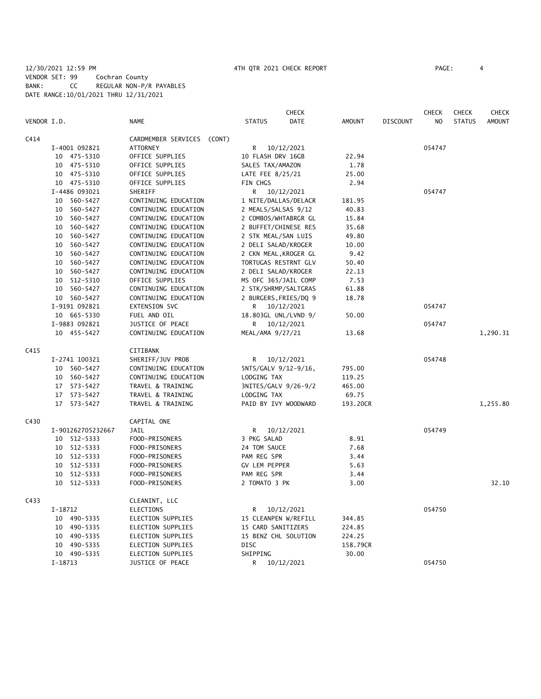### 12/30/2021 12:59 PM 4TH QTR 2021 CHECK REPORT PAGE: 4 VENDOR SET: 99 Cochran County BANK: CC REGULAR NON-P/R PAYABLES DATE RANGE:10/01/2021 THRU 12/31/2021

|             |                   |                               | <b>CHECK</b>          |               |          | <b>CHECK</b>   | <b>CHECK</b>  | <b>CHECK</b>  |
|-------------|-------------------|-------------------------------|-----------------------|---------------|----------|----------------|---------------|---------------|
| VENDOR I.D. |                   | <b>NAME</b>                   | <b>STATUS</b><br>DATE | <b>AMOUNT</b> | DISCOUNT | N <sub>O</sub> | <b>STATUS</b> | <b>AMOUNT</b> |
| C414        |                   | CARDMEMBER SERVICES<br>(CONT) |                       |               |          |                |               |               |
|             | I-4001 092821     | ATTORNEY                      | R 10/12/2021          |               |          | 054747         |               |               |
|             | 10 475-5310       | OFFICE SUPPLIES               | 10 FLASH DRV 16GB     | 22.94         |          |                |               |               |
|             | 475-5310<br>10    | OFFICE SUPPLIES               | SALES TAX/AMAZON      | 1.78          |          |                |               |               |
|             | 10 475-5310       | OFFICE SUPPLIES               | LATE FEE 8/25/21      | 25.00         |          |                |               |               |
|             | 10 475-5310       | OFFICE SUPPLIES               | FIN CHGS              | 2.94          |          |                |               |               |
|             | I-4486 093021     | SHERIFF                       | R 10/12/2021          |               |          | 054747         |               |               |
|             | 560-5427<br>10    | CONTINUING EDUCATION          | 1 NITE/DALLAS/DELACR  | 181.95        |          |                |               |               |
|             | 560-5427<br>10    | CONTINUING EDUCATION          | 2 MEALS/SALSAS 9/12   | 40.83         |          |                |               |               |
|             | 560-5427<br>10    | CONTINUING EDUCATION          | 2 COMBOS/WHTABRGR GL  | 15.84         |          |                |               |               |
|             | 10<br>560-5427    | CONTINUING EDUCATION          | 2 BUFFET/CHINESE RES  | 35.68         |          |                |               |               |
|             | 560-5427<br>10    | CONTINUING EDUCATION          | 2 STK MEAL/SAN LUIS   | 49.80         |          |                |               |               |
|             | 560-5427<br>10    | CONTINUING EDUCATION          | 2 DELI SALAD/KROGER   | 10.00         |          |                |               |               |
|             | 10 560-5427       | CONTINUING EDUCATION          | 2 CKN MEAL, KROGER GL | 9.42          |          |                |               |               |
|             | 560-5427<br>10    | CONTINUING EDUCATION          | TORTUGAS RESTRNT GLV  | 50.40         |          |                |               |               |
|             | 10<br>560-5427    | CONTINUING EDUCATION          | 2 DELI SALAD/KROGER   | 22.13         |          |                |               |               |
|             | 512-5310<br>10    | OFFICE SUPPLIES               | MS OFC 365/JAIL COMP  | 7.53          |          |                |               |               |
|             | 560-5427<br>10    | CONTINUING EDUCATION          | 2 STK/SHRMP/SALTGRAS  | 61.88         |          |                |               |               |
|             | 10 560-5427       | CONTINUING EDUCATION          | 2 BURGERS, FRIES/DQ 9 | 18.78         |          |                |               |               |
|             | I-9191 092821     | EXTENSION SVC                 | 10/12/2021<br>R.      |               |          | 054747         |               |               |
|             | 10 665-5330       | FUEL AND OIL                  | 18.803GL UNL/LVND 9/  | 50.00         |          |                |               |               |
|             | I-9883 092821     | JUSTICE OF PEACE              | R 10/12/2021          |               |          | 054747         |               |               |
|             | 10 455-5427       | CONTINUING EDUCATION          | MEAL/AMA 9/27/21      | 13.68         |          |                |               | 1,290.31      |
| C415        |                   | CITIBANK                      |                       |               |          |                |               |               |
|             | I-2741 100321     | SHERIFF/JUV PROB              | 10/12/2021<br>R.      |               |          | 054748         |               |               |
|             | 560-5427<br>10    | CONTINUING EDUCATION          | 5NTS/GALV 9/12-9/16,  | 795.00        |          |                |               |               |
|             | 10 560-5427       | CONTINUING EDUCATION          | LODGING TAX           | 119.25        |          |                |               |               |
|             | 17 573-5427       | TRAVEL & TRAINING             | 3NITES/GALV 9/26-9/2  | 465.00        |          |                |               |               |
|             | 17 573-5427       | TRAVEL & TRAINING             | LODGING TAX           | 69.75         |          |                |               |               |
|             | 17<br>573-5427    | TRAVEL & TRAINING             | PAID BY IVY WOODWARD  | 193.20CR      |          |                |               | 1,255.80      |
| C430        |                   | CAPITAL ONE                   |                       |               |          |                |               |               |
|             | I-901262705232667 | <b>JAIL</b>                   | 10/12/2021<br>R       |               |          | 054749         |               |               |
|             | 512-5333<br>10    | FOOD-PRISONERS                | 3 PKG SALAD           | 8.91          |          |                |               |               |
|             | 512-5333<br>10    | FOOD-PRISONERS                | 24 TOM SAUCE          | 7.68          |          |                |               |               |
|             | 10 512-5333       | FOOD-PRISONERS                | PAM REG SPR           | 3.44          |          |                |               |               |
|             | 512-5333<br>10    | FOOD-PRISONERS                | <b>GV LEM PEPPER</b>  | 5.63          |          |                |               |               |
|             | 512-5333<br>10    | FOOD-PRISONERS                | PAM REG SPR           | 3.44          |          |                |               |               |
|             | 512-5333<br>10    | FOOD-PRISONERS                | 2 TOMATO 3 PK         | 3.00          |          |                |               | 32.10         |
| C433        |                   | CLEANINT, LLC                 |                       |               |          |                |               |               |
|             | I-18712           | ELECTIONS                     | R.<br>10/12/2021      |               |          | 054750         |               |               |
|             | 10 490-5335       | ELECTION SUPPLIES             | 15 CLEANPEN W/REFILL  | 344.85        |          |                |               |               |
|             | 10 490-5335       | ELECTION SUPPLIES             | 15 CARD SANITIZERS    | 224.85        |          |                |               |               |
|             | 490-5335<br>10    | <b>ELECTION SUPPLIES</b>      | 15 BENZ CHL SOLUTION  | 224.25        |          |                |               |               |
|             | 10<br>490-5335    | ELECTION SUPPLIES             | DISC                  | 158.79CR      |          |                |               |               |
|             | 10 490-5335       | <b>ELECTION SUPPLIES</b>      | SHIPPING              | 30.00         |          |                |               |               |
|             | I-18713           | JUSTICE OF PEACE              | R<br>10/12/2021       |               |          | 054750         |               |               |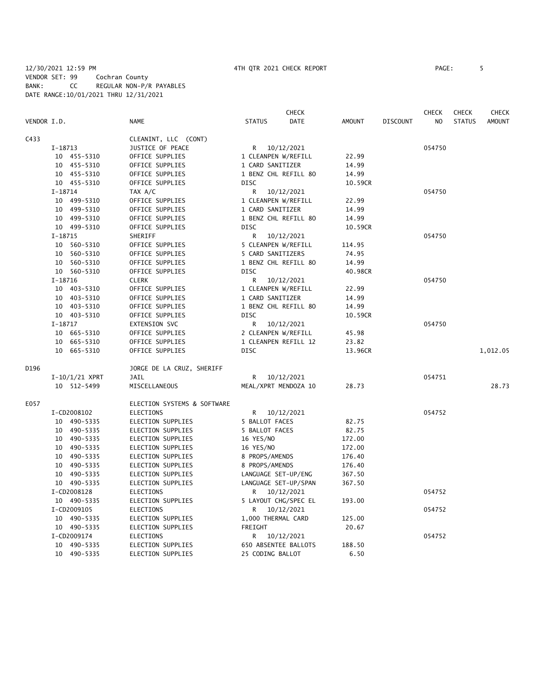|             |             |                  |                             |                     | <b>CHECK</b>         |               |                 | <b>CHECK</b> | <b>CHECK</b>  | CHECK         |
|-------------|-------------|------------------|-----------------------------|---------------------|----------------------|---------------|-----------------|--------------|---------------|---------------|
| VENDOR I.D. |             |                  | <b>NAME</b>                 | <b>STATUS</b>       | DATE                 | <b>AMOUNT</b> | <b>DISCOUNT</b> | NO           | <b>STATUS</b> | <b>AMOUNT</b> |
| C433        |             |                  | CLEANINT, LLC (CONT)        |                     |                      |               |                 |              |               |               |
|             | I-18713     |                  | JUSTICE OF PEACE            |                     | R 10/12/2021         |               |                 | 054750       |               |               |
|             |             | 10 455-5310      | OFFICE SUPPLIES             | 1 CLEANPEN W/REFILL |                      | 22.99         |                 |              |               |               |
|             |             | 10 455-5310      | OFFICE SUPPLIES             | 1 CARD SANITIZER    |                      | 14.99         |                 |              |               |               |
|             |             | 10 455-5310      | OFFICE SUPPLIES             |                     | 1 BENZ CHL REFILL 80 | 14.99         |                 |              |               |               |
|             |             | 10 455-5310      | OFFICE SUPPLIES             | <b>DISC</b>         |                      | 10.59CR       |                 |              |               |               |
|             | $I-18714$   |                  | TAX A/C                     | R                   | 10/12/2021           |               |                 | 054750       |               |               |
|             |             | 10 499-5310      | OFFICE SUPPLIES             | 1 CLEANPEN W/REFILL |                      | 22.99         |                 |              |               |               |
|             |             | 10 499-5310      | OFFICE SUPPLIES             | 1 CARD SANITIZER    |                      | 14.99         |                 |              |               |               |
|             |             | 10 499-5310      | OFFICE SUPPLIES             |                     | 1 BENZ CHL REFILL 80 | 14.99         |                 |              |               |               |
|             | 10 499-5310 |                  | OFFICE SUPPLIES             | <b>DISC</b>         |                      | 10.59CR       |                 |              |               |               |
|             | $I-18715$   |                  | SHERIFF                     |                     | R 10/12/2021         |               |                 | 054750       |               |               |
|             |             | 10 560-5310      | OFFICE SUPPLIES             | 5 CLEANPEN W/REFILL |                      | 114.95        |                 |              |               |               |
|             |             | 10 560-5310      | OFFICE SUPPLIES             | 5 CARD SANITIZERS   |                      | 74.95         |                 |              |               |               |
|             |             | 10 560-5310      | OFFICE SUPPLIES             |                     | 1 BENZ CHL REFILL 80 | 14.99         |                 |              |               |               |
|             |             | 10 560-5310      | OFFICE SUPPLIES             | <b>DISC</b>         |                      | 40.98CR       |                 |              |               |               |
|             | $I-18716$   |                  | <b>CLERK</b>                | R                   | 10/12/2021           |               |                 | 054750       |               |               |
|             |             | 10 403-5310      | OFFICE SUPPLIES             | 1 CLEANPEN W/REFILL |                      | 22.99         |                 |              |               |               |
|             |             | 10 403-5310      | OFFICE SUPPLIES             | 1 CARD SANITIZER    |                      | 14.99         |                 |              |               |               |
|             |             | 10 403-5310      | OFFICE SUPPLIES             |                     | 1 BENZ CHL REFILL 80 | 14.99         |                 |              |               |               |
|             |             | 10 403-5310      | OFFICE SUPPLIES             | <b>DISC</b>         |                      | 10.59CR       |                 |              |               |               |
|             | $I-18717$   |                  | <b>EXTENSION SVC</b>        | R                   | 10/12/2021           |               |                 | 054750       |               |               |
|             |             | 10 665-5310      | OFFICE SUPPLIES             | 2 CLEANPEN W/REFILL |                      | 45.98         |                 |              |               |               |
|             |             | 10 665-5310      | OFFICE SUPPLIES             |                     | 1 CLEANPEN REFILL 12 | 23.82         |                 |              |               |               |
|             |             | 10 665-5310      | OFFICE SUPPLIES             | <b>DISC</b>         |                      | 13.96CR       |                 |              |               | 1,012.05      |
| D196        |             |                  | JORGE DE LA CRUZ, SHERIFF   |                     |                      |               |                 |              |               |               |
|             |             | $I-10/1/21$ XPRT | <b>JAIL</b>                 | R                   | 10/12/2021           |               |                 | 054751       |               |               |
|             |             | 10 512-5499      | MISCELLANEOUS               |                     | MEAL/XPRT MENDOZA 10 | 28.73         |                 |              |               | 28.73         |
| E057        |             |                  | ELECTION SYSTEMS & SOFTWARE |                     |                      |               |                 |              |               |               |
|             | I-CD2008102 |                  | ELECTIONS                   |                     | R 10/12/2021         |               |                 | 054752       |               |               |
|             |             | 10 490-5335      | ELECTION SUPPLIES           | 5 BALLOT FACES      |                      | 82.75         |                 |              |               |               |
|             |             | 10 490-5335      | ELECTION SUPPLIES           | 5 BALLOT FACES      |                      | 82.75         |                 |              |               |               |
|             |             | 10 490-5335      | ELECTION SUPPLIES           | 16 YES/NO           |                      | 172.00        |                 |              |               |               |
|             |             | 10 490-5335      | ELECTION SUPPLIES           | 16 YES/NO           |                      | 172.00        |                 |              |               |               |
|             |             | 10 490-5335      | ELECTION SUPPLIES           | 8 PROPS/AMENDS      |                      | 176.40        |                 |              |               |               |
|             |             | 10 490-5335      | ELECTION SUPPLIES           | 8 PROPS/AMENDS      |                      | 176.40        |                 |              |               |               |
|             |             | 10 490-5335      | ELECTION SUPPLIES           | LANGUAGE SET-UP/ENG |                      | 367.50        |                 |              |               |               |
|             |             | 10 490-5335      | ELECTION SUPPLIES           |                     | LANGUAGE SET-UP/SPAN | 367.50        |                 |              |               |               |
|             | I-CD2008128 |                  | ELECTIONS                   |                     | R 10/12/2021         |               |                 | 054752       |               |               |
|             |             | 10 490-5335      | ELECTION SUPPLIES           |                     | 5 LAYOUT CHG/SPEC EL | 193.00        |                 |              |               |               |
|             | I-CD2009105 |                  | <b>ELECTIONS</b>            | R.                  | 10/12/2021           |               |                 | 054752       |               |               |
|             |             | 10 490-5335      | ELECTION SUPPLIES           | 1,000 THERMAL CARD  |                      | 125.00        |                 |              |               |               |
|             |             | 10 490-5335      | ELECTION SUPPLIES           | FREIGHT             |                      | 20.67         |                 |              |               |               |
|             | I-CD2009174 |                  | <b>ELECTIONS</b>            |                     | R 10/12/2021         |               |                 | 054752       |               |               |
|             | 10 490-5335 |                  | ELECTION SUPPLIES           |                     | 650 ABSENTEE BALLOTS | 188.50        |                 |              |               |               |

10 490-5335 ELECTION SUPPLIES 25 CODING BALLOT 6.50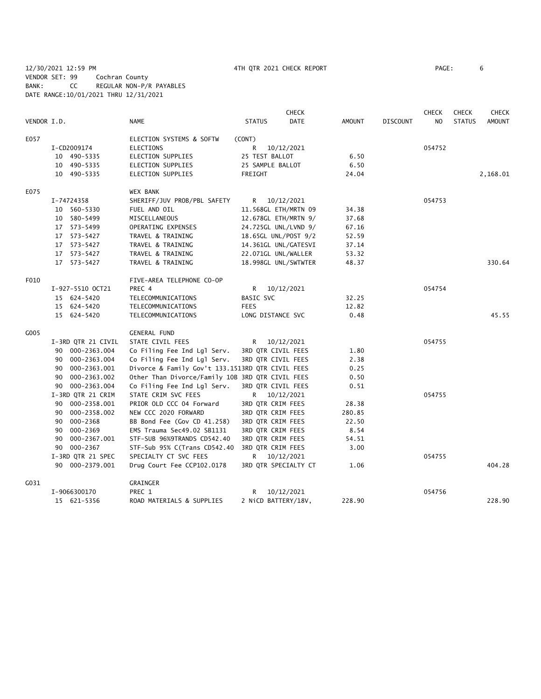12/30/2021 12:59 PM 4TH QTR 2021 CHECK REPORT PAGE: 6 VENDOR SET: 99 Cochran County BANK: CC REGULAR NON-P/R PAYABLES DATE RANGE:10/01/2021 THRU 12/31/2021

|             |                    |                                                  |                     | <b>CHECK</b>         |               |                 | <b>CHECK</b>   | <b>CHECK</b>  | <b>CHECK</b>  |
|-------------|--------------------|--------------------------------------------------|---------------------|----------------------|---------------|-----------------|----------------|---------------|---------------|
| VENDOR I.D. |                    | <b>NAME</b>                                      | <b>STATUS</b>       | <b>DATE</b>          | <b>AMOUNT</b> | <b>DISCOUNT</b> | N <sub>O</sub> | <b>STATUS</b> | <b>AMOUNT</b> |
| E057        |                    | ELECTION SYSTEMS & SOFTW                         | (CONT)              |                      |               |                 |                |               |               |
|             | I-CD2009174        | <b>ELECTIONS</b>                                 | R                   | 10/12/2021           |               |                 | 054752         |               |               |
|             | 10 490-5335        | ELECTION SUPPLIES                                | 25 TEST BALLOT      |                      | 6.50          |                 |                |               |               |
|             | 10 490-5335        | ELECTION SUPPLIES                                | 25 SAMPLE BALLOT    |                      | 6.50          |                 |                |               |               |
|             | 10 490-5335        | <b>ELECTION SUPPLIES</b>                         | FREIGHT             |                      | 24.04         |                 |                |               | 2,168.01      |
| E075        |                    | <b>WEX BANK</b>                                  |                     |                      |               |                 |                |               |               |
|             | I-74724358         | SHERIFF/JUV PROB/PBL SAFETY                      | R                   | 10/12/2021           |               |                 | 054753         |               |               |
|             | 10 560-5330        | FUEL AND OIL                                     |                     | 11.568GL ETH/MRTN 09 | 34.38         |                 |                |               |               |
|             | 10 580-5499        | MISCELLANEOUS                                    |                     | 12.678GL ETH/MRTN 9/ | 37.68         |                 |                |               |               |
|             | 17 573-5499        | OPERATING EXPENSES                               |                     | 24.725GL UNL/LVND 9/ | 67.16         |                 |                |               |               |
|             | 17 573-5427        | TRAVEL & TRAINING                                |                     | 18.65GL UNL/POST 9/2 | 52.59         |                 |                |               |               |
|             | 17 573-5427        | TRAVEL & TRAINING                                |                     | 14.361GL UNL/GATESVI | 37.14         |                 |                |               |               |
|             | 17 573-5427        | TRAVEL & TRAINING                                | 22.071GL UNL/WALLER |                      | 53.32         |                 |                |               |               |
|             | 17 573-5427        | TRAVEL & TRAINING                                |                     | 18.998GL UNL/SWTWTER | 48.37         |                 |                |               | 330.64        |
| F010        |                    | FIVE-AREA TELEPHONE CO-OP                        |                     |                      |               |                 |                |               |               |
|             | I-927-5510 OCT21   | PREC 4                                           | R                   | 10/12/2021           |               |                 | 054754         |               |               |
|             | 15 624-5420        | TELECOMMUNICATIONS                               | BASIC SVC           |                      | 32.25         |                 |                |               |               |
|             | 15 624-5420        | TELECOMMUNICATIONS                               | <b>FEES</b>         |                      | 12.82         |                 |                |               |               |
|             | 15 624-5420        | TELECOMMUNICATIONS                               | LONG DISTANCE SVC   |                      | 0.48          |                 |                |               | 45.55         |
| G005        |                    | <b>GENERAL FUND</b>                              |                     |                      |               |                 |                |               |               |
|             | I-3RD QTR 21 CIVIL | STATE CIVIL FEES                                 | R                   | 10/12/2021           |               |                 | 054755         |               |               |
|             | 90 000-2363.004    | Co Filing Fee Ind Lgl Serv.                      | 3RD QTR CIVIL FEES  |                      | 1.80          |                 |                |               |               |
|             | 90 000-2363.004    | Co Filing Fee Ind Lgl Serv.                      | 3RD QTR CIVIL FEES  |                      | 2.38          |                 |                |               |               |
|             | 90 000-2363.001    | Divorce & Family Gov't 133.1513RD QTR CIVIL FEES |                     |                      | 0.25          |                 |                |               |               |
|             | 90 000-2363.002    | Other Than Divorce/Family 10B 3RD QTR CIVIL FEES |                     |                      | 0.50          |                 |                |               |               |
|             | 90 000-2363.004    | Co Filing Fee Ind Lgl Serv.                      | 3RD QTR CIVIL FEES  |                      | 0.51          |                 |                |               |               |
|             | I-3RD QTR 21 CRIM  | STATE CRIM SVC FEES                              | R.                  | 10/12/2021           |               |                 | 054755         |               |               |
|             | 90 000-2358.001    | PRIOR OLD CCC 04 Forward                         | 3RD QTR CRIM FEES   |                      | 28.38         |                 |                |               |               |
|             | 90 000-2358.002    | NEW CCC 2020 FORWARD                             | 3RD QTR CRIM FEES   |                      | 280.85        |                 |                |               |               |
|             | 90 000-2368        | BB Bond Fee (Gov CD 41.258)                      | 3RD QTR CRIM FEES   |                      | 22.50         |                 |                |               |               |
|             | 90 000-2369        | EMS Trauma Sec49.02 SB1131                       | 3RD QTR CRIM FEES   |                      | 8.54          |                 |                |               |               |
|             | 90 000-2367.001    | STF-SUB 96%9TRANDS CD542.40                      | 3RD QTR CRIM FEES   |                      | 54.51         |                 |                |               |               |
|             | 90 000-2367        | STF-Sub 95% C(Trans CD542.40                     | 3RD QTR CRIM FEES   |                      | 3.00          |                 |                |               |               |
|             | I-3RD QTR 21 SPEC  | SPECIALTY CT SVC FEES                            |                     | R 10/12/2021         |               |                 | 054755         |               |               |
|             | 90 000-2379.001    | Drug Court Fee CCP102.0178                       |                     | 3RD QTR SPECIALTY CT | 1.06          |                 |                |               | 404.28        |
| G031        |                    | GRAINGER                                         |                     |                      |               |                 |                |               |               |
|             | I-9066300170       | PREC 1                                           | R                   | 10/12/2021           |               |                 | 054756         |               |               |
|             | 15 621-5356        | ROAD MATERIALS & SUPPLIES                        | 2 NiCD BATTERY/18V, |                      | 228.90        |                 |                |               | 228.90        |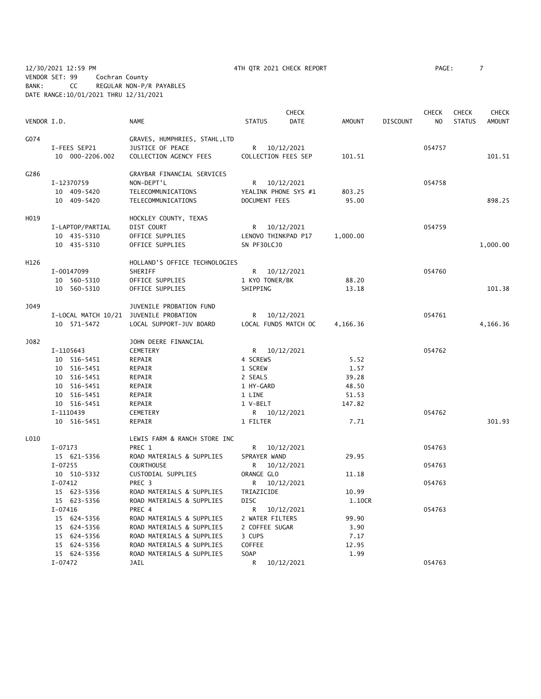12/30/2021 12:59 PM 4TH QTR 2021 CHECK REPORT PAGE: 7 VENDOR SET: 99 Cochran County BANK: CC REGULAR NON-P/R PAYABLES DATE RANGE:10/01/2021 THRU 12/31/2021

|             |                                        |                                     |                  | <b>CHECK</b>         |          |                 | <b>CHECK</b>   | <b>CHECK</b>  | <b>CHECK</b>  |
|-------------|----------------------------------------|-------------------------------------|------------------|----------------------|----------|-----------------|----------------|---------------|---------------|
| VENDOR I.D. |                                        | <b>NAME</b>                         | <b>STATUS</b>    | DATE                 | AMOUNT   | <b>DISCOUNT</b> | N <sub>O</sub> | <b>STATUS</b> | <b>AMOUNT</b> |
| G074        |                                        | GRAVES, HUMPHRIES, STAHL, LTD       |                  |                      |          |                 |                |               |               |
|             | I-FEES SEP21                           | JUSTICE OF PEACE                    |                  | R 10/12/2021         |          |                 | 054757         |               |               |
|             | 10 000-2206.002                        | COLLECTION AGENCY FEES              |                  | COLLECTION FEES SEP  | 101.51   |                 |                |               | 101.51        |
| G286        |                                        | GRAYBAR FINANCIAL SERVICES          |                  |                      |          |                 |                |               |               |
|             | I-12370759                             | NON-DEPT'L                          |                  | R 10/12/2021         |          |                 | 054758         |               |               |
|             | 10 409-5420                            | TELECOMMUNICATIONS                  |                  | YEALINK PHONE SYS #1 | 803.25   |                 |                |               |               |
|             | 10 409-5420                            | TELECOMMUNICATIONS                  | DOCUMENT FEES    |                      | 95.00    |                 |                |               | 898.25        |
| H019        |                                        | HOCKLEY COUNTY, TEXAS               |                  |                      |          |                 |                |               |               |
|             | I-LAPTOP/PARTIAL                       | DIST COURT                          |                  | R 10/12/2021         |          |                 | 054759         |               |               |
|             | 10 435-5310                            | OFFICE SUPPLIES                     |                  | LENOVO THINKPAD P17  | 1,000.00 |                 |                |               |               |
|             | 10 435-5310                            | OFFICE SUPPLIES                     | SN PF30LCJ0      |                      |          |                 |                |               | 1,000.00      |
| H126        |                                        | HOLLAND'S OFFICE TECHNOLOGIES       |                  |                      |          |                 |                |               |               |
|             | I-00147099                             | SHERIFF                             |                  | R 10/12/2021         |          |                 | 054760         |               |               |
|             | 10 560-5310                            | OFFICE SUPPLIES                     | 1 KYO TONER/BK   |                      | 88.20    |                 |                |               |               |
|             | 10 560-5310                            | OFFICE SUPPLIES                     | SHIPPING         |                      | 13.18    |                 |                |               | 101.38        |
| J049        |                                        | JUVENILE PROBATION FUND             |                  |                      |          |                 |                |               |               |
|             | I-LOCAL MATCH 10/21 JUVENILE PROBATION |                                     |                  | R 10/12/2021         |          |                 | 054761         |               |               |
|             | 10 571-5472                            | LOCAL SUPPORT-JUV BOARD             |                  | LOCAL FUNDS MATCH OC | 4,166.36 |                 |                |               | 4,166.36      |
| <b>J082</b> |                                        | JOHN DEERE FINANCIAL                |                  |                      |          |                 |                |               |               |
|             | I-1105643                              | CEMETERY                            |                  | R 10/12/2021         |          |                 | 054762         |               |               |
|             | 10 516-5451                            | REPAIR                              | 4 SCREWS         |                      | 5.52     |                 |                |               |               |
|             | 10 516-5451                            | REPAIR                              | 1 SCREW          |                      | 1.57     |                 |                |               |               |
|             | 10 516-5451                            | REPAIR                              | 2 SEALS          |                      | 39.28    |                 |                |               |               |
|             | 10 516-5451                            | REPAIR                              | 1 HY-GARD        |                      | 48.50    |                 |                |               |               |
|             | 10 516-5451                            | REPAIR                              | 1 LINE           |                      | 51.53    |                 |                |               |               |
|             | 10 516-5451                            | REPAIR                              | 1 V-BELT         |                      | 147.82   |                 |                |               |               |
|             | I-1110439                              | CEMETERY                            |                  | R 10/12/2021         |          |                 | 054762         |               |               |
|             | 10 516-5451                            | REPAIR                              | 1 FILTER         |                      | 7.71     |                 |                |               | 301.93        |
| L010        |                                        | LEWIS FARM & RANCH STORE INC        |                  |                      |          |                 |                |               |               |
|             | I-07173                                | PREC 1                              |                  | R 10/12/2021         |          |                 | 054763         |               |               |
|             | 15 621-5356                            | ROAD MATERIALS & SUPPLIES           | SPRAYER WAND     |                      | 29.95    |                 |                |               |               |
|             | I-07255                                | <b>COURTHOUSE</b>                   | R                | 10/12/2021           |          |                 | 054763         |               |               |
|             | 10 510-5332                            | CUSTODIAL SUPPLIES                  | ORANGE GLO       |                      | 11.18    |                 |                |               |               |
|             | $I-07412$                              | PREC 3                              | R                | 10/12/2021           |          |                 | 054763         |               |               |
|             | 15 623-5356                            | ROAD MATERIALS & SUPPLIES           | TRIAZICIDE       |                      | 10.99    |                 |                |               |               |
|             | 15 623-5356                            | ROAD MATERIALS & SUPPLIES<br>PREC 4 | <b>DISC</b><br>R |                      | 1.10CR   |                 |                |               |               |
|             | I-07416<br>15 624-5356                 | ROAD MATERIALS & SUPPLIES           | 2 WATER FILTERS  | 10/12/2021           | 99.90    |                 | 054763         |               |               |
|             | 15 624-5356                            | ROAD MATERIALS & SUPPLIES           | 2 COFFEE SUGAR   |                      | 3.90     |                 |                |               |               |
|             | 15 624-5356                            | ROAD MATERIALS & SUPPLIES           | 3 CUPS           |                      | 7.17     |                 |                |               |               |
|             | 15 624-5356                            | ROAD MATERIALS & SUPPLIES           | COFFEE           |                      | 12.95    |                 |                |               |               |
|             | 15 624-5356                            | ROAD MATERIALS & SUPPLIES           | SOAP             |                      | 1.99     |                 |                |               |               |
|             | $I-07472$                              | JAIL                                | R                | 10/12/2021           |          |                 | 054763         |               |               |
|             |                                        |                                     |                  |                      |          |                 |                |               |               |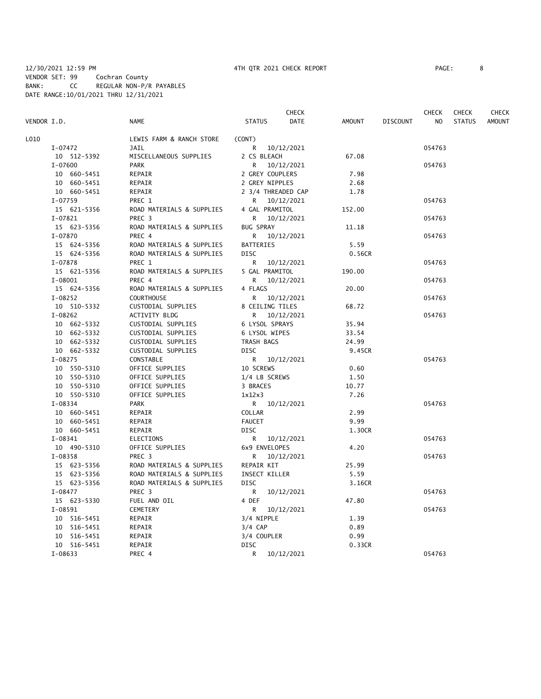# 12/30/2021 12:59 PM 4TH QTR 2021 CHECK REPORT PAGE: 8 VENDOR SET: 99 Cochran County BANK: CC REGULAR NON-P/R PAYABLES DATE RANGE:10/01/2021 THRU 12/31/2021

| VENDOR I.D. |                          | <b>NAME</b>               | <b>STATUS</b>           |                    | <b>CHECK</b><br><b>DATE</b> | <b>AMOUNT</b> | <b>DISCOUNT</b> | <b>CHECK</b><br>N <sub>O</sub> | <b>CHECK</b><br><b>STATUS</b> | <b>CHECK</b><br><b>AMOUNT</b> |
|-------------|--------------------------|---------------------------|-------------------------|--------------------|-----------------------------|---------------|-----------------|--------------------------------|-------------------------------|-------------------------------|
| L010        |                          | LEWIS FARM & RANCH STORE  | (CONT)                  |                    |                             |               |                 |                                |                               |                               |
|             | I-07472                  | JAIL                      | R                       | 10/12/2021         |                             |               |                 | 054763                         |                               |                               |
|             | 10 512-5392              | MISCELLANEOUS SUPPLIES    | 2 CS BLEACH             |                    |                             | 67.08         |                 |                                |                               |                               |
|             | I-07600                  | <b>PARK</b>               | R                       | 10/12/2021         |                             |               |                 | 054763                         |                               |                               |
|             | 10 660-5451              | REPAIR                    |                         | 2 GREY COUPLERS    |                             | 7.98          |                 |                                |                               |                               |
|             | 10 660-5451              | REPAIR                    |                         | 2 GREY NIPPLES     |                             | 2.68          |                 |                                |                               |                               |
|             | 10 660-5451              | REPAIR                    |                         | 2 3/4 THREADED CAP |                             | 1.78          |                 |                                |                               |                               |
|             | $I - 07759$              | PREC 1                    | R.                      | 10/12/2021         |                             |               |                 | 054763                         |                               |                               |
|             | 15 621-5356              | ROAD MATERIALS & SUPPLIES |                         | 4 GAL PRAMITOL     |                             | 152.00        |                 |                                |                               |                               |
|             | $I-07821$                | PREC <sub>3</sub>         | R.                      | 10/12/2021         |                             |               |                 | 054763                         |                               |                               |
|             | 15 623-5356              | ROAD MATERIALS & SUPPLIES | <b>BUG SPRAY</b>        |                    |                             | 11.18         |                 |                                |                               |                               |
|             | I-07870                  | PREC 4                    | R                       | 10/12/2021         |                             |               |                 | 054763                         |                               |                               |
|             | 15 624-5356              | ROAD MATERIALS & SUPPLIES | <b>BATTERIES</b>        |                    |                             | 5.59          |                 |                                |                               |                               |
|             | 15 624-5356              | ROAD MATERIALS & SUPPLIES | <b>DISC</b>             |                    |                             | 0.56CR        |                 |                                |                               |                               |
|             | I-07878                  | PREC 1                    | R                       | 10/12/2021         |                             |               |                 | 054763                         |                               |                               |
|             | 15 621-5356              | ROAD MATERIALS & SUPPLIES |                         | 5 GAL PRAMITOL     |                             | 190.00        |                 |                                |                               |                               |
|             | $I-08001$                | PREC 4                    |                         | R 10/12/2021       |                             |               |                 | 054763                         |                               |                               |
|             | 15 624-5356              | ROAD MATERIALS & SUPPLIES | 4 FLAGS                 |                    |                             | 20.00         |                 |                                |                               |                               |
|             | $I-08252$                | <b>COURTHOUSE</b>         | R                       | 10/12/2021         |                             |               |                 | 054763                         |                               |                               |
|             | 10 510-5332              | CUSTODIAL SUPPLIES        |                         | 8 CEILING TILES    |                             | 68.72         |                 |                                |                               |                               |
|             | $I-08262$                | ACTIVITY BLDG             | R                       | 10/12/2021         |                             |               |                 | 054763                         |                               |                               |
|             | 10 662-5332              | CUSTODIAL SUPPLIES        |                         | 6 LYSOL SPRAYS     |                             | 35.94         |                 |                                |                               |                               |
|             | 10 662-5332              | CUSTODIAL SUPPLIES        |                         | 6 LYSOL WIPES      |                             | 33.54         |                 |                                |                               |                               |
|             | 10 662-5332              | CUSTODIAL SUPPLIES        | TRASH BAGS              |                    |                             | 24.99         |                 |                                |                               |                               |
|             | 10 662-5332              | CUSTODIAL SUPPLIES        | DISC                    |                    |                             | 9.45CR        |                 |                                |                               |                               |
|             | I-08275                  | CONSTABLE                 | R                       | 10/12/2021         |                             |               |                 | 054763                         |                               |                               |
|             | 10 550-5310              | OFFICE SUPPLIES           | 10 SCREWS               |                    |                             | 0.60          |                 |                                |                               |                               |
|             | 10 550-5310              | OFFICE SUPPLIES           |                         | 1/4 LB SCREWS      |                             | 1.50          |                 |                                |                               |                               |
|             | 10 550-5310              | OFFICE SUPPLIES           | 3 BRACES                |                    |                             | 10.77<br>7.26 |                 |                                |                               |                               |
|             | 10 550-5310              | OFFICE SUPPLIES           | 1x12x3                  |                    |                             |               |                 |                                |                               |                               |
|             | $I-08334$<br>10 660-5451 | <b>PARK</b>               |                         | R 10/12/2021       |                             | 2.99          |                 | 054763                         |                               |                               |
|             | 10 660-5451              | REPAIR                    | COLLAR<br><b>FAUCET</b> |                    |                             | 9.99          |                 |                                |                               |                               |
|             | 10 660-5451              | REPAIR<br>REPAIR          | <b>DISC</b>             |                    |                             | 1.30CR        |                 |                                |                               |                               |
|             | $I-08341$                | ELECTIONS                 |                         | R 10/12/2021       |                             |               |                 | 054763                         |                               |                               |
|             | 10 490-5310              | OFFICE SUPPLIES           |                         | 6x9 ENVELOPES      |                             | 4.20          |                 |                                |                               |                               |
|             | I-08358                  | PREC <sub>3</sub>         | R.                      | 10/12/2021         |                             |               |                 | 054763                         |                               |                               |
|             | 15 623-5356              | ROAD MATERIALS & SUPPLIES | <b>REPAIR KIT</b>       |                    |                             | 25.99         |                 |                                |                               |                               |
|             | 15 623-5356              | ROAD MATERIALS & SUPPLIES |                         | INSECT KILLER      |                             | 5.59          |                 |                                |                               |                               |
|             | 15 623-5356              | ROAD MATERIALS & SUPPLIES | <b>DISC</b>             |                    |                             | 3.16CR        |                 |                                |                               |                               |
|             | I-08477                  | PREC 3                    | R                       | 10/12/2021         |                             |               |                 | 054763                         |                               |                               |
|             | 15 623-5330              | FUEL AND OIL              | 4 DEF                   |                    |                             | 47.80         |                 |                                |                               |                               |
|             | $I - 08591$              | <b>CEMETERY</b>           | R                       | 10/12/2021         |                             |               |                 | 054763                         |                               |                               |
|             | 10 516-5451              | REPAIR                    | 3/4 NIPPLE              |                    |                             | 1.39          |                 |                                |                               |                               |
|             | 10 516-5451              | REPAIR                    | $3/4$ CAP               |                    |                             | 0.89          |                 |                                |                               |                               |
|             | 10 516-5451              | REPAIR                    | 3/4 COUPLER             |                    |                             | 0.99          |                 |                                |                               |                               |
|             | 10 516-5451              | REPAIR                    | <b>DISC</b>             |                    |                             | 0.33CR        |                 |                                |                               |                               |
|             | $I-08633$                | PREC 4                    | R                       | 10/12/2021         |                             |               |                 | 054763                         |                               |                               |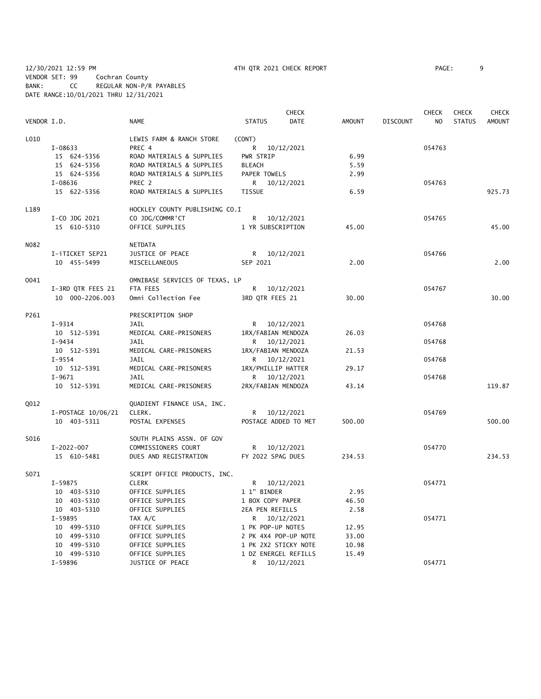12/30/2021 12:59 PM 4TH QTR 2021 CHECK REPORT PAGE: 9 VENDOR SET: 99 Cochran County BANK: CC REGULAR NON-P/R PAYABLES DATE RANGE:10/01/2021 THRU 12/31/2021

|                   |                    |                                |                      | <b>CHECK</b> |        |                 | <b>CHECK</b> | <b>CHECK</b>  | <b>CHECK</b> |
|-------------------|--------------------|--------------------------------|----------------------|--------------|--------|-----------------|--------------|---------------|--------------|
| VENDOR I.D.       |                    | NAME                           | <b>STATUS</b>        | <b>DATE</b>  | AMOUNT | <b>DISCOUNT</b> | NO.          | <b>STATUS</b> | AMOUNT       |
| L010              |                    | LEWIS FARM & RANCH STORE       | (CONT)               |              |        |                 |              |               |              |
|                   | I-08633            | PREC 4                         | R 10/12/2021         |              |        |                 | 054763       |               |              |
|                   | 15 624-5356        | ROAD MATERIALS & SUPPLIES      | PWR STRIP            |              | 6.99   |                 |              |               |              |
|                   | 15 624-5356        | ROAD MATERIALS & SUPPLIES      | <b>BLEACH</b>        |              | 5.59   |                 |              |               |              |
|                   | 15 624-5356        | ROAD MATERIALS & SUPPLIES      | PAPER TOWELS         |              | 2.99   |                 |              |               |              |
|                   | I-08636            | PREC <sub>2</sub>              | R 10/12/2021         |              |        |                 | 054763       |               |              |
|                   | 15 622-5356        | ROAD MATERIALS & SUPPLIES      | <b>TISSUE</b>        |              | 6.59   |                 |              |               | 925.73       |
| L189              |                    | HOCKLEY COUNTY PUBLISHING CO.I |                      |              |        |                 |              |               |              |
|                   | I-CO JDG 2021      | CO JDG/COMMR'CT                | R 10/12/2021         |              |        |                 | 054765       |               |              |
|                   | 15 610-5310        | OFFICE SUPPLIES                | 1 YR SUBSCRIPTION    |              | 45.00  |                 |              |               | 45.00        |
| N <sub>0</sub> 82 |                    | <b>NETDATA</b>                 |                      |              |        |                 |              |               |              |
|                   | I-iTICKET SEP21    | JUSTICE OF PEACE               | R 10/12/2021         |              |        |                 | 054766       |               |              |
|                   | 10 455-5499        | MISCELLANEOUS                  | SEP 2021             |              | 2.00   |                 |              |               | 2.00         |
| 0041              |                    | OMNIBASE SERVICES OF TEXAS, LP |                      |              |        |                 |              |               |              |
|                   | I-3RD QTR FEES 21  | FTA FEES                       | R 10/12/2021         |              |        |                 | 054767       |               |              |
|                   | 10 000-2206.003    | Omni Collection Fee            | 3RD QTR FEES 21      |              | 30.00  |                 |              |               | 30.00        |
| P261              |                    | PRESCRIPTION SHOP              |                      |              |        |                 |              |               |              |
|                   | I-9314             | JAIL                           | R 10/12/2021         |              |        |                 | 054768       |               |              |
|                   | 10 512-5391        | MEDICAL CARE-PRISONERS         | 1RX/FABIAN MENDOZA   |              | 26.03  |                 |              |               |              |
|                   | I-9434             | JAIL                           | R 10/12/2021         |              |        |                 | 054768       |               |              |
|                   | 10 512-5391        | MEDICAL CARE-PRISONERS         | 1RX/FABIAN MENDOZA   |              | 21.53  |                 |              |               |              |
|                   | $I-9554$           | JAIL                           | R 10/12/2021         |              |        |                 | 054768       |               |              |
|                   | 10 512-5391        | MEDICAL CARE-PRISONERS         | 1RX/PHILLIP HATTER   |              | 29.17  |                 |              |               |              |
|                   | $I-9671$           | <b>JAIL</b>                    | R 10/12/2021         |              |        |                 | 054768       |               |              |
|                   | 10 512-5391        | MEDICAL CARE-PRISONERS         | 2RX/FABIAN MENDOZA   |              | 43.14  |                 |              |               | 119.87       |
| Q012              |                    | QUADIENT FINANCE USA, INC.     |                      |              |        |                 |              |               |              |
|                   | I-POSTAGE 10/06/21 | CLERK.                         | R 10/12/2021         |              |        |                 | 054769       |               |              |
|                   | 10 403-5311        | POSTAL EXPENSES                | POSTAGE ADDED TO MET |              | 500.00 |                 |              |               | 500.00       |
| S016              |                    | SOUTH PLAINS ASSN. OF GOV      |                      |              |        |                 |              |               |              |
|                   | $I - 2022 - 007$   | COMMISSIONERS COURT            | R 10/12/2021         |              |        |                 | 054770       |               |              |
|                   | 15 610-5481        | DUES AND REGISTRATION          | FY 2022 SPAG DUES    |              | 234.53 |                 |              |               | 234.53       |
| S071              |                    | SCRIPT OFFICE PRODUCTS, INC.   |                      |              |        |                 |              |               |              |
|                   | I-59875            | <b>CLERK</b>                   | R 10/12/2021         |              |        |                 | 054771       |               |              |
|                   | 10 403-5310        | OFFICE SUPPLIES                | 1 1" BINDER          |              | 2.95   |                 |              |               |              |
|                   | 10 403-5310        | OFFICE SUPPLIES                | 1 BOX COPY PAPER     |              | 46.50  |                 |              |               |              |
|                   | 10 403-5310        | OFFICE SUPPLIES                | 2EA PEN REFILLS      |              | 2.58   |                 |              |               |              |
|                   | I-59895            | TAX A/C                        | R 10/12/2021         |              |        |                 | 054771       |               |              |
|                   | 10 499-5310        | OFFICE SUPPLIES                | 1 PK POP-UP NOTES    |              | 12.95  |                 |              |               |              |
|                   | 10 499-5310        | OFFICE SUPPLIES                | 2 PK 4X4 POP-UP NOTE |              | 33.00  |                 |              |               |              |
|                   | 10 499-5310        | OFFICE SUPPLIES                | 1 PK 2X2 STICKY NOTE |              | 10.98  |                 |              |               |              |
|                   | 10 499-5310        | OFFICE SUPPLIES                | 1 DZ ENERGEL REFILLS |              | 15.49  |                 |              |               |              |
|                   | I-59896            | JUSTICE OF PEACE               | R                    | 10/12/2021   |        |                 | 054771       |               |              |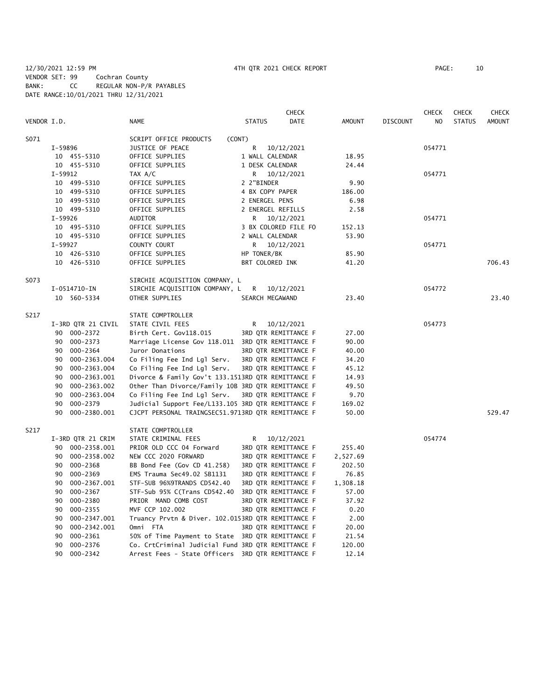|             |                    |                                                    |                      | <b>CHECK</b>         |               |                 | <b>CHECK</b>   | <b>CHECK</b>  | <b>CHECK</b>  |
|-------------|--------------------|----------------------------------------------------|----------------------|----------------------|---------------|-----------------|----------------|---------------|---------------|
| VENDOR I.D. |                    | <b>NAME</b>                                        | <b>STATUS</b>        | DATE                 | <b>AMOUNT</b> | <b>DISCOUNT</b> | N <sub>O</sub> | <b>STATUS</b> | <b>AMOUNT</b> |
| S071        |                    | SCRIPT OFFICE PRODUCTS                             | (CONT)               |                      |               |                 |                |               |               |
|             | I-59896            | JUSTICE OF PEACE                                   | R                    | 10/12/2021           |               |                 | 054771         |               |               |
|             | 10 455-5310        | OFFICE SUPPLIES                                    | 1 WALL CALENDAR      |                      | 18.95         |                 |                |               |               |
|             | 10 455-5310        | OFFICE SUPPLIES                                    | 1 DESK CALENDAR      |                      | 24.44         |                 |                |               |               |
|             | I-59912            | TAX A/C                                            |                      | R 10/12/2021         |               |                 | 054771         |               |               |
|             | 10 499-5310        | OFFICE SUPPLIES                                    | 2 2"BINDER           |                      | 9.90          |                 |                |               |               |
|             | 10 499-5310        | OFFICE SUPPLIES                                    | 4 BX COPY PAPER      |                      | 186.00        |                 |                |               |               |
|             | 10 499-5310        | OFFICE SUPPLIES                                    | 2 ENERGEL PENS       |                      | 6.98          |                 |                |               |               |
|             | 10 499-5310        | OFFICE SUPPLIES                                    | 2 ENERGEL REFILLS    |                      | 2.58          |                 |                |               |               |
|             | I-59926            | <b>AUDITOR</b>                                     | R.                   | 10/12/2021           |               |                 | 054771         |               |               |
|             | 10 495-5310        | OFFICE SUPPLIES                                    |                      | 3 BX COLORED FILE FO | 152.13        |                 |                |               |               |
|             | 10 495-5310        | OFFICE SUPPLIES                                    | 2 WALL CALENDAR      |                      | 53.90         |                 |                |               |               |
|             | I-59927            | COUNTY COURT                                       | R 10/12/2021         |                      |               |                 | 054771         |               |               |
|             | 10 426-5310        | OFFICE SUPPLIES                                    | HP TONER/BK          |                      | 85.90         |                 |                |               |               |
|             | 10 426-5310        | OFFICE SUPPLIES                                    | BRT COLORED INK      |                      | 41.20         |                 |                |               | 706.43        |
| S073        |                    | SIRCHIE ACQUISITION COMPANY, L                     |                      |                      |               |                 |                |               |               |
|             | I-0514710-IN       | SIRCHIE ACQUISITION COMPANY, L                     | R                    | 10/12/2021           |               |                 | 054772         |               |               |
|             | 10 560-5334        | OTHER SUPPLIES                                     | SEARCH MEGAWAND      |                      | 23.40         |                 |                |               | 23.40         |
| S217        |                    | STATE COMPTROLLER                                  |                      |                      |               |                 |                |               |               |
|             | I-3RD QTR 21 CIVIL | STATE CIVIL FEES                                   | R                    | 10/12/2021           |               |                 | 054773         |               |               |
|             | 90 000-2372        | Birth Cert. Gov118.015                             |                      | 3RD QTR REMITTANCE F | 27.00         |                 |                |               |               |
|             | 90 000-2373        | Marriage License Gov 118.011 3RD QTR REMITTANCE F  |                      |                      | 90.00         |                 |                |               |               |
|             | 000-2364<br>90     | Juror Donations                                    |                      | 3RD QTR REMITTANCE F | 40.00         |                 |                |               |               |
|             | 90<br>000-2363.004 | Co Filing Fee Ind Lgl Serv.                        |                      | 3RD QTR REMITTANCE F | 34.20         |                 |                |               |               |
|             | 90<br>000-2363.004 | Co Filing Fee Ind Lgl Serv.                        |                      | 3RD QTR REMITTANCE F | 45.12         |                 |                |               |               |
|             | 90<br>000-2363.001 | Divorce & Family Gov't 133.1513RD QTR REMITTANCE F |                      |                      | 14.93         |                 |                |               |               |
|             | 000-2363.002<br>90 | Other Than Divorce/Family 10B 3RD QTR REMITTANCE F |                      |                      | 49.50         |                 |                |               |               |
|             | 000-2363.004<br>90 | Co Filing Fee Ind Lgl Serv.                        |                      | 3RD QTR REMITTANCE F | 9.70          |                 |                |               |               |
|             | 000-2379<br>90     | Judicial Support Fee/L133.105 3RD QTR REMITTANCE F |                      |                      | 169.02        |                 |                |               |               |
|             | 90<br>000-2380.001 | CJCPT PERSONAL TRAINGSEC51.9713RD QTR REMITTANCE F |                      |                      | 50.00         |                 |                |               | 529.47        |
| S217        |                    | STATE COMPTROLLER                                  |                      |                      |               |                 |                |               |               |
|             | I-3RD QTR 21 CRIM  | STATE CRIMINAL FEES                                | R.                   | 10/12/2021           |               |                 | 054774         |               |               |
|             | 90 000-2358.001    | PRIOR OLD CCC 04 Forward                           |                      | 3RD QTR REMITTANCE F | 255.40        |                 |                |               |               |
|             | 90 000-2358.002    | NEW CCC 2020 FORWARD                               |                      | 3RD QTR REMITTANCE F | 2,527.69      |                 |                |               |               |
|             | 000-2368<br>90     | BB Bond Fee (Gov CD 41.258)                        |                      | 3RD QTR REMITTANCE F | 202.50        |                 |                |               |               |
|             | 000-2369<br>90     | EMS Trauma Sec49.02 SB1131                         |                      | 3RD QTR REMITTANCE F | 76.85         |                 |                |               |               |
|             | 90<br>000-2367.001 | STF-SUB 96%9TRANDS CD542.40                        |                      | 3RD QTR REMITTANCE F | 1,308.18      |                 |                |               |               |
|             | 000-2367<br>90     | STF-Sub 95% C(Trans CD542.40                       | 3RD QTR REMITTANCE F |                      | 57.00         |                 |                |               |               |
|             | 000-2380<br>90     | PRIOR MAND COMB COST                               |                      | 3RD QTR REMITTANCE F | 37.92         |                 |                |               |               |
|             | 90<br>000-2355     | MVF CCP 102.002                                    |                      | 3RD QTR REMITTANCE F | 0.20          |                 |                |               |               |
|             | 000-2347.001<br>90 | Truancy Prvtn & Diver. 102.0153RD QTR REMITTANCE F |                      |                      | 2.00          |                 |                |               |               |
|             | 000-2342.001<br>90 | Omni FTA                                           |                      | 3RD QTR REMITTANCE F | 20.00         |                 |                |               |               |
|             | 000-2361<br>90     | 50% of Time Payment to State 3RD QTR REMITTANCE F  |                      |                      | 21.54         |                 |                |               |               |
|             | 90<br>000-2376     | Co. CrtCriminal Judicial Fund 3RD QTR REMITTANCE F |                      |                      | 120.00        |                 |                |               |               |

90 000-2342 Arrest Fees - State Officers 3RD QTR REMITTANCE F 12.14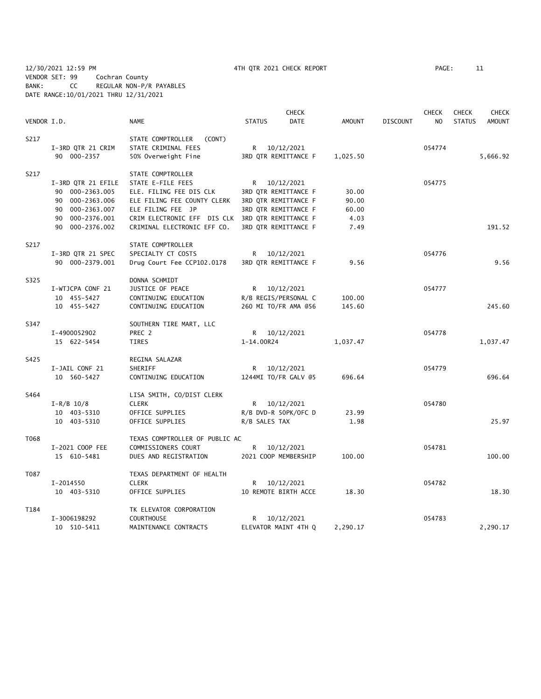12/30/2021 12:59 PM 4TH QTR 2021 CHECK REPORT PAGE: 11 VENDOR SET: 99 Cochran County BANK: CC REGULAR NON-P/R PAYABLES DATE RANGE:10/01/2021 THRU 12/31/2021

|             |                    |                                |               | <b>CHECK</b>         |               |                 | <b>CHECK</b><br><b>CHECK</b> |               | <b>CHECK</b>  |
|-------------|--------------------|--------------------------------|---------------|----------------------|---------------|-----------------|------------------------------|---------------|---------------|
| VENDOR I.D. |                    | <b>NAME</b>                    | <b>STATUS</b> | <b>DATE</b>          | <b>AMOUNT</b> | <b>DISCOUNT</b> | N <sub>O</sub>               | <b>STATUS</b> | <b>AMOUNT</b> |
| S217        |                    | STATE COMPTROLLER<br>(CONT)    |               |                      |               |                 |                              |               |               |
|             | I-3RD QTR 21 CRIM  | STATE CRIMINAL FEES            |               | R 10/12/2021         |               |                 | 054774                       |               |               |
|             | 90 000-2357        | 50% Overweight Fine            |               | 3RD QTR REMITTANCE F | 1,025.50      |                 |                              |               | 5,666.92      |
|             |                    |                                |               |                      |               |                 |                              |               |               |
| S217        |                    | STATE COMPTROLLER              |               |                      |               |                 |                              |               |               |
|             | I-3RD QTR 21 EFILE | STATE E-FILE FEES              |               | R 10/12/2021         |               |                 | 054775                       |               |               |
|             | 90 000-2363.005    | ELE. FILING FEE DIS CLK        |               | 3RD QTR REMITTANCE F | 30.00         |                 |                              |               |               |
|             | 90 000-2363.006    | ELE FILING FEE COUNTY CLERK    |               | 3RD QTR REMITTANCE F | 90.00         |                 |                              |               |               |
|             | 90 000-2363.007    | ELE FILING FEE JP              |               | 3RD QTR REMITTANCE F | 60.00         |                 |                              |               |               |
|             | 90 000-2376.001    | CRIM ELECTRONIC EFF DIS CLK    |               | 3RD QTR REMITTANCE F | 4.03          |                 |                              |               |               |
|             | 90 000-2376.002    | CRIMINAL ELECTRONIC EFF CO.    |               | 3RD QTR REMITTANCE F | 7.49          |                 |                              |               | 191.52        |
| S217        |                    | STATE COMPTROLLER              |               |                      |               |                 |                              |               |               |
|             | I-3RD QTR 21 SPEC  | SPECIALTY CT COSTS             |               | R 10/12/2021         |               |                 | 054776                       |               |               |
|             | 90 000-2379.001    | Drug Court Fee CCP102.0178     |               | 3RD QTR REMITTANCE F | 9.56          |                 |                              |               | 9.56          |
| S325        |                    | DONNA SCHMIDT                  |               |                      |               |                 |                              |               |               |
|             | I-WTJCPA CONF 21   | JUSTICE OF PEACE               |               | R 10/12/2021         |               |                 | 054777                       |               |               |
|             | 10 455-5427        | CONTINUING EDUCATION           |               | R/B REGIS/PERSONAL C | 100.00        |                 |                              |               |               |
|             | 10 455-5427        | CONTINUING EDUCATION           |               | 260 MI TO/FR AMA @56 | 145.60        |                 |                              |               | 245.60        |
|             |                    |                                |               |                      |               |                 |                              |               |               |
| S347        |                    | SOUTHERN TIRE MART, LLC        |               |                      |               |                 |                              |               |               |
|             | I-4900052902       | PREC 2                         |               | R 10/12/2021         |               |                 | 054778                       |               |               |
|             | 15 622-5454        | TIRES                          | 1-14.00R24    |                      | 1,037.47      |                 |                              |               | 1,037.47      |
| S425        |                    | REGINA SALAZAR                 |               |                      |               |                 |                              |               |               |
|             | I-JAIL CONF 21     | SHERIFF                        |               | R 10/12/2021         |               |                 | 054779                       |               |               |
|             | 10 560-5427        | CONTINUING EDUCATION           |               | 1244MI TO/FR GALV @5 | 696.64        |                 |                              |               | 696.64        |
| S464        |                    | LISA SMITH, CO/DIST CLERK      |               |                      |               |                 |                              |               |               |
|             | $I - R/B$ 10/8     | <b>CLERK</b>                   |               | R 10/12/2021         |               |                 | 054780                       |               |               |
|             | 10 403-5310        | OFFICE SUPPLIES                |               | R/B DVD-R 50PK/OFC D | 23.99         |                 |                              |               |               |
|             | 10 403-5310        | OFFICE SUPPLIES                | R/B SALES TAX |                      | 1.98          |                 |                              |               | 25.97         |
| T068        |                    | TEXAS COMPTROLLER OF PUBLIC AC |               |                      |               |                 |                              |               |               |
|             | I-2021 COOP FEE    | COMMISSIONERS COURT            | R.            | 10/12/2021           |               |                 | 054781                       |               |               |
|             | 15 610-5481        | DUES AND REGISTRATION          |               | 2021 COOP MEMBERSHIP | 100.00        |                 |                              |               | 100.00        |
|             |                    |                                |               |                      |               |                 |                              |               |               |
| T087        |                    | TEXAS DEPARTMENT OF HEALTH     |               |                      |               |                 |                              |               |               |
|             | I-2014550          | <b>CLERK</b>                   | R             | 10/12/2021           |               |                 | 054782                       |               |               |
|             | 10 403-5310        | OFFICE SUPPLIES                |               | 10 REMOTE BIRTH ACCE | 18.30         |                 |                              |               | 18.30         |
| T184        |                    | TK ELEVATOR CORPORATION        |               |                      |               |                 |                              |               |               |
|             | I-3006198292       | <b>COURTHOUSE</b>              | R             | 10/12/2021           |               |                 | 054783                       |               |               |
|             | 10 510-5411        | MAINTENANCE CONTRACTS          |               | ELEVATOR MAINT 4TH Q | 2,290.17      |                 |                              |               | 2,290.17      |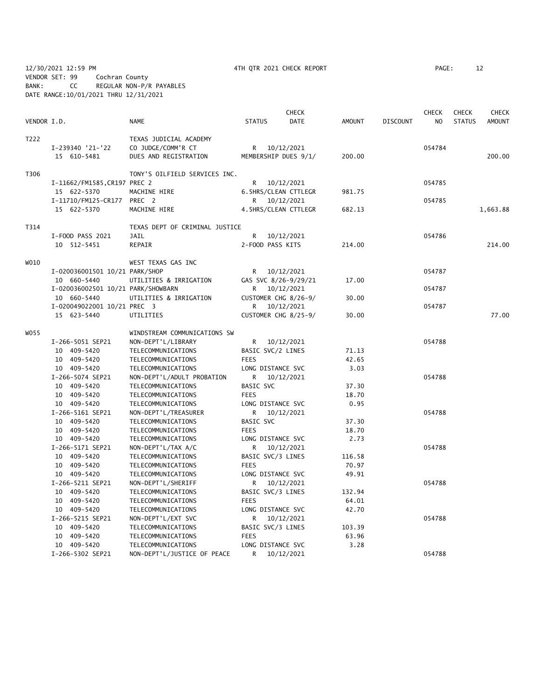12/30/2021 12:59 PM 4TH QTR 2021 CHECK REPORT PAGE: 12 VENDOR SET: 99 Cochran County BANK: CC REGULAR NON-P/R PAYABLES DATE RANGE:10/01/2021 THRU 12/31/2021

|             |                                    |                                |                   | <b>CHECK</b>         |        |                 | <b>CHECK</b>   | <b>CHECK</b>  | <b>CHECK</b>  |
|-------------|------------------------------------|--------------------------------|-------------------|----------------------|--------|-----------------|----------------|---------------|---------------|
| VENDOR I.D. |                                    | <b>NAME</b>                    | <b>STATUS</b>     | DATE                 | AMOUNT | <b>DISCOUNT</b> | N <sub>O</sub> | <b>STATUS</b> | <b>AMOUNT</b> |
| T222        |                                    | TEXAS JUDICIAL ACADEMY         |                   |                      |        |                 |                |               |               |
|             | I-239340 '21-'22                   | CO JUDGE/COMM'R CT             |                   | R 10/12/2021         |        |                 | 054784         |               |               |
|             | 15 610-5481                        | DUES AND REGISTRATION          |                   | MEMBERSHIP DUES 9/1/ | 200.00 |                 |                |               | 200.00        |
| T306        |                                    | TONY'S OILFIELD SERVICES INC.  |                   |                      |        |                 |                |               |               |
|             | I-11662/FM1585, CR197 PREC 2       |                                | R                 | 10/12/2021           |        |                 | 054785         |               |               |
|             | 15 622-5370                        | MACHINE HIRE                   |                   | 6.5HRS/CLEAN CTTLEGR | 981.75 |                 |                |               |               |
|             | I-11710/FM125-CR177 PREC 2         |                                |                   | R 10/12/2021         |        |                 | 054785         |               |               |
|             | 15 622-5370                        | MACHINE HIRE                   |                   | 4.5HRS/CLEAN CTTLEGR | 682.13 |                 |                |               | 1,663.88      |
| T314        |                                    | TEXAS DEPT OF CRIMINAL JUSTICE |                   |                      |        |                 |                |               |               |
|             | I-FOOD PASS 2021                   | JAIL                           | R                 | 10/12/2021           |        |                 | 054786         |               |               |
|             | 10 512-5451                        | REPAIR                         | 2-FOOD PASS KITS  |                      | 214.00 |                 |                |               | 214.00        |
| WO10        |                                    | WEST TEXAS GAS INC             |                   |                      |        |                 |                |               |               |
|             | I-020036001501 10/21 PARK/SHOP     |                                |                   | R 10/12/2021         |        |                 | 054787         |               |               |
|             | 10 660-5440                        | UTILITIES & IRRIGATION         |                   | GAS SVC 8/26-9/29/21 | 17.00  |                 |                |               |               |
|             | I-020036002501 10/21 PARK/SHOWBARN |                                |                   | R 10/12/2021         |        |                 | 054787         |               |               |
|             | 10 660-5440                        | UTILITIES & IRRIGATION         |                   | CUSTOMER CHG 8/26-9/ | 30.00  |                 |                |               |               |
|             | I-020049022001 10/21 PREC 3        |                                |                   | R 10/12/2021         |        |                 | 054787         |               |               |
|             | 15 623-5440                        | UTILITIES                      |                   | CUSTOMER CHG 8/25-9/ | 30.00  |                 |                |               | 77.00         |
| WO55        |                                    | WINDSTREAM COMMUNICATIONS SW   |                   |                      |        |                 |                |               |               |
|             | I-266-5051 SEP21                   | NON-DEPT'L/LIBRARY             | R                 | 10/12/2021           |        |                 | 054788         |               |               |
|             | 10 409-5420                        | TELECOMMUNICATIONS             | BASIC SVC/2 LINES |                      | 71.13  |                 |                |               |               |
|             | 10 409-5420                        | TELECOMMUNICATIONS             | <b>FEES</b>       |                      | 42.65  |                 |                |               |               |
|             | 10 409-5420                        | TELECOMMUNICATIONS             | LONG DISTANCE SVC |                      | 3.03   |                 |                |               |               |
|             | I-266-5074 SEP21                   | NON-DEPT'L/ADULT PROBATION     |                   | R 10/12/2021         |        |                 | 054788         |               |               |
|             | 10 409-5420                        | TELECOMMUNICATIONS             | BASIC SVC         |                      | 37.30  |                 |                |               |               |
|             | 10 409-5420                        | TELECOMMUNICATIONS             | <b>FEES</b>       |                      | 18.70  |                 |                |               |               |
|             | 10 409-5420                        | TELECOMMUNICATIONS             | LONG DISTANCE SVC |                      | 0.95   |                 |                |               |               |
|             | I-266-5161 SEP21                   | NON-DEPT'L/TREASURER           |                   | R 10/12/2021         |        |                 | 054788         |               |               |
|             | 10 409-5420                        | TELECOMMUNICATIONS             | BASIC SVC         |                      | 37.30  |                 |                |               |               |
|             | 10 409-5420                        | TELECOMMUNICATIONS             | <b>FEES</b>       |                      | 18.70  |                 |                |               |               |
|             | 10 409-5420                        | TELECOMMUNICATIONS             | LONG DISTANCE SVC |                      | 2.73   |                 |                |               |               |
|             | I-266-5171 SEP21                   | NON-DEPT'L/TAX A/C             | R                 | 10/12/2021           |        |                 | 054788         |               |               |
|             | 10 409-5420                        | TELECOMMUNICATIONS             | BASIC SVC/3 LINES |                      | 116.58 |                 |                |               |               |
|             | 10 409-5420                        | TELECOMMUNICATIONS             | <b>FEES</b>       |                      | 70.97  |                 |                |               |               |
|             | 10 409-5420                        | TELECOMMUNICATIONS             | LONG DISTANCE SVC |                      | 49.91  |                 |                |               |               |
|             | I-266-5211 SEP21                   | NON-DEPT'L/SHERIFF             | R.                | 10/12/2021           |        |                 | 054788         |               |               |
|             | 10 409-5420                        | TELECOMMUNICATIONS             | BASIC SVC/3 LINES |                      | 132.94 |                 |                |               |               |
|             | 10 409-5420                        | TELECOMMUNICATIONS             | <b>FEES</b>       |                      | 64.01  |                 |                |               |               |
|             | 10 409-5420                        | TELECOMMUNICATIONS             | LONG DISTANCE SVC |                      | 42.70  |                 |                |               |               |
|             | I-266-5215 SEP21                   | NON-DEPT'L/EXT SVC             | R                 | 10/12/2021           |        |                 | 054788         |               |               |
|             | 10 409-5420                        | TELECOMMUNICATIONS             | BASIC SVC/3 LINES |                      | 103.39 |                 |                |               |               |
|             | 10 409-5420                        | TELECOMMUNICATIONS             | <b>FEES</b>       |                      | 63.96  |                 |                |               |               |
|             | 10 409-5420                        | TELECOMMUNICATIONS             | LONG DISTANCE SVC |                      | 3.28   |                 |                |               |               |

I-266-5302 SEP21 NON-DEPT'L/JUSTICE OF PEACE R 10/12/2021 054788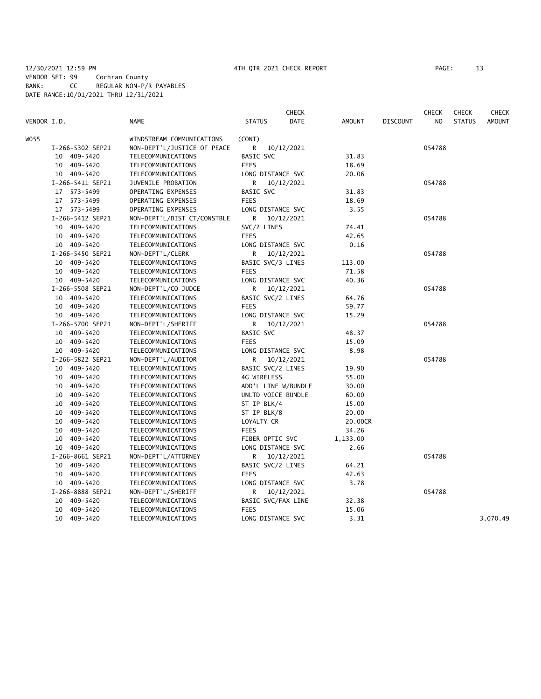|             |                  |                             | <b>CHECK</b>          |               |                 | <b>CHECK</b> | <b>CHECK</b>  | <b>CHECK</b>  |
|-------------|------------------|-----------------------------|-----------------------|---------------|-----------------|--------------|---------------|---------------|
| VENDOR I.D. |                  | <b>NAME</b>                 | <b>STATUS</b><br>DATE | <b>AMOUNT</b> | <b>DISCOUNT</b> | NO.          | <b>STATUS</b> | <b>AMOUNT</b> |
| WO 55       |                  | WINDSTREAM COMMUNICATIONS   | (CONT)                |               |                 |              |               |               |
|             | I-266-5302 SEP21 | NON-DEPT'L/JUSTICE OF PEACE | R<br>10/12/2021       |               |                 | 054788       |               |               |
|             | 10 409-5420      | TELECOMMUNICATIONS          | BASIC SVC             | 31.83         |                 |              |               |               |
|             | 10 409-5420      | TELECOMMUNICATIONS          | <b>FEES</b>           | 18.69         |                 |              |               |               |
|             | 10 409-5420      | TELECOMMUNICATIONS          | LONG DISTANCE SVC     | 20.06         |                 |              |               |               |
|             | I-266-5411 SEP21 | JUVENILE PROBATION          | R<br>10/12/2021       |               |                 | 054788       |               |               |
|             | 17 573-5499      | OPERATING EXPENSES          | BASIC SVC             | 31.83         |                 |              |               |               |
|             | 17 573-5499      | OPERATING EXPENSES          | <b>FEES</b>           | 18.69         |                 |              |               |               |
|             | 17 573-5499      | OPERATING EXPENSES          | LONG DISTANCE SVC     | 3.55          |                 |              |               |               |
|             | I-266-5412 SEP21 | NON-DEPT'L/DIST CT/CONSTBLE | R<br>10/12/2021       |               |                 | 054788       |               |               |
|             | 10 409-5420      | TELECOMMUNICATIONS          | SVC/2 LINES           | 74.41         |                 |              |               |               |
|             | 10 409-5420      | TELECOMMUNICATIONS          | <b>FEES</b>           | 42.65         |                 |              |               |               |
|             | 10 409-5420      | TELECOMMUNICATIONS          | LONG DISTANCE SVC     | 0.16          |                 |              |               |               |
|             | I-266-5450 SEP21 | NON-DEPT'L/CLERK            | R<br>10/12/2021       |               |                 | 054788       |               |               |
|             | 10 409-5420      | TELECOMMUNICATIONS          | BASIC SVC/3 LINES     | 113.00        |                 |              |               |               |
|             | 10 409-5420      | TELECOMMUNICATIONS          | <b>FEES</b>           | 71.58         |                 |              |               |               |
|             | 10 409-5420      | TELECOMMUNICATIONS          | LONG DISTANCE SVC     | 40.36         |                 |              |               |               |
|             | I-266-5508 SEP21 | NON-DEPT'L/CO JUDGE         | R<br>10/12/2021       |               |                 | 054788       |               |               |
|             | 10 409-5420      | TELECOMMUNICATIONS          | BASIC SVC/2 LINES     | 64.76         |                 |              |               |               |
|             | 10 409-5420      | TELECOMMUNICATIONS          | <b>FEES</b>           | 59.77         |                 |              |               |               |
|             | 10 409-5420      | TELECOMMUNICATIONS          | LONG DISTANCE SVC     | 15.29         |                 |              |               |               |
|             | I-266-5700 SEP21 | NON-DEPT'L/SHERIFF          | R<br>10/12/2021       |               |                 | 054788       |               |               |
|             | 10 409-5420      | TELECOMMUNICATIONS          | BASIC SVC             | 48.37         |                 |              |               |               |
|             | 10 409-5420      | TELECOMMUNICATIONS          | <b>FEES</b>           | 15.09         |                 |              |               |               |
|             | 10 409-5420      | TELECOMMUNICATIONS          | LONG DISTANCE SVC     | 8.98          |                 |              |               |               |
|             | I-266-5822 SEP21 | NON-DEPT'L/AUDITOR          | R<br>10/12/2021       |               |                 | 054788       |               |               |
|             | 10 409-5420      | TELECOMMUNICATIONS          | BASIC SVC/2 LINES     | 19.90         |                 |              |               |               |
|             | 10 409-5420      | TELECOMMUNICATIONS          | 4G WIRELESS           | 55.00         |                 |              |               |               |
|             | 10 409-5420      | TELECOMMUNICATIONS          | ADD'L LINE W/BUNDLE   | 30.00         |                 |              |               |               |
|             | 10 409-5420      | TELECOMMUNICATIONS          | UNLTD VOICE BUNDLE    | 60.00         |                 |              |               |               |
|             | 10 409-5420      | TELECOMMUNICATIONS          | ST IP BLK/4           | 15.00         |                 |              |               |               |
|             | 10 409-5420      | TELECOMMUNICATIONS          | ST IP BLK/8           | 20.00         |                 |              |               |               |
|             | 10 409-5420      | TELECOMMUNICATIONS          | LOYALTY CR            | 20.00CR       |                 |              |               |               |
|             | 10 409-5420      | TELECOMMUNICATIONS          | <b>FEES</b>           | 34.26         |                 |              |               |               |
|             | 10 409-5420      | TELECOMMUNICATIONS          | FIBER OPTIC SVC       | 1,133.00      |                 |              |               |               |
|             | 10 409-5420      | TELECOMMUNICATIONS          | LONG DISTANCE SVC     | 2.66          |                 |              |               |               |
|             | I-266-8661 SEP21 | NON-DEPT'L/ATTORNEY         | R 10/12/2021          |               |                 | 054788       |               |               |
|             | 10 409-5420      | TELECOMMUNICATIONS          | BASIC SVC/2 LINES     | 64.21         |                 |              |               |               |
|             | 10 409-5420      | TELECOMMUNICATIONS          | <b>FEES</b>           | 42.63         |                 |              |               |               |
|             | 10 409-5420      | TELECOMMUNICATIONS          | LONG DISTANCE SVC     | 3.78          |                 |              |               |               |
|             | I-266-8888 SEP21 | NON-DEPT'L/SHERIFF          | 10/12/2021<br>R       |               |                 | 054788       |               |               |
|             | 10 409-5420      | TELECOMMUNICATIONS          | BASIC SVC/FAX LINE    | 32.38         |                 |              |               |               |
|             | 409-5420<br>10   | TELECOMMUNICATIONS          | <b>FEES</b>           | 15.06         |                 |              |               |               |
|             | 10 409-5420      | TELECOMMUNICATIONS          | LONG DISTANCE SVC     | 3.31          |                 |              |               | 3,070.49      |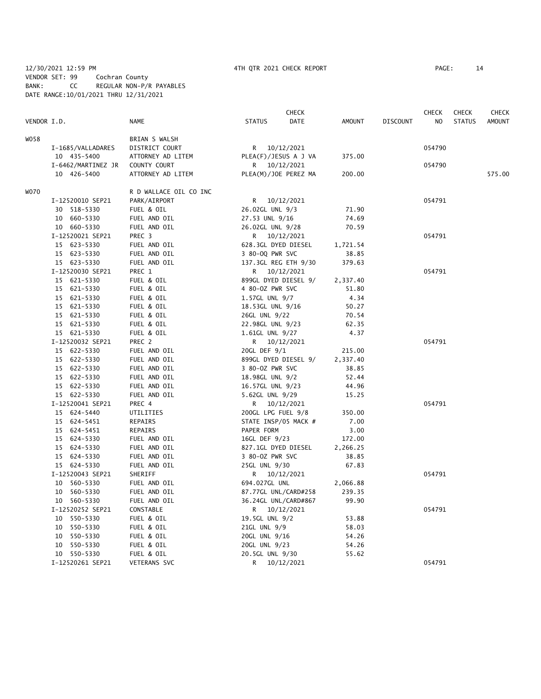### 12/30/2021 12:59 PM 4TH QTR 2021 CHECK REPORT PAGE: 14 VENDOR SET: 99 Cochran County BANK: CC REGULAR NON-P/R PAYABLES DATE RANGE:10/01/2021 THRU 12/31/2021

|             |                    |                        |                     | <b>CHECK</b>         |               |                 | <b>CHECK</b>   | <b>CHECK</b>  | CHECK         |
|-------------|--------------------|------------------------|---------------------|----------------------|---------------|-----------------|----------------|---------------|---------------|
| VENDOR I.D. |                    | <b>NAME</b>            | <b>STATUS</b>       | <b>DATE</b>          | <b>AMOUNT</b> | <b>DISCOUNT</b> | N <sub>O</sub> | <b>STATUS</b> | <b>AMOUNT</b> |
| W058        |                    | BRIAN S WALSH          |                     |                      |               |                 |                |               |               |
|             | I-1685/VALLADARES  | DISTRICT COURT         |                     | R 10/12/2021         |               |                 | 054790         |               |               |
|             | 10 435-5400        | ATTORNEY AD LITEM      |                     | PLEA(F)/JESUS A J VA | 375.00        |                 |                |               |               |
|             | I-6462/MARTINEZ JR | COUNTY COURT           |                     | R 10/12/2021         |               |                 | 054790         |               |               |
|             | 10 426-5400        | ATTORNEY AD LITEM      |                     | PLEA(M)/JOE PEREZ MA | 200.00        |                 |                |               | 575.00        |
| <b>WO70</b> |                    | R D WALLACE OIL CO INC |                     |                      |               |                 |                |               |               |
|             | I-12520010 SEP21   | PARK/AIRPORT           |                     | R 10/12/2021         |               |                 | 054791         |               |               |
|             | 30 518-5330        | FUEL & OIL             | 26.02GL UNL 9/3     |                      | 71.90         |                 |                |               |               |
|             | 10 660-5330        | FUEL AND OIL           | 27.53 UNL 9/16      |                      | 74.69         |                 |                |               |               |
|             | 10 660-5330        | FUEL AND OIL           | 26.02GL UNL 9/28    |                      | 70.59         |                 |                |               |               |
|             | I-12520021 SEP21   | PREC 3                 |                     | R 10/12/2021         |               |                 | 054791         |               |               |
|             | 15 623-5330        | FUEL AND OIL           | 628.3GL DYED DIESEL |                      | 1,721.54      |                 |                |               |               |
|             | 15 623-5330        | FUEL AND OIL           | 3 80-00 PWR SVC     |                      | 38.85         |                 |                |               |               |
|             | 15 623-5330        | FUEL AND OIL           |                     | 137.3GL REG ETH 9/30 | 379.63        |                 |                |               |               |
|             | I-12520030 SEP21   | PREC 1                 |                     | R 10/12/2021         |               |                 | 054791         |               |               |
|             | 15 621-5330        | FUEL & OIL             |                     | 899GL DYED DIESEL 9/ | 2,337.40      |                 |                |               |               |
|             | 15 621-5330        | FUEL & OIL             | 4 80-0Z PWR SVC     |                      | 51.80         |                 |                |               |               |
|             | 15 621-5330        | FUEL & OIL             | 1.57GL UNL 9/7      |                      | 4.34          |                 |                |               |               |
|             | 15 621-5330        | FUEL & OIL             | 18.53GL UNL 9/16    |                      | 50.27         |                 |                |               |               |
|             | 15 621-5330        | FUEL & OIL             | 26GL UNL 9/22       |                      | 70.54         |                 |                |               |               |
|             | 15 621-5330        | FUEL & OIL             | 22.98GL UNL 9/23    |                      | 62.35         |                 |                |               |               |
|             | 15 621-5330        | FUEL & OIL             | 1.61GL UNL 9/27     |                      | 4.37          |                 |                |               |               |
|             | I-12520032 SEP21   | PREC 2                 |                     | R 10/12/2021         |               |                 | 054791         |               |               |
|             | 15 622-5330        | FUEL AND OIL           | 20GL DEF 9/1        |                      | 215.00        |                 |                |               |               |
|             | 15 622-5330        | FUEL AND OIL           |                     | 899GL DYED DIESEL 9/ | 2,337.40      |                 |                |               |               |
|             | 15 622-5330        | FUEL AND OIL           | 3 80-0Z PWR SVC     |                      | 38.85         |                 |                |               |               |
|             | 15 622-5330        | FUEL AND OIL           | 18.98GL UNL 9/2     |                      | 52.44         |                 |                |               |               |
|             | 15 622-5330        | FUEL AND OIL           | 16.57GL UNL 9/23    |                      | 44.96         |                 |                |               |               |
|             | 15 622-5330        | FUEL AND OIL           | 5.62GL UNL 9/29     |                      | 15.25         |                 |                |               |               |
|             | I-12520041 SEP21   | PREC 4                 | R                   | 10/12/2021           |               |                 | 054791         |               |               |
|             | 15 624-5440        | UTILITIES              | 200GL LPG FUEL 9/8  |                      | 350.00        |                 |                |               |               |
|             | 15 624-5451        | REPAIRS                |                     | STATE INSP/05 MACK # | 7.00          |                 |                |               |               |
|             | 15 624-5451        | REPAIRS                | PAPER FORM          |                      | 3.00          |                 |                |               |               |
|             | 15 624-5330        | FUEL AND OIL           | 16GL DEF 9/23       |                      | 172.00        |                 |                |               |               |
|             | 15 624-5330        | FUEL AND OIL           | 827.1GL DYED DIESEL |                      | 2,266.25      |                 |                |               |               |
|             | 15 624-5330        | FUEL AND OIL           | 3 80-0Z PWR SVC     |                      | 38.85         |                 |                |               |               |
|             | 15 624-5330        | FUEL AND OIL           | 25GL UNL 9/30       |                      | 67.83         |                 |                |               |               |
|             | I-12520043 SEP21   | SHERIFF                |                     | R 10/12/2021         |               |                 | 054791         |               |               |
|             | 10 560-5330        | FUEL AND OIL           | 694.027GL UNL       |                      | 2,066.88      |                 |                |               |               |
|             | 10 560-5330        | FUEL AND OIL           |                     | 87.77GL UNL/CARD#258 | 239.35        |                 |                |               |               |
|             | 10 560-5330        | FUEL AND OIL           |                     | 36.24GL UNL/CARD#867 | 99.90         |                 |                |               |               |
|             | I-12520252 SEP21   | CONSTABLE              |                     | R 10/12/2021         |               |                 | 054791         |               |               |
|             | 10 550-5330        | FUEL & OIL             | 19.5GL UNL 9/2      |                      | 53.88         |                 |                |               |               |
|             | 10 550-5330        | FUEL & OIL             | 21GL UNL 9/9        |                      | 58.03         |                 |                |               |               |
|             | 10 550-5330        | FUEL & OIL             | 20GL UNL 9/16       |                      | 54.26         |                 |                |               |               |
|             | 10 550-5330        | FUEL & OIL             | 20GL UNL 9/23       |                      | 54.26         |                 |                |               |               |
|             | 10 550-5330        | FUEL & OIL             | 20.5GL UNL 9/30     |                      | 55.62         |                 |                |               |               |
|             | I-12520261 SEP21   | <b>VETERANS SVC</b>    |                     | R 10/12/2021         |               |                 | 054791         |               |               |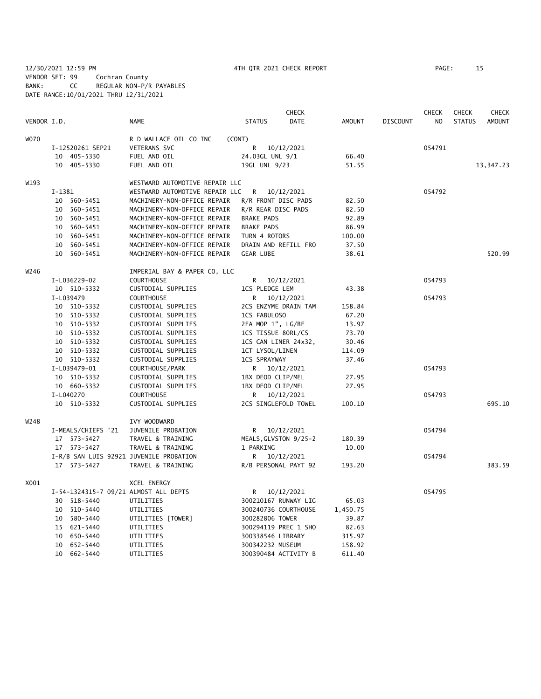12/30/2021 12:59 PM 4TH QTR 2021 CHECK REPORT PAGE: 15 VENDOR SET: 99 Cochran County BANK: CC REGULAR NON-P/R PAYABLES DATE RANGE:10/01/2021 THRU 12/31/2021

|             |                                         |                                |                       | <b>CHECK</b> |               |                 | <b>CHECK</b>   | <b>CHECK</b>  | <b>CHECK</b>  |
|-------------|-----------------------------------------|--------------------------------|-----------------------|--------------|---------------|-----------------|----------------|---------------|---------------|
| VENDOR I.D. |                                         | <b>NAME</b>                    | <b>STATUS</b>         | <b>DATE</b>  | <b>AMOUNT</b> | <b>DISCOUNT</b> | N <sub>O</sub> | <b>STATUS</b> | <b>AMOUNT</b> |
| <b>WO70</b> |                                         | R D WALLACE OIL CO INC         | (CONT)                |              |               |                 |                |               |               |
|             | I-12520261 SEP21                        | VETERANS SVC                   | R                     | 10/12/2021   |               |                 | 054791         |               |               |
|             | 10 405-5330                             | FUEL AND OIL                   | 24.03GL UNL 9/1       |              | 66.40         |                 |                |               |               |
|             | 10 405-5330                             | FUEL AND OIL                   | 19GL UNL 9/23         |              | 51.55         |                 |                |               | 13,347.23     |
| W193        |                                         | WESTWARD AUTOMOTIVE REPAIR LLC |                       |              |               |                 |                |               |               |
|             | $I-1381$                                | WESTWARD AUTOMOTIVE REPAIR LLC | R                     | 10/12/2021   |               |                 | 054792         |               |               |
|             | 10 560-5451                             | MACHINERY-NON-OFFICE REPAIR    | R/R FRONT DISC PADS   |              | 82.50         |                 |                |               |               |
|             | 10 560-5451                             | MACHINERY-NON-OFFICE REPAIR    | R/R REAR DISC PADS    |              | 82.50         |                 |                |               |               |
|             | 10 560-5451                             | MACHINERY-NON-OFFICE REPAIR    | <b>BRAKE PADS</b>     |              | 92.89         |                 |                |               |               |
|             | 10 560-5451                             | MACHINERY-NON-OFFICE REPAIR    | <b>BRAKE PADS</b>     |              | 86.99         |                 |                |               |               |
|             | 10 560-5451                             | MACHINERY-NON-OFFICE REPAIR    | TURN 4 ROTORS         |              | 100.00        |                 |                |               |               |
|             | 10 560-5451                             | MACHINERY-NON-OFFICE REPAIR    | DRAIN AND REFILL FRO  |              | 37.50         |                 |                |               |               |
|             | 10 560-5451                             | MACHINERY-NON-OFFICE REPAIR    | <b>GEAR LUBE</b>      |              | 38.61         |                 |                |               | 520.99        |
| W246        |                                         | IMPERIAL BAY & PAPER CO, LLC   |                       |              |               |                 |                |               |               |
|             | I-L036229-02                            | <b>COURTHOUSE</b>              | R                     | 10/12/2021   |               |                 | 054793         |               |               |
|             | 10 510-5332                             | CUSTODIAL SUPPLIES             | 1CS PLEDGE LEM        |              | 43.38         |                 |                |               |               |
|             | I-L039479                               | <b>COURTHOUSE</b>              | R                     | 10/12/2021   |               |                 | 054793         |               |               |
|             | 10 510-5332                             | CUSTODIAL SUPPLIES             | 2CS ENZYME DRAIN TAM  |              | 158.84        |                 |                |               |               |
|             | 10 510-5332                             | CUSTODIAL SUPPLIES             | 1CS FABULOSO          |              | 67.20         |                 |                |               |               |
|             | 10 510-5332                             | CUSTODIAL SUPPLIES             | 2EA MOP 1", LG/BE     |              | 13.97         |                 |                |               |               |
|             | 10 510-5332                             | CUSTODIAL SUPPLIES             | 1CS TISSUE 80RL/CS    |              | 73.70         |                 |                |               |               |
|             | 10 510-5332                             | CUSTODIAL SUPPLIES             | 1CS CAN LINER 24x32,  |              | 30.46         |                 |                |               |               |
|             | 10 510-5332                             | CUSTODIAL SUPPLIES             | 1CT LYSOL/LINEN       |              | 114.09        |                 |                |               |               |
|             | 10 510-5332                             | CUSTODIAL SUPPLIES             | <b>1CS SPRAYWAY</b>   |              | 37.46         |                 |                |               |               |
|             | I-L039479-01                            | COURTHOUSE/PARK                | R 10/12/2021          |              |               |                 | 054793         |               |               |
|             | 10 510-5332                             | CUSTODIAL SUPPLIES             | 1BX DEOD CLIP/MEL     |              | 27.95         |                 |                |               |               |
|             | 10 660-5332                             | CUSTODIAL SUPPLIES             | 1BX DEOD CLIP/MEL     |              | 27.95         |                 |                |               |               |
|             | I-L040270                               | <b>COURTHOUSE</b>              | R                     | 10/12/2021   |               |                 | 054793         |               |               |
|             | 10 510-5332                             | CUSTODIAL SUPPLIES             | 2CS SINGLEFOLD TOWEL  |              | 100.10        |                 |                |               | 695.10        |
| W248        |                                         | IVY WOODWARD                   |                       |              |               |                 |                |               |               |
|             | I-MEALS/CHIEFS '21                      | JUVENILE PROBATION             | R                     | 10/12/2021   |               |                 | 054794         |               |               |
|             | 17 573-5427                             | TRAVEL & TRAINING              | MEALS, GLVSTON 9/25-2 |              | 180.39        |                 |                |               |               |
|             | 17 573-5427                             | TRAVEL & TRAINING              | 1 PARKING             |              | 10.00         |                 |                |               |               |
|             | I-R/B SAN LUIS 92921 JUVENILE PROBATION |                                | R                     | 10/12/2021   |               |                 | 054794         |               |               |
|             | 17 573-5427                             | TRAVEL & TRAINING              | R/B PERSONAL PAYT 92  |              | 193.20        |                 |                |               | 383.59        |
| X001        |                                         | <b>XCEL ENERGY</b>             |                       |              |               |                 |                |               |               |
|             | I-54-1324315-7 09/21 ALMOST ALL DEPTS   |                                | R                     | 10/12/2021   |               |                 | 054795         |               |               |
|             | 30 518-5440                             | UTILITIES                      | 300210167 RUNWAY LIG  |              | 65.03         |                 |                |               |               |
|             | 10 510-5440                             | UTILITIES                      | 300240736 COURTHOUSE  |              | 1,450.75      |                 |                |               |               |
|             | 10 580-5440                             | UTILITIES [TOWER]              | 300282806 TOWER       |              | 39.87         |                 |                |               |               |
|             | 15 621-5440                             | UTILITIES                      | 300294119 PREC 1 SHO  |              | 82.63         |                 |                |               |               |
|             | 10 650-5440                             | UTILITIES                      | 300338546 LIBRARY     |              | 315.97        |                 |                |               |               |
|             | 10 652-5440                             | UTILITIES                      | 300342232 MUSEUM      |              | 158.92        |                 |                |               |               |
|             | 10 662-5440                             | UTILITIES                      | 300390484 ACTIVITY B  |              | 611.40        |                 |                |               |               |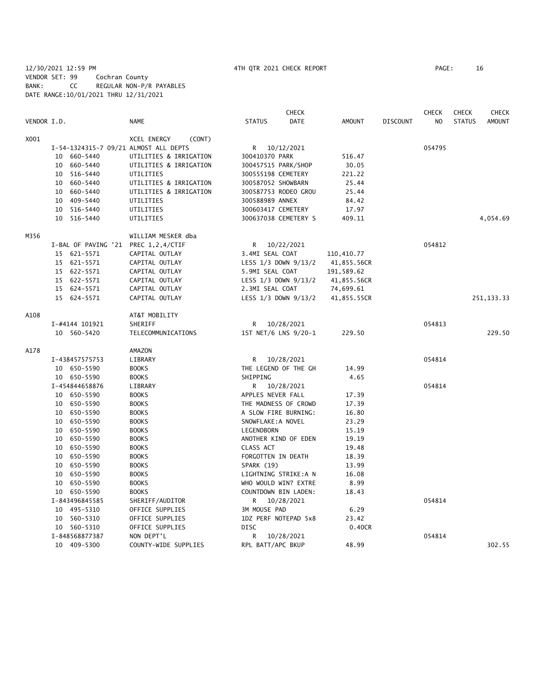12/30/2021 12:59 PM 4TH QTR 2021 CHECK REPORT PAGE: 16 VENDOR SET: 99 Cochran County BANK: CC REGULAR NON-P/R PAYABLES DATE RANGE:10/01/2021 THRU 12/31/2021

|             |                     |                                       |                     | <b>CHECK</b>             |               |                 | <b>CHECK</b>   | <b>CHECK</b>  | <b>CHECK</b>  |
|-------------|---------------------|---------------------------------------|---------------------|--------------------------|---------------|-----------------|----------------|---------------|---------------|
| VENDOR I.D. |                     | <b>NAME</b>                           | <b>STATUS</b>       | <b>DATE</b>              | <b>AMOUNT</b> | <b>DISCOUNT</b> | N <sub>O</sub> | <b>STATUS</b> | <b>AMOUNT</b> |
| X001        |                     | XCEL ENERGY<br>(CONT)                 |                     |                          |               |                 |                |               |               |
|             |                     | I-54-1324315-7 09/21 ALMOST ALL DEPTS | R.                  | 10/12/2021               |               |                 | 054795         |               |               |
|             | 10 660-5440         | UTILITIES & IRRIGATION                | 300410370 PARK      |                          | 516.47        |                 |                |               |               |
|             | 660-5440<br>10      | UTILITIES & IRRIGATION                | 300457515 PARK/SHOP |                          | 30.05         |                 |                |               |               |
|             | 10 516-5440         | UTILITIES                             | 300555198 CEMETERY  |                          | 221.22        |                 |                |               |               |
|             | 10 660-5440         | UTILITIES & IRRIGATION                | 300587052 SHOWBARN  |                          | 25.44         |                 |                |               |               |
|             | 660-5440<br>10      | UTILITIES & IRRIGATION                |                     | 300587753 RODEO GROU     | 25.44         |                 |                |               |               |
|             | 10 409-5440         | UTILITIES                             | 300588989 ANNEX     |                          | 84.42         |                 |                |               |               |
|             | 10 516-5440         | UTILITIES                             | 300603417 CEMETERY  |                          | 17.97         |                 |                |               |               |
|             | 10 516-5440         | UTILITIES                             |                     | 300637038 CEMETERY S     | 409.11        |                 |                |               | 4,054.69      |
| M356        |                     | WILLIAM MESKER dba                    |                     |                          |               |                 |                |               |               |
|             | I-BAL OF PAVING '21 | PREC 1,2,4/CTIF                       |                     | R 10/22/2021             |               |                 | 054812         |               |               |
|             | 15 621-5571         | CAPITAL OUTLAY                        | 3.4MI SEAL COAT     |                          | 110,410.77    |                 |                |               |               |
|             | 15 621-5571         | CAPITAL OUTLAY                        |                     | LESS 1/3 DOWN 9/13/2     | 41,855.56CR   |                 |                |               |               |
|             | 15 622-5571         | CAPITAL OUTLAY                        | 5.9MI SEAL COAT     |                          | 191,589.62    |                 |                |               |               |
|             | 15 622-5571         | CAPITAL OUTLAY                        |                     | LESS $1/3$ DOWN $9/13/2$ | 41,855.56CR   |                 |                |               |               |
|             | 15 624-5571         | CAPITAL OUTLAY                        | 2.3MI SEAL COAT     |                          | 74,699.61     |                 |                |               |               |
|             | 15 624-5571         | CAPITAL OUTLAY                        |                     | LESS 1/3 DOWN 9/13/2     | 41,855.55CR   |                 |                |               | 251, 133.33   |
| A108        |                     | AT&T MOBILITY                         |                     |                          |               |                 |                |               |               |
|             | I-#4144 101921      | SHERIFF                               | R                   | 10/28/2021               |               |                 | 054813         |               |               |
|             | 10 560-5420         | TELECOMMUNICATIONS                    |                     | 1ST NET/6 LNS 9/20-1     | 229.50        |                 |                |               | 229.50        |
| A178        |                     | <b>AMAZON</b>                         |                     |                          |               |                 |                |               |               |
|             | I-438457575753      | LIBRARY                               | R                   | 10/28/2021               |               |                 | 054814         |               |               |
|             | 10 650-5590         | <b>BOOKS</b>                          |                     | THE LEGEND OF THE GH     | 14.99         |                 |                |               |               |
|             | 10 650-5590         | <b>BOOKS</b>                          | SHIPPING            |                          | 4.65          |                 |                |               |               |
|             | I-454844658876      | LIBRARY                               | R                   | 10/28/2021               |               |                 | 054814         |               |               |
|             | 10 650-5590         | <b>BOOKS</b>                          | APPLES NEVER FALL   |                          | 17.39         |                 |                |               |               |
|             | 10 650-5590         | <b>BOOKS</b>                          |                     | THE MADNESS OF CROWD     | 17.39         |                 |                |               |               |
|             | 10 650-5590         | <b>BOOKS</b>                          |                     | A SLOW FIRE BURNING:     | 16.80         |                 |                |               |               |
|             | 10 650-5590         | <b>BOOKS</b>                          | SNOWFLAKE: A NOVEL  |                          | 23.29         |                 |                |               |               |
|             | 10 650-5590         | <b>BOOKS</b>                          | LEGENDBORN          |                          | 15.19         |                 |                |               |               |
|             | 10 650-5590         | <b>BOOKS</b>                          |                     | ANOTHER KIND OF EDEN     | 19.19         |                 |                |               |               |
|             | 10 650-5590         | <b>BOOKS</b>                          | CLASS ACT           |                          | 19.48         |                 |                |               |               |
|             | 10 650-5590         | <b>BOOKS</b>                          | FORGOTTEN IN DEATH  |                          | 18.39         |                 |                |               |               |
|             | 10 650-5590         | <b>BOOKS</b>                          | SPARK (19)          |                          | 13.99         |                 |                |               |               |
|             | 10 650-5590         | <b>BOOKS</b>                          |                     | LIGHTNING STRIKE:A N     | 16.08         |                 |                |               |               |
|             | 10 650-5590         | <b>BOOKS</b>                          |                     | WHO WOULD WIN? EXTRE     | 8.99          |                 |                |               |               |
|             | 10 650-5590         | <b>BOOKS</b>                          |                     | COUNTDOWN BIN LADEN:     | 18.43         |                 |                |               |               |
|             | I-843496845585      | SHERIFF/AUDITOR                       | R                   | 10/28/2021               |               |                 | 054814         |               |               |
|             | 10 495-5310         | OFFICE SUPPLIES                       | 3M MOUSE PAD        |                          | 6.29          |                 |                |               |               |
|             | 10 560-5310         | OFFICE SUPPLIES                       |                     | 1DZ PERF NOTEPAD 5x8     | 23.42         |                 |                |               |               |
|             | 10 560-5310         | OFFICE SUPPLIES                       | <b>DISC</b>         |                          | 0.40CR        |                 |                |               |               |
|             | I-848568877387      | NON DEPT'L                            | R                   | 10/28/2021               |               |                 | 054814         |               |               |
|             | 10 409-5300         | COUNTY-WIDE SUPPLIES                  | RPL BATT/APC BKUP   |                          | 48.99         |                 |                |               | 302.55        |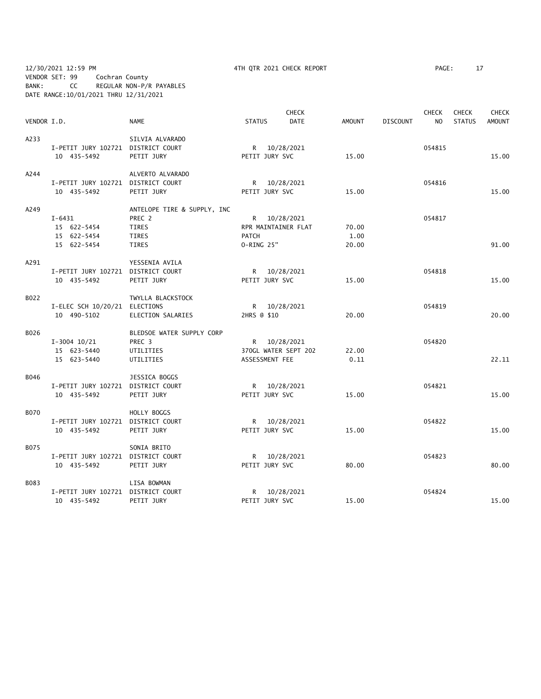12/30/2021 12:59 PM 4TH QTR 2021 CHECK REPORT PAGE: 17 VENDOR SET: 99 Cochran County BANK: CC REGULAR NON-P/R PAYABLES DATE RANGE:10/01/2021 THRU 12/31/2021

|             |                                    |                             |                     | <b>CHECK</b>         |               |                 | <b>CHECK</b>   | <b>CHECK</b>  | <b>CHECK</b>  |
|-------------|------------------------------------|-----------------------------|---------------------|----------------------|---------------|-----------------|----------------|---------------|---------------|
| VENDOR I.D. |                                    | <b>NAME</b>                 | <b>STATUS</b>       | <b>DATE</b>          | <b>AMOUNT</b> | <b>DISCOUNT</b> | N <sub>O</sub> | <b>STATUS</b> | <b>AMOUNT</b> |
| A233        |                                    | SILVIA ALVARADO             |                     |                      |               |                 |                |               |               |
|             | I-PETIT JURY 102721 DISTRICT COURT |                             |                     | R 10/28/2021         |               |                 | 054815         |               |               |
|             | 10 435-5492                        | PETIT JURY                  | PETIT JURY SVC      |                      | 15.00         |                 |                |               | 15.00         |
| A244        |                                    | ALVERTO ALVARADO            |                     |                      |               |                 |                |               |               |
|             | I-PETIT JURY 102721 DISTRICT COURT |                             |                     | R 10/28/2021         |               |                 | 054816         |               |               |
|             | 10 435-5492                        | PETIT JURY                  | PETIT JURY SVC      |                      | 15.00         |                 |                |               | 15.00         |
| A249        |                                    | ANTELOPE TIRE & SUPPLY, INC |                     |                      |               |                 |                |               |               |
|             | $I - 6431$                         | PREC 2                      |                     | R 10/28/2021         |               |                 | 054817         |               |               |
|             | 15 622-5454                        | <b>TIRES</b>                | RPR MAINTAINER FLAT |                      | 70.00         |                 |                |               |               |
|             | 15 622-5454                        | TIRES                       | <b>PATCH</b>        |                      | 1.00          |                 |                |               |               |
|             | 15 622-5454                        | <b>TIRES</b>                | O-RING 25"          |                      | 20.00         |                 |                |               | 91.00         |
| A291        |                                    | YESSENIA AVILA              |                     |                      |               |                 |                |               |               |
|             | I-PETIT JURY 102721 DISTRICT COURT |                             |                     | R 10/28/2021         |               |                 | 054818         |               |               |
|             | 10 435-5492                        | PETIT JURY                  | PETIT JURY SVC      |                      | 15.00         |                 |                |               | 15.00         |
| B022        |                                    | TWYLLA BLACKSTOCK           |                     |                      |               |                 |                |               |               |
|             | I-ELEC SCH 10/20/21 ELECTIONS      |                             |                     | R 10/28/2021         |               |                 | 054819         |               |               |
|             | 10 490-5102                        | ELECTION SALARIES           | 2HRS @ \$10         |                      | 20.00         |                 |                |               | 20.00         |
| B026        |                                    | BLEDSOE WATER SUPPLY CORP   |                     |                      |               |                 |                |               |               |
|             | $I-3004$ 10/21                     | PREC 3                      |                     | R 10/28/2021         |               |                 | 054820         |               |               |
|             | 15 623-5440                        | UTILITIES                   |                     | 370GL WATER SEPT 202 | 22.00         |                 |                |               |               |
|             | 15 623-5440                        | UTILITIES                   | ASSESSMENT FEE      |                      | 0.11          |                 |                |               | 22.11         |
| B046        |                                    | JESSICA BOGGS               |                     |                      |               |                 |                |               |               |
|             | I-PETIT JURY 102721 DISTRICT COURT |                             |                     | R 10/28/2021         |               |                 | 054821         |               |               |
|             | 10 435-5492                        | PETIT JURY                  | PETIT JURY SVC      |                      | 15.00         |                 |                |               | 15.00         |
| <b>B070</b> |                                    | HOLLY BOGGS                 |                     |                      |               |                 |                |               |               |
|             | I-PETIT JURY 102721 DISTRICT COURT |                             |                     | R 10/28/2021         |               |                 | 054822         |               |               |
|             | 10 435-5492                        | PETIT JURY                  | PETIT JURY SVC      |                      | 15.00         |                 |                |               | 15.00         |
| B075        |                                    | SONIA BRITO                 |                     |                      |               |                 |                |               |               |
|             | I-PETIT JURY 102721 DISTRICT COURT |                             |                     | R 10/28/2021         |               |                 | 054823         |               |               |
|             | 10 435-5492                        | PETIT JURY                  | PETIT JURY SVC      |                      | 80.00         |                 |                |               | 80.00         |
| B083        |                                    | LISA BOWMAN                 |                     |                      |               |                 |                |               |               |
|             | I-PETIT JURY 102721 DISTRICT COURT |                             |                     | R 10/28/2021         |               |                 | 054824         |               |               |
|             | 10 435-5492                        | PETIT JURY                  | PETIT JURY SVC      |                      | 15.00         |                 |                |               | 15.00         |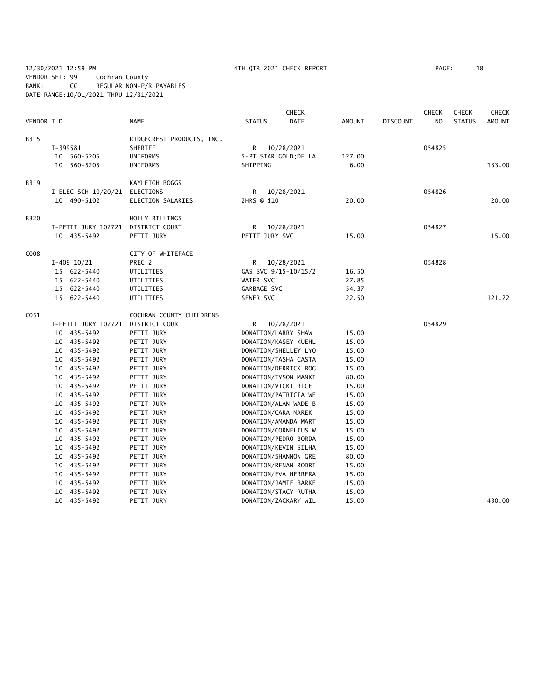12/30/2021 12:59 PM 4TH QTR 2021 CHECK REPORT PAGE: 18 VENDOR SET: 99 Cochran County BANK: CC REGULAR NON-P/R PAYABLES DATE RANGE:10/01/2021 THRU 12/31/2021

|                  |          |                                    |                           |                | <b>CHECK</b>           |               |                 | <b>CHECK</b> | <b>CHECK</b>  | <b>CHECK</b>  |
|------------------|----------|------------------------------------|---------------------------|----------------|------------------------|---------------|-----------------|--------------|---------------|---------------|
| VENDOR I.D.      |          |                                    | <b>NAME</b>               | <b>STATUS</b>  | <b>DATE</b>            | <b>AMOUNT</b> | <b>DISCOUNT</b> | NO           | <b>STATUS</b> | <b>AMOUNT</b> |
| B315             |          |                                    | RIDGECREST PRODUCTS, INC. |                |                        |               |                 |              |               |               |
|                  | I-399581 |                                    | SHERIFF                   |                | R 10/28/2021           |               |                 | 054825       |               |               |
|                  |          | 10 560-5205                        | UNIFORMS                  |                | 5-PT STAR, GOLD; DE LA | 127.00        |                 |              |               |               |
|                  |          | 10 560-5205                        | UNIFORMS                  | SHIPPING       |                        | 6.00          |                 |              |               | 133.00        |
| B319             |          |                                    | KAYLEIGH BOGGS            |                |                        |               |                 |              |               |               |
|                  |          | I-ELEC SCH 10/20/21 ELECTIONS      |                           | R              | 10/28/2021             |               |                 | 054826       |               |               |
|                  |          | 10 490-5102                        | ELECTION SALARIES         | 2HRS @ \$10    |                        | 20.00         |                 |              |               | 20.00         |
|                  |          |                                    |                           |                |                        |               |                 |              |               |               |
| B320             |          |                                    | HOLLY BILLINGS            |                |                        |               |                 |              |               |               |
|                  |          | I-PETIT JURY 102721 DISTRICT COURT |                           | R              | 10/28/2021             |               |                 | 054827       |               |               |
|                  |          | 10 435-5492                        | PETIT JURY                | PETIT JURY SVC |                        | 15.00         |                 |              |               | 15.00         |
| C008             |          |                                    | CITY OF WHITEFACE         |                |                        |               |                 |              |               |               |
|                  |          | $I-409$ $10/21$                    | PREC 2                    |                | R 10/28/2021           |               |                 | 054828       |               |               |
|                  |          | 15 622-5440                        | UTILITIES                 |                | GAS SVC 9/15-10/15/2   | 16.50         |                 |              |               |               |
|                  |          | 15 622-5440                        | UTILITIES                 | WATER SVC      |                        | 27.85         |                 |              |               |               |
|                  |          | 15 622-5440                        | UTILITIES                 | GARBAGE SVC    |                        | 54.37         |                 |              |               |               |
|                  |          | 15 622-5440                        | UTILITIES                 | SEWER SVC      |                        | 22.50         |                 |              |               | 121.22        |
| C <sub>051</sub> |          |                                    | COCHRAN COUNTY CHILDRENS  |                |                        |               |                 |              |               |               |
|                  |          | I-PETIT JURY 102721                | DISTRICT COURT            | R              | 10/28/2021             |               |                 | 054829       |               |               |
|                  |          | 10 435-5492                        | PETIT JURY                |                | DONATION/LARRY SHAW    | 15.00         |                 |              |               |               |
|                  |          | 10 435-5492                        | PETIT JURY                |                | DONATION/KASEY KUEHL   | 15.00         |                 |              |               |               |
|                  |          | 10 435-5492                        | PETIT JURY                |                | DONATION/SHELLEY LYO   | 15.00         |                 |              |               |               |
|                  |          | 10 435-5492                        | PETIT JURY                |                | DONATION/TASHA CASTA   | 15.00         |                 |              |               |               |
|                  |          | 10 435-5492                        | PETIT JURY                |                | DONATION/DERRICK BOG   | 15.00         |                 |              |               |               |
|                  |          | 10 435-5492                        | PETIT JURY                |                | DONATION/TYSON MANKI   | 80.00         |                 |              |               |               |
|                  |          | 10 435-5492                        | PETIT JURY                |                | DONATION/VICKI RICE    | 15.00         |                 |              |               |               |
|                  |          | 10 435-5492                        | PETIT JURY                |                | DONATION/PATRICIA WE   | 15.00         |                 |              |               |               |
|                  |          | 10 435-5492                        | PETIT JURY                |                | DONATION/ALAN WADE B   | 15.00         |                 |              |               |               |
|                  |          | 10 435-5492                        | PETIT JURY                |                | DONATION/CARA MAREK    | 15.00         |                 |              |               |               |
|                  |          | 10 435-5492                        | PETIT JURY                |                | DONATION/AMANDA MART   | 15.00         |                 |              |               |               |
|                  |          | 10 435-5492                        | PETIT JURY                |                | DONATION/CORNELIUS W   | 15.00         |                 |              |               |               |
|                  |          | 10 435-5492                        | PETIT JURY                |                | DONATION/PEDRO BORDA   | 15.00         |                 |              |               |               |
|                  |          | 10 435-5492                        | PETIT JURY                |                | DONATION/KEVIN SILHA   | 15.00         |                 |              |               |               |
|                  |          | 10 435-5492                        | PETIT JURY                |                | DONATION/SHANNON GRE   | 80.00         |                 |              |               |               |
|                  |          | 10 435-5492                        | PETIT JURY                |                | DONATION/RENAN RODRI   | 15.00         |                 |              |               |               |
|                  |          | 10 435-5492                        | PETIT JURY                |                | DONATION/EVA HERRERA   | 15.00         |                 |              |               |               |
|                  |          | 10 435-5492                        | PETIT JURY                |                | DONATION/JAMIE BARKE   | 15.00         |                 |              |               |               |
|                  |          | 10 435-5492                        | PETIT JURY                |                | DONATION/STACY RUTHA   | 15.00         |                 |              |               |               |
|                  |          | 10 435-5492                        | PETIT JURY                |                | DONATION/ZACKARY WIL   | 15.00         |                 |              |               | 430.00        |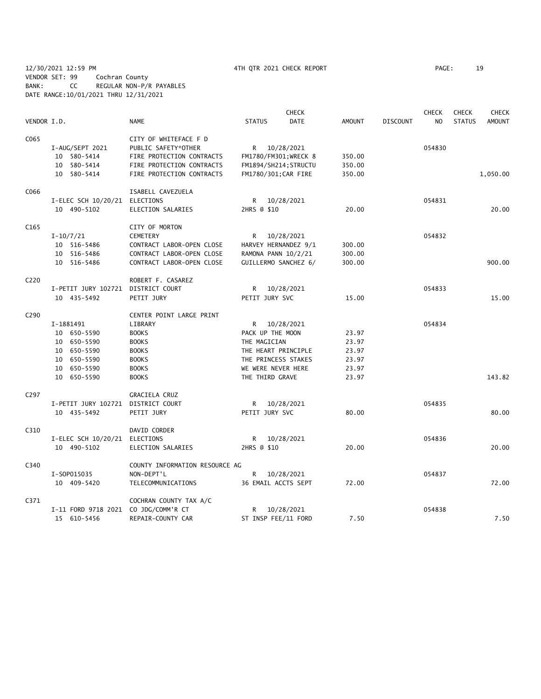12/30/2021 12:59 PM 4TH QTR 2021 CHECK REPORT PAGE: 19 VENDOR SET: 99 Cochran County BANK: CC REGULAR NON-P/R PAYABLES DATE RANGE:10/01/2021 THRU 12/31/2021

|                   |                                      |                                |                       | <b>CHECK</b> |               |                 | <b>CHECK</b>   | <b>CHECK</b>  | <b>CHECK</b>  |
|-------------------|--------------------------------------|--------------------------------|-----------------------|--------------|---------------|-----------------|----------------|---------------|---------------|
| VENDOR I.D.       |                                      | <b>NAME</b>                    | <b>STATUS</b>         | <b>DATE</b>  | <b>AMOUNT</b> | <b>DISCOUNT</b> | N <sub>O</sub> | <b>STATUS</b> | <b>AMOUNT</b> |
| C065              |                                      | CITY OF WHITEFACE F D          |                       |              |               |                 |                |               |               |
|                   | I-AUG/SEPT 2021                      | PUBLIC SAFETY*OTHER            | R 10/28/2021          |              |               |                 | 054830         |               |               |
|                   | 10 580-5414                          | FIRE PROTECTION CONTRACTS      | FM1780/FM301; WRECK 8 |              | 350.00        |                 |                |               |               |
|                   | 10 580-5414                          | FIRE PROTECTION CONTRACTS      | FM1894/SH214; STRUCTU |              | 350.00        |                 |                |               |               |
|                   | 10 580-5414                          | FIRE PROTECTION CONTRACTS      | FM1780/301; CAR FIRE  |              | 350.00        |                 |                |               | 1,050.00      |
| C066              |                                      | ISABELL CAVEZUELA              |                       |              |               |                 |                |               |               |
|                   | I-ELEC SCH 10/20/21 ELECTIONS        |                                | R.                    | 10/28/2021   |               |                 | 054831         |               |               |
|                   | 10 490-5102                          | ELECTION SALARIES              | 2HRS @ \$10           |              | 20.00         |                 |                |               | 20.00         |
| C165              |                                      | CITY OF MORTON                 |                       |              |               |                 |                |               |               |
|                   | $I-10/7/21$                          | <b>CEMETERY</b>                | R 10/28/2021          |              |               |                 | 054832         |               |               |
|                   | 10 516-5486                          | CONTRACT LABOR-OPEN CLOSE      | HARVEY HERNANDEZ 9/1  |              | 300.00        |                 |                |               |               |
|                   | 10 516-5486                          | CONTRACT LABOR-OPEN CLOSE      | RAMONA PANN 10/2/21   |              | 300.00        |                 |                |               |               |
|                   | 10 516-5486                          | CONTRACT LABOR-OPEN CLOSE      | GUILLERMO SANCHEZ 6/  |              | 300.00        |                 |                |               | 900.00        |
| C <sub>2</sub> 20 |                                      | ROBERT F. CASAREZ              |                       |              |               |                 |                |               |               |
|                   | I-PETIT JURY 102721 DISTRICT COURT   |                                | R 10/28/2021          |              |               |                 | 054833         |               |               |
|                   | 10 435-5492                          | PETIT JURY                     | PETIT JURY SVC        |              | 15.00         |                 |                |               | 15.00         |
| C290              |                                      | CENTER POINT LARGE PRINT       |                       |              |               |                 |                |               |               |
|                   | I-1881491                            | LIBRARY                        | R 10/28/2021          |              |               |                 | 054834         |               |               |
|                   | 10 650-5590                          | <b>BOOKS</b>                   | PACK UP THE MOON      |              | 23.97         |                 |                |               |               |
|                   | 10 650-5590                          | <b>BOOKS</b>                   | THE MAGICIAN          |              | 23.97         |                 |                |               |               |
|                   | 10 650-5590                          | <b>BOOKS</b>                   | THE HEART PRINCIPLE   |              | 23.97         |                 |                |               |               |
|                   | 10 650-5590                          | <b>BOOKS</b>                   | THE PRINCESS STAKES   |              | 23.97         |                 |                |               |               |
|                   | 10 650-5590                          | <b>BOOKS</b>                   | WE WERE NEVER HERE    |              | 23.97         |                 |                |               |               |
|                   | 10 650-5590                          | <b>BOOKS</b>                   | THE THIRD GRAVE       |              | 23.97         |                 |                |               | 143.82        |
| C <sub>297</sub>  |                                      | GRACIELA CRUZ                  |                       |              |               |                 |                |               |               |
|                   | I-PETIT JURY 102721 DISTRICT COURT   |                                | R 10/28/2021          |              |               |                 | 054835         |               |               |
|                   | 10 435-5492                          | PETIT JURY                     | PETIT JURY SVC        |              | 80.00         |                 |                |               | 80.00         |
| C310              |                                      | DAVID CORDER                   |                       |              |               |                 |                |               |               |
|                   | I-ELEC SCH 10/20/21 ELECTIONS        |                                | R                     | 10/28/2021   |               |                 | 054836         |               |               |
|                   | 10 490-5102                          | ELECTION SALARIES              | 2HRS @ \$10           |              | 20.00         |                 |                |               | 20.00         |
| C340              |                                      | COUNTY INFORMATION RESOURCE AG |                       |              |               |                 |                |               |               |
|                   | I-S0P015035                          | NON-DEPT'L                     | R 10/28/2021          |              |               |                 | 054837         |               |               |
|                   | 10 409-5420                          | TELECOMMUNICATIONS             | 36 EMAIL ACCTS SEPT   |              | 72.00         |                 |                |               | 72.00         |
| C371              |                                      | COCHRAN COUNTY TAX A/C         |                       |              |               |                 |                |               |               |
|                   | I-11 FORD 9718 2021 CO JDG/COMM'R CT |                                | R                     | 10/28/2021   |               |                 | 054838         |               |               |
|                   | 15 610-5456                          | REPAIR-COUNTY CAR              | ST INSP FEE/11 FORD   |              | 7.50          |                 |                |               | 7.50          |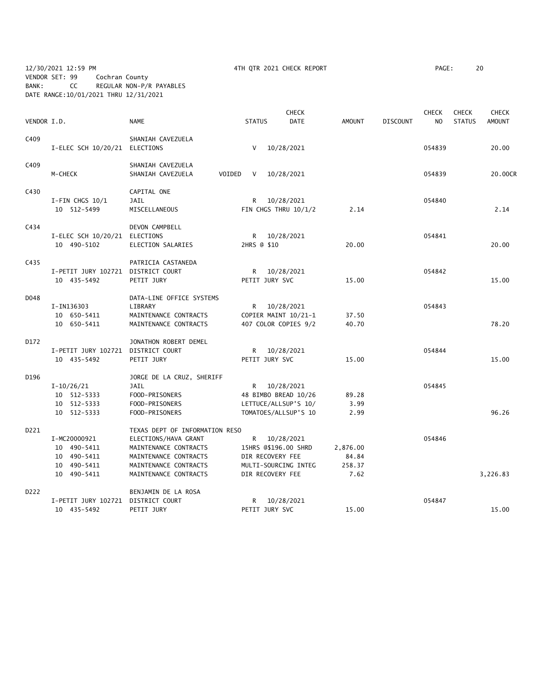12/30/2021 12:59 PM 4TH QTR 2021 CHECK REPORT PAGE: 20 VENDOR SET: 99 Cochran County BANK: CC REGULAR NON-P/R PAYABLES DATE RANGE:10/01/2021 THRU 12/31/2021

|             |                                    |                                |                  | <b>CHECK</b>         |               |                 | <b>CHECK</b>   | <b>CHECK</b>  | <b>CHECK</b>  |
|-------------|------------------------------------|--------------------------------|------------------|----------------------|---------------|-----------------|----------------|---------------|---------------|
| VENDOR I.D. |                                    | <b>NAME</b>                    | <b>STATUS</b>    | <b>DATE</b>          | <b>AMOUNT</b> | <b>DISCOUNT</b> | N <sub>O</sub> | <b>STATUS</b> | <b>AMOUNT</b> |
| C409        |                                    | SHANIAH CAVEZUELA              |                  |                      |               |                 |                |               |               |
|             | I-ELEC SCH 10/20/21 ELECTIONS      |                                | $\vee$           | 10/28/2021           |               |                 | 054839         |               | 20.00         |
| C409        |                                    | SHANIAH CAVEZUELA              |                  |                      |               |                 |                |               |               |
|             | M-CHECK                            | SHANIAH CAVEZUELA<br>VOIDED    | V                | 10/28/2021           |               |                 | 054839         |               | 20.00CR       |
| C430        |                                    | CAPITAL ONE                    |                  |                      |               |                 |                |               |               |
|             | $I-FIN$ CHGS $10/1$                | JAIL                           | R.               | 10/28/2021           |               |                 | 054840         |               |               |
|             | 10 512-5499                        | MISCELLANEOUS                  |                  | FIN CHGS THRU 10/1/2 | 2.14          |                 |                |               | 2.14          |
| C434        |                                    | DEVON CAMPBELL                 |                  |                      |               |                 |                |               |               |
|             | I-ELEC SCH 10/20/21                | ELECTIONS                      | R.               | 10/28/2021           |               |                 | 054841         |               |               |
|             | 10 490-5102                        | ELECTION SALARIES              | 2HRS @ \$10      |                      | 20.00         |                 |                |               | 20.00         |
| C435        |                                    | PATRICIA CASTANEDA             |                  |                      |               |                 |                |               |               |
|             | I-PETIT JURY 102721 DISTRICT COURT |                                |                  | R 10/28/2021         |               |                 | 054842         |               |               |
|             | 10 435-5492                        | PETIT JURY                     | PETIT JURY SVC   |                      | 15.00         |                 |                |               | 15.00         |
| D048        |                                    | DATA-LINE OFFICE SYSTEMS       |                  |                      |               |                 |                |               |               |
|             | I-IN136303                         | LIBRARY                        | R <sub>a</sub>   | 10/28/2021           |               |                 | 054843         |               |               |
|             | 10 650-5411                        | MAINTENANCE CONTRACTS          |                  | COPIER MAINT 10/21-1 | 37.50         |                 |                |               |               |
|             | 10 650-5411                        | MAINTENANCE CONTRACTS          |                  | 407 COLOR COPIES 9/2 | 40.70         |                 |                |               | 78.20         |
| D172        |                                    | JONATHON ROBERT DEMEL          |                  |                      |               |                 |                |               |               |
|             | I-PETIT JURY 102721 DISTRICT COURT |                                |                  | R 10/28/2021         |               |                 | 054844         |               |               |
|             | 10 435-5492                        | PETIT JURY                     | PETIT JURY SVC   |                      | 15.00         |                 |                |               | 15.00         |
| D196        |                                    | JORGE DE LA CRUZ, SHERIFF      |                  |                      |               |                 |                |               |               |
|             | $I-10/26/21$                       | JAIL                           |                  | R 10/28/2021         |               |                 | 054845         |               |               |
|             | 10 512-5333                        | FOOD-PRISONERS                 |                  | 48 BIMBO BREAD 10/26 | 89.28         |                 |                |               |               |
|             | 10 512-5333                        | FOOD-PRISONERS                 |                  | LETTUCE/ALLSUP'S 10/ | 3.99          |                 |                |               |               |
|             | 10 512-5333                        | FOOD-PRISONERS                 |                  | TOMATOES/ALLSUP'S 10 | 2.99          |                 |                |               | 96.26         |
| D221        |                                    | TEXAS DEPT OF INFORMATION RESO |                  |                      |               |                 |                |               |               |
|             | I-MC20000921                       | ELECTIONS/HAVA GRANT           |                  | R 10/28/2021         |               |                 | 054846         |               |               |
|             | 10 490-5411                        | MAINTENANCE CONTRACTS          |                  | 15HRS @\$196.00 SHRD | 2,876.00      |                 |                |               |               |
|             | 10 490-5411                        | MAINTENANCE CONTRACTS          | DIR RECOVERY FEE |                      | 84.84         |                 |                |               |               |
|             | 10 490-5411                        | MAINTENANCE CONTRACTS          |                  | MULTI-SOURCING INTEG | 258.37        |                 |                |               |               |
|             | 10 490-5411                        | MAINTENANCE CONTRACTS          | DIR RECOVERY FEE |                      | 7.62          |                 |                |               | 3,226.83      |
| D222        |                                    | BENJAMIN DE LA ROSA            |                  |                      |               |                 |                |               |               |
|             | I-PETIT JURY 102721                | DISTRICT COURT                 | R.               | 10/28/2021           |               |                 | 054847         |               |               |
|             | 10 435-5492                        | PETIT JURY                     | PETIT JURY SVC   |                      | 15.00         |                 |                |               | 15.00         |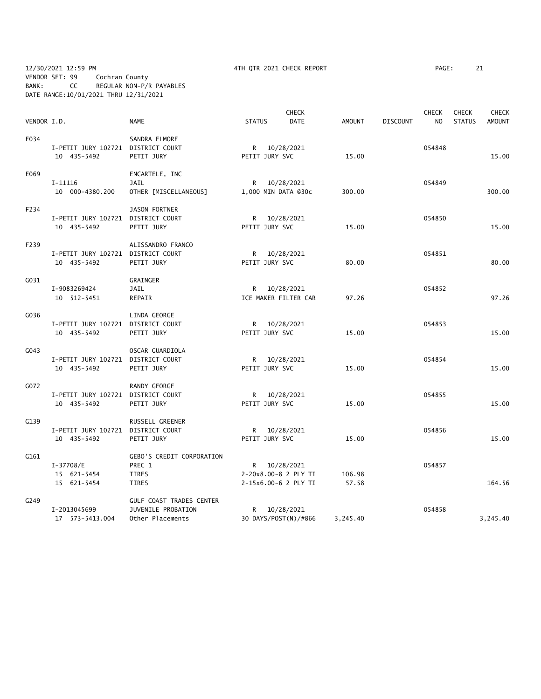12/30/2021 12:59 PM 4TH QTR 2021 CHECK REPORT PAGE: 21 VENDOR SET: 99 Cochran County BANK: CC REGULAR NON-P/R PAYABLES DATE RANGE:10/01/2021 THRU 12/31/2021

|             |                                    |                                  |                | <b>CHECK</b>         |               |                 | <b>CHECK</b>   | <b>CHECK</b>  | <b>CHECK</b>  |
|-------------|------------------------------------|----------------------------------|----------------|----------------------|---------------|-----------------|----------------|---------------|---------------|
| VENDOR I.D. |                                    | <b>NAME</b>                      | <b>STATUS</b>  | <b>DATE</b>          | <b>AMOUNT</b> | <b>DISCOUNT</b> | N <sub>O</sub> | <b>STATUS</b> | <b>AMOUNT</b> |
| E034        |                                    | SANDRA ELMORE                    |                |                      |               |                 |                |               |               |
|             | I-PETIT JURY 102721 DISTRICT COURT |                                  |                | R 10/28/2021         |               |                 | 054848         |               |               |
|             | 10 435-5492                        | PETIT JURY                       | PETIT JURY SVC |                      | 15.00         |                 |                |               | 15.00         |
| E069        |                                    | ENCARTELE, INC                   |                |                      |               |                 |                |               |               |
|             | $I-11116$                          | <b>JAIL</b>                      |                | R 10/28/2021         |               |                 | 054849         |               |               |
|             | 10 000-4380.200                    | OTHER [MISCELLANEOUS]            |                | 1,000 MIN DATA @30c  | 300.00        |                 |                |               | 300.00        |
| F234        |                                    | JASON FORTNER                    |                |                      |               |                 |                |               |               |
|             | I-PETIT JURY 102721 DISTRICT COURT |                                  |                | R 10/28/2021         |               |                 | 054850         |               |               |
|             | 10 435-5492                        | PETIT JURY                       | PETIT JURY SVC |                      | 15.00         |                 |                |               | 15.00         |
| F239        |                                    | ALISSANDRO FRANCO                |                |                      |               |                 |                |               |               |
|             | I-PETIT JURY 102721 DISTRICT COURT |                                  |                | R 10/28/2021         |               |                 | 054851         |               |               |
|             | 10 435-5492                        | PETIT JURY                       | PETIT JURY SVC |                      | 80.00         |                 |                |               | 80.00         |
| G031        |                                    | <b>GRAINGER</b>                  |                |                      |               |                 |                |               |               |
|             | I-9083269424                       | JAIL                             |                | R 10/28/2021         |               |                 | 054852         |               |               |
|             | 10 512-5451                        | REPAIR                           |                | ICE MAKER FILTER CAR | 97.26         |                 |                |               | 97.26         |
| G036        |                                    | LINDA GEORGE                     |                |                      |               |                 |                |               |               |
|             | I-PETIT JURY 102721 DISTRICT COURT |                                  |                | R 10/28/2021         |               |                 | 054853         |               |               |
|             | 10 435-5492                        | PETIT JURY                       | PETIT JURY SVC |                      | 15.00         |                 |                |               | 15.00         |
| G043        |                                    | OSCAR GUARDIOLA                  |                |                      |               |                 |                |               |               |
|             | I-PETIT JURY 102721 DISTRICT COURT |                                  |                | R 10/28/2021         |               |                 | 054854         |               |               |
|             | 10 435-5492                        | PETIT JURY                       | PETIT JURY SVC |                      | 15.00         |                 |                |               | 15.00         |
| G072        |                                    | RANDY GEORGE                     |                |                      |               |                 |                |               |               |
|             | I-PETIT JURY 102721 DISTRICT COURT |                                  |                | R 10/28/2021         |               |                 | 054855         |               |               |
|             | 10 435-5492                        | PETIT JURY                       | PETIT JURY SVC |                      | 15.00         |                 |                |               | 15.00         |
| G139        |                                    | RUSSELL GREENER                  |                |                      |               |                 |                |               |               |
|             | I-PETIT JURY 102721 DISTRICT COURT |                                  |                | R 10/28/2021         |               |                 | 054856         |               |               |
|             | 10 435-5492                        | PETIT JURY                       | PETIT JURY SVC |                      | 15.00         |                 |                |               | 15.00         |
| G161        |                                    | <b>GEBO'S CREDIT CORPORATION</b> |                |                      |               |                 |                |               |               |
|             | I-37708/E                          | PREC 1                           |                | R 10/28/2021         |               |                 | 054857         |               |               |
|             | 15 621-5454                        | TIRES                            |                | 2-20x8.00-8 2 PLY TI | 106.98        |                 |                |               |               |
|             | 15 621-5454                        | <b>TIRES</b>                     |                | 2-15x6.00-6 2 PLY TI | 57.58         |                 |                |               | 164.56        |
| G249        |                                    | GULF COAST TRADES CENTER         |                |                      |               |                 |                |               |               |
|             | I-2013045699                       | JUVENILE PROBATION               |                | R 10/28/2021         |               |                 | 054858         |               |               |
|             | 17 573-5413.004                    | Other Placements                 |                | 30 DAYS/POST(N)/#866 | 3,245.40      |                 |                |               | 3,245.40      |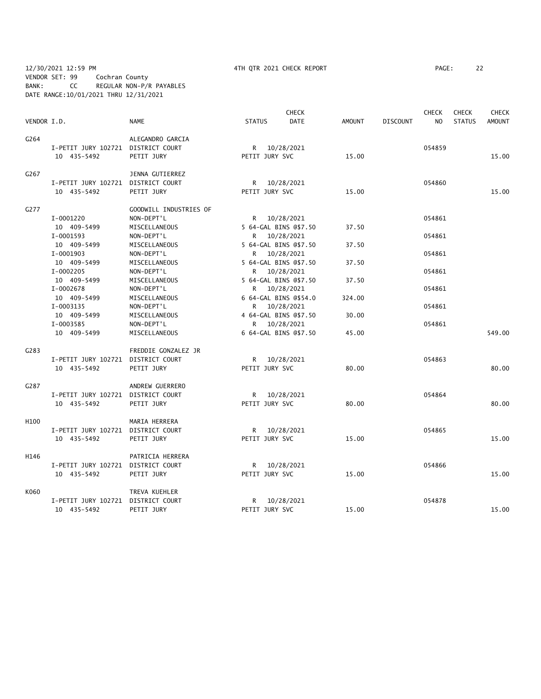### 12/30/2021 12:59 PM 4TH QTR 2021 CHECK REPORT PAGE: 22 VENDOR SET: 99 Cochran County BANK: CC REGULAR NON-P/R PAYABLES DATE RANGE:10/01/2021 THRU 12/31/2021

|             |                                    |                        |                | <b>CHECK</b>          |               |                 | <b>CHECK</b>   | <b>CHECK</b>  | <b>CHECK</b>  |
|-------------|------------------------------------|------------------------|----------------|-----------------------|---------------|-----------------|----------------|---------------|---------------|
| VENDOR I.D. |                                    | <b>NAME</b>            | <b>STATUS</b>  | <b>DATE</b>           | <b>AMOUNT</b> | <b>DISCOUNT</b> | N <sub>O</sub> | <b>STATUS</b> | <b>AMOUNT</b> |
| G264        |                                    | ALEGANDRO GARCIA       |                |                       |               |                 |                |               |               |
|             | I-PETIT JURY 102721 DISTRICT COURT |                        |                | R 10/28/2021          |               |                 | 054859         |               |               |
|             | 10 435-5492                        | PETIT JURY             | PETIT JURY SVC |                       | 15.00         |                 |                |               | 15.00         |
| G267        |                                    | JENNA GUTIERREZ        |                |                       |               |                 |                |               |               |
|             | I-PETIT JURY 102721 DISTRICT COURT |                        |                | R 10/28/2021          |               |                 | 054860         |               |               |
|             | 10 435-5492                        | PETIT JURY             | PETIT JURY SVC |                       | 15.00         |                 |                |               | 15.00         |
| G277        |                                    | GOODWILL INDUSTRIES OF |                |                       |               |                 |                |               |               |
|             | I-0001220                          | NON-DEPT'L             |                | R 10/28/2021          |               |                 | 054861         |               |               |
|             | 10 409-5499                        | MISCELLANEOUS          |                | 5 64-GAL BINS @\$7.50 | 37.50         |                 |                |               |               |
|             | I-0001593                          | NON-DEPT'L             |                | R 10/28/2021          |               |                 | 054861         |               |               |
|             | 10 409-5499                        | MISCELLANEOUS          |                | 5 64-GAL BINS @\$7.50 | 37.50         |                 |                |               |               |
|             | I-0001903                          | NON-DEPT'L             |                | R 10/28/2021          |               |                 | 054861         |               |               |
|             | 10 409-5499                        | MISCELLANEOUS          |                | 5 64-GAL BINS @\$7.50 | 37.50         |                 |                |               |               |
|             | I-0002205                          | NON-DEPT'L             | R 10/28/2021   |                       |               |                 | 054861         |               |               |
|             | 10 409-5499                        | MISCELLANEOUS          |                | 5 64-GAL BINS @\$7.50 | 37.50         |                 |                |               |               |
|             | I-0002678                          | NON-DEPT'L             |                | R 10/28/2021          |               |                 | 054861         |               |               |
|             | 10 409-5499                        | MISCELLANEOUS          |                | 6 64-GAL BINS @\$54.0 | 324.00        |                 |                |               |               |
|             | I-0003135                          | NON-DEPT'L             |                | R 10/28/2021          |               |                 | 054861         |               |               |
|             | 10 409-5499                        | MISCELLANEOUS          |                | 4 64-GAL BINS @\$7.50 | 30.00         |                 |                |               |               |
|             | I-0003585                          | NON-DEPT'L             |                | R 10/28/2021          |               |                 | 054861         |               |               |
|             | 10 409-5499                        | MISCELLANEOUS          |                | 6 64-GAL BINS @\$7.50 | 45.00         |                 |                |               | 549.00        |
| G283        |                                    | FREDDIE GONZALEZ JR    |                |                       |               |                 |                |               |               |
|             | I-PETIT JURY 102721 DISTRICT COURT |                        |                | R 10/28/2021          |               |                 | 054863         |               |               |
|             | 10 435-5492                        | PETIT JURY             | PETIT JURY SVC |                       | 80.00         |                 |                |               | 80.00         |
| G287        |                                    | ANDREW GUERRERO        |                |                       |               |                 |                |               |               |
|             | I-PETIT JURY 102721 DISTRICT COURT |                        |                | R 10/28/2021          |               |                 | 054864         |               |               |
|             | 10 435-5492                        | PETIT JURY             | PETIT JURY SVC |                       | 80.00         |                 |                |               | 80.00         |
| H100        |                                    | MARIA HERRERA          |                |                       |               |                 |                |               |               |
|             | I-PETIT JURY 102721 DISTRICT COURT |                        |                | R 10/28/2021          |               |                 | 054865         |               |               |
|             | 10 435-5492                        | PETIT JURY             | PETIT JURY SVC |                       | 15.00         |                 |                |               | 15.00         |
| H146        |                                    | PATRICIA HERRERA       |                |                       |               |                 |                |               |               |
|             | I-PETIT JURY 102721 DISTRICT COURT |                        |                | R 10/28/2021          |               |                 | 054866         |               |               |
|             | 10 435-5492                        | PETIT JURY             | PETIT JURY SVC |                       | 15.00         |                 |                |               | 15.00         |
| K060        |                                    | TREVA KUEHLER          |                |                       |               |                 |                |               |               |
|             | I-PETIT JURY 102721                | DISTRICT COURT         | R              | 10/28/2021            |               |                 | 054878         |               |               |
|             | 10 435-5492                        | PETIT JURY             | PETIT JURY SVC |                       | 15.00         |                 |                |               | 15.00         |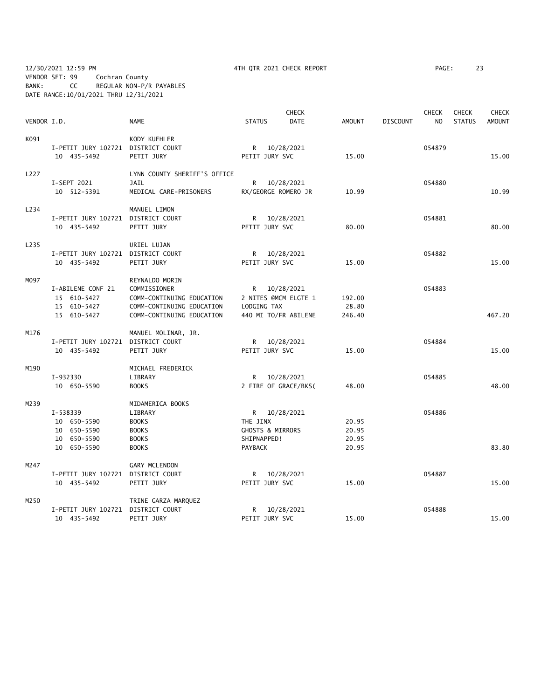12/30/2021 12:59 PM 4TH QTR 2021 CHECK REPORT PAGE: 23 VENDOR SET: 99 Cochran County BANK: CC REGULAR NON-P/R PAYABLES DATE RANGE:10/01/2021 THRU 12/31/2021

|             |                                                   |                              |                             | <b>CHECK</b>         |                |                 | <b>CHECK</b>   | <b>CHECK</b>  | <b>CHECK</b>  |
|-------------|---------------------------------------------------|------------------------------|-----------------------------|----------------------|----------------|-----------------|----------------|---------------|---------------|
| VENDOR I.D. |                                                   | <b>NAME</b>                  | <b>STATUS</b>               | <b>DATE</b>          | <b>AMOUNT</b>  | <b>DISCOUNT</b> | N <sub>O</sub> | <b>STATUS</b> | <b>AMOUNT</b> |
| K091        |                                                   | KODY KUEHLER                 |                             |                      |                |                 |                |               |               |
|             | I-PETIT JURY 102721 DISTRICT COURT                |                              |                             | R 10/28/2021         |                |                 | 054879         |               |               |
|             | 10 435-5492                                       | PETIT JURY                   | PETIT JURY SVC              |                      | 15.00          |                 |                |               | 15.00         |
| L227        |                                                   | LYNN COUNTY SHERIFF'S OFFICE |                             |                      |                |                 |                |               |               |
|             | I-SEPT 2021                                       | <b>JAIL</b>                  |                             | R 10/28/2021         |                |                 | 054880         |               |               |
|             | 10 512-5391                                       | MEDICAL CARE-PRISONERS       | RX/GEORGE ROMERO JR         |                      | 10.99          |                 |                |               | 10.99         |
| L234        |                                                   | MANUEL LIMON                 |                             |                      |                |                 |                |               |               |
|             | I-PETIT JURY 102721 DISTRICT COURT                |                              |                             | R 10/28/2021         |                |                 | 054881         |               |               |
|             | 10 435-5492                                       | PETIT JURY                   | PETIT JURY SVC              |                      | 80.00          |                 |                |               | 80.00         |
| L235        |                                                   | URIEL LUJAN                  |                             |                      |                |                 |                |               |               |
|             | I-PETIT JURY 102721 DISTRICT COURT                |                              |                             | R 10/28/2021         |                |                 | 054882         |               |               |
|             | 10 435-5492                                       | PETIT JURY                   | PETIT JURY SVC              |                      | 15.00          |                 |                |               | 15.00         |
| M097        |                                                   | REYNALDO MORIN               |                             |                      |                |                 |                |               |               |
|             | I-ABILENE CONF 21                                 | COMMISSIONER                 | R 10/28/2021                |                      |                |                 | 054883         |               |               |
|             | 15 610-5427                                       | COMM-CONTINUING EDUCATION    |                             | 2 NITES @MCM ELGTE 1 | 192.00         |                 |                |               |               |
|             | 15 610-5427                                       | COMM-CONTINUING EDUCATION    | LODGING TAX                 |                      | 28.80          |                 |                |               |               |
|             | 15 610-5427                                       | COMM-CONTINUING EDUCATION    |                             | 440 MI TO/FR ABILENE | 246.40         |                 |                |               | 467.20        |
| M176        |                                                   | MANUEL MOLINAR, JR.          |                             |                      |                |                 |                |               |               |
|             | I-PETIT JURY 102721 DISTRICT COURT                |                              |                             | R 10/28/2021         |                |                 | 054884         |               |               |
|             | 10 435-5492                                       | PETIT JURY                   | PETIT JURY SVC              |                      | 15.00          |                 |                |               | 15.00         |
| M190        |                                                   | MICHAEL FREDERICK            |                             |                      |                |                 |                |               |               |
|             | I-932330                                          | LIBRARY                      |                             | R 10/28/2021         |                |                 | 054885         |               |               |
|             | 10 650-5590                                       | <b>BOOKS</b>                 |                             | 2 FIRE OF GRACE/BKS( | 48.00          |                 |                |               | 48.00         |
| M239        |                                                   | MIDAMERICA BOOKS             |                             |                      |                |                 |                |               |               |
|             | I-538339                                          | LIBRARY                      | R 10/28/2021                |                      |                |                 | 054886         |               |               |
|             | 10 650-5590                                       | <b>BOOKS</b>                 | THE JINX                    |                      | 20.95          |                 |                |               |               |
|             | 10 650-5590                                       | <b>BOOKS</b>                 | <b>GHOSTS &amp; MIRRORS</b> |                      | 20.95          |                 |                |               |               |
|             | 10 650-5590<br>10 650-5590                        | <b>BOOKS</b><br><b>BOOKS</b> | SHIPNAPPED!<br>PAYBACK      |                      | 20.95<br>20.95 |                 |                |               | 83.80         |
|             |                                                   |                              |                             |                      |                |                 |                |               |               |
| M247        |                                                   | <b>GARY MCLENDON</b>         |                             |                      |                |                 |                |               |               |
|             | I-PETIT JURY 102721 DISTRICT COURT<br>10 435-5492 | PETIT JURY                   | PETIT JURY SVC              | R 10/28/2021         | 15.00          |                 | 054887         |               | 15.00         |
| M250        |                                                   | TRINE GARZA MARQUEZ          |                             |                      |                |                 |                |               |               |
|             | I-PETIT JURY 102721 DISTRICT COURT                |                              |                             | R 10/28/2021         |                |                 | 054888         |               |               |
|             | 10 435-5492                                       | PETIT JURY                   | PETIT JURY SVC              |                      | 15.00          |                 |                |               | 15.00         |
|             |                                                   |                              |                             |                      |                |                 |                |               |               |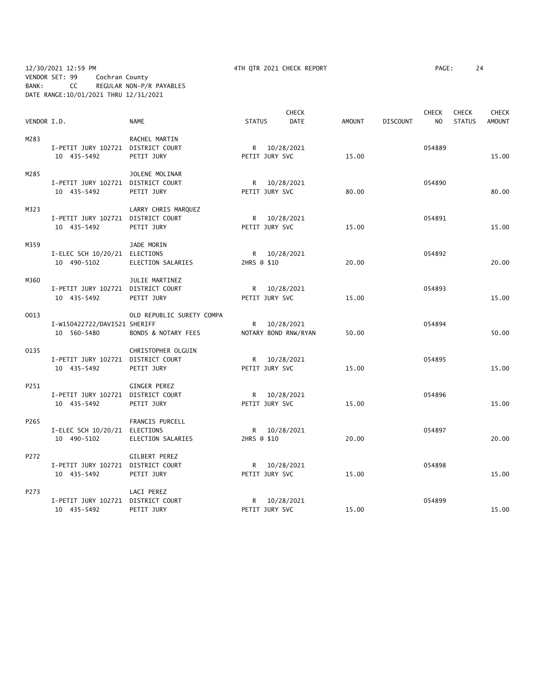12/30/2021 12:59 PM 4TH QTR 2021 CHECK REPORT PAGE: 24 VENDOR SET: 99 Cochran County BANK: CC REGULAR NON-P/R PAYABLES DATE RANGE:10/01/2021 THRU 12/31/2021

| VENDOR I.D. |                                    | <b>NAME</b>                    | <b>STATUS</b>  | <b>CHECK</b><br><b>DATE</b> | <b>AMOUNT</b> | <b>DISCOUNT</b> | <b>CHECK</b><br>N <sub>O</sub> | <b>CHECK</b><br><b>STATUS</b> | <b>CHECK</b><br><b>AMOUNT</b> |
|-------------|------------------------------------|--------------------------------|----------------|-----------------------------|---------------|-----------------|--------------------------------|-------------------------------|-------------------------------|
|             |                                    |                                |                |                             |               |                 |                                |                               |                               |
| M283        |                                    | RACHEL MARTIN                  |                |                             |               |                 |                                |                               |                               |
|             | I-PETIT JURY 102721 DISTRICT COURT |                                |                | R 10/28/2021                |               |                 | 054889                         |                               |                               |
|             | 10 435-5492                        | PETIT JURY                     | PETIT JURY SVC |                             | 15.00         |                 |                                |                               | 15.00                         |
| M285        |                                    | JOLENE MOLINAR                 |                |                             |               |                 |                                |                               |                               |
|             | I-PETIT JURY 102721 DISTRICT COURT |                                |                | R 10/28/2021                |               |                 | 054890                         |                               |                               |
|             | 10 435-5492                        | PETIT JURY                     | PETIT JURY SVC |                             | 80.00         |                 |                                |                               | 80.00                         |
| M323        |                                    | LARRY CHRIS MARQUEZ            |                |                             |               |                 |                                |                               |                               |
|             | I-PETIT JURY 102721 DISTRICT COURT |                                |                | R 10/28/2021                |               |                 | 054891                         |                               |                               |
|             | 10 435-5492                        | PETIT JURY                     | PETIT JURY SVC |                             | 15.00         |                 |                                |                               | 15.00                         |
| M359        |                                    | JADE MORIN                     |                |                             |               |                 |                                |                               |                               |
|             | I-ELEC SCH 10/20/21 ELECTIONS      |                                |                | R 10/28/2021                |               |                 | 054892                         |                               |                               |
|             | 10 490-5102                        | ELECTION SALARIES              | 2HRS @ \$10    |                             | 20.00         |                 |                                |                               | 20.00                         |
| M360        |                                    | JULIE MARTINEZ                 |                |                             |               |                 |                                |                               |                               |
|             | I-PETIT JURY 102721 DISTRICT COURT |                                |                | R 10/28/2021                |               |                 | 054893                         |                               |                               |
|             | 10 435-5492                        | PETIT JURY                     | PETIT JURY SVC |                             | 15.00         |                 |                                |                               | 15.00                         |
| 0013        |                                    | OLD REPUBLIC SURETY COMPA      |                |                             |               |                 |                                |                               |                               |
|             | I-W150422722/DAVIS21 SHERIFF       |                                |                | R 10/28/2021                |               |                 | 054894                         |                               |                               |
|             | 10 560-5480                        | <b>BONDS &amp; NOTARY FEES</b> |                | NOTARY BOND RNW/RYAN        | 50.00         |                 |                                |                               | 50.00                         |
| 0135        |                                    | CHRISTOPHER OLGUIN             |                |                             |               |                 |                                |                               |                               |
|             | I-PETIT JURY 102721 DISTRICT COURT |                                |                | R 10/28/2021                |               |                 | 054895                         |                               |                               |
|             | 10 435-5492                        | PETIT JURY                     | PETIT JURY SVC |                             | 15.00         |                 |                                |                               | 15.00                         |
| P251        |                                    | <b>GINGER PEREZ</b>            |                |                             |               |                 |                                |                               |                               |
|             | I-PETIT JURY 102721 DISTRICT COURT |                                |                | R 10/28/2021                |               |                 | 054896                         |                               |                               |
|             | 10 435-5492                        | PETIT JURY                     | PETIT JURY SVC |                             | 15.00         |                 |                                |                               | 15.00                         |
| P265        |                                    | FRANCIS PURCELL                |                |                             |               |                 |                                |                               |                               |
|             | I-ELEC SCH 10/20/21 ELECTIONS      |                                |                | R 10/28/2021                |               |                 | 054897                         |                               |                               |
|             | 10 490-5102                        | ELECTION SALARIES              | 2HRS @ \$10    |                             | 20.00         |                 |                                |                               | 20.00                         |
| P272        |                                    | GILBERT PEREZ                  |                |                             |               |                 |                                |                               |                               |
|             | I-PETIT JURY 102721 DISTRICT COURT |                                |                | R 10/28/2021                |               |                 | 054898                         |                               |                               |
|             | 10 435-5492                        | PETIT JURY                     | PETIT JURY SVC |                             | 15.00         |                 |                                |                               | 15.00                         |
| P273        |                                    | LACI PEREZ                     |                |                             |               |                 |                                |                               |                               |
|             | I-PETIT JURY 102721 DISTRICT COURT |                                |                | R 10/28/2021                |               |                 | 054899                         |                               |                               |
|             | 10 435-5492                        | PETIT JURY                     | PETIT JURY SVC |                             | 15.00         |                 |                                |                               | 15.00                         |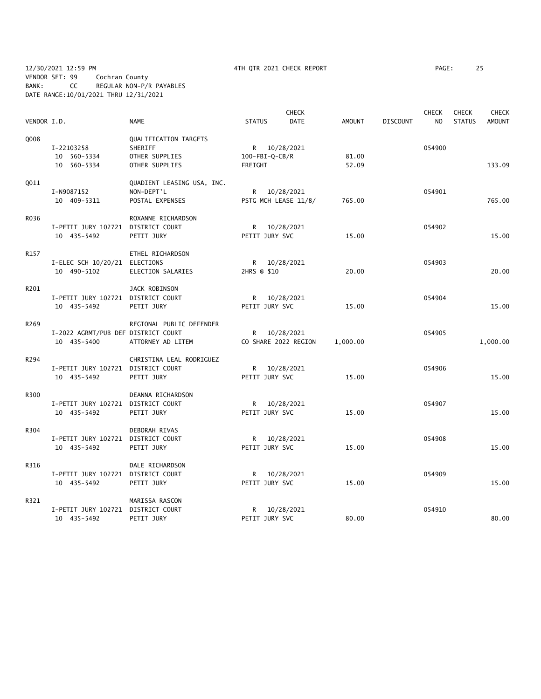12/30/2021 12:59 PM 4TH QTR 2021 CHECK REPORT PAGE: 25 VENDOR SET: 99 Cochran County BANK: CC REGULAR NON-P/R PAYABLES DATE RANGE:10/01/2021 THRU 12/31/2021

|             |                                     |                            |                  | <b>CHECK</b>         |          |                 | <b>CHECK</b>   | <b>CHECK</b>  | <b>CHECK</b> |
|-------------|-------------------------------------|----------------------------|------------------|----------------------|----------|-----------------|----------------|---------------|--------------|
| VENDOR I.D. |                                     | <b>NAME</b>                | <b>STATUS</b>    | <b>DATE</b>          | AMOUNT   | <b>DISCOUNT</b> | N <sub>O</sub> | <b>STATUS</b> | AMOUNT       |
| 0008        |                                     | QUALIFICATION TARGETS      |                  |                      |          |                 |                |               |              |
|             | I-22103258                          | SHERIFF                    | R 10/28/2021     |                      |          |                 | 054900         |               |              |
|             | 10 560-5334                         | OTHER SUPPLIES             | $100-FBI-Q-CB/R$ |                      | 81.00    |                 |                |               |              |
|             | 10 560-5334                         | OTHER SUPPLIES             | FREIGHT          |                      | 52.09    |                 |                |               | 133.09       |
| <b>Q011</b> |                                     | QUADIENT LEASING USA, INC. |                  |                      |          |                 |                |               |              |
|             | I-N9087152                          | NON-DEPT'L                 |                  | R 10/28/2021         |          |                 | 054901         |               |              |
|             | 10 409-5311                         | POSTAL EXPENSES            |                  | PSTG MCH LEASE 11/8/ | 765.00   |                 |                |               | 765.00       |
| R036        |                                     | ROXANNE RICHARDSON         |                  |                      |          |                 |                |               |              |
|             | I-PETIT JURY 102721 DISTRICT COURT  |                            |                  | R 10/28/2021         |          |                 | 054902         |               |              |
|             | 10 435-5492                         | PETIT JURY                 | PETIT JURY SVC   |                      | 15.00    |                 |                |               | 15.00        |
| R157        |                                     | ETHEL RICHARDSON           |                  |                      |          |                 |                |               |              |
|             | I-ELEC SCH 10/20/21 ELECTIONS       |                            |                  | R 10/28/2021         |          |                 | 054903         |               |              |
|             | 10 490-5102                         | ELECTION SALARIES          | 2HRS @ \$10      |                      | 20.00    |                 |                |               | 20.00        |
| R201        |                                     | JACK ROBINSON              |                  |                      |          |                 |                |               |              |
|             | I-PETIT JURY 102721 DISTRICT COURT  |                            |                  | R 10/28/2021         |          |                 | 054904         |               |              |
|             | 10 435-5492                         | PETIT JURY                 | PETIT JURY SVC   |                      | 15.00    |                 |                |               | 15.00        |
|             |                                     |                            |                  |                      |          |                 |                |               |              |
| R269        |                                     | REGIONAL PUBLIC DEFENDER   |                  |                      |          |                 |                |               |              |
|             | I-2022 AGRMT/PUB DEF DISTRICT COURT |                            |                  | R 10/28/2021         |          |                 | 054905         |               |              |
|             | 10 435-5400                         | ATTORNEY AD LITEM          |                  | CO SHARE 2022 REGION | 1,000.00 |                 |                |               | 1,000.00     |
| R294        |                                     | CHRISTINA LEAL RODRIGUEZ   |                  |                      |          |                 |                |               |              |
|             | I-PETIT JURY 102721 DISTRICT COURT  |                            |                  | R 10/28/2021         |          |                 | 054906         |               |              |
|             | 10 435-5492                         | PETIT JURY                 | PETIT JURY SVC   |                      | 15.00    |                 |                |               | 15.00        |
| R300        |                                     | DEANNA RICHARDSON          |                  |                      |          |                 |                |               |              |
|             | I-PETIT JURY 102721 DISTRICT COURT  |                            |                  | R 10/28/2021         |          |                 | 054907         |               |              |
|             | 10 435-5492                         | PETIT JURY                 | PETIT JURY SVC   |                      | 15.00    |                 |                |               | 15.00        |
| R304        |                                     | DEBORAH RIVAS              |                  |                      |          |                 |                |               |              |
|             | I-PETIT JURY 102721 DISTRICT COURT  |                            |                  | R 10/28/2021         |          |                 | 054908         |               |              |
|             | 10 435-5492                         | PETIT JURY                 | PETIT JURY SVC   |                      | 15.00    |                 |                |               | 15.00        |
| R316        |                                     | DALE RICHARDSON            |                  |                      |          |                 |                |               |              |
|             | I-PETIT JURY 102721 DISTRICT COURT  |                            |                  | R 10/28/2021         |          |                 | 054909         |               |              |
|             | 10 435-5492                         | PETIT JURY                 | PETIT JURY SVC   |                      | 15.00    |                 |                |               | 15.00        |
| R321        |                                     | MARISSA RASCON             |                  |                      |          |                 |                |               |              |
|             | I-PETIT JURY 102721 DISTRICT COURT  |                            |                  | R 10/28/2021         |          |                 | 054910         |               |              |
|             | 10 435-5492                         | PETIT JURY                 | PETIT JURY SVC   |                      | 80.00    |                 |                |               | 80.00        |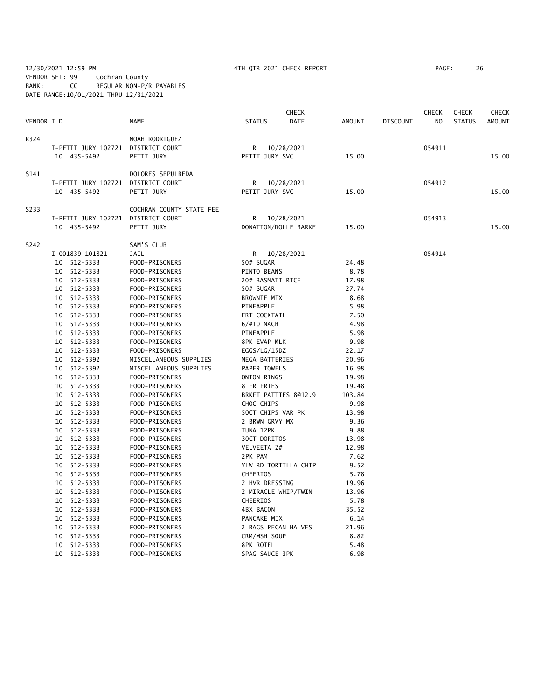### 12/30/2021 12:59 PM 4TH QTR 2021 CHECK REPORT PAGE: 26 VENDOR SET: 99 Cochran County BANK: CC REGULAR NON-P/R PAYABLES DATE RANGE:10/01/2021 THRU 12/31/2021

|             |                                    |                          |                      | <b>CHECK</b> |        |                 | <b>CHECK</b><br>N <sub>O</sub> | <b>CHECK</b>  | CHECK         |
|-------------|------------------------------------|--------------------------|----------------------|--------------|--------|-----------------|--------------------------------|---------------|---------------|
| VENDOR I.D. |                                    | <b>NAME</b>              | <b>STATUS</b>        | DATE         | AMOUNT | <b>DISCOUNT</b> |                                | <b>STATUS</b> | <b>AMOUNT</b> |
| R324        |                                    | NOAH RODRIGUEZ           |                      |              |        |                 |                                |               |               |
|             | I-PETIT JURY 102721 DISTRICT COURT |                          | R                    | 10/28/2021   |        |                 | 054911                         |               |               |
|             | 10 435-5492                        | PETIT JURY               | PETIT JURY SVC       |              | 15.00  |                 |                                |               | 15.00         |
| S141        |                                    | DOLORES SEPULBEDA        |                      |              |        |                 |                                |               |               |
|             | I-PETIT JURY 102721 DISTRICT COURT |                          | R                    | 10/28/2021   |        |                 | 054912                         |               |               |
|             | 10 435-5492                        | PETIT JURY               | PETIT JURY SVC       |              | 15.00  |                 |                                |               | 15.00         |
| S233        |                                    | COCHRAN COUNTY STATE FEE |                      |              |        |                 |                                |               |               |
|             | I-PETIT JURY 102721 DISTRICT COURT |                          | R                    | 10/28/2021   |        |                 | 054913                         |               |               |
|             | 10 435-5492                        | PETIT JURY               | DONATION/DOLLE BARKE |              | 15.00  |                 |                                |               | 15.00         |
| S242        |                                    | SAM'S CLUB               |                      |              |        |                 |                                |               |               |
|             | I-001839 101821                    | <b>JAIL</b>              | R                    | 10/28/2021   |        |                 | 054914                         |               |               |
|             | 10 512-5333                        | FOOD-PRISONERS           | 50# SUGAR            |              | 24.48  |                 |                                |               |               |
|             | 10 512-5333                        | FOOD-PRISONERS           | PINTO BEANS          |              | 8.78   |                 |                                |               |               |
|             | 10 512-5333                        | FOOD-PRISONERS           | 20# BASMATI RICE     |              | 17.98  |                 |                                |               |               |
|             | 512-5333<br>10                     | FOOD-PRISONERS           | 50# SUGAR            |              | 27.74  |                 |                                |               |               |
|             | 512-5333<br>10                     | FOOD-PRISONERS           | <b>BROWNIE MIX</b>   |              | 8.68   |                 |                                |               |               |
|             | 512-5333<br>10                     | FOOD-PRISONERS           | PINEAPPLE            |              | 5.98   |                 |                                |               |               |
|             | 512-5333<br>10                     | FOOD-PRISONERS           | FRT COCKTAIL         |              | 7.50   |                 |                                |               |               |
|             | 10 512-5333                        | FOOD-PRISONERS           | 6/#10 NACH           |              | 4.98   |                 |                                |               |               |
|             | 10 512-5333                        | FOOD-PRISONERS           | PINEAPPLE            |              | 5.98   |                 |                                |               |               |
|             | 10 512-5333                        | FOOD-PRISONERS           | 8PK EVAP MLK         |              | 9.98   |                 |                                |               |               |
|             | 10 512-5333                        | FOOD-PRISONERS           | EGGS/LG/15DZ         |              | 22.17  |                 |                                |               |               |
|             | 512-5392<br>10                     | MISCELLANEOUS SUPPLIES   | MEGA BATTERIES       |              | 20.96  |                 |                                |               |               |
|             | 10 512-5392                        | MISCELLANEOUS SUPPLIES   | PAPER TOWELS         |              | 16.98  |                 |                                |               |               |
|             | 10 512-5333                        | FOOD-PRISONERS           | ONION RINGS          |              | 19.98  |                 |                                |               |               |
|             | 10 512-5333                        | FOOD-PRISONERS           | 8 FR FRIES           |              | 19.48  |                 |                                |               |               |
|             | 10 512-5333                        | FOOD-PRISONERS           | BRKFT PATTIES 8012.9 |              | 103.84 |                 |                                |               |               |
|             | 10 512-5333                        | FOOD-PRISONERS           | CHOC CHIPS           |              | 9.98   |                 |                                |               |               |
|             | 512-5333<br>10                     | FOOD-PRISONERS           | 50CT CHIPS VAR PK    |              | 13.98  |                 |                                |               |               |
|             | 512-5333<br>10                     | FOOD-PRISONERS           | 2 BRWN GRVY MX       |              | 9.36   |                 |                                |               |               |
|             | 512-5333<br>10                     | FOOD-PRISONERS           | TUNA 12PK            |              | 9.88   |                 |                                |               |               |
|             | 512-5333<br>10                     | FOOD-PRISONERS           | 30CT DORITOS         |              | 13.98  |                 |                                |               |               |
|             | 512-5333<br>10                     | FOOD-PRISONERS           | VELVEETA 2#          |              | 12.98  |                 |                                |               |               |
|             | 512-5333<br>10                     | FOOD-PRISONERS           | 2PK PAM              |              | 7.62   |                 |                                |               |               |
|             | 512-5333<br>10                     | FOOD-PRISONERS           | YLW RD TORTILLA CHIP |              | 9.52   |                 |                                |               |               |
|             | 512-5333<br>10                     | FOOD-PRISONERS           | CHEERIOS             |              | 5.78   |                 |                                |               |               |
|             | 512-5333<br>10                     | FOOD-PRISONERS           | 2 HVR DRESSING       |              | 19.96  |                 |                                |               |               |
|             | 10<br>512-5333                     | FOOD-PRISONERS           | 2 MIRACLE WHIP/TWIN  |              | 13.96  |                 |                                |               |               |
|             | 10<br>512-5333                     | FOOD-PRISONERS           | CHEERIOS             |              | 5.78   |                 |                                |               |               |
|             | 512-5333<br>10                     | FOOD-PRISONERS           | <b>4BX BACON</b>     |              | 35.52  |                 |                                |               |               |
|             | 512-5333<br>10                     | FOOD-PRISONERS           | PANCAKE MIX          |              | 6.14   |                 |                                |               |               |
|             | 512-5333<br>10                     | FOOD-PRISONERS           | 2 BAGS PECAN HALVES  |              | 21.96  |                 |                                |               |               |
|             | 512-5333<br>10                     | FOOD-PRISONERS           | CRM/MSH SOUP         |              | 8.82   |                 |                                |               |               |
|             | 512-5333<br>10                     | FOOD-PRISONERS           | 8PK ROTEL            |              | 5.48   |                 |                                |               |               |
|             | 512-5333<br>10                     | FOOD-PRISONERS           | SPAG SAUCE 3PK       |              | 6.98   |                 |                                |               |               |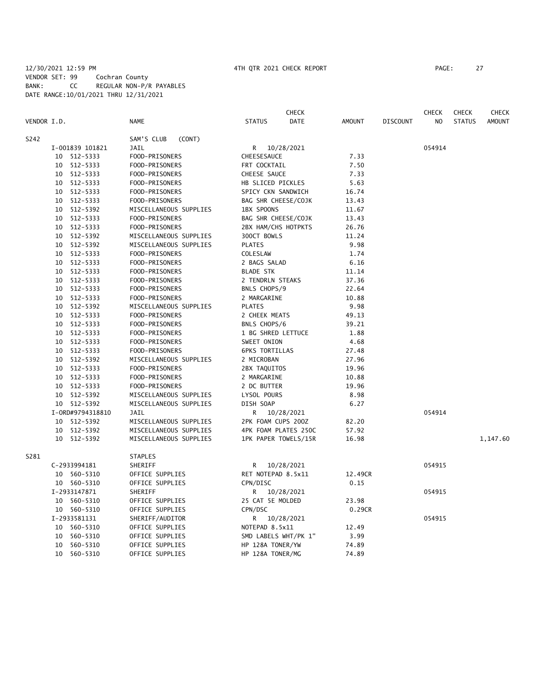### 12/30/2021 12:59 PM 4TH QTR 2021 CHECK REPORT PAGE: 27 VENDOR SET: 99 Cochran County BANK: CC REGULAR NON-P/R PAYABLES DATE RANGE:10/01/2021 THRU 12/31/2021

|             |                  |                        | <b>CHECK</b>                 |         |                 | <b>CHECK</b> | <b>CHECK</b>  | <b>CHECK</b> |
|-------------|------------------|------------------------|------------------------------|---------|-----------------|--------------|---------------|--------------|
| VENDOR I.D. |                  | <b>NAME</b>            | DATE<br><b>STATUS</b>        | AMOUNT  | <b>DISCOUNT</b> | NO.          | <b>STATUS</b> | AMOUNT       |
| S242        |                  | SAM'S CLUB<br>(CONT)   |                              |         |                 |              |               |              |
|             | I-001839 101821  | JAIL                   | R <sub>a</sub><br>10/28/2021 |         |                 | 054914       |               |              |
|             | 10 512-5333      | FOOD-PRISONERS         | CHEESESAUCE                  | 7.33    |                 |              |               |              |
|             | 512-5333<br>10   | FOOD-PRISONERS         | FRT COCKTAIL                 | 7.50    |                 |              |               |              |
|             | 10 512-5333      | FOOD-PRISONERS         | CHEESE SAUCE                 | 7.33    |                 |              |               |              |
|             | 10 512-5333      | FOOD-PRISONERS         | HB SLICED PICKLES            | 5.63    |                 |              |               |              |
|             | 10 512-5333      | FOOD-PRISONERS         | SPICY CKN SANDWICH           | 16.74   |                 |              |               |              |
|             | 10 512-5333      | FOOD-PRISONERS         | BAG SHR CHEESE/COJK          | 13.43   |                 |              |               |              |
|             | 10 512-5392      | MISCELLANEOUS SUPPLIES | 1BX SPOONS                   | 11.67   |                 |              |               |              |
|             | 512-5333<br>10   | FOOD-PRISONERS         | BAG SHR CHEESE/COJK          | 13.43   |                 |              |               |              |
|             | 10 512-5333      | FOOD-PRISONERS         | 2BX HAM/CHS HOTPKTS          | 26.76   |                 |              |               |              |
|             | 10 512-5392      | MISCELLANEOUS SUPPLIES | 300CT BOWLS                  | 11.24   |                 |              |               |              |
|             | 10 512-5392      | MISCELLANEOUS SUPPLIES | <b>PLATES</b>                | 9.98    |                 |              |               |              |
|             | 10 512-5333      | FOOD-PRISONERS         | COLESLAW                     | 1.74    |                 |              |               |              |
|             | 10 512-5333      | FOOD-PRISONERS         | 2 BAGS SALAD                 | 6.16    |                 |              |               |              |
|             | 10 512-5333      | FOOD-PRISONERS         | <b>BLADE STK</b>             | 11.14   |                 |              |               |              |
|             | 10 512-5333      | FOOD-PRISONERS         | 2 TENDRLN STEAKS             | 37.36   |                 |              |               |              |
|             | 10 512-5333      | FOOD-PRISONERS         | BNLS CHOPS/9                 | 22.64   |                 |              |               |              |
|             | 10 512-5333      | FOOD-PRISONERS         | 2 MARGARINE                  | 10.88   |                 |              |               |              |
|             | 10 512-5392      | MISCELLANEOUS SUPPLIES | <b>PLATES</b>                | 9.98    |                 |              |               |              |
|             | 10 512-5333      | FOOD-PRISONERS         | 2 CHEEK MEATS                | 49.13   |                 |              |               |              |
|             | 10 512-5333      | FOOD-PRISONERS         | BNLS CHOPS/6                 | 39.21   |                 |              |               |              |
|             | 10 512-5333      | FOOD-PRISONERS         | 1 BG SHRED LETTUCE           | 1.88    |                 |              |               |              |
|             | 10 512-5333      | FOOD-PRISONERS         | SWEET ONION                  | 4.68    |                 |              |               |              |
|             | 10 512-5333      | FOOD-PRISONERS         | <b>6PKS TORTILLAS</b>        | 27.48   |                 |              |               |              |
|             | 10 512-5392      | MISCELLANEOUS SUPPLIES | 2 MICROBAN                   | 27.96   |                 |              |               |              |
|             | 10 512-5333      | FOOD-PRISONERS         | 2BX TAQUITOS                 | 19.96   |                 |              |               |              |
|             | 10 512-5333      | FOOD-PRISONERS         | 2 MARGARINE                  | 10.88   |                 |              |               |              |
|             | 10 512-5333      | FOOD-PRISONERS         | 2 DC BUTTER                  | 19.96   |                 |              |               |              |
|             | 10 512-5392      | MISCELLANEOUS SUPPLIES | LYSOL POURS                  | 8.98    |                 |              |               |              |
|             | 10 512-5392      | MISCELLANEOUS SUPPLIES | DISH SOAP                    | 6.27    |                 |              |               |              |
|             | I-0RD#9794318810 | JAIL                   | 10/28/2021<br>R              |         |                 | 054914       |               |              |
|             | 10 512-5392      | MISCELLANEOUS SUPPLIES | 2PK FOAM CUPS 200Z           | 82.20   |                 |              |               |              |
|             | 10 512-5392      | MISCELLANEOUS SUPPLIES | 4PK FOAM PLATES 250C         | 57.92   |                 |              |               |              |
|             | 10 512-5392      | MISCELLANEOUS SUPPLIES | 1PK PAPER TOWELS/15R         | 16.98   |                 |              |               | 1,147.60     |
| S281        |                  | <b>STAPLES</b>         |                              |         |                 |              |               |              |
|             | C-2933994181     | SHERIFF                | 10/28/2021<br>R              |         |                 | 054915       |               |              |
|             | 10 560-5310      | OFFICE SUPPLIES        | RET NOTEPAD 8.5x11           | 12.49CR |                 |              |               |              |
|             | 10 560-5310      | OFFICE SUPPLIES        | CPN/DISC                     | 0.15    |                 |              |               |              |
|             | I-2933147871     | SHERIFF                | R<br>10/28/2021              |         |                 | 054915       |               |              |
|             | 10 560-5310      | OFFICE SUPPLIES        | 25 CAT 5E MOLDED             | 23.98   |                 |              |               |              |
|             | 10 560-5310      | OFFICE SUPPLIES        | CPN/DSC                      | 0.29CR  |                 |              |               |              |
|             | I-2933581131     | SHERIFF/AUDITOR        | 10/28/2021<br>R              |         |                 | 054915       |               |              |
|             | 560-5310<br>10   | OFFICE SUPPLIES        | NOTEPAD 8.5x11               | 12.49   |                 |              |               |              |
|             | 560-5310<br>10   | OFFICE SUPPLIES        | SMD LABELS WHT/PK 1"         | 3.99    |                 |              |               |              |
|             | 560-5310<br>10   | OFFICE SUPPLIES        | HP 128A TONER/YW             | 74.89   |                 |              |               |              |
|             | 10 560-5310      | OFFICE SUPPLIES        | HP 128A TONER/MG             | 74.89   |                 |              |               |              |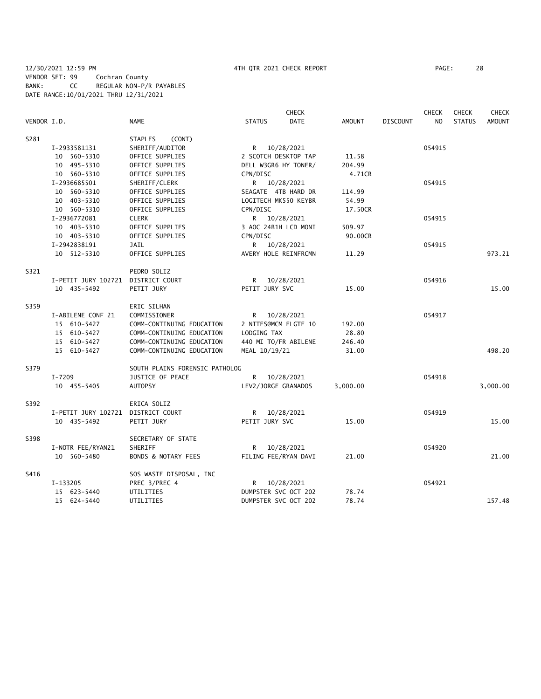12/30/2021 12:59 PM 4TH QTR 2021 CHECK REPORT PAGE: 28 VENDOR SET: 99 Cochran County BANK: CC REGULAR NON-P/R PAYABLES DATE RANGE:10/01/2021 THRU 12/31/2021

|             |                                    |                                | <b>CHECK</b>                 |               |                 | <b>CHECK</b> | <b>CHECK</b>  | <b>CHECK</b>  |
|-------------|------------------------------------|--------------------------------|------------------------------|---------------|-----------------|--------------|---------------|---------------|
| VENDOR I.D. |                                    | <b>NAME</b>                    | <b>STATUS</b><br><b>DATE</b> | <b>AMOUNT</b> | <b>DISCOUNT</b> | NO.          | <b>STATUS</b> | <b>AMOUNT</b> |
| S281        |                                    | (CONT)<br>STAPLES              |                              |               |                 |              |               |               |
|             | I-2933581131                       | SHERIFF/AUDITOR                | R 10/28/2021                 |               |                 | 054915       |               |               |
|             | 10 560-5310                        | OFFICE SUPPLIES                | 2 SCOTCH DESKTOP TAP         | 11.58         |                 |              |               |               |
|             | 10 495-5310                        | OFFICE SUPPLIES                | DELL W3GR6 HY TONER/         | 204.99        |                 |              |               |               |
|             | 10 560-5310                        | OFFICE SUPPLIES                | CPN/DISC                     | 4.71CR        |                 |              |               |               |
|             | I-2936685501                       | SHERIFF/CLERK                  | R 10/28/2021                 |               |                 | 054915       |               |               |
|             | 10 560-5310                        | OFFICE SUPPLIES                | SEAGATE 4TB HARD DR          | 114.99        |                 |              |               |               |
|             | 10 403-5310                        | OFFICE SUPPLIES                | LOGITECH MK550 KEYBR         | 54.99         |                 |              |               |               |
|             | 10 560-5310                        | OFFICE SUPPLIES                | CPN/DISC                     | 17.50CR       |                 |              |               |               |
|             | I-2936772081                       | <b>CLERK</b>                   | R 10/28/2021                 |               |                 | 054915       |               |               |
|             | 10 403-5310                        | OFFICE SUPPLIES                | 3 AOC 24B1H LCD MONI         | 509.97        |                 |              |               |               |
|             | 10 403-5310                        | OFFICE SUPPLIES                | CPN/DISC                     | 90.00CR       |                 |              |               |               |
|             | I-2942838191                       | JAIL                           | 10/28/2021<br>R.             |               |                 | 054915       |               |               |
|             | 10 512-5310                        | OFFICE SUPPLIES                | AVERY HOLE REINFRCMN         | 11.29         |                 |              |               | 973.21        |
| S321        |                                    | PEDRO SOLIZ                    |                              |               |                 |              |               |               |
|             | I-PETIT JURY 102721 DISTRICT COURT |                                | R 10/28/2021                 |               |                 | 054916       |               |               |
|             | 10 435-5492                        | PETIT JURY                     | PETIT JURY SVC               | 15.00         |                 |              |               | 15.00         |
| S359        |                                    | ERIC SILHAN                    |                              |               |                 |              |               |               |
|             | I-ABILENE CONF 21                  | COMMISSIONER                   | 10/28/2021<br>R              |               |                 | 054917       |               |               |
|             | 15 610-5427                        | COMM-CONTINUING EDUCATION      | 2 NITES@MCM ELGTE 10         | 192.00        |                 |              |               |               |
|             | 15 610-5427                        | COMM-CONTINUING EDUCATION      | LODGING TAX                  | 28.80         |                 |              |               |               |
|             | 15 610-5427                        | COMM-CONTINUING EDUCATION      | 440 MI TO/FR ABILENE         | 246.40        |                 |              |               |               |
|             | 15 610-5427                        | COMM-CONTINUING EDUCATION      | MEAL 10/19/21                | 31.00         |                 |              |               | 498.20        |
| S379        |                                    | SOUTH PLAINS FORENSIC PATHOLOG |                              |               |                 |              |               |               |
|             | $I - 7209$                         | JUSTICE OF PEACE               | R.<br>10/28/2021             |               |                 | 054918       |               |               |
|             | 10 455-5405                        | <b>AUTOPSY</b>                 | LEV2/JORGE GRANADOS          | 3,000.00      |                 |              |               | 3,000.00      |
| S392        |                                    | ERICA SOLIZ                    |                              |               |                 |              |               |               |
|             | I-PETIT JURY 102721 DISTRICT COURT |                                | R 10/28/2021                 |               |                 | 054919       |               |               |
|             | 10 435-5492                        | PETIT JURY                     | PETIT JURY SVC               | 15.00         |                 |              |               | 15.00         |
| S398        |                                    | SECRETARY OF STATE             |                              |               |                 |              |               |               |
|             | I-NOTR FEE/RYAN21                  | SHERIFF                        | 10/28/2021<br>R              |               |                 | 054920       |               |               |
|             | 10 560-5480                        | <b>BONDS &amp; NOTARY FEES</b> | FILING FEE/RYAN DAVI         | 21.00         |                 |              |               | 21.00         |
| S416        |                                    | SOS WASTE DISPOSAL, INC        |                              |               |                 |              |               |               |
|             | I-133205                           | PREC 3/PREC 4                  | 10/28/2021<br>R.             |               |                 | 054921       |               |               |
|             | 15 623-5440                        | UTILITIES                      | DUMPSTER SVC OCT 202         | 78.74         |                 |              |               |               |
|             | 15 624-5440                        | UTILITIES                      | DUMPSTER SVC OCT 202         | 78.74         |                 |              |               | 157.48        |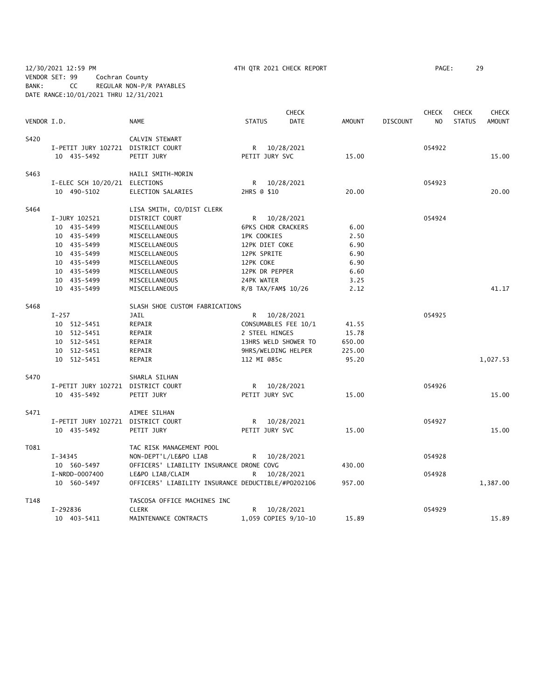12/30/2021 12:59 PM 4TH QTR 2021 CHECK REPORT PAGE: 29 VENDOR SET: 99 Cochran County BANK: CC REGULAR NON-P/R PAYABLES DATE RANGE:10/01/2021 THRU 12/31/2021

|             |                                    |                                                    |                | <b>CHECK</b>              |               |                 | <b>CHECK</b>   | <b>CHECK</b>  | <b>CHECK</b>  |
|-------------|------------------------------------|----------------------------------------------------|----------------|---------------------------|---------------|-----------------|----------------|---------------|---------------|
| VENDOR I.D. |                                    | <b>NAME</b>                                        | <b>STATUS</b>  | <b>DATE</b>               | <b>AMOUNT</b> | <b>DISCOUNT</b> | N <sub>O</sub> | <b>STATUS</b> | <b>AMOUNT</b> |
| S420        |                                    | CALVIN STEWART                                     |                |                           |               |                 |                |               |               |
|             | I-PETIT JURY 102721 DISTRICT COURT |                                                    |                | R 10/28/2021              |               |                 | 054922         |               |               |
|             | 10 435-5492                        | PETIT JURY                                         | PETIT JURY SVC |                           | 15.00         |                 |                |               | 15.00         |
| S463        |                                    | HAILI SMITH-MORIN                                  |                |                           |               |                 |                |               |               |
|             | I-ELEC SCH 10/20/21 ELECTIONS      |                                                    | R              | 10/28/2021                |               |                 | 054923         |               |               |
|             | 10 490-5102                        | ELECTION SALARIES                                  | 2HRS @ \$10    |                           | 20.00         |                 |                |               | 20.00         |
| S464        |                                    | LISA SMITH, CO/DIST CLERK                          |                |                           |               |                 |                |               |               |
|             | I-JURY 102521                      | DISTRICT COURT                                     |                | R 10/28/2021              |               |                 | 054924         |               |               |
|             | 10 435-5499                        | MISCELLANEOUS                                      |                | <b>6PKS CHDR CRACKERS</b> | 6.00          |                 |                |               |               |
|             | 10 435-5499                        | MISCELLANEOUS                                      | 1PK COOKIES    |                           | 2.50          |                 |                |               |               |
|             | 10 435-5499                        | MISCELLANEOUS                                      | 12PK DIET COKE |                           | 6.90          |                 |                |               |               |
|             | 10 435-5499                        | MISCELLANEOUS                                      | 12PK SPRITE    |                           | 6.90          |                 |                |               |               |
|             | 10 435-5499                        | MISCELLANEOUS                                      | 12PK COKE      |                           | 6.90          |                 |                |               |               |
|             | 10 435-5499                        | MISCELLANEOUS                                      | 12PK DR PEPPER |                           | 6.60          |                 |                |               |               |
|             | 10 435-5499                        | MISCELLANEOUS                                      | 24PK WATER     |                           | 3.25          |                 |                |               |               |
|             | 10 435-5499                        | MISCELLANEOUS                                      |                | R/B TAX/FAM\$ 10/26       | 2.12          |                 |                |               | 41.17         |
| S468        |                                    | SLASH SHOE CUSTOM FABRICATIONS                     |                |                           |               |                 |                |               |               |
|             | $I-257$                            | JAIL                                               |                | R 10/28/2021              |               |                 | 054925         |               |               |
|             | 10 512-5451                        | REPAIR                                             |                | CONSUMABLES FEE 10/1      | 41.55         |                 |                |               |               |
|             | 10 512-5451                        | REPAIR                                             | 2 STEEL HINGES |                           | 15.78         |                 |                |               |               |
|             | 10 512-5451                        | REPAIR                                             |                | 13HRS WELD SHOWER TO      | 650.00        |                 |                |               |               |
|             | 10 512-5451                        | REPAIR                                             |                | 9HRS/WELDING HELPER       | 225.00        |                 |                |               |               |
|             | 10 512-5451                        | REPAIR                                             | 112 MI @85c    |                           | 95.20         |                 |                |               | 1,027.53      |
| S470        |                                    | SHARLA SILHAN                                      |                |                           |               |                 |                |               |               |
|             | I-PETIT JURY 102721 DISTRICT COURT |                                                    |                | R 10/28/2021              |               |                 | 054926         |               |               |
|             | 10 435-5492                        | PETIT JURY                                         | PETIT JURY SVC |                           | 15.00         |                 |                |               | 15.00         |
| S471        |                                    | AIMEE SILHAN                                       |                |                           |               |                 |                |               |               |
|             | I-PETIT JURY 102721 DISTRICT COURT |                                                    |                | R 10/28/2021              |               |                 | 054927         |               |               |
|             | 10 435-5492                        | PETIT JURY                                         | PETIT JURY SVC |                           | 15.00         |                 |                |               | 15.00         |
| T081        |                                    | TAC RISK MANAGEMENT POOL                           |                |                           |               |                 |                |               |               |
|             | $I - 34345$                        | NON-DEPT'L/LE&PO LIAB                              | R              | 10/28/2021                |               |                 | 054928         |               |               |
|             | 10 560-5497                        | OFFICERS' LIABILITY INSURANCE DRONE COVG           |                |                           | 430.00        |                 |                |               |               |
|             | I-NRDD-0007400                     | LE&PO LIAB/CLAIM                                   | R              | 10/28/2021                |               |                 | 054928         |               |               |
|             | 10 560-5497                        | OFFICERS' LIABILITY INSURANCE DEDUCTIBLE/#P0202106 |                |                           | 957.00        |                 |                |               | 1,387.00      |
| T148        |                                    | TASCOSA OFFICE MACHINES INC                        |                |                           |               |                 |                |               |               |
|             | I-292836                           | <b>CLERK</b>                                       | R              | 10/28/2021                |               |                 | 054929         |               |               |
|             | 10 403-5411                        | MAINTENANCE CONTRACTS                              |                | 1,059 COPIES 9/10-10      | 15.89         |                 |                |               | 15.89         |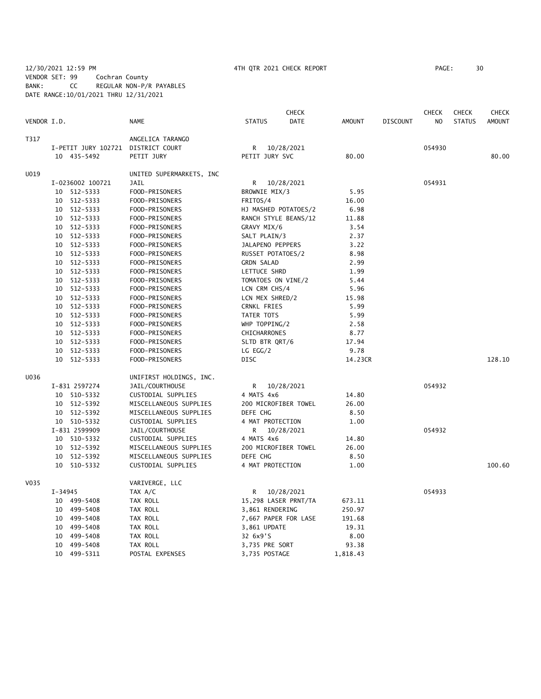### 12/30/2021 12:59 PM 4TH QTR 2021 CHECK REPORT PAGE: 30 VENDOR SET: 99 Cochran County BANK: CC REGULAR NON-P/R PAYABLES DATE RANGE:10/01/2021 THRU 12/31/2021

|             |         |                                    |                          |                    | CHECK                |          |                 | <b>CHECK</b>   | <b>CHECK</b>  | CHECK         |
|-------------|---------|------------------------------------|--------------------------|--------------------|----------------------|----------|-----------------|----------------|---------------|---------------|
| VENDOR I.D. |         |                                    | NAME                     | <b>STATUS</b>      | DATE                 | AMOUNT   | <b>DISCOUNT</b> | N <sub>O</sub> | <b>STATUS</b> | <b>AMOUNT</b> |
| T317        |         |                                    | ANGELICA TARANGO         |                    |                      |          |                 |                |               |               |
|             |         | I-PETIT JURY 102721 DISTRICT COURT |                          | R                  | 10/28/2021           |          |                 | 054930         |               |               |
|             |         | 10 435-5492                        | PETIT JURY               | PETIT JURY SVC     |                      | 80.00    |                 |                |               | 80.00         |
| U019        |         |                                    | UNITED SUPERMARKETS, INC |                    |                      |          |                 |                |               |               |
|             |         | I-0236002 100721                   | JAIL                     | R                  | 10/28/2021           |          |                 | 054931         |               |               |
|             |         | 10 512-5333                        | FOOD-PRISONERS           | BROWNIE MIX/3      |                      | 5.95     |                 |                |               |               |
|             |         | 10 512-5333                        | FOOD-PRISONERS           | FRITOS/4           |                      | 16.00    |                 |                |               |               |
|             |         | 10 512-5333                        | FOOD-PRISONERS           |                    | HJ MASHED POTATOES/2 | 6.98     |                 |                |               |               |
|             |         | 10 512-5333                        | FOOD-PRISONERS           |                    | RANCH STYLE BEANS/12 | 11.88    |                 |                |               |               |
|             |         | 10 512-5333                        | FOOD-PRISONERS           | GRAVY MIX/6        |                      | 3.54     |                 |                |               |               |
|             |         | 10 512-5333                        | FOOD-PRISONERS           | SALT PLAIN/3       |                      | 2.37     |                 |                |               |               |
|             |         | 10 512-5333                        | FOOD-PRISONERS           | JALAPENO PEPPERS   |                      | 3.22     |                 |                |               |               |
|             |         | 10 512-5333                        | FOOD-PRISONERS           | RUSSET POTATOES/2  |                      | 8.98     |                 |                |               |               |
|             |         | 10 512-5333                        | FOOD-PRISONERS           | <b>GRDN SALAD</b>  |                      | 2.99     |                 |                |               |               |
|             |         | 10 512-5333                        | FOOD-PRISONERS           | LETTUCE SHRD       |                      | 1.99     |                 |                |               |               |
|             |         | 10 512-5333                        | FOOD-PRISONERS           | TOMATOES ON VINE/2 |                      | 5.44     |                 |                |               |               |
|             |         | 10 512-5333                        | FOOD-PRISONERS           | LCN CRM CHS/4      |                      | 5.96     |                 |                |               |               |
|             |         | 10 512-5333                        | FOOD-PRISONERS           | LCN MEX SHRED/2    |                      | 15.98    |                 |                |               |               |
|             |         | 10 512-5333                        | FOOD-PRISONERS           | CRNKL FRIES        |                      | 5.99     |                 |                |               |               |
|             |         | 10 512-5333                        | FOOD-PRISONERS           | TATER TOTS         |                      | 5.99     |                 |                |               |               |
|             |         | 10 512-5333                        | FOOD-PRISONERS           | WHP TOPPING/2      |                      | 2.58     |                 |                |               |               |
|             |         | 10 512-5333                        | FOOD-PRISONERS           | CHICHARRONES       |                      | 8.77     |                 |                |               |               |
|             |         | 10 512-5333                        | FOOD-PRISONERS           | SLTD BTR QRT/6     |                      | 17.94    |                 |                |               |               |
|             |         | 10 512-5333                        | FOOD-PRISONERS           | LG EGG/2           |                      | 9.78     |                 |                |               |               |
|             |         | 10 512-5333                        | FOOD-PRISONERS           | <b>DISC</b>        |                      | 14.23CR  |                 |                |               | 128.10        |
| U036        |         |                                    | UNIFIRST HOLDINGS, INC.  |                    |                      |          |                 |                |               |               |
|             |         | I-831 2597274                      | JAIL/COURTHOUSE          | R                  | 10/28/2021           |          |                 | 054932         |               |               |
|             |         | 10 510-5332                        | CUSTODIAL SUPPLIES       | 4 MATS 4x6         |                      | 14.80    |                 |                |               |               |
|             |         | 10 512-5392                        | MISCELLANEOUS SUPPLIES   |                    | 200 MICROFIBER TOWEL | 26.00    |                 |                |               |               |
|             |         | 10 512-5392                        | MISCELLANEOUS SUPPLIES   | DEFE CHG           |                      | 8.50     |                 |                |               |               |
|             |         | 10 510-5332                        | CUSTODIAL SUPPLIES       | 4 MAT PROTECTION   |                      | 1.00     |                 |                |               |               |
|             |         | I-831 2599909                      | JAIL/COURTHOUSE          | R                  | 10/28/2021           |          |                 | 054932         |               |               |
|             |         | 10 510-5332                        | CUSTODIAL SUPPLIES       | 4 MATS 4x6         |                      | 14.80    |                 |                |               |               |
|             |         | 10 512-5392                        | MISCELLANEOUS SUPPLIES   |                    | 200 MICROFIBER TOWEL | 26.00    |                 |                |               |               |
|             |         | 10 512-5392                        | MISCELLANEOUS SUPPLIES   | DEFE CHG           |                      | 8.50     |                 |                |               |               |
|             |         | 10 510-5332                        | CUSTODIAL SUPPLIES       | 4 MAT PROTECTION   |                      | 1.00     |                 |                |               | 100.60        |
| V035        |         |                                    | VARIVERGE, LLC           |                    |                      |          |                 |                |               |               |
|             | I-34945 |                                    | TAX A/C                  | R                  | 10/28/2021           |          |                 | 054933         |               |               |
|             |         | 10 499-5408                        | TAX ROLL                 |                    | 15,298 LASER PRNT/TA | 673.11   |                 |                |               |               |
|             |         | 10 499-5408                        | TAX ROLL                 | 3,861 RENDERING    |                      | 250.97   |                 |                |               |               |
|             |         | 10 499-5408                        | TAX ROLL                 |                    | 7,667 PAPER FOR LASE | 191.68   |                 |                |               |               |
|             |         | 10 499-5408                        | TAX ROLL                 | 3,861 UPDATE       |                      | 19.31    |                 |                |               |               |
|             | 10      | 499-5408                           | TAX ROLL                 | 32 6x9'S           |                      | 8.00     |                 |                |               |               |
|             | 10      | 499-5408                           | TAX ROLL                 | 3,735 PRE SORT     |                      | 93.38    |                 |                |               |               |
|             |         | 10 499-5311                        | POSTAL EXPENSES          | 3,735 POSTAGE      |                      | 1,818.43 |                 |                |               |               |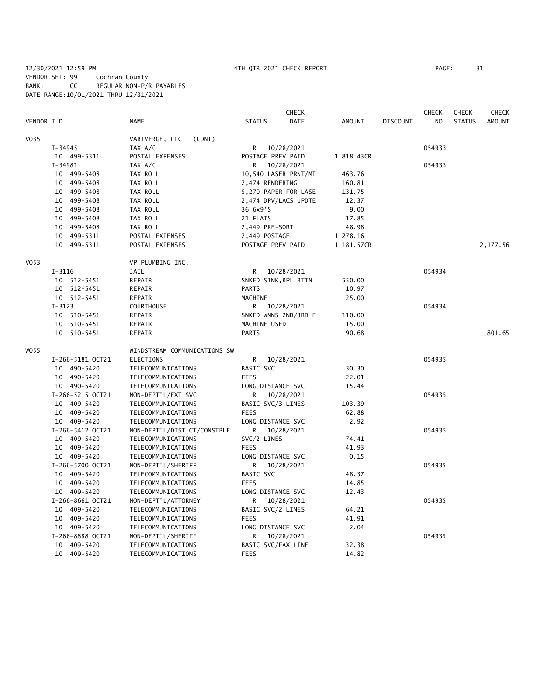# 12/30/2021 12:59 PM 4TH QTR 2021 CHECK REPORT PAGE: 31 VENDOR SET: 99 Cochran County BANK: CC REGULAR NON-P/R PAYABLES DATE RANGE:10/01/2021 THRU 12/31/2021

|             |                  |                              |                      | <b>CHECK</b>         |            |                 | <b>CHECK</b> | <b>CHECK</b>  | CHECK         |
|-------------|------------------|------------------------------|----------------------|----------------------|------------|-----------------|--------------|---------------|---------------|
| VENDOR I.D. |                  | <b>NAME</b>                  | <b>STATUS</b>        | DATE                 | AMOUNT     | <b>DISCOUNT</b> | NO           | <b>STATUS</b> | <b>AMOUNT</b> |
| V035        |                  | VARIVERGE, LLC<br>(CONT)     |                      |                      |            |                 |              |               |               |
|             | $I - 34945$      | TAX A/C                      |                      | R 10/28/2021         |            |                 | 054933       |               |               |
|             | 10 499-5311      | POSTAL EXPENSES              | POSTAGE PREV PAID    |                      | 1,818.43CR |                 |              |               |               |
|             | $I - 34981$      | TAX A/C                      |                      | R 10/28/2021         |            |                 | 054933       |               |               |
|             | 10 499-5408      | TAX ROLL                     |                      | 10,540 LASER PRNT/MI | 463.76     |                 |              |               |               |
|             | 10 499-5408      | TAX ROLL                     | 2,474 RENDERING      |                      | 160.81     |                 |              |               |               |
|             | 10 499-5408      | TAX ROLL                     |                      | 5,270 PAPER FOR LASE | 131.75     |                 |              |               |               |
|             | 10 499-5408      | TAX ROLL                     |                      | 2,474 DPV/LACS UPDTE | 12.37      |                 |              |               |               |
|             | 10 499-5408      | TAX ROLL                     | 36 6x9'S             |                      | 9.00       |                 |              |               |               |
|             | 10 499-5408      | TAX ROLL                     | 21 FLATS             |                      | 17.85      |                 |              |               |               |
|             | 10 499-5408      | TAX ROLL                     | 2,449 PRE-SORT       |                      | 48.98      |                 |              |               |               |
|             | 10 499-5311      | POSTAL EXPENSES              | 2,449 POSTAGE        |                      | 1,278.16   |                 |              |               |               |
|             | 10 499-5311      | POSTAL EXPENSES              | POSTAGE PREV PAID    |                      | 1,181.57CR |                 |              |               | 2,177.56      |
| V053        |                  | VP PLUMBING INC.             |                      |                      |            |                 |              |               |               |
|             | $I - 3116$       | JAIL                         | R.                   | 10/28/2021           |            |                 | 054934       |               |               |
|             | 10 512-5451      | REPAIR                       | SNKED SINK, RPL BTTN |                      | 550.00     |                 |              |               |               |
|             | 10 512-5451      | REPAIR                       | <b>PARTS</b>         |                      | 10.97      |                 |              |               |               |
|             | 10 512-5451      | REPAIR                       | MACHINE              |                      | 25.00      |                 |              |               |               |
|             | $I-3123$         | COURTHOUSE                   |                      | R 10/28/2021         |            |                 | 054934       |               |               |
|             | 10 510-5451      | REPAIR                       |                      | SNKED WMNS 2ND/3RD F | 110.00     |                 |              |               |               |
|             | 10 510-5451      | REPAIR                       | MACHINE USED         |                      | 15.00      |                 |              |               |               |
|             | 10 510-5451      | REPAIR                       | <b>PARTS</b>         |                      | 90.68      |                 |              |               | 801.65        |
| WO55        |                  | WINDSTREAM COMMUNICATIONS SW |                      |                      |            |                 |              |               |               |
|             | I-266-5181 OCT21 | ELECTIONS                    | R                    | 10/28/2021           |            |                 | 054935       |               |               |
|             | 10 490-5420      | TELECOMMUNICATIONS           | BASIC SVC            |                      | 30.30      |                 |              |               |               |
|             | 10 490-5420      | TELECOMMUNICATIONS           | <b>FEES</b>          |                      | 22.01      |                 |              |               |               |
|             | 10 490-5420      | TELECOMMUNICATIONS           | LONG DISTANCE SVC    |                      | 15.44      |                 |              |               |               |
|             | I-266-5215 OCT21 | NON-DEPT'L/EXT SVC           | R                    | 10/28/2021           |            |                 | 054935       |               |               |
|             | 10 409-5420      | TELECOMMUNICATIONS           | BASIC SVC/3 LINES    |                      | 103.39     |                 |              |               |               |
|             | 10 409-5420      | TELECOMMUNICATIONS           | <b>FEES</b>          |                      | 62.88      |                 |              |               |               |
|             | 10 409-5420      | TELECOMMUNICATIONS           | LONG DISTANCE SVC    |                      | 2.92       |                 |              |               |               |
|             | I-266-5412 OCT21 | NON-DEPT'L/DIST CT/CONSTBLE  | R                    | 10/28/2021           |            |                 | 054935       |               |               |
|             | 10 409-5420      | TELECOMMUNICATIONS           | SVC/2 LINES          |                      | 74.41      |                 |              |               |               |
|             | 10 409-5420      | TELECOMMUNICATIONS           | <b>FEES</b>          |                      | 41.93      |                 |              |               |               |
|             | 10 409-5420      | TELECOMMUNICATIONS           | LONG DISTANCE SVC    |                      | 0.15       |                 |              |               |               |
|             | I-266-5700 OCT21 | NON-DEPT'L/SHERIFF           |                      | R 10/28/2021         |            |                 | 054935       |               |               |
|             | 10 409-5420      | TELECOMMUNICATIONS           | BASIC SVC            |                      | 48.37      |                 |              |               |               |
|             | 10 409-5420      | TELECOMMUNICATIONS           | <b>FEES</b>          |                      | 14.85      |                 |              |               |               |
|             | 10 409-5420      | TELECOMMUNICATIONS           | LONG DISTANCE SVC    |                      | 12.43      |                 |              |               |               |
|             | I-266-8661 OCT21 | NON-DEPT'L/ATTORNEY          | R                    | 10/28/2021           |            |                 | 054935       |               |               |
|             | 10 409-5420      | TELECOMMUNICATIONS           | BASIC SVC/2 LINES    |                      | 64.21      |                 |              |               |               |
|             | 10 409-5420      | TELECOMMUNICATIONS           | <b>FEES</b>          |                      | 41.91      |                 |              |               |               |
|             | 10 409-5420      | TELECOMMUNICATIONS           | LONG DISTANCE SVC    |                      | 2.04       |                 |              |               |               |
|             | I-266-8888 OCT21 | NON-DEPT'L/SHERIFF           | R                    | 10/28/2021           |            |                 | 054935       |               |               |
|             | 10 409-5420      | TELECOMMUNICATIONS           | BASIC SVC/FAX LINE   |                      | 32.38      |                 |              |               |               |
|             | 10 409-5420      | TELECOMMUNICATIONS           | <b>FEES</b>          |                      | 14.82      |                 |              |               |               |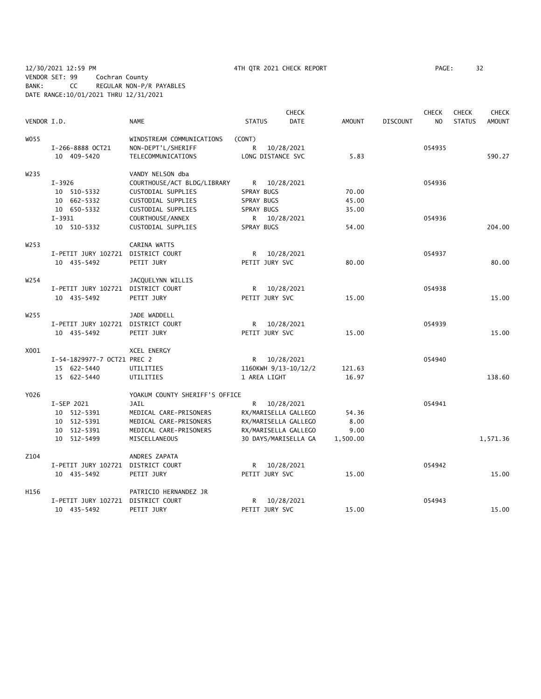12/30/2021 12:59 PM 4TH QTR 2021 CHECK REPORT PAGE: 32 VENDOR SET: 99 Cochran County BANK: CC REGULAR NON-P/R PAYABLES DATE RANGE:10/01/2021 THRU 12/31/2021

|                   |                                    |                                |                      | <b>CHECK</b>         |               |                 | <b>CHECK</b>   | <b>CHECK</b>  | <b>CHECK</b>  |
|-------------------|------------------------------------|--------------------------------|----------------------|----------------------|---------------|-----------------|----------------|---------------|---------------|
| VENDOR I.D.       |                                    | <b>NAME</b>                    | <b>STATUS</b>        | <b>DATE</b>          | <b>AMOUNT</b> | <b>DISCOUNT</b> | N <sub>O</sub> | <b>STATUS</b> | <b>AMOUNT</b> |
| W055              |                                    | WINDSTREAM COMMUNICATIONS      | (CONT)               |                      |               |                 |                |               |               |
|                   | I-266-8888 OCT21                   | NON-DEPT'L/SHERIFF             | R                    | 10/28/2021           |               |                 | 054935         |               |               |
|                   | 10 409-5420                        | TELECOMMUNICATIONS             | LONG DISTANCE SVC    |                      | 5.83          |                 |                |               | 590.27        |
| W <sub>2</sub> 35 |                                    | VANDY NELSON dba               |                      |                      |               |                 |                |               |               |
|                   | $I - 3926$                         | COURTHOUSE/ACT BLDG/LIBRARY    | R 10/28/2021         |                      |               |                 | 054936         |               |               |
|                   | 10 510-5332                        | CUSTODIAL SUPPLIES             | SPRAY BUGS           |                      | 70.00         |                 |                |               |               |
|                   | 10 662-5332                        | CUSTODIAL SUPPLIES             | SPRAY BUGS           |                      | 45.00         |                 |                |               |               |
|                   | 10 650-5332                        | CUSTODIAL SUPPLIES             | SPRAY BUGS           |                      | 35.00         |                 |                |               |               |
|                   | $I - 3931$                         | COURTHOUSE/ANNEX               |                      | R 10/28/2021         |               |                 | 054936         |               |               |
|                   | 10 510-5332                        | CUSTODIAL SUPPLIES             | SPRAY BUGS           |                      | 54.00         |                 |                |               | 204.00        |
| W <sub>253</sub>  |                                    | CARINA WATTS                   |                      |                      |               |                 |                |               |               |
|                   | I-PETIT JURY 102721 DISTRICT COURT |                                | R 10/28/2021         |                      |               |                 | 054937         |               |               |
|                   | 10 435-5492                        | PETIT JURY                     | PETIT JURY SVC       |                      | 80.00         |                 |                |               | 80.00         |
| W <sub>254</sub>  |                                    | JACQUELYNN WILLIS              |                      |                      |               |                 |                |               |               |
|                   | I-PETIT JURY 102721 DISTRICT COURT |                                |                      | R 10/28/2021         |               |                 | 054938         |               |               |
|                   | 10 435-5492                        | PETIT JURY                     | PETIT JURY SVC       |                      | 15.00         |                 |                |               | 15.00         |
| W <sub>255</sub>  |                                    | JADE WADDELL                   |                      |                      |               |                 |                |               |               |
|                   | I-PETIT JURY 102721 DISTRICT COURT |                                | R 10/28/2021         |                      |               |                 | 054939         |               |               |
|                   | 10 435-5492                        | PETIT JURY                     | PETIT JURY SVC       |                      | 15.00         |                 |                |               | 15.00         |
| X001              |                                    | XCEL ENERGY                    |                      |                      |               |                 |                |               |               |
|                   | I-54-1829977-7 OCT21 PREC 2        |                                |                      | R 10/28/2021         |               |                 | 054940         |               |               |
|                   | 15 622-5440                        | UTILITIES                      | 1160KWH 9/13-10/12/2 |                      | 121.63        |                 |                |               |               |
|                   | 15 622-5440                        | UTILITIES                      | 1 AREA LIGHT         |                      | 16.97         |                 |                |               | 138.60        |
| Y026              |                                    | YOAKUM COUNTY SHERIFF'S OFFICE |                      |                      |               |                 |                |               |               |
|                   | I-SEP 2021                         | <b>JAIL</b>                    |                      | R 10/28/2021         |               |                 | 054941         |               |               |
|                   | 10 512-5391                        | MEDICAL CARE-PRISONERS         | RX/MARISELLA GALLEGO |                      | 54.36         |                 |                |               |               |
|                   | 10 512-5391                        | MEDICAL CARE-PRISONERS         |                      | RX/MARISELLA GALLEGO | 8.00          |                 |                |               |               |
|                   | 10 512-5391                        | MEDICAL CARE-PRISONERS         | RX/MARISELLA GALLEGO |                      | 9.00          |                 |                |               |               |
|                   | 10 512-5499                        | MISCELLANEOUS                  |                      | 30 DAYS/MARISELLA GA | 1,500.00      |                 |                |               | 1,571.36      |
| Z104              |                                    | ANDRES ZAPATA                  |                      |                      |               |                 |                |               |               |
|                   | I-PETIT JURY 102721 DISTRICT COURT |                                |                      | R 10/28/2021         |               |                 | 054942         |               |               |
|                   | 10 435-5492                        | PETIT JURY                     | PETIT JURY SVC       |                      | 15.00         |                 |                |               | 15.00         |
| H156              |                                    | PATRICIO HERNANDEZ JR          |                      |                      |               |                 |                |               |               |
|                   | I-PETIT JURY 102721 DISTRICT COURT |                                |                      | R 10/28/2021         |               |                 | 054943         |               |               |
|                   | 10 435-5492                        | PETIT JURY                     | PETIT JURY SVC       |                      | 15.00         |                 |                |               | 15.00         |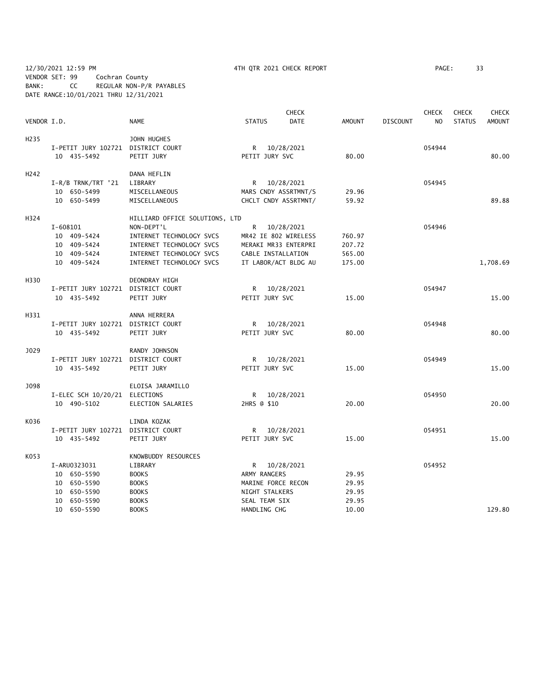12/30/2021 12:59 PM 4TH QTR 2021 CHECK REPORT PAGE: 33 VENDOR SET: 99 Cochran County BANK: CC REGULAR NON-P/R PAYABLES DATE RANGE:10/01/2021 THRU 12/31/2021

|                   |                                    |                                |                      | <b>CHECK</b> |               |                 | <b>CHECK</b>   | <b>CHECK</b>  | <b>CHECK</b>  |
|-------------------|------------------------------------|--------------------------------|----------------------|--------------|---------------|-----------------|----------------|---------------|---------------|
| VENDOR I.D.       |                                    | <b>NAME</b>                    | <b>STATUS</b>        | <b>DATE</b>  | <b>AMOUNT</b> | <b>DISCOUNT</b> | N <sub>O</sub> | <b>STATUS</b> | <b>AMOUNT</b> |
| H <sub>2</sub> 35 |                                    | JOHN HUGHES                    |                      |              |               |                 |                |               |               |
|                   | I-PETIT JURY 102721 DISTRICT COURT |                                | R 10/28/2021         |              |               |                 | 054944         |               |               |
|                   | 10 435-5492                        | PETIT JURY                     | PETIT JURY SVC       |              | 80.00         |                 |                |               | 80.00         |
| H <sub>242</sub>  |                                    | DANA HEFLIN                    |                      |              |               |                 |                |               |               |
|                   | $I-R/B$ TRNK/TRT '21               | LIBRARY                        | R 10/28/2021         |              |               |                 | 054945         |               |               |
|                   | 10 650-5499                        | MISCELLANEOUS                  | MARS CNDY ASSRTMNT/S |              | 29.96         |                 |                |               |               |
|                   | 10 650-5499                        | MISCELLANEOUS                  | CHCLT CNDY ASSRTMNT/ |              | 59.92         |                 |                |               | 89.88         |
| H324              |                                    | HILLIARD OFFICE SOLUTIONS, LTD |                      |              |               |                 |                |               |               |
|                   | $I - 608101$                       | NON-DEPT'L                     | R                    | 10/28/2021   |               |                 | 054946         |               |               |
|                   | 10 409-5424                        | INTERNET TECHNOLOGY SVCS       | MR42 IE 802 WIRELESS |              | 760.97        |                 |                |               |               |
|                   | 10 409-5424                        | INTERNET TECHNOLOGY SVCS       | MERAKI MR33 ENTERPRI |              | 207.72        |                 |                |               |               |
|                   | 10 409-5424                        | INTERNET TECHNOLOGY SVCS       | CABLE INSTALLATION   |              | 565.00        |                 |                |               |               |
|                   | 10 409-5424                        | INTERNET TECHNOLOGY SVCS       | IT LABOR/ACT BLDG AU |              | 175.00        |                 |                |               | 1,708.69      |
| H330              |                                    | DEONDRAY HIGH                  |                      |              |               |                 |                |               |               |
|                   | I-PETIT JURY 102721 DISTRICT COURT |                                | R                    | 10/28/2021   |               |                 | 054947         |               |               |
|                   | 10 435-5492                        | PETIT JURY                     | PETIT JURY SVC       |              | 15.00         |                 |                |               | 15.00         |
| H331              |                                    | ANNA HERRERA                   |                      |              |               |                 |                |               |               |
|                   | I-PETIT JURY 102721 DISTRICT COURT |                                | R 10/28/2021         |              |               |                 | 054948         |               |               |
|                   | 10 435-5492                        | PETIT JURY                     | PETIT JURY SVC       |              | 80.00         |                 |                |               | 80.00         |
| J029              |                                    | RANDY JOHNSON                  |                      |              |               |                 |                |               |               |
|                   | I-PETIT JURY 102721 DISTRICT COURT |                                | R 10/28/2021         |              |               |                 | 054949         |               |               |
|                   | 10 435-5492                        | PETIT JURY                     | PETIT JURY SVC       |              | 15.00         |                 |                |               | 15.00         |
| J098              |                                    | ELOISA JARAMILLO               |                      |              |               |                 |                |               |               |
|                   | I-ELEC SCH 10/20/21 ELECTIONS      |                                | R 10/28/2021         |              |               |                 | 054950         |               |               |
|                   | 10 490-5102                        | ELECTION SALARIES              | 2HRS @ \$10          |              | 20.00         |                 |                |               | 20.00         |
| K036              |                                    | LINDA KOZAK                    |                      |              |               |                 |                |               |               |
|                   | I-PETIT JURY 102721                | DISTRICT COURT                 | R —                  | 10/28/2021   |               |                 | 054951         |               |               |
|                   | 10 435-5492                        | PETIT JURY                     | PETIT JURY SVC       |              | 15.00         |                 |                |               | 15.00         |
| K053              |                                    | KNOWBUDDY RESOURCES            |                      |              |               |                 |                |               |               |
|                   | I-ARU0323031                       | LIBRARY                        | R 10/28/2021         |              |               |                 | 054952         |               |               |
|                   | 10 650-5590                        | <b>BOOKS</b>                   | ARMY RANGERS         |              | 29.95         |                 |                |               |               |
|                   | 10 650-5590                        | <b>BOOKS</b>                   | MARINE FORCE RECON   |              | 29.95         |                 |                |               |               |
|                   | 10 650-5590                        | <b>BOOKS</b>                   | NIGHT STALKERS       |              | 29.95         |                 |                |               |               |
|                   | 10 650-5590                        | <b>BOOKS</b>                   | SEAL TEAM SIX        |              | 29.95         |                 |                |               |               |
|                   | 10 650-5590                        | <b>BOOKS</b>                   | HANDLING CHG         |              | 10.00         |                 |                |               | 129.80        |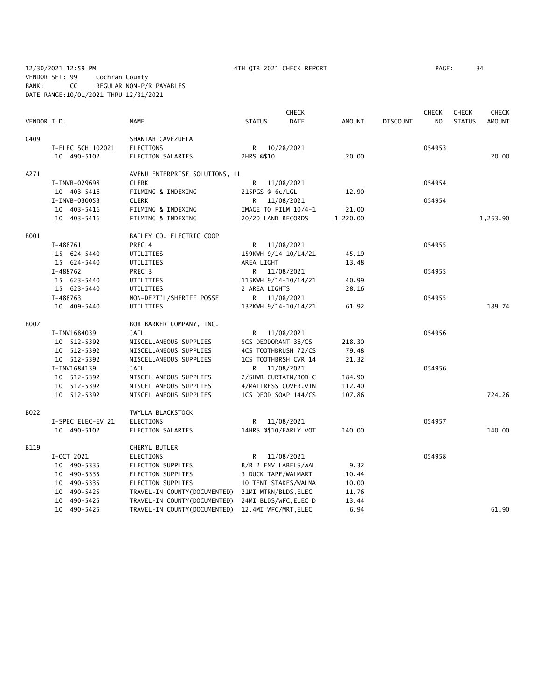12/30/2021 12:59 PM 4TH QTR 2021 CHECK REPORT PAGE: 34 VENDOR SET: 99 Cochran County BANK: CC REGULAR NON-P/R PAYABLES DATE RANGE:10/01/2021 THRU 12/31/2021

|             |                   |                                |                       | <b>CHECK</b>          |               |                 | <b>CHECK</b>   | <b>CHECK</b>  | <b>CHECK</b>  |
|-------------|-------------------|--------------------------------|-----------------------|-----------------------|---------------|-----------------|----------------|---------------|---------------|
| VENDOR I.D. |                   | <b>NAME</b>                    | <b>STATUS</b>         | DATE                  | <b>AMOUNT</b> | <b>DISCOUNT</b> | N <sub>O</sub> | <b>STATUS</b> | <b>AMOUNT</b> |
| C409        |                   | SHANIAH CAVEZUELA              |                       |                       |               |                 |                |               |               |
|             | I-ELEC SCH 102021 | <b>ELECTIONS</b>               | R                     | 10/28/2021            |               |                 | 054953         |               |               |
|             | 10 490-5102       | ELECTION SALARIES              | 2HRS @\$10            |                       | 20.00         |                 |                |               | 20.00         |
| A271        |                   | AVENU ENTERPRISE SOLUTIONS, LL |                       |                       |               |                 |                |               |               |
|             | I-INVB-029698     | <b>CLERK</b>                   | R                     | 11/08/2021            |               |                 | 054954         |               |               |
|             | 10 403-5416       | FILMING & INDEXING             | 215PGS @ 6c/LGL       |                       | 12.90         |                 |                |               |               |
|             | I-INVB-030053     | <b>CLERK</b>                   | R 11/08/2021          |                       |               |                 | 054954         |               |               |
|             | 10 403-5416       | FILMING & INDEXING             | IMAGE TO FILM 10/4-1  |                       | 21.00         |                 |                |               |               |
|             | 10 403-5416       | FILMING & INDEXING             | 20/20 LAND RECORDS    |                       | 1,220.00      |                 |                |               | 1,253.90      |
| B001        |                   | BAILEY CO. ELECTRIC COOP       |                       |                       |               |                 |                |               |               |
|             | I-488761          | PREC 4                         | R                     | 11/08/2021            |               |                 | 054955         |               |               |
|             | 15 624-5440       | UTILITIES                      | 159KWH 9/14-10/14/21  |                       | 45.19         |                 |                |               |               |
|             | 15 624-5440       | UTILITIES                      | AREA LIGHT            |                       | 13.48         |                 |                |               |               |
|             | I-488762          | PREC 3                         | R.                    | 11/08/2021            |               |                 | 054955         |               |               |
|             | 15 623-5440       | UTILITIES                      | 115KWH 9/14-10/14/21  |                       | 40.99         |                 |                |               |               |
|             | 15 623-5440       | UTILITIES                      | 2 AREA LIGHTS         |                       | 28.16         |                 |                |               |               |
|             | I-488763          | NON-DEPT'L/SHERIFF POSSE       | R 11/08/2021          |                       |               |                 | 054955         |               |               |
|             | 10 409-5440       | UTILITIES                      | 132KWH 9/14-10/14/21  |                       | 61.92         |                 |                |               | 189.74        |
| <b>B007</b> |                   | BOB BARKER COMPANY, INC.       |                       |                       |               |                 |                |               |               |
|             | I-INV1684039      | <b>JAIL</b>                    | R                     | 11/08/2021            |               |                 | 054956         |               |               |
|             | 10 512-5392       | MISCELLANEOUS SUPPLIES         | 5CS DEODORANT 36/CS   |                       | 218.30        |                 |                |               |               |
|             | 10 512-5392       | MISCELLANEOUS SUPPLIES         | 4CS TOOTHBRUSH 72/CS  |                       | 79.48         |                 |                |               |               |
|             | 10 512-5392       | MISCELLANEOUS SUPPLIES         | 1CS TOOTHBRSH CVR 14  |                       | 21.32         |                 |                |               |               |
|             | I-INV1684139      | JAIL                           | R.                    | 11/08/2021            |               |                 | 054956         |               |               |
|             | 10 512-5392       | MISCELLANEOUS SUPPLIES         | 2/SHWR CURTAIN/ROD C  |                       | 184.90        |                 |                |               |               |
|             | 10 512-5392       | MISCELLANEOUS SUPPLIES         | 4/MATTRESS COVER, VIN |                       | 112.40        |                 |                |               |               |
|             | 10 512-5392       | MISCELLANEOUS SUPPLIES         | 1CS DEOD SOAP 144/CS  |                       | 107.86        |                 |                |               | 724.26        |
| B022        |                   | TWYLLA BLACKSTOCK              |                       |                       |               |                 |                |               |               |
|             | I-SPEC ELEC-EV 21 | <b>ELECTIONS</b>               | R                     | 11/08/2021            |               |                 | 054957         |               |               |
|             | 10 490-5102       | ELECTION SALARIES              |                       | 14HRS @\$10/EARLY VOT | 140.00        |                 |                |               | 140.00        |
| B119        |                   | CHERYL BUTLER                  |                       |                       |               |                 |                |               |               |
|             | I-OCT 2021        | <b>ELECTIONS</b>               | R                     | 11/08/2021            |               |                 | 054958         |               |               |
|             | 10 490-5335       | ELECTION SUPPLIES              | R/B 2 ENV LABELS/WAL  |                       | 9.32          |                 |                |               |               |
|             | 10 490-5335       | ELECTION SUPPLIES              | 3 DUCK TAPE/WALMART   |                       | 10.44         |                 |                |               |               |
|             | 10 490-5335       | ELECTION SUPPLIES              | 10 TENT STAKES/WALMA  |                       | 10.00         |                 |                |               |               |
|             | 10 490-5425       | TRAVEL-IN COUNTY(DOCUMENTED)   | 21MI MTRN/BLDS, ELEC  |                       | 11.76         |                 |                |               |               |
|             | 10 490-5425       | TRAVEL-IN COUNTY (DOCUMENTED)  | 24MI BLDS/WFC, ELEC D |                       | 13.44         |                 |                |               |               |
|             | 10 490-5425       | TRAVEL-IN COUNTY (DOCUMENTED)  | 12.4MI WFC/MRT, ELEC  |                       | 6.94          |                 |                |               | 61.90         |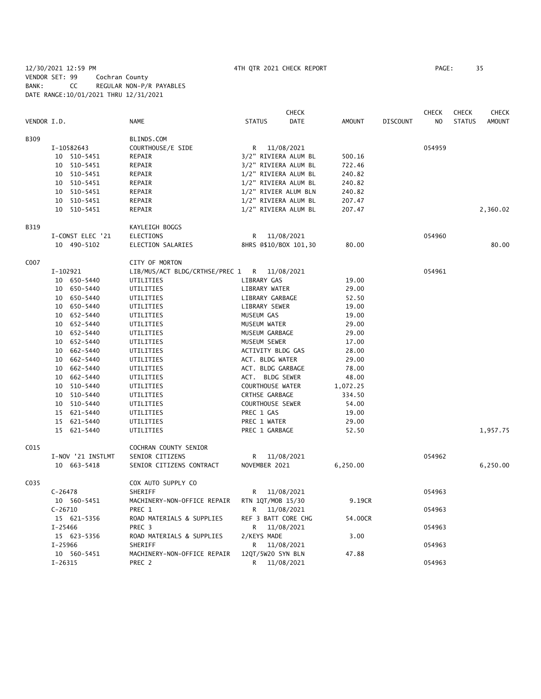12/30/2021 12:59 PM 4TH QTR 2021 CHECK REPORT PAGE: 35 VENDOR SET: 99 Cochran County BANK: CC REGULAR NON-P/R PAYABLES DATE RANGE:10/01/2021 THRU 12/31/2021

|             |             |                   |                                             |                         | <b>CHECK</b>          |          |                 | <b>CHECK</b> | <b>CHECK</b>  | <b>CHECK</b>  |
|-------------|-------------|-------------------|---------------------------------------------|-------------------------|-----------------------|----------|-----------------|--------------|---------------|---------------|
| VENDOR I.D. |             |                   | <b>NAME</b>                                 | <b>STATUS</b>           | DATE                  | AMOUNT   | <b>DISCOUNT</b> | NO           | <b>STATUS</b> | <b>AMOUNT</b> |
| <b>B309</b> |             |                   | BLINDS.COM                                  |                         |                       |          |                 |              |               |               |
|             |             | I-10582643        | COURTHOUSE/E SIDE                           |                         | R 11/08/2021          |          |                 | 054959       |               |               |
|             |             | 10 510-5451       | REPAIR                                      |                         | 3/2" RIVIERA ALUM BL  | 500.16   |                 |              |               |               |
|             |             | 10 510-5451       | REPAIR                                      |                         | 3/2" RIVIERA ALUM BL  | 722.46   |                 |              |               |               |
|             |             | 10 510-5451       | REPAIR                                      | 1/2" RIVIERA ALUM BL    |                       | 240.82   |                 |              |               |               |
|             |             | 10 510-5451       | REPAIR                                      | 1/2" RIVIERA ALUM BL    |                       | 240.82   |                 |              |               |               |
|             |             | 10 510-5451       | REPAIR                                      |                         | 1/2" RIVIER ALUM BLN  | 240.82   |                 |              |               |               |
|             |             | 10 510-5451       | REPAIR                                      | 1/2" RIVIERA ALUM BL    |                       | 207.47   |                 |              |               |               |
|             |             | 10 510-5451       | REPAIR                                      |                         | 1/2" RIVIERA ALUM BL  | 207.47   |                 |              |               | 2,360.02      |
| B319        |             |                   | KAYLEIGH BOGGS                              |                         |                       |          |                 |              |               |               |
|             |             | I-CONST ELEC '21  | ELECTIONS                                   | R                       | 11/08/2021            |          |                 | 054960       |               |               |
|             |             | 10 490-5102       | ELECTION SALARIES                           |                         | 8HRS @\$10/BOX 101,30 | 80.00    |                 |              |               | 80.00         |
| C007        |             |                   | CITY OF MORTON                              |                         |                       |          |                 |              |               |               |
|             | I-102921    |                   | LIB/MUS/ACT BLDG/CRTHSE/PREC 1 R 11/08/2021 |                         |                       |          |                 | 054961       |               |               |
|             |             | 10 650-5440       | UTILITIES                                   | LIBRARY GAS             |                       | 19.00    |                 |              |               |               |
|             |             | 10 650-5440       | UTILITIES                                   | LIBRARY WATER           |                       | 29.00    |                 |              |               |               |
|             |             | 10 650-5440       | UTILITIES                                   | LIBRARY GARBAGE         |                       | 52.50    |                 |              |               |               |
|             |             | 10 650-5440       | UTILITIES                                   | LIBRARY SEWER           |                       | 19.00    |                 |              |               |               |
|             |             | 10 652-5440       | UTILITIES                                   | MUSEUM GAS              |                       | 19.00    |                 |              |               |               |
|             |             | 10 652-5440       | UTILITIES                                   | MUSEUM WATER            |                       | 29.00    |                 |              |               |               |
|             |             | 10 652-5440       | UTILITIES                                   | MUSEUM GARBAGE          |                       | 29.00    |                 |              |               |               |
|             |             | 10 652-5440       | UTILITIES                                   | MUSEUM SEWER            |                       | 17.00    |                 |              |               |               |
|             |             | 10 662-5440       | UTILITIES                                   | ACTIVITY BLDG GAS       |                       | 28.00    |                 |              |               |               |
|             |             | 10 662-5440       | UTILITIES                                   | ACT. BLDG WATER         |                       | 29.00    |                 |              |               |               |
|             |             | 10 662-5440       | UTILITIES                                   | ACT. BLDG GARBAGE       |                       | 78.00    |                 |              |               |               |
|             |             | 10 662-5440       | UTILITIES                                   | ACT. BLDG SEWER         |                       | 48.00    |                 |              |               |               |
|             |             | 10 510-5440       | UTILITIES                                   | COURTHOUSE WATER        |                       | 1,072.25 |                 |              |               |               |
|             |             | 10 510-5440       | UTILITIES                                   | CRTHSE GARBAGE          |                       | 334.50   |                 |              |               |               |
|             |             | 10 510-5440       | UTILITIES                                   | <b>COURTHOUSE SEWER</b> |                       | 54.00    |                 |              |               |               |
|             |             | 15 621-5440       | UTILITIES                                   | PREC 1 GAS              |                       | 19.00    |                 |              |               |               |
|             |             | 15 621-5440       | UTILITIES                                   | PREC 1 WATER            |                       | 29.00    |                 |              |               |               |
|             |             | 15 621-5440       | UTILITIES                                   | PREC 1 GARBAGE          |                       | 52.50    |                 |              |               | 1,957.75      |
| C015        |             |                   | COCHRAN COUNTY SENIOR                       |                         |                       |          |                 |              |               |               |
|             |             | I-NOV '21 INSTLMT | SENIOR CITIZENS                             |                         | R 11/08/2021          |          |                 | 054962       |               |               |
|             |             | 10 663-5418       | SENIOR CITIZENS CONTRACT                    | NOVEMBER 2021           |                       | 6,250.00 |                 |              |               | 6,250.00      |
| C035        |             |                   | COX AUTO SUPPLY CO                          |                         |                       |          |                 |              |               |               |
|             | $C-26478$   |                   | SHERIFF                                     | R                       | 11/08/2021            |          |                 | 054963       |               |               |
|             |             | 10 560-5451       | MACHINERY-NON-OFFICE REPAIR                 | RTN 1QT/MOB 15/30       |                       | 9.19CR   |                 |              |               |               |
|             | $C-26710$   |                   | PREC 1                                      | R                       | 11/08/2021            |          |                 | 054963       |               |               |
|             |             | 15 621-5356       | ROAD MATERIALS & SUPPLIES                   | REF 3 BATT CORE CHG     |                       | 54.00CR  |                 |              |               |               |
|             | $I - 25466$ |                   | PREC 3                                      | R                       | 11/08/2021            |          |                 | 054963       |               |               |
|             |             | 15 623-5356       | ROAD MATERIALS & SUPPLIES                   | 2/KEYS MADE             |                       | 3.00     |                 |              |               |               |
|             | $I - 25966$ |                   | SHERIFF                                     | R                       | 11/08/2021            |          |                 | 054963       |               |               |
|             |             | 10 560-5451       | MACHINERY-NON-OFFICE REPAIR                 | 12QT/5W20 SYN BLN       |                       | 47.88    |                 |              |               |               |
|             | $I - 26315$ |                   | PREC 2                                      | R                       | 11/08/2021            |          |                 | 054963       |               |               |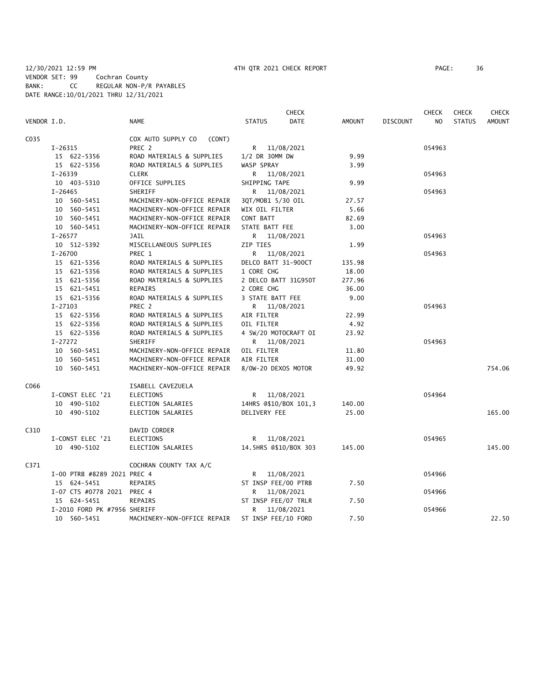|             |                              |                              | <b>CHECK</b>          |            |               |                 | <b>CHECK</b> | <b>CHECK</b>  | <b>CHECK</b>  |
|-------------|------------------------------|------------------------------|-----------------------|------------|---------------|-----------------|--------------|---------------|---------------|
| VENDOR I.D. |                              | <b>NAME</b>                  | <b>STATUS</b>         | DATE       | <b>AMOUNT</b> | <b>DISCOUNT</b> | NO           | <b>STATUS</b> | <b>AMOUNT</b> |
| C035        |                              | COX AUTO SUPPLY CO<br>(CONT) |                       |            |               |                 |              |               |               |
|             | I-26315                      | PREC 2                       | R 11/08/2021          |            |               |                 | 054963       |               |               |
|             | 15 622-5356                  | ROAD MATERIALS & SUPPLIES    | 1/2 DR 30MM DW        |            | 9.99          |                 |              |               |               |
|             | 15 622-5356                  | ROAD MATERIALS & SUPPLIES    | <b>WASP SPRAY</b>     |            | 3.99          |                 |              |               |               |
|             | $I - 26339$                  | <b>CLERK</b>                 | R 11/08/2021          |            |               |                 | 054963       |               |               |
|             | 10 403-5310                  | OFFICE SUPPLIES              | SHIPPING TAPE         |            | 9.99          |                 |              |               |               |
|             | $I - 26465$                  | <b>SHERIFF</b>               | R 11/08/2021          |            |               |                 | 054963       |               |               |
|             | 10 560-5451                  | MACHINERY-NON-OFFICE REPAIR  | 3QT/MOB1 5/30 OIL     |            | 27.57         |                 |              |               |               |
|             | 10 560-5451                  | MACHINERY-NON-OFFICE REPAIR  | WIX OIL FILTER        |            | 5.66          |                 |              |               |               |
|             | 10 560-5451                  | MACHINERY-NON-OFFICE REPAIR  | CONT BATT             |            | 82.69         |                 |              |               |               |
|             | 10 560-5451                  | MACHINERY-NON-OFFICE REPAIR  | STATE BATT FEE        |            | 3.00          |                 |              |               |               |
|             | $I - 26577$                  | <b>JAIL</b>                  | R 11/08/2021          |            |               |                 | 054963       |               |               |
|             | 10 512-5392                  | MISCELLANEOUS SUPPLIES       | ZIP TIES              |            | 1.99          |                 |              |               |               |
|             | $I - 26700$                  | PREC 1                       |                       | 11/08/2021 |               |                 | 054963       |               |               |
|             | 15 621-5356                  | ROAD MATERIALS & SUPPLIES    | DELCO BATT 31-900CT   |            | 135.98        |                 |              |               |               |
|             | 15 621-5356                  | ROAD MATERIALS & SUPPLIES    | 1 CORE CHG            |            | 18.00         |                 |              |               |               |
|             | 15 621-5356                  | ROAD MATERIALS & SUPPLIES    | 2 DELCO BATT 31G950T  |            | 277.96        |                 |              |               |               |
|             | 15 621-5451                  | <b>REPAIRS</b>               | 2 CORE CHG            |            | 36.00         |                 |              |               |               |
|             | 15 621-5356                  | ROAD MATERIALS & SUPPLIES    | 3 STATE BATT FEE      |            | 9.00          |                 |              |               |               |
|             | $I-27103$                    | PREC 2                       | R 11/08/2021          |            |               |                 | 054963       |               |               |
|             | 15 622-5356                  | ROAD MATERIALS & SUPPLIES    | AIR FILTER            |            | 22.99         |                 |              |               |               |
|             | 15 622-5356                  | ROAD MATERIALS & SUPPLIES    | OIL FILTER            |            | 4.92          |                 |              |               |               |
|             | 15 622-5356                  | ROAD MATERIALS & SUPPLIES    | 4 5W/20 MOTOCRAFT OI  |            | 23.92         |                 |              |               |               |
|             | I-27272                      | SHERIFF                      | R 11/08/2021          |            |               |                 | 054963       |               |               |
|             | 10 560-5451                  | MACHINERY-NON-OFFICE REPAIR  | OIL FILTER            |            | 11.80         |                 |              |               |               |
|             | 10 560-5451                  | MACHINERY-NON-OFFICE REPAIR  | AIR FILTER            |            | 31.00         |                 |              |               |               |
|             | 10 560-5451                  | MACHINERY-NON-OFFICE REPAIR  | 8/0W-20 DEXOS MOTOR   |            | 49.92         |                 |              |               | 754.06        |
| C066        |                              | ISABELL CAVEZUELA            |                       |            |               |                 |              |               |               |
|             | I-CONST ELEC '21             | <b>ELECTIONS</b>             | R 11/08/2021          |            |               |                 | 054964       |               |               |
|             | 10 490-5102                  | ELECTION SALARIES            | 14HRS @\$10/BOX 101,3 |            | 140.00        |                 |              |               |               |
|             | 10 490-5102                  | ELECTION SALARIES            | DELIVERY FEE          |            | 25.00         |                 |              |               | 165.00        |
| C310        |                              | DAVID CORDER                 |                       |            |               |                 |              |               |               |
|             | I-CONST ELEC '21             | <b>ELECTIONS</b>             | R 11/08/2021          |            |               |                 | 054965       |               |               |
|             | 10 490-5102                  | ELECTION SALARIES            | 14.5HRS @\$10/BOX 303 |            | 145.00        |                 |              |               | 145.00        |
| C371        |                              | COCHRAN COUNTY TAX A/C       |                       |            |               |                 |              |               |               |
|             | I-00 PTRB #8289 2021 PREC 4  |                              | R 11/08/2021          |            |               |                 | 054966       |               |               |
|             | 15 624-5451                  | <b>REPAIRS</b>               | ST INSP FEE/00 PTRB   |            | 7.50          |                 |              |               |               |
|             | I-07 CTS #0778 2021 PREC 4   |                              | R.                    | 11/08/2021 |               |                 | 054966       |               |               |
|             | 15 624-5451                  | REPAIRS                      | ST INSP FEE/07 TRLR   |            | 7.50          |                 |              |               |               |
|             | I-2010 FORD PK #7956 SHERIFF |                              | R                     | 11/08/2021 |               |                 | 054966       |               |               |
|             | 10 560-5451                  | MACHINERY-NON-OFFICE REPAIR  | ST INSP FEE/10 FORD   |            | 7.50          |                 |              |               | 22.50         |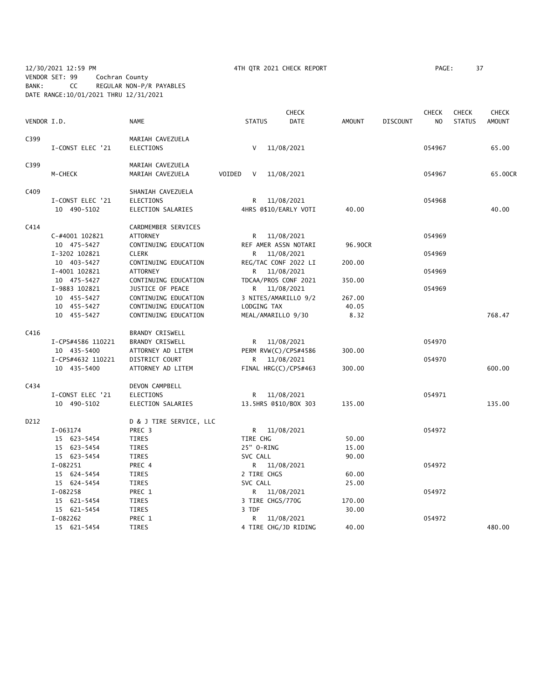12/30/2021 12:59 PM 4TH QTR 2021 CHECK REPORT PAGE: 37 VENDOR SET: 99 Cochran County BANK: CC REGULAR NON-P/R PAYABLES DATE RANGE:10/01/2021 THRU 12/31/2021

|             |                   |                         |                       | <b>CHECK</b> |               |                 | <b>CHECK</b> | <b>CHECK</b>  | <b>CHECK</b>  |
|-------------|-------------------|-------------------------|-----------------------|--------------|---------------|-----------------|--------------|---------------|---------------|
| VENDOR I.D. |                   | NAME                    | <b>STATUS</b>         | <b>DATE</b>  | <b>AMOUNT</b> | <b>DISCOUNT</b> | NO           | <b>STATUS</b> | <b>AMOUNT</b> |
| C399        |                   | MARIAH CAVEZUELA        |                       |              |               |                 |              |               |               |
|             | I-CONST ELEC '21  | <b>ELECTIONS</b>        | V                     | 11/08/2021   |               |                 | 054967       |               | 65.00         |
| C399        |                   | MARIAH CAVEZUELA        |                       |              |               |                 |              |               |               |
|             | M-CHECK           | MARIAH CAVEZUELA        | VOIDED<br>V           | 11/08/2021   |               |                 | 054967       |               | 65.00CR       |
| C409        |                   | SHANIAH CAVEZUELA       |                       |              |               |                 |              |               |               |
|             | I-CONST ELEC '21  | <b>ELECTIONS</b>        | R                     | 11/08/2021   |               |                 | 054968       |               |               |
|             | 10 490-5102       | ELECTION SALARIES       | 4HRS @\$10/EARLY VOTI |              | 40.00         |                 |              |               | 40.00         |
| C414        |                   | CARDMEMBER SERVICES     |                       |              |               |                 |              |               |               |
|             | C-#4001 102821    | <b>ATTORNEY</b>         | R 11/08/2021          |              |               |                 | 054969       |               |               |
|             | 10 475-5427       | CONTINUING EDUCATION    | REF AMER ASSN NOTARI  |              | 96.90CR       |                 |              |               |               |
|             | I-3202 102821     | <b>CLERK</b>            | R.                    | 11/08/2021   |               |                 | 054969       |               |               |
|             | 10 403-5427       | CONTINUING EDUCATION    | REG/TAC CONF 2022 LI  |              | 200.00        |                 |              |               |               |
|             | I-4001 102821     | <b>ATTORNEY</b>         | R.                    | 11/08/2021   |               |                 | 054969       |               |               |
|             | 10 475-5427       | CONTINUING EDUCATION    | TDCAA/PROS CONF 2021  |              | 350.00        |                 |              |               |               |
|             | I-9883 102821     | JUSTICE OF PEACE        | R 11/08/2021          |              |               |                 | 054969       |               |               |
|             | 10 455-5427       | CONTINUING EDUCATION    | 3 NITES/AMARILLO 9/2  |              | 267.00        |                 |              |               |               |
|             | 10 455-5427       | CONTINUING EDUCATION    | LODGING TAX           |              | 40.05         |                 |              |               |               |
|             | 10 455-5427       | CONTINUING EDUCATION    | MEAL/AMARILLO 9/30    |              | 8.32          |                 |              |               | 768.47        |
| C416        |                   | BRANDY CRISWELL         |                       |              |               |                 |              |               |               |
|             | I-CPS#4586 110221 | <b>BRANDY CRISWELL</b>  | R 11/08/2021          |              |               |                 | 054970       |               |               |
|             | 10 435-5400       | ATTORNEY AD LITEM       | PERM RVW(C)/CPS#4586  |              | 300.00        |                 |              |               |               |
|             | I-CPS#4632 110221 | DISTRICT COURT          | R                     | 11/08/2021   |               |                 | 054970       |               |               |
|             | 10 435-5400       | ATTORNEY AD LITEM       | FINAL HRG(C)/CPS#463  |              | 300.00        |                 |              |               | 600.00        |
| C434        |                   | DEVON CAMPBELL          |                       |              |               |                 |              |               |               |
|             | I-CONST ELEC '21  | <b>ELECTIONS</b>        | R                     | 11/08/2021   |               |                 | 054971       |               |               |
|             | 10 490-5102       | ELECTION SALARIES       | 13.5HRS @\$10/BOX 303 |              | 135.00        |                 |              |               | 135.00        |
| D212        |                   | D & J TIRE SERVICE, LLC |                       |              |               |                 |              |               |               |
|             | I-063174          | PREC 3                  | R 11/08/2021          |              |               |                 | 054972       |               |               |
|             | 15 623-5454       | TIRES                   | TIRE CHG              |              | 50.00         |                 |              |               |               |
|             | 15 623-5454       | TIRES                   | 25" O-RING            |              | 15.00         |                 |              |               |               |
|             | 15 623-5454       | <b>TIRES</b>            | SVC CALL              |              | 90.00         |                 |              |               |               |
|             | I-082251          | PREC 4                  |                       |              |               |                 | 054972       |               |               |
|             |                   |                         | R 11/08/2021          |              |               |                 |              |               |               |
|             | 15 624-5454       | TIRES                   | 2 TIRE CHGS           |              | 60.00         |                 |              |               |               |
|             | 15 624-5454       | <b>TIRES</b>            | SVC CALL              |              | 25.00         |                 |              |               |               |
|             | I-082258          | PREC 1                  | R.                    | 11/08/2021   |               |                 | 054972       |               |               |
|             | 15 621-5454       | TIRES                   | 3 TIRE CHGS/770G      |              | 170.00        |                 |              |               |               |
|             | 15 621-5454       | TIRES                   | 3 TDF                 |              | 30.00         |                 |              |               |               |
|             | I-082262          | PREC 1                  | R                     | 11/08/2021   |               |                 | 054972       |               |               |
|             | 15 621-5454       | <b>TIRES</b>            | 4 TIRE CHG/JD RIDING  |              | 40.00         |                 |              |               | 480.00        |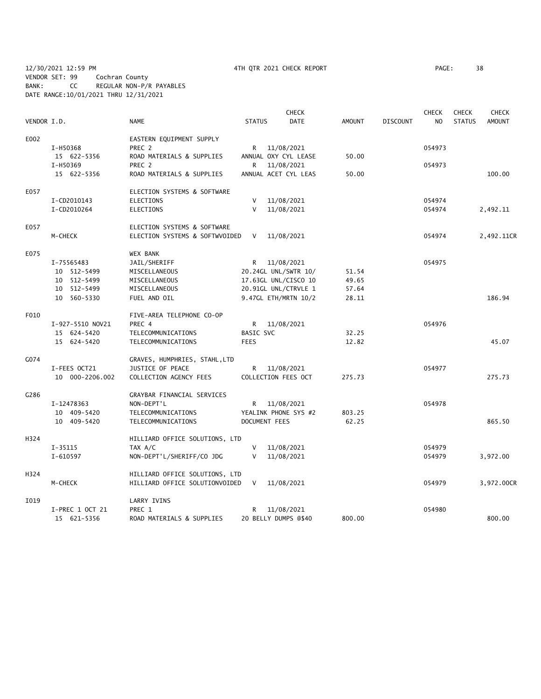12/30/2021 12:59 PM 4TH QTR 2021 CHECK REPORT PAGE: 38 VENDOR SET: 99 Cochran County BANK: CC REGULAR NON-P/R PAYABLES DATE RANGE:10/01/2021 THRU 12/31/2021

|             |                  |                                |                      | <b>CHECK</b> |        |                 | <b>CHECK</b> | <b>CHECK</b>  | <b>CHECK</b>  |
|-------------|------------------|--------------------------------|----------------------|--------------|--------|-----------------|--------------|---------------|---------------|
| VENDOR I.D. |                  | <b>NAME</b>                    | <b>STATUS</b>        | DATE         | AMOUNT | <b>DISCOUNT</b> | NO.          | <b>STATUS</b> | <b>AMOUNT</b> |
| E002        |                  | EASTERN EQUIPMENT SUPPLY       |                      |              |        |                 |              |               |               |
|             | I-H50368         | PREC 2                         | R.                   | 11/08/2021   |        |                 | 054973       |               |               |
|             | 15 622-5356      | ROAD MATERIALS & SUPPLIES      | ANNUAL OXY CYL LEASE |              | 50.00  |                 |              |               |               |
|             | I-H50369         | PREC 2                         | R                    | 11/08/2021   |        |                 | 054973       |               |               |
|             | 15 622-5356      | ROAD MATERIALS & SUPPLIES      | ANNUAL ACET CYL LEAS |              | 50.00  |                 |              |               | 100.00        |
| E057        |                  | ELECTION SYSTEMS & SOFTWARE    |                      |              |        |                 |              |               |               |
|             | I-CD2010143      | <b>ELECTIONS</b>               | V                    | 11/08/2021   |        |                 | 054974       |               |               |
|             | I-CD2010264      | <b>ELECTIONS</b>               | V                    | 11/08/2021   |        |                 | 054974       |               | 2,492.11      |
| E057        |                  | ELECTION SYSTEMS & SOFTWARE    |                      |              |        |                 |              |               |               |
|             | M-CHECK          | ELECTION SYSTEMS & SOFTWVOIDED | $\vee$               | 11/08/2021   |        |                 | 054974       |               | 2,492.11CR    |
| E075        |                  | <b>WEX BANK</b>                |                      |              |        |                 |              |               |               |
|             | I-75565483       | JAIL/SHERIFF                   | R                    | 11/08/2021   |        |                 | 054975       |               |               |
|             | 10 512-5499      | MISCELLANEOUS                  | 20.24GL UNL/SWTR 10/ |              | 51.54  |                 |              |               |               |
|             | 10 512-5499      | MISCELLANEOUS                  | 17.63GL UNL/CISCO 10 |              | 49.65  |                 |              |               |               |
|             | 10 512-5499      | MISCELLANEOUS                  | 20.91GL UNL/CTRVLE 1 |              | 57.64  |                 |              |               |               |
|             | 10 560-5330      | FUEL AND OIL                   | 9.47GL ETH/MRTN 10/2 |              | 28.11  |                 |              |               | 186.94        |
| F010        |                  | FIVE-AREA TELEPHONE CO-OP      |                      |              |        |                 |              |               |               |
|             | I-927-5510 NOV21 | PREC 4                         | R.                   | 11/08/2021   |        |                 | 054976       |               |               |
|             | 15 624-5420      | TELECOMMUNICATIONS             | <b>BASIC SVC</b>     |              | 32.25  |                 |              |               |               |
|             | 15 624-5420      | TELECOMMUNICATIONS             | <b>FEES</b>          |              | 12.82  |                 |              |               | 45.07         |
| G074        |                  | GRAVES, HUMPHRIES, STAHL, LTD  |                      |              |        |                 |              |               |               |
|             | I-FEES OCT21     | JUSTICE OF PEACE               | R                    | 11/08/2021   |        |                 | 054977       |               |               |
|             | 10 000-2206.002  | COLLECTION AGENCY FEES         | COLLECTION FEES OCT  |              | 275.73 |                 |              |               | 275.73        |
| G286        |                  | GRAYBAR FINANCIAL SERVICES     |                      |              |        |                 |              |               |               |
|             | I-12478363       | NON-DEPT'L                     | R 11/08/2021         |              |        |                 | 054978       |               |               |
|             | 10 409-5420      | TELECOMMUNICATIONS             | YEALINK PHONE SYS #2 |              | 803.25 |                 |              |               |               |
|             | 10 409-5420      | TELECOMMUNICATIONS             | <b>DOCUMENT FEES</b> |              | 62.25  |                 |              |               | 865.50        |
| H324        |                  | HILLIARD OFFICE SOLUTIONS, LTD |                      |              |        |                 |              |               |               |
|             | $I-35115$        | TAX A/C                        | V                    | 11/08/2021   |        |                 | 054979       |               |               |
|             | I-610597         | NON-DEPT'L/SHERIFF/CO JDG      | V                    | 11/08/2021   |        |                 | 054979       |               | 3,972.00      |
| H324        |                  | HILLIARD OFFICE SOLUTIONS, LTD |                      |              |        |                 |              |               |               |
|             | M-CHECK          | HILLIARD OFFICE SOLUTIONVOIDED | $\vee$               | 11/08/2021   |        |                 | 054979       |               | 3,972.00CR    |
| I019        |                  | LARRY IVINS                    |                      |              |        |                 |              |               |               |
|             | I-PREC 1 OCT 21  | PREC 1                         | R                    | 11/08/2021   |        |                 | 054980       |               |               |
|             | 15 621-5356      | ROAD MATERIALS & SUPPLIES      | 20 BELLY DUMPS @\$40 |              | 800.00 |                 |              |               | 800.00        |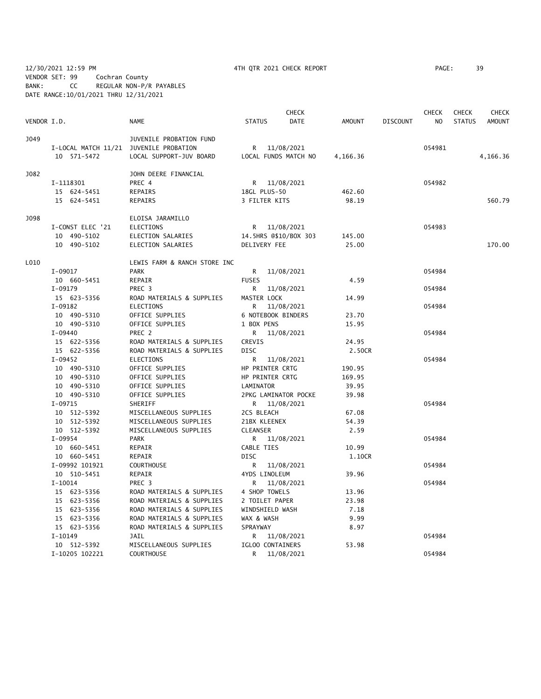12/30/2021 12:59 PM 4TH QTR 2021 CHECK REPORT PAGE: 39 VENDOR SET: 99 Cochran County BANK: CC REGULAR NON-P/R PAYABLES DATE RANGE:10/01/2021 THRU 12/31/2021

|             |                                        |                              |                    | <b>CHECK</b>          |          |                 | CHECK  | <b>CHECK</b>  | <b>CHECK</b>  |
|-------------|----------------------------------------|------------------------------|--------------------|-----------------------|----------|-----------------|--------|---------------|---------------|
| VENDOR I.D. |                                        | NAME                         | <b>STATUS</b>      | <b>DATE</b>           | AMOUNT   | <b>DISCOUNT</b> | NO.    | <b>STATUS</b> | <b>AMOUNT</b> |
| J049        |                                        | JUVENILE PROBATION FUND      |                    |                       |          |                 |        |               |               |
|             | I-LOCAL MATCH 11/21 JUVENILE PROBATION |                              |                    | R 11/08/2021          |          |                 | 054981 |               |               |
|             | 10 571-5472                            | LOCAL SUPPORT-JUV BOARD      |                    | LOCAL FUNDS MATCH NO  | 4,166.36 |                 |        |               | 4,166.36      |
| J082        |                                        | JOHN DEERE FINANCIAL         |                    |                       |          |                 |        |               |               |
|             | I-1118301                              | PREC 4                       |                    | R 11/08/2021          |          |                 | 054982 |               |               |
|             | 15 624-5451                            | REPAIRS                      | 18GL PLUS-50       |                       | 462.60   |                 |        |               |               |
|             | 15 624-5451                            | REPAIRS                      | 3 FILTER KITS      |                       | 98.19    |                 |        |               | 560.79        |
| J098        |                                        | ELOISA JARAMILLO             |                    |                       |          |                 |        |               |               |
|             | I-CONST ELEC '21                       | ELECTIONS                    |                    | R 11/08/2021          |          |                 | 054983 |               |               |
|             | 10 490-5102                            | ELECTION SALARIES            |                    | 14.5HRS @\$10/BOX 303 | 145.00   |                 |        |               |               |
|             | 10 490-5102                            | ELECTION SALARIES            | DELIVERY FEE       |                       | 25.00    |                 |        |               | 170.00        |
| L010        |                                        | LEWIS FARM & RANCH STORE INC |                    |                       |          |                 |        |               |               |
|             | I-09017                                | <b>PARK</b>                  |                    | R 11/08/2021          |          |                 | 054984 |               |               |
|             | 10 660-5451                            | REPAIR                       | <b>FUSES</b>       |                       | 4.59     |                 |        |               |               |
|             | $I-09179$                              | PREC <sub>3</sub>            |                    | R 11/08/2021          |          |                 | 054984 |               |               |
|             | 15 623-5356                            | ROAD MATERIALS & SUPPLIES    | MASTER LOCK        |                       | 14.99    |                 |        |               |               |
|             | $I-09182$                              | ELECTIONS                    |                    | R 11/08/2021          |          |                 | 054984 |               |               |
|             | 10 490-5310                            | OFFICE SUPPLIES              | 6 NOTEBOOK BINDERS |                       | 23.70    |                 |        |               |               |
|             | 10 490-5310                            | OFFICE SUPPLIES              | 1 BOX PENS         |                       | 15.95    |                 |        |               |               |
|             | $I-09440$                              | PREC 2                       |                    | R 11/08/2021          |          |                 | 054984 |               |               |
|             | 15 622-5356                            | ROAD MATERIALS & SUPPLIES    | CREVIS             |                       | 24.95    |                 |        |               |               |
|             | 15 622-5356                            | ROAD MATERIALS & SUPPLIES    | DISC               |                       | 2.50CR   |                 |        |               |               |
|             | $I-09452$                              | ELECTIONS                    |                    | R 11/08/2021          |          |                 | 054984 |               |               |
|             | 10 490-5310                            | OFFICE SUPPLIES              | HP PRINTER CRTG    |                       | 190.95   |                 |        |               |               |
|             | 10 490-5310                            | OFFICE SUPPLIES              | HP PRINTER CRTG    |                       | 169.95   |                 |        |               |               |
|             | 10 490-5310                            | OFFICE SUPPLIES              | LAMINATOR          |                       | 39.95    |                 |        |               |               |
|             | 10 490-5310                            | OFFICE SUPPLIES              |                    | 2PKG LAMINATOR POCKE  | 39.98    |                 |        |               |               |
|             | I-09715                                | SHERIFF                      |                    | R 11/08/2021          |          |                 | 054984 |               |               |
|             | 10 512-5392                            | MISCELLANEOUS SUPPLIES       | 2CS BLEACH         |                       | 67.08    |                 |        |               |               |
|             | 10 512-5392                            | MISCELLANEOUS SUPPLIES       | 21BX KLEENEX       |                       | 54.39    |                 |        |               |               |
|             | 10 512-5392                            | MISCELLANEOUS SUPPLIES       | CLEANSER           |                       | 2.59     |                 |        |               |               |
|             | I-09954                                | PARK                         |                    | R 11/08/2021          |          |                 | 054984 |               |               |
|             | 10 660-5451                            | REPAIR                       | CABLE TIES         |                       | 10.99    |                 |        |               |               |
|             | 10 660-5451                            | REPAIR                       | <b>DISC</b>        |                       | 1.10CR   |                 |        |               |               |
|             | I-09992 101921                         | <b>COURTHOUSE</b>            |                    | R 11/08/2021          |          |                 | 054984 |               |               |
|             | 10 510-5451                            | REPAIR                       | 4YDS LINOLEUM      |                       | 39.96    |                 |        |               |               |
|             | $I-10014$                              | PREC 3                       | R                  | 11/08/2021            |          |                 | 054984 |               |               |
|             | 15 623-5356                            | ROAD MATERIALS & SUPPLIES    | 4 SHOP TOWELS      |                       | 13.96    |                 |        |               |               |
|             | 15 623-5356                            | ROAD MATERIALS & SUPPLIES    | 2 TOILET PAPER     |                       | 23.98    |                 |        |               |               |
|             | 15 623-5356                            | ROAD MATERIALS & SUPPLIES    | WINDSHIELD WASH    |                       | 7.18     |                 |        |               |               |
|             | 15 623-5356                            | ROAD MATERIALS & SUPPLIES    | WAX & WASH         |                       | 9.99     |                 |        |               |               |
|             | 15 623-5356                            | ROAD MATERIALS & SUPPLIES    | SPRAYWAY           |                       | 8.97     |                 |        |               |               |
|             | $I-10149$                              | JAIL                         |                    | R 11/08/2021          |          |                 | 054984 |               |               |
|             | 10 512-5392                            | MISCELLANEOUS SUPPLIES       | IGLOO CONTAINERS   |                       | 53.98    |                 |        |               |               |
|             | I-10205 102221                         | <b>COURTHOUSE</b>            | R.                 | 11/08/2021            |          |                 | 054984 |               |               |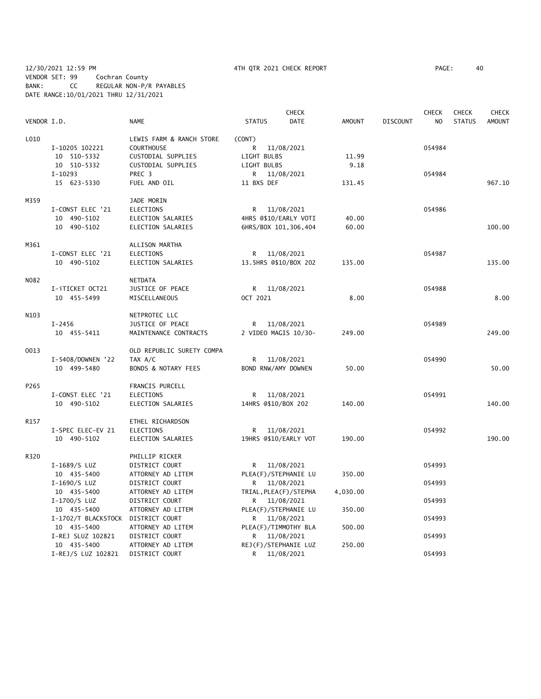|             |                     |                           |                       | <b>CHECK</b>           |               |                 | <b>CHECK</b>   | <b>CHECK</b>  | <b>CHECK</b>  |
|-------------|---------------------|---------------------------|-----------------------|------------------------|---------------|-----------------|----------------|---------------|---------------|
| VENDOR I.D. |                     | <b>NAME</b>               | <b>STATUS</b>         | <b>DATE</b>            | <b>AMOUNT</b> | <b>DISCOUNT</b> | N <sub>O</sub> | <b>STATUS</b> | <b>AMOUNT</b> |
| L010        |                     | LEWIS FARM & RANCH STORE  | (CONT)                |                        |               |                 |                |               |               |
|             | I-10205 102221      | <b>COURTHOUSE</b>         | R                     | 11/08/2021             |               |                 | 054984         |               |               |
|             | 10 510-5332         | CUSTODIAL SUPPLIES        | LIGHT BULBS           |                        | 11.99         |                 |                |               |               |
|             | 10 510-5332         | CUSTODIAL SUPPLIES        | LIGHT BULBS           |                        | 9.18          |                 |                |               |               |
|             | $I-10293$           | PREC 3                    | R                     | 11/08/2021             |               |                 | 054984         |               |               |
|             | 15 623-5330         | FUEL AND OIL              | 11 BXS DEF            |                        | 131.45        |                 |                |               | 967.10        |
| M359        |                     | JADE MORIN                |                       |                        |               |                 |                |               |               |
|             | I-CONST ELEC '21    | <b>ELECTIONS</b>          | R                     | 11/08/2021             |               |                 | 054986         |               |               |
|             | 10 490-5102         | ELECTION SALARIES         | 4HRS @\$10/EARLY VOTI |                        | 40.00         |                 |                |               |               |
|             | 10 490-5102         | ELECTION SALARIES         |                       | 6HRS/BOX 101, 306, 404 | 60.00         |                 |                |               | 100.00        |
| M361        |                     | ALLISON MARTHA            |                       |                        |               |                 |                |               |               |
|             | I-CONST ELEC '21    | <b>ELECTIONS</b>          | R                     | 11/08/2021             |               |                 | 054987         |               |               |
|             | 10 490-5102         | ELECTION SALARIES         | 13.5HRS @\$10/BOX 202 |                        | 135.00        |                 |                |               | 135.00        |
| N082        |                     | NETDATA                   |                       |                        |               |                 |                |               |               |
|             | I-iTICKET OCT21     | JUSTICE OF PEACE          | R                     | 11/08/2021             |               |                 | 054988         |               |               |
|             | 10 455-5499         | MISCELLANEOUS             | OCT 2021              |                        | 8.00          |                 |                |               | 8.00          |
|             |                     |                           |                       |                        |               |                 |                |               |               |
| N103        |                     | NETPROTEC LLC             |                       |                        |               |                 |                |               |               |
|             | $I - 2456$          | JUSTICE OF PEACE          | R.                    | 11/08/2021             |               |                 | 054989         |               |               |
|             | 10 455-5411         | MAINTENANCE CONTRACTS     | 2 VIDEO MAGIS 10/30-  |                        | 249.00        |                 |                |               | 249.00        |
| 0013        |                     | OLD REPUBLIC SURETY COMPA |                       |                        |               |                 |                |               |               |
|             | I-5408/DOWNEN '22   | TAX A/C                   | R                     | 11/08/2021             |               |                 | 054990         |               |               |
|             | 10 499-5480         | BONDS & NOTARY FEES       | BOND RNW/AMY DOWNEN   |                        | 50.00         |                 |                |               | 50.00         |
| P265        |                     | FRANCIS PURCELL           |                       |                        |               |                 |                |               |               |
|             | I-CONST ELEC '21    | <b>ELECTIONS</b>          | R                     | 11/08/2021             |               |                 | 054991         |               |               |
|             | 10 490-5102         | ELECTION SALARIES         | 14HRS @\$10/BOX 202   |                        | 140.00        |                 |                |               | 140.00        |
| R157        |                     | ETHEL RICHARDSON          |                       |                        |               |                 |                |               |               |
|             | I-SPEC ELEC-EV 21   | <b>ELECTIONS</b>          | R                     | 11/08/2021             |               |                 | 054992         |               |               |
|             | 10 490-5102         | ELECTION SALARIES         | 19HRS @\$10/EARLY VOT |                        | 190.00        |                 |                |               | 190.00        |
| R320        |                     | PHILLIP RICKER            |                       |                        |               |                 |                |               |               |
|             | I-1689/S LUZ        | DISTRICT COURT            | R                     | 11/08/2021             |               |                 | 054993         |               |               |
|             | 10 435-5400         | ATTORNEY AD LITEM         | PLEA(F)/STEPHANIE LU  |                        | 350.00        |                 |                |               |               |
|             | I-1690/S LUZ        | DISTRICT COURT            | R                     | 11/08/2021             |               |                 | 054993         |               |               |
|             | 10 435-5400         | ATTORNEY AD LITEM         | TRIAL, PLEA(F)/STEPHA |                        | 4,030.00      |                 |                |               |               |
|             | I-1700/S LUZ        | DISTRICT COURT            | R 11/08/2021          |                        |               |                 | 054993         |               |               |
|             | 10 435-5400         | ATTORNEY AD LITEM         | PLEA(F)/STEPHANIE LU  |                        | 350.00        |                 |                |               |               |
|             | I-1702/T BLACKSTOCK | DISTRICT COURT            | R 11/08/2021          |                        |               |                 | 054993         |               |               |
|             | 10 435-5400         | ATTORNEY AD LITEM         | PLEA(F)/TIMMOTHY BLA  |                        | 500.00        |                 |                |               |               |
|             | I-REJ SLUZ 102821   | DISTRICT COURT            | R                     | 11/08/2021             |               |                 | 054993         |               |               |
|             | 10 435-5400         | ATTORNEY AD LITEM         |                       | REJ(F)/STEPHANIE LUZ   | 250.00        |                 |                |               |               |
|             | I-REJ/S LUZ 102821  | DISTRICT COURT            | R                     | 11/08/2021             |               |                 | 054993         |               |               |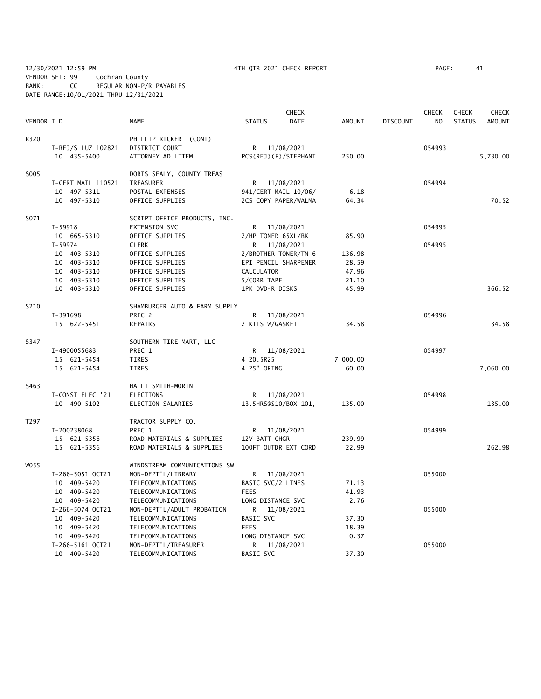12/30/2021 12:59 PM 4TH QTR 2021 CHECK REPORT PAGE: 41 VENDOR SET: 99 Cochran County BANK: CC REGULAR NON-P/R PAYABLES DATE RANGE:10/01/2021 THRU 12/31/2021

|             |                    |                               |                       | <b>CHECK</b>         |               |                 | <b>CHECK</b> | <b>CHECK</b>  | <b>CHECK</b>  |
|-------------|--------------------|-------------------------------|-----------------------|----------------------|---------------|-----------------|--------------|---------------|---------------|
| VENDOR I.D. |                    | <b>NAME</b>                   | <b>STATUS</b>         | <b>DATE</b>          | <b>AMOUNT</b> | <b>DISCOUNT</b> | NO           | <b>STATUS</b> | <b>AMOUNT</b> |
| R320        |                    | PHILLIP RICKER (CONT)         |                       |                      |               |                 |              |               |               |
|             | I-REJ/S LUZ 102821 | DISTRICT COURT                |                       | R 11/08/2021         |               |                 | 054993       |               |               |
|             | 10 435-5400        | ATTORNEY AD LITEM             |                       | PCS(REJ)(F)/STEPHANI | 250.00        |                 |              |               | 5,730.00      |
| S005        |                    | DORIS SEALY, COUNTY TREAS     |                       |                      |               |                 |              |               |               |
|             | I-CERT MAIL 110521 | TREASURER                     |                       | R 11/08/2021         |               |                 | 054994       |               |               |
|             | 10 497-5311        | POSTAL EXPENSES               |                       | 941/CERT MAIL 10/06/ | 6.18          |                 |              |               |               |
|             | 10 497-5310        | OFFICE SUPPLIES               |                       | 2CS COPY PAPER/WALMA | 64.34         |                 |              |               | 70.52         |
| S071        |                    | SCRIPT OFFICE PRODUCTS, INC.  |                       |                      |               |                 |              |               |               |
|             | I-59918            | EXTENSION SVC                 |                       | R 11/08/2021         |               |                 | 054995       |               |               |
|             | 10 665-5310        | OFFICE SUPPLIES               | 2/HP TONER 65XL/BK    |                      | 85.90         |                 |              |               |               |
|             | $I - 59974$        | <b>CLERK</b>                  |                       | R 11/08/2021         |               |                 | 054995       |               |               |
|             | 10 403-5310        | OFFICE SUPPLIES               | 2/BROTHER TONER/TN 6  |                      | 136.98        |                 |              |               |               |
|             | 10 403-5310        | OFFICE SUPPLIES               | EPI PENCIL SHARPENER  |                      | 28.59         |                 |              |               |               |
|             | 10 403-5310        | OFFICE SUPPLIES               | CALCULATOR            |                      | 47.96         |                 |              |               |               |
|             | 10 403-5310        | OFFICE SUPPLIES               | 5/CORR TAPE           |                      | 21.10         |                 |              |               |               |
|             | 10 403-5310        | OFFICE SUPPLIES               | 1PK DVD-R DISKS       |                      | 45.99         |                 |              |               | 366.52        |
| S210        |                    | SHAMBURGER AUTO & FARM SUPPLY |                       |                      |               |                 |              |               |               |
|             | I-391698           | PREC 2                        |                       | R 11/08/2021         |               |                 | 054996       |               |               |
|             | 15 622-5451        | REPAIRS                       | 2 KITS W/GASKET       |                      | 34.58         |                 |              |               | 34.58         |
| S347        |                    | SOUTHERN TIRE MART, LLC       |                       |                      |               |                 |              |               |               |
|             | I-4900055683       | PREC 1                        |                       | R 11/08/2021         |               |                 | 054997       |               |               |
|             | 15 621-5454        | TIRES                         | 4 20.5R25             |                      | 7,000.00      |                 |              |               |               |
|             | 15 621-5454        | TIRES                         | 4 25" ORING           |                      | 60.00         |                 |              |               | 7,060.00      |
| S463        |                    | HAILI SMITH-MORIN             |                       |                      |               |                 |              |               |               |
|             | I-CONST ELEC '21   | ELECTIONS                     |                       | R 11/08/2021         |               |                 | 054998       |               |               |
|             | 10 490-5102        | ELECTION SALARIES             | 13.5HRS@\$10/BOX 101, |                      | 135.00        |                 |              |               | 135.00        |
| T297        |                    | TRACTOR SUPPLY CO.            |                       |                      |               |                 |              |               |               |
|             | I-200238068        | PREC 1                        |                       | R 11/08/2021         |               |                 | 054999       |               |               |
|             | 15 621-5356        | ROAD MATERIALS & SUPPLIES     | 12V BATT CHGR         |                      | 239.99        |                 |              |               |               |
|             | 15 621-5356        | ROAD MATERIALS & SUPPLIES     | 100FT OUTDR EXT CORD  |                      | 22.99         |                 |              |               | 262.98        |
| W055        |                    | WINDSTREAM COMMUNICATIONS SW  |                       |                      |               |                 |              |               |               |
|             | I-266-5051 OCT21   | NON-DEPT'L/LIBRARY            |                       | R 11/08/2021         |               |                 | 055000       |               |               |
|             | 10 409-5420        | TELECOMMUNICATIONS            | BASIC SVC/2 LINES     |                      | 71.13         |                 |              |               |               |
|             | 10 409-5420        | TELECOMMUNICATIONS            | <b>FEES</b>           |                      | 41.93         |                 |              |               |               |
|             | 10 409-5420        | TELECOMMUNICATIONS            | LONG DISTANCE SVC     |                      | 2.76          |                 |              |               |               |
|             | I-266-5074 OCT21   | NON-DEPT'L/ADULT PROBATION    | R                     | 11/08/2021           |               |                 | 055000       |               |               |
|             | 10 409-5420        | TELECOMMUNICATIONS            | BASIC SVC             |                      | 37.30         |                 |              |               |               |
|             | 10 409-5420        | TELECOMMUNICATIONS            | <b>FEES</b>           |                      | 18.39         |                 |              |               |               |
|             | 10 409-5420        | TELECOMMUNICATIONS            | LONG DISTANCE SVC     |                      | 0.37          |                 |              |               |               |
|             | I-266-5161 OCT21   | NON-DEPT'L/TREASURER          | R                     | 11/08/2021           |               |                 | 055000       |               |               |

10 409-5420 TELECOMMUNICATIONS BASIC SVC 37.30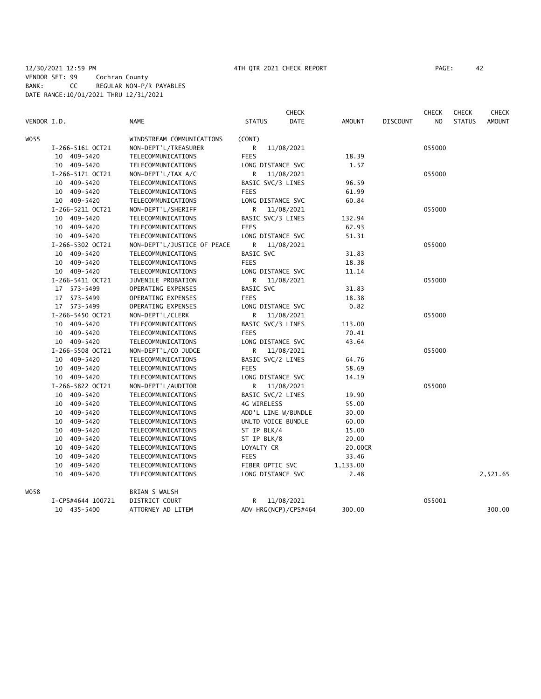|             |                   |                             |                     | <b>CHECK</b>         |               |                 | <b>CHECK</b>   | <b>CHECK</b>  | <b>CHECK</b>  |
|-------------|-------------------|-----------------------------|---------------------|----------------------|---------------|-----------------|----------------|---------------|---------------|
| VENDOR I.D. |                   | <b>NAME</b>                 | <b>STATUS</b>       | DATE                 | <b>AMOUNT</b> | <b>DISCOUNT</b> | N <sub>O</sub> | <b>STATUS</b> | <b>AMOUNT</b> |
| W055        |                   | WINDSTREAM COMMUNICATIONS   | (CONT)              |                      |               |                 |                |               |               |
|             | I-266-5161 OCT21  | NON-DEPT'L/TREASURER        | R                   | 11/08/2021           |               |                 | 055000         |               |               |
|             | 10 409-5420       | TELECOMMUNICATIONS          | <b>FEES</b>         |                      | 18.39         |                 |                |               |               |
|             | 10 409-5420       | TELECOMMUNICATIONS          | LONG DISTANCE SVC   |                      | 1.57          |                 |                |               |               |
|             | I-266-5171 OCT21  | NON-DEPT'L/TAX A/C          | R                   | 11/08/2021           |               |                 | 055000         |               |               |
|             | 10 409-5420       | TELECOMMUNICATIONS          | BASIC SVC/3 LINES   |                      | 96.59         |                 |                |               |               |
|             | 10 409-5420       | TELECOMMUNICATIONS          | <b>FEES</b>         |                      | 61.99         |                 |                |               |               |
|             | 10 409-5420       | TELECOMMUNICATIONS          | LONG DISTANCE SVC   |                      | 60.84         |                 |                |               |               |
|             | I-266-5211 OCT21  | NON-DEPT'L/SHERIFF          |                     | R 11/08/2021         |               |                 | 055000         |               |               |
|             | 10 409-5420       | TELECOMMUNICATIONS          | BASIC SVC/3 LINES   |                      | 132.94        |                 |                |               |               |
|             | 10 409-5420       | TELECOMMUNICATIONS          | <b>FEES</b>         |                      | 62.93         |                 |                |               |               |
|             | 10 409-5420       | TELECOMMUNICATIONS          | LONG DISTANCE SVC   |                      | 51.31         |                 |                |               |               |
|             | I-266-5302 OCT21  | NON-DEPT'L/JUSTICE OF PEACE |                     | R 11/08/2021         |               |                 | 055000         |               |               |
|             | 10 409-5420       | TELECOMMUNICATIONS          | <b>BASIC SVC</b>    |                      | 31.83         |                 |                |               |               |
|             | 10 409-5420       | TELECOMMUNICATIONS          | <b>FEES</b>         |                      | 18.38         |                 |                |               |               |
|             | 10 409-5420       | TELECOMMUNICATIONS          | LONG DISTANCE SVC   |                      | 11.14         |                 |                |               |               |
|             | I-266-5411 OCT21  | JUVENILE PROBATION          |                     | R 11/08/2021         |               |                 | 055000         |               |               |
|             | 17 573-5499       | OPERATING EXPENSES          | BASIC SVC           |                      | 31.83         |                 |                |               |               |
|             | 17 573-5499       | OPERATING EXPENSES          | <b>FEES</b>         |                      | 18.38         |                 |                |               |               |
|             | 17 573-5499       | OPERATING EXPENSES          | LONG DISTANCE SVC   |                      | 0.82          |                 |                |               |               |
|             | I-266-5450 OCT21  | NON-DEPT'L/CLERK            | R                   | 11/08/2021           |               |                 | 055000         |               |               |
|             | 10 409-5420       | TELECOMMUNICATIONS          | BASIC SVC/3 LINES   |                      | 113.00        |                 |                |               |               |
|             | 10 409-5420       | TELECOMMUNICATIONS          | <b>FEES</b>         |                      | 70.41         |                 |                |               |               |
|             | 10 409-5420       | TELECOMMUNICATIONS          | LONG DISTANCE SVC   |                      | 43.64         |                 |                |               |               |
|             | I-266-5508 OCT21  | NON-DEPT'L/CO JUDGE         |                     | R 11/08/2021         |               |                 | 055000         |               |               |
|             | 10 409-5420       | TELECOMMUNICATIONS          | BASIC SVC/2 LINES   |                      | 64.76         |                 |                |               |               |
|             | 10 409-5420       | TELECOMMUNICATIONS          | <b>FEES</b>         |                      | 58.69         |                 |                |               |               |
|             | 10 409-5420       | TELECOMMUNICATIONS          | LONG DISTANCE SVC   |                      | 14.19         |                 |                |               |               |
|             | I-266-5822 OCT21  | NON-DEPT'L/AUDITOR          | R                   | 11/08/2021           |               |                 | 055000         |               |               |
|             | 10 409-5420       | TELECOMMUNICATIONS          | BASIC SVC/2 LINES   |                      | 19.90         |                 |                |               |               |
|             | 10 409-5420       | TELECOMMUNICATIONS          | 4G WIRELESS         |                      | 55.00         |                 |                |               |               |
|             | 10 409-5420       | TELECOMMUNICATIONS          | ADD'L LINE W/BUNDLE |                      | 30.00         |                 |                |               |               |
|             | 409-5420<br>10    | TELECOMMUNICATIONS          | UNLTD VOICE BUNDLE  |                      | 60.00         |                 |                |               |               |
|             | 409-5420<br>10    | TELECOMMUNICATIONS          | ST IP BLK/4         |                      | 15.00         |                 |                |               |               |
|             | 10 409-5420       | TELECOMMUNICATIONS          | ST IP BLK/8         |                      | 20.00         |                 |                |               |               |
|             | 409-5420<br>10    | TELECOMMUNICATIONS          | LOYALTY CR          |                      | 20.00CR       |                 |                |               |               |
|             | 409-5420<br>10    | TELECOMMUNICATIONS          | <b>FEES</b>         |                      | 33.46         |                 |                |               |               |
|             | 10 409-5420       | TELECOMMUNICATIONS          | FIBER OPTIC SVC     |                      | 1,133.00      |                 |                |               |               |
|             | 10 409-5420       | TELECOMMUNICATIONS          | LONG DISTANCE SVC   |                      | 2.48          |                 |                |               | 2,521.65      |
| WO58        |                   | BRIAN S WALSH               |                     |                      |               |                 |                |               |               |
|             | I-CPS#4644 100721 | DISTRICT COURT              | R                   | 11/08/2021           |               |                 | 055001         |               |               |
|             | 10 435-5400       | ATTORNEY AD LITEM           |                     | ADV HRG(NCP)/CPS#464 | 300.00        |                 |                |               | 300.00        |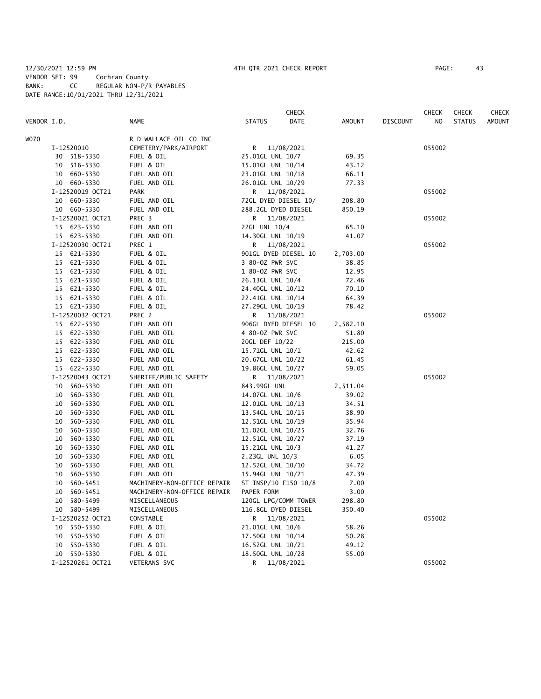## 12/30/2021 12:59 PM 4TH QTR 2021 CHECK REPORT PAGE: 43 VENDOR SET: 99 Cochran County BANK: CC REGULAR NON-P/R PAYABLES DATE RANGE:10/01/2021 THRU 12/31/2021

|             |                  |                             | <b>CHECK</b>          |               |                 | CHECK  | <b>CHECK</b>  | <b>CHECK</b>  |
|-------------|------------------|-----------------------------|-----------------------|---------------|-----------------|--------|---------------|---------------|
| VENDOR I.D. |                  | <b>NAME</b>                 | <b>STATUS</b><br>DATE | <b>AMOUNT</b> | <b>DISCOUNT</b> | NO     | <b>STATUS</b> | <b>AMOUNT</b> |
| WO70        |                  | R D WALLACE OIL CO INC      |                       |               |                 |        |               |               |
|             | I-12520010       | CEMETERY/PARK/AIRPORT       | R 11/08/2021          |               |                 | 055002 |               |               |
|             | 30 518-5330      | FUEL & OIL                  | 25.01GL UNL 10/7      | 69.35         |                 |        |               |               |
|             | 10 516-5330      | FUEL & OIL                  | 15.01GL UNL 10/14     | 43.12         |                 |        |               |               |
|             | 10 660-5330      | FUEL AND OIL                | 23.01GL UNL 10/18     | 66.11         |                 |        |               |               |
|             | 10 660-5330      | FUEL AND OIL                | 26.01GL UNL 10/29     | 77.33         |                 |        |               |               |
|             | I-12520019 OCT21 | <b>PARK</b>                 | R 11/08/2021          |               |                 | 055002 |               |               |
|             | 10 660-5330      | FUEL AND OIL                | 72GL DYED DIESEL 10/  | 208.80        |                 |        |               |               |
|             | 10 660-5330      | FUEL AND OIL                | 288.2GL DYED DIESEL   | 850.19        |                 |        |               |               |
|             | I-12520021 OCT21 | PREC 3                      | R.<br>11/08/2021      |               |                 | 055002 |               |               |
|             | 15 623-5330      | FUEL AND OIL                | 22GL UNL 10/4         | 65.10         |                 |        |               |               |
|             | 15 623-5330      | FUEL AND OIL                | 14.30GL UNL 10/19     | 41.07         |                 |        |               |               |
|             | I-12520030 OCT21 | PREC 1                      | R 11/08/2021          |               |                 | 055002 |               |               |
|             | 15 621-5330      | FUEL & OIL                  | 901GL DYED DIESEL 10  | 2,703.00      |                 |        |               |               |
|             | 15 621-5330      | FUEL & OIL                  | 3 80-0Z PWR SVC       | 38.85         |                 |        |               |               |
|             | 15 621-5330      | FUEL & OIL                  | 1 80-0Z PWR SVC       | 12.95         |                 |        |               |               |
|             | 15 621-5330      | FUEL & OIL                  | 26.13GL UNL 10/4      | 72.46         |                 |        |               |               |
|             | 15 621-5330      | FUEL & OIL                  | 24.40GL UNL 10/12     | 70.10         |                 |        |               |               |
|             | 15 621-5330      | FUEL & OIL                  | 22.41GL UNL 10/14     | 64.39         |                 |        |               |               |
|             | 15 621-5330      | FUEL & OIL                  | 27.29GL UNL 10/19     | 78.42         |                 |        |               |               |
|             | I-12520032 OCT21 | PREC 2                      | R<br>11/08/2021       |               |                 | 055002 |               |               |
|             | 15 622-5330      | FUEL AND OIL                | 906GL DYED DIESEL 10  | 2,582.10      |                 |        |               |               |
|             | 15 622-5330      | FUEL AND OIL                | 4 80-0Z PWR SVC       | 51.80         |                 |        |               |               |
|             | 15 622-5330      | FUEL AND OIL                | 20GL DEF 10/22        | 215.00        |                 |        |               |               |
|             | 15 622-5330      | FUEL AND OIL                | 15.71GL UNL 10/1      | 42.62         |                 |        |               |               |
|             | 15 622-5330      | FUEL AND OIL                | 20.67GL UNL 10/22     | 61.45         |                 |        |               |               |
|             | 15 622-5330      | FUEL AND OIL                | 19.86GL UNL 10/27     | 59.05         |                 |        |               |               |
|             | I-12520043 OCT21 | SHERIFF/PUBLIC SAFETY       | R 11/08/2021          |               |                 | 055002 |               |               |
|             | 10 560-5330      | FUEL AND OIL                | 843.99GL UNL          | 2,511.04      |                 |        |               |               |
|             | 10 560-5330      | FUEL AND OIL                | 14.07GL UNL 10/6      | 39.02         |                 |        |               |               |
|             | 10 560-5330      | FUEL AND OIL                | 12.01GL UNL 10/13     | 34.51         |                 |        |               |               |
|             | 10 560-5330      | FUEL AND OIL                | 13.54GL UNL 10/15     | 38.90         |                 |        |               |               |
|             | 10<br>560-5330   | FUEL AND OIL                | 12.51GL UNL 10/19     | 35.94         |                 |        |               |               |
|             | 560-5330<br>10   | FUEL AND OIL                | 11.02GL UNL 10/25     | 32.76         |                 |        |               |               |
|             | 10 560-5330      | FUEL AND OIL                | 12.51GL UNL 10/27     | 37.19         |                 |        |               |               |
|             | 10 560-5330      | FUEL AND OIL                | 15.21GL UNL 10/3      | 41.27         |                 |        |               |               |
|             | 10 560-5330      | FUEL AND OIL                | 2.23GL UNL 10/3       | 6.05          |                 |        |               |               |
|             | 10 560-5330      | FUEL AND OIL                | 12.52GL UNL 10/10     | 34.72         |                 |        |               |               |
|             | 10 560-5330      | FUEL AND OIL                | 15.94GL UNL 10/21     | 47.39         |                 |        |               |               |
|             | 10 560-5451      | MACHINERY-NON-OFFICE REPAIR | ST INSP/10 F150 10/8  | 7.00          |                 |        |               |               |
|             | 10 560-5451      | MACHINERY-NON-OFFICE REPAIR | PAPER FORM            | 3.00          |                 |        |               |               |
|             | 580-5499<br>10   | MISCELLANEOUS               | 120GL LPG/COMM TOWER  | 298.80        |                 |        |               |               |
|             | 10 580-5499      | MISCELLANEOUS               | 116.8GL DYED DIESEL   | 350.40        |                 |        |               |               |
|             | I-12520252 OCT21 | CONSTABLE                   | R<br>11/08/2021       |               |                 | 055002 |               |               |
|             | 10 550-5330      | FUEL & OIL                  | 21.01GL UNL 10/6      | 58.26         |                 |        |               |               |
|             | 550-5330<br>10   | FUEL & OIL                  | 17.50GL UNL 10/14     | 50.28         |                 |        |               |               |
|             | 10 550-5330      | FUEL & OIL                  | 16.52GL UNL 10/21     | 49.12         |                 |        |               |               |
|             | 10 550-5330      | FUEL & OIL                  | 18.50GL UNL 10/28     | 55.00         |                 |        |               |               |
|             | I-12520261 OCT21 | <b>VETERANS SVC</b>         | 11/08/2021<br>R       |               |                 | 055002 |               |               |
|             |                  |                             |                       |               |                 |        |               |               |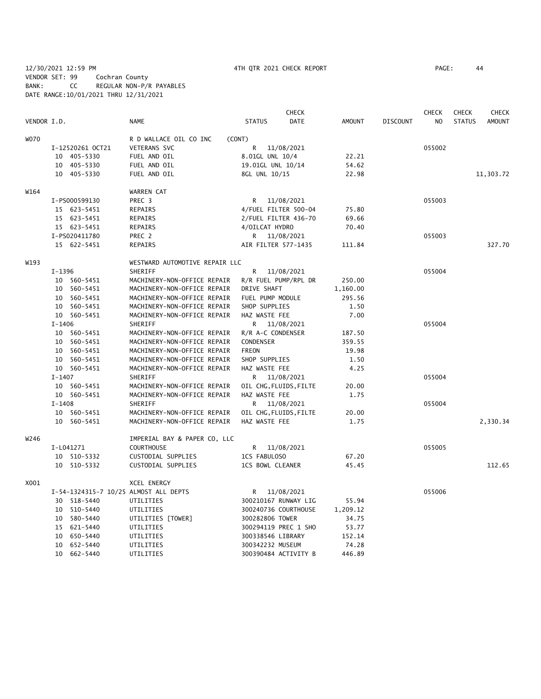12/30/2021 12:59 PM 4TH QTR 2021 CHECK REPORT PAGE: 44 VENDOR SET: 99 Cochran County BANK: CC REGULAR NON-P/R PAYABLES DATE RANGE:10/01/2021 THRU 12/31/2021

|             |            |                  |                                       |                     | <b>CHECK</b>           |               |                 | <b>CHECK</b>   | <b>CHECK</b>  | <b>CHECK</b>  |
|-------------|------------|------------------|---------------------------------------|---------------------|------------------------|---------------|-----------------|----------------|---------------|---------------|
| VENDOR I.D. |            |                  | <b>NAME</b>                           | <b>STATUS</b>       | <b>DATE</b>            | <b>AMOUNT</b> | <b>DISCOUNT</b> | N <sub>O</sub> | <b>STATUS</b> | <b>AMOUNT</b> |
| <b>WO70</b> |            |                  | R D WALLACE OIL CO INC                | (CONT)              |                        |               |                 |                |               |               |
|             |            | I-12520261 OCT21 | <b>VETERANS SVC</b>                   | R                   | 11/08/2021             |               |                 | 055002         |               |               |
|             |            | 10 405-5330      | FUEL AND OIL                          | 8.01GL UNL 10/4     |                        | 22.21         |                 |                |               |               |
|             |            | 10 405-5330      | FUEL AND OIL                          | 19.01GL UNL 10/14   |                        | 54.62         |                 |                |               |               |
|             |            | 10 405-5330      | FUEL AND OIL                          | 8GL UNL 10/15       |                        | 22.98         |                 |                |               | 11,303.72     |
| W164        |            |                  | WARREN CAT                            |                     |                        |               |                 |                |               |               |
|             |            | I-PS000599130    | PREC 3                                | R                   | 11/08/2021             |               |                 | 055003         |               |               |
|             |            | 15 623-5451      | REPAIRS                               |                     | 4/FUEL FILTER 500-04   | 75.80         |                 |                |               |               |
|             |            | 15 623-5451      | <b>REPAIRS</b>                        |                     | 2/FUEL FILTER 436-70   | 69.66         |                 |                |               |               |
|             |            | 15 623-5451      | REPAIRS                               | 4/OILCAT HYDRO      |                        | 70.40         |                 |                |               |               |
|             |            | I-PS020411780    | PREC 2                                |                     | R 11/08/2021           |               |                 | 055003         |               |               |
|             |            | 15 622-5451      | REPAIRS                               | AIR FILTER 577-1435 |                        | 111.84        |                 |                |               | 327.70        |
| W193        |            |                  | WESTWARD AUTOMOTIVE REPAIR LLC        |                     |                        |               |                 |                |               |               |
|             | I-1396     |                  | SHERIFF                               | R                   | 11/08/2021             |               |                 | 055004         |               |               |
|             |            | 10 560-5451      | MACHINERY-NON-OFFICE REPAIR           |                     | R/R FUEL PUMP/RPL DR   | 250.00        |                 |                |               |               |
|             |            | 10 560-5451      | MACHINERY-NON-OFFICE REPAIR           | DRIVE SHAFT         |                        | 1,160.00      |                 |                |               |               |
|             |            | 10 560-5451      | MACHINERY-NON-OFFICE REPAIR           | FUEL PUMP MODULE    |                        | 295.56        |                 |                |               |               |
|             |            | 10 560-5451      | MACHINERY-NON-OFFICE REPAIR           | SHOP SUPPLIES       |                        | 1.50          |                 |                |               |               |
|             |            | 10 560-5451      | MACHINERY-NON-OFFICE REPAIR           | HAZ WASTE FEE       |                        | 7.00          |                 |                |               |               |
|             | $I - 1406$ |                  | SHERIFF                               |                     | R 11/08/2021           |               |                 | 055004         |               |               |
|             |            | 10 560-5451      | MACHINERY-NON-OFFICE REPAIR           | R/R A-C CONDENSER   |                        | 187.50        |                 |                |               |               |
|             |            | 10 560-5451      | MACHINERY-NON-OFFICE REPAIR           | CONDENSER           |                        | 359.55        |                 |                |               |               |
|             |            | 10 560-5451      | MACHINERY-NON-OFFICE REPAIR           | <b>FREON</b>        |                        | 19.98         |                 |                |               |               |
|             |            | 10 560-5451      | MACHINERY-NON-OFFICE REPAIR           | SHOP SUPPLIES       |                        | 1.50          |                 |                |               |               |
|             |            | 10 560-5451      | MACHINERY-NON-OFFICE REPAIR           | HAZ WASTE FEE       |                        | 4.25          |                 |                |               |               |
|             | $I - 1407$ |                  | SHERIFF                               |                     | R 11/08/2021           |               |                 | 055004         |               |               |
|             |            | 10 560-5451      | MACHINERY-NON-OFFICE REPAIR           |                     | OIL CHG, FLUIDS, FILTE | 20.00         |                 |                |               |               |
|             |            | 10 560-5451      | MACHINERY-NON-OFFICE REPAIR           | HAZ WASTE FEE       |                        | 1.75          |                 |                |               |               |
|             | $I - 1408$ |                  | SHERIFF                               |                     | R 11/08/2021           |               |                 | 055004         |               |               |
|             |            | 10 560-5451      | MACHINERY-NON-OFFICE REPAIR           |                     | OIL CHG, FLUIDS, FILTE | 20.00         |                 |                |               |               |
|             |            | 10 560-5451      | MACHINERY-NON-OFFICE REPAIR           | HAZ WASTE FEE       |                        | 1.75          |                 |                |               | 2,330.34      |
| W246        |            |                  | IMPERIAL BAY & PAPER CO, LLC          |                     |                        |               |                 |                |               |               |
|             |            | I-L041271        | <b>COURTHOUSE</b>                     | R                   | 11/08/2021             |               |                 | 055005         |               |               |
|             |            | 10 510-5332      | CUSTODIAL SUPPLIES                    | 1CS FABULOSO        |                        | 67.20         |                 |                |               |               |
|             |            | 10 510-5332      | CUSTODIAL SUPPLIES                    | 1CS BOWL CLEANER    |                        | 45.45         |                 |                |               | 112.65        |
| X001        |            |                  | XCEL ENERGY                           |                     |                        |               |                 |                |               |               |
|             |            |                  | I-54-1324315-7 10/25 ALMOST ALL DEPTS | R                   | 11/08/2021             |               |                 | 055006         |               |               |
|             |            | 30 518-5440      | UTILITIES                             |                     | 300210167 RUNWAY LIG   | 55.94         |                 |                |               |               |
|             |            | 10 510-5440      | UTILITIES                             |                     | 300240736 COURTHOUSE   | 1,209.12      |                 |                |               |               |
|             | 10         | 580-5440         | UTILITIES [TOWER]                     | 300282806 TOWER     |                        | 34.75         |                 |                |               |               |
|             |            | 15 621-5440      | UTILITIES                             |                     | 300294119 PREC 1 SHO   | 53.77         |                 |                |               |               |
|             | 10         | 650-5440         | UTILITIES                             | 300338546 LIBRARY   |                        | 152.14        |                 |                |               |               |
|             | 10         | 652-5440         | UTILITIES                             | 300342232 MUSEUM    |                        | 74.28         |                 |                |               |               |
|             |            | 10 662-5440      | UTILITIES                             |                     | 300390484 ACTIVITY B   | 446.89        |                 |                |               |               |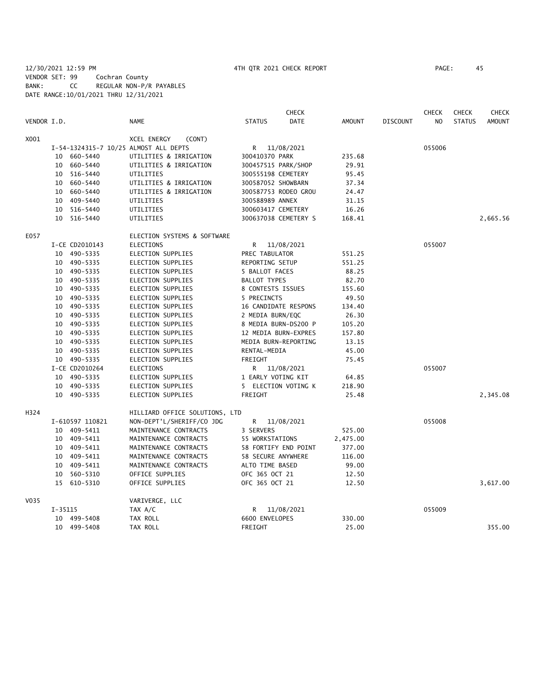12/30/2021 12:59 PM 4TH QTR 2021 CHECK REPORT PAGE: 45 VENDOR SET: 99 Cochran County BANK: CC REGULAR NON-P/R PAYABLES DATE RANGE:10/01/2021 THRU 12/31/2021

|             |         |                 | <b>CHECK</b>                          |                     |                      |          |                 | <b>CHECK</b> | <b>CHECK</b>  | <b>CHECK</b>  |
|-------------|---------|-----------------|---------------------------------------|---------------------|----------------------|----------|-----------------|--------------|---------------|---------------|
| VENDOR I.D. |         |                 | <b>NAME</b>                           | <b>STATUS</b>       | <b>DATE</b>          | AMOUNT   | <b>DISCOUNT</b> | NO.          | <b>STATUS</b> | <b>AMOUNT</b> |
| X001        |         |                 | <b>XCEL ENERGY</b><br>(CONT)          |                     |                      |          |                 |              |               |               |
|             |         |                 | I-54-1324315-7 10/25 ALMOST ALL DEPTS | R                   | 11/08/2021           |          |                 | 055006       |               |               |
|             |         | 10 660-5440     | UTILITIES & IRRIGATION                | 300410370 PARK      |                      | 235.68   |                 |              |               |               |
|             | 10      | 660-5440        | UTILITIES & IRRIGATION                |                     | 300457515 PARK/SHOP  | 29.91    |                 |              |               |               |
|             | 10      | 516-5440        | UTILITIES                             | 300555198 CEMETERY  |                      | 95.45    |                 |              |               |               |
|             | 10      | 660-5440        | UTILITIES & IRRIGATION                | 300587052 SHOWBARN  |                      | 37.34    |                 |              |               |               |
|             |         | 10 660-5440     | UTILITIES & IRRIGATION                |                     | 300587753 RODEO GROU | 24.47    |                 |              |               |               |
|             |         | 10 409-5440     | UTILITIES                             | 300588989 ANNEX     |                      | 31.15    |                 |              |               |               |
|             |         | 10 516-5440     | UTILITIES                             | 300603417 CEMETERY  |                      | 16.26    |                 |              |               |               |
|             |         | 10 516-5440     | UTILITIES                             |                     | 300637038 CEMETERY S | 168.41   |                 |              |               | 2,665.56      |
| E057        |         |                 | ELECTION SYSTEMS & SOFTWARE           |                     |                      |          |                 |              |               |               |
|             |         | I-CE CD2010143  | <b>ELECTIONS</b>                      | R                   | 11/08/2021           |          |                 | 055007       |               |               |
|             |         | 10 490-5335     | ELECTION SUPPLIES                     | PREC TABULATOR      |                      | 551.25   |                 |              |               |               |
|             |         | 10 490-5335     | ELECTION SUPPLIES                     | REPORTING SETUP     |                      | 551.25   |                 |              |               |               |
|             |         | 10 490-5335     | ELECTION SUPPLIES                     | 5 BALLOT FACES      |                      | 88.25    |                 |              |               |               |
|             |         | 10 490-5335     | <b>ELECTION SUPPLIES</b>              | <b>BALLOT TYPES</b> |                      | 82.70    |                 |              |               |               |
|             |         | 10 490-5335     | <b>ELECTION SUPPLIES</b>              | 8 CONTESTS ISSUES   |                      | 155.60   |                 |              |               |               |
|             |         | 10 490-5335     | ELECTION SUPPLIES                     | 5 PRECINCTS         |                      | 49.50    |                 |              |               |               |
|             |         | 10 490-5335     | ELECTION SUPPLIES                     |                     | 16 CANDIDATE RESPONS | 134.40   |                 |              |               |               |
|             |         | 10 490-5335     | <b>ELECTION SUPPLIES</b>              | 2 MEDIA BURN/EQC    |                      | 26.30    |                 |              |               |               |
|             |         | 10 490-5335     | <b>ELECTION SUPPLIES</b>              |                     | 8 MEDIA BURN-DS200 P | 105.20   |                 |              |               |               |
|             |         | 10 490-5335     | ELECTION SUPPLIES                     |                     | 12 MEDIA BURN-EXPRES | 157.80   |                 |              |               |               |
|             |         | 10 490-5335     | <b>ELECTION SUPPLIES</b>              |                     | MEDIA BURN-REPORTING | 13.15    |                 |              |               |               |
|             |         | 10 490-5335     | <b>ELECTION SUPPLIES</b>              | RENTAL-MEDIA        |                      | 45.00    |                 |              |               |               |
|             |         | 10 490-5335     | ELECTION SUPPLIES                     | FREIGHT             |                      | 75.45    |                 |              |               |               |
|             |         | I-CE CD2010264  | <b>ELECTIONS</b>                      | R.                  | 11/08/2021           |          |                 | 055007       |               |               |
|             |         | 10 490-5335     | <b>ELECTION SUPPLIES</b>              | 1 EARLY VOTING KIT  |                      | 64.85    |                 |              |               |               |
|             |         | 10 490-5335     | ELECTION SUPPLIES                     |                     | 5 ELECTION VOTING K  | 218.90   |                 |              |               |               |
|             |         | 10 490-5335     | ELECTION SUPPLIES                     | FREIGHT             |                      | 25.48    |                 |              |               | 2,345.08      |
| H324        |         |                 | HILLIARD OFFICE SOLUTIONS, LTD        |                     |                      |          |                 |              |               |               |
|             |         | I-610597 110821 | NON-DEPT'L/SHERIFF/CO JDG             | R.                  | 11/08/2021           |          |                 | 055008       |               |               |
|             |         | 10 409-5411     | MAINTENANCE CONTRACTS                 | 3 SERVERS           |                      | 525.00   |                 |              |               |               |
|             |         | 10 409-5411     | MAINTENANCE CONTRACTS                 | 55 WORKSTATIONS     |                      | 2,475.00 |                 |              |               |               |
|             |         | 10 409-5411     | MAINTENANCE CONTRACTS                 |                     | 58 FORTIFY END POINT | 377.00   |                 |              |               |               |
|             | 10      | 409-5411        | MAINTENANCE CONTRACTS                 | 58 SECURE ANYWHERE  |                      | 116.00   |                 |              |               |               |
|             | 10      | 409-5411        | MAINTENANCE CONTRACTS                 | ALTO TIME BASED     |                      | 99.00    |                 |              |               |               |
|             |         | 10 560-5310     | OFFICE SUPPLIES                       | OFC 365 OCT 21      |                      | 12.50    |                 |              |               |               |
|             |         | 15 610-5310     | OFFICE SUPPLIES                       | OFC 365 OCT 21      |                      | 12.50    |                 |              |               | 3,617.00      |
| V035        |         |                 | VARIVERGE, LLC                        |                     |                      |          |                 |              |               |               |
|             | I-35115 |                 | TAX A/C                               | R                   | 11/08/2021           |          |                 | 055009       |               |               |
|             |         | 10 499-5408     | TAX ROLL                              | 6600 ENVELOPES      |                      | 330.00   |                 |              |               |               |
|             |         | 10 499-5408     | TAX ROLL                              | FREIGHT             |                      | 25.00    |                 |              |               | 355.00        |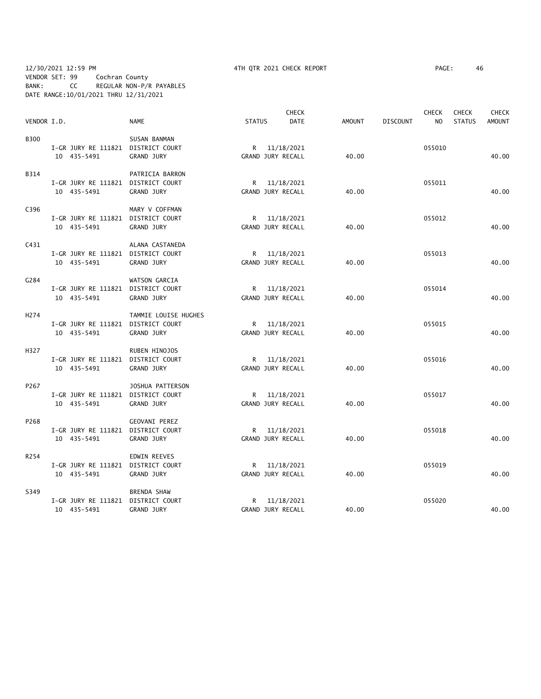## 12/30/2021 12:59 PM 4TH QTR 2021 CHECK REPORT PAGE: 46 VENDOR SET: 99 Cochran County BANK: CC REGULAR NON-P/R PAYABLES DATE RANGE:10/01/2021 THRU 12/31/2021

|                  |             |                                    |               |                   | <b>CHECK</b> |               |                 | <b>CHECK</b>   | <b>CHECK</b>  | <b>CHECK</b>  |
|------------------|-------------|------------------------------------|---------------|-------------------|--------------|---------------|-----------------|----------------|---------------|---------------|
| VENDOR I.D.      |             | <b>NAME</b>                        | <b>STATUS</b> |                   | <b>DATE</b>  | <b>AMOUNT</b> | <b>DISCOUNT</b> | N <sub>O</sub> | <b>STATUS</b> | <b>AMOUNT</b> |
| <b>B300</b>      |             | SUSAN BANMAN                       |               |                   |              |               |                 |                |               |               |
|                  |             | I-GR JURY RE 111821 DISTRICT COURT |               | R 11/18/2021      |              |               |                 | 055010         |               |               |
|                  | 10 435-5491 | GRAND JURY                         |               | GRAND JURY RECALL |              | 40.00         |                 |                |               | 40.00         |
| B314             |             | PATRICIA BARRON                    |               |                   |              |               |                 |                |               |               |
|                  |             | I-GR JURY RE 111821 DISTRICT COURT |               | R 11/18/2021      |              |               |                 | 055011         |               |               |
|                  | 10 435-5491 | <b>GRAND JURY</b>                  |               | GRAND JURY RECALL |              | 40.00         |                 |                |               | 40.00         |
| C396             |             | MARY V COFFMAN                     |               |                   |              |               |                 |                |               |               |
|                  |             | I-GR JURY RE 111821 DISTRICT COURT |               | R 11/18/2021      |              |               |                 | 055012         |               |               |
|                  | 10 435-5491 | GRAND JURY                         |               | GRAND JURY RECALL |              | 40.00         |                 |                |               | 40.00         |
| C431             |             | ALANA CASTANEDA                    |               |                   |              |               |                 |                |               |               |
|                  |             | I-GR JURY RE 111821 DISTRICT COURT |               | R 11/18/2021      |              |               |                 | 055013         |               |               |
|                  | 10 435-5491 | <b>GRAND JURY</b>                  |               | GRAND JURY RECALL |              | 40.00         |                 |                |               | 40.00         |
| G284             |             | WATSON GARCIA                      |               |                   |              |               |                 |                |               |               |
|                  |             | I-GR JURY RE 111821 DISTRICT COURT |               | R 11/18/2021      |              |               |                 | 055014         |               |               |
|                  | 10 435-5491 | GRAND JURY                         |               | GRAND JURY RECALL |              | 40.00         |                 |                |               | 40.00         |
| H <sub>274</sub> |             | TAMMIE LOUISE HUGHES               |               |                   |              |               |                 |                |               |               |
|                  |             | I-GR JURY RE 111821 DISTRICT COURT |               | R 11/18/2021      |              |               |                 | 055015         |               |               |
|                  | 10 435-5491 | GRAND JURY                         |               | GRAND JURY RECALL |              | 40.00         |                 |                |               | 40.00         |
| H327             |             | RUBEN HINOJOS                      |               |                   |              |               |                 |                |               |               |
|                  |             | I-GR JURY RE 111821 DISTRICT COURT |               | R 11/18/2021      |              |               |                 | 055016         |               |               |
|                  | 10 435-5491 | GRAND JURY                         |               | GRAND JURY RECALL |              | 40.00         |                 |                |               | 40.00         |
| P267             |             | JOSHUA PATTERSON                   |               |                   |              |               |                 |                |               |               |
|                  |             | I-GR JURY RE 111821 DISTRICT COURT |               | R 11/18/2021      |              |               |                 | 055017         |               |               |
|                  | 10 435-5491 | <b>GRAND JURY</b>                  |               | GRAND JURY RECALL |              | 40.00         |                 |                |               | 40.00         |
| P268             |             | <b>GEOVANI PEREZ</b>               |               |                   |              |               |                 |                |               |               |
|                  |             | I-GR JURY RE 111821 DISTRICT COURT |               | R 11/18/2021      |              |               |                 | 055018         |               |               |
|                  | 10 435-5491 | <b>GRAND JURY</b>                  |               | GRAND JURY RECALL |              | 40.00         |                 |                |               | 40.00         |
| R254             |             | EDWIN REEVES                       |               |                   |              |               |                 |                |               |               |
|                  |             | I-GR JURY RE 111821 DISTRICT COURT |               | R 11/18/2021      |              |               |                 | 055019         |               |               |
|                  | 10 435-5491 | <b>GRAND JURY</b>                  |               | GRAND JURY RECALL |              | 40.00         |                 |                |               | 40.00         |
| S349             |             | <b>BRENDA SHAW</b>                 |               |                   |              |               |                 |                |               |               |
|                  |             | I-GR JURY RE 111821 DISTRICT COURT |               | R 11/18/2021      |              |               |                 | 055020         |               |               |
|                  | 10 435-5491 | GRAND JURY                         |               | GRAND JURY RECALL |              | 40.00         |                 |                |               | 40.00         |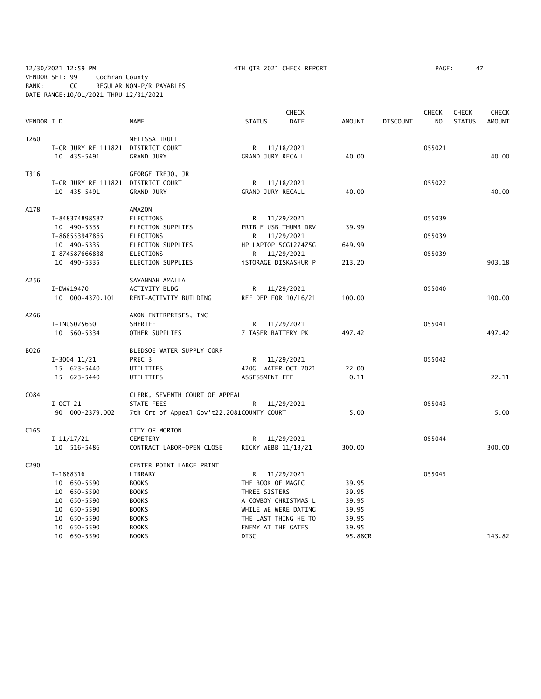12/30/2021 12:59 PM 4TH QTR 2021 CHECK REPORT PAGE: 47 VENDOR SET: 99 Cochran County BANK: CC REGULAR NON-P/R PAYABLES DATE RANGE:10/01/2021 THRU 12/31/2021

|                  |                                    |                                            |                             | <b>CHECK</b> |               |                 | <b>CHECK</b>   | <b>CHECK</b>  | CHECK         |
|------------------|------------------------------------|--------------------------------------------|-----------------------------|--------------|---------------|-----------------|----------------|---------------|---------------|
| VENDOR I.D.      |                                    | <b>NAME</b>                                | <b>STATUS</b>               | DATE         | <b>AMOUNT</b> | <b>DISCOUNT</b> | N <sub>O</sub> | <b>STATUS</b> | <b>AMOUNT</b> |
| T260             |                                    | MELISSA TRULL                              |                             |              |               |                 |                |               |               |
|                  | I-GR JURY RE 111821 DISTRICT COURT |                                            | R                           | 11/18/2021   |               |                 | 055021         |               |               |
|                  | 10 435-5491                        | <b>GRAND JURY</b>                          | GRAND JURY RECALL           |              | 40.00         |                 |                |               | 40.00         |
| T316             |                                    | GEORGE TREJO, JR                           |                             |              |               |                 |                |               |               |
|                  | I-GR JURY RE 111821 DISTRICT COURT |                                            | R                           | 11/18/2021   |               |                 | 055022         |               |               |
|                  | 10 435-5491                        | <b>GRAND JURY</b>                          | GRAND JURY RECALL           |              | 40.00         |                 |                |               | 40.00         |
| A178             |                                    | AMAZON                                     |                             |              |               |                 |                |               |               |
|                  | I-848374898587                     | ELECTIONS                                  | R <sub>a</sub>              | 11/29/2021   |               |                 | 055039         |               |               |
|                  | 10 490-5335                        | ELECTION SUPPLIES                          | PRTBLE USB THUMB DRV        |              | 39.99         |                 |                |               |               |
|                  | I-868553947865                     | ELECTIONS                                  | R 11/29/2021                |              |               |                 | 055039         |               |               |
|                  | 10 490-5335                        | ELECTION SUPPLIES                          | HP LAPTOP 5CG1274Z5G        |              | 649.99        |                 |                |               |               |
|                  | I-874587666838                     | ELECTIONS                                  | R 11/29/2021                |              |               |                 | 055039         |               |               |
|                  | 10 490-5335                        | ELECTION SUPPLIES                          | <b>iSTORAGE DISKASHUR P</b> |              | 213.20        |                 |                |               | 903.18        |
| A256             |                                    | SAVANNAH AMALLA                            |                             |              |               |                 |                |               |               |
|                  | I-DW#19470                         | ACTIVITY BLDG                              | R 11/29/2021                |              |               |                 | 055040         |               |               |
|                  | 10 000-4370.101                    | RENT-ACTIVITY BUILDING                     | REF DEP FOR 10/16/21        |              | 100.00        |                 |                |               | 100.00        |
|                  |                                    |                                            |                             |              |               |                 |                |               |               |
| A266             |                                    | AXON ENTERPRISES, INC                      |                             |              |               |                 |                |               |               |
|                  | I-INUS025650                       | SHERIFF                                    | R 11/29/2021                |              |               |                 | 055041         |               |               |
|                  | 10 560-5334                        | OTHER SUPPLIES                             | 7 TASER BATTERY PK          |              | 497.42        |                 |                |               | 497.42        |
| B026             |                                    | BLEDSOE WATER SUPPLY CORP                  |                             |              |               |                 |                |               |               |
|                  | $I-3004$ 11/21                     | PREC 3                                     | R 11/29/2021                |              |               |                 | 055042         |               |               |
|                  | 15 623-5440                        | UTILITIES                                  | 420GL WATER OCT 2021        |              | 22.00         |                 |                |               |               |
|                  | 15 623-5440                        | UTILITIES                                  | ASSESSMENT FEE              |              | 0.11          |                 |                |               | 22.11         |
| C084             |                                    | CLERK, SEVENTH COURT OF APPEAL             |                             |              |               |                 |                |               |               |
|                  | $I-OCT$ 21                         | STATE FEES                                 | R                           | 11/29/2021   |               |                 | 055043         |               |               |
|                  | 90 000-2379.002                    | 7th Crt of Appeal Gov't22.2081COUNTY COURT |                             |              | 5.00          |                 |                |               | 5.00          |
|                  |                                    |                                            |                             |              |               |                 |                |               |               |
| C <sub>165</sub> |                                    | CITY OF MORTON                             |                             |              |               |                 |                |               |               |
|                  | $I-11/17/21$                       | CEMETERY                                   | R                           | 11/29/2021   |               |                 | 055044         |               |               |
|                  | 10 516-5486                        | CONTRACT LABOR-OPEN CLOSE                  | RICKY WEBB 11/13/21         |              | 300.00        |                 |                |               | 300.00        |
| C290             |                                    | CENTER POINT LARGE PRINT                   |                             |              |               |                 |                |               |               |
|                  | I-1888316                          | LIBRARY                                    | R                           | 11/29/2021   |               |                 | 055045         |               |               |
|                  | 10 650-5590                        | <b>BOOKS</b>                               | THE BOOK OF MAGIC           |              | 39.95         |                 |                |               |               |
|                  | 10 650-5590                        | <b>BOOKS</b>                               | THREE SISTERS               |              | 39.95         |                 |                |               |               |
|                  | 10 650-5590                        | <b>BOOKS</b>                               | A COWBOY CHRISTMAS L        |              | 39.95         |                 |                |               |               |
|                  | 10 650-5590                        | <b>BOOKS</b>                               | WHILE WE WERE DATING        |              | 39.95         |                 |                |               |               |
|                  | 10 650-5590                        | <b>BOOKS</b>                               | THE LAST THING HE TO        |              | 39.95         |                 |                |               |               |
|                  | 10 650-5590                        | <b>BOOKS</b>                               | ENEMY AT THE GATES          |              | 39.95         |                 |                |               |               |

10 650-5590 BOOKS DISC 95.88CR 143.82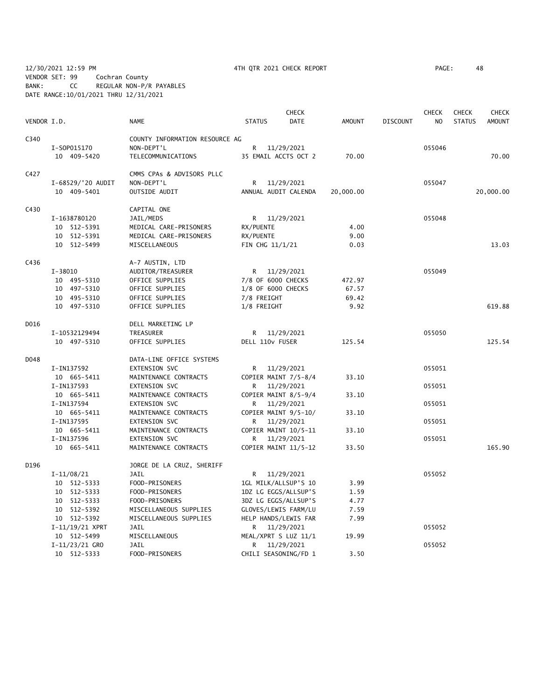12/30/2021 12:59 PM 4TH QTR 2021 CHECK REPORT PAGE: 48 VENDOR SET: 99 Cochran County BANK: CC REGULAR NON-P/R PAYABLES DATE RANGE:10/01/2021 THRU 12/31/2021

|             |                   |                                |                    | <b>CHECK</b>         |               |                 | <b>CHECK</b>   | <b>CHECK</b>  | <b>CHECK</b>  |
|-------------|-------------------|--------------------------------|--------------------|----------------------|---------------|-----------------|----------------|---------------|---------------|
| VENDOR I.D. |                   | <b>NAME</b>                    | <b>STATUS</b>      | <b>DATE</b>          | <b>AMOUNT</b> | <b>DISCOUNT</b> | N <sub>O</sub> | <b>STATUS</b> | <b>AMOUNT</b> |
| C340        |                   | COUNTY INFORMATION RESOURCE AG |                    |                      |               |                 |                |               |               |
|             | I-S0P015170       | NON-DEPT'L                     |                    | R 11/29/2021         |               |                 | 055046         |               |               |
|             | 10 409-5420       | TELECOMMUNICATIONS             |                    | 35 EMAIL ACCTS OCT 2 | 70.00         |                 |                |               | 70.00         |
| C427        |                   | CMMS CPAs & ADVISORS PLLC      |                    |                      |               |                 |                |               |               |
|             | I-68529/'20 AUDIT | NON-DEPT'L                     | R                  | 11/29/2021           |               |                 | 055047         |               |               |
|             | 10 409-5401       | OUTSIDE AUDIT                  |                    | ANNUAL AUDIT CALENDA | 20,000.00     |                 |                |               | 20,000.00     |
| C430        |                   | CAPITAL ONE                    |                    |                      |               |                 |                |               |               |
|             | I-1638780120      | JAIL/MEDS                      |                    | R 11/29/2021         |               |                 | 055048         |               |               |
|             | 10 512-5391       | MEDICAL CARE-PRISONERS         | RX/PUENTE          |                      | 4.00          |                 |                |               |               |
|             | 10 512-5391       | MEDICAL CARE-PRISONERS         | RX/PUENTE          |                      | 9.00          |                 |                |               |               |
|             | 10 512-5499       | MISCELLANEOUS                  | FIN CHG 11/1/21    |                      | 0.03          |                 |                |               | 13.03         |
| C436        |                   | A-7 AUSTIN, LTD                |                    |                      |               |                 |                |               |               |
|             | $I - 38010$       | AUDITOR/TREASURER              |                    | R 11/29/2021         |               |                 | 055049         |               |               |
|             | 10 495-5310       | OFFICE SUPPLIES                | 7/8 OF 6000 CHECKS |                      | 472.97        |                 |                |               |               |
|             | 10 497-5310       | OFFICE SUPPLIES                | 1/8 OF 6000 CHECKS |                      | 67.57         |                 |                |               |               |
|             | 10 495-5310       | OFFICE SUPPLIES                | 7/8 FREIGHT        |                      | 69.42         |                 |                |               |               |
|             | 10 497-5310       | OFFICE SUPPLIES                | 1/8 FREIGHT        |                      | 9.92          |                 |                |               | 619.88        |
| D016        |                   | DELL MARKETING LP              |                    |                      |               |                 |                |               |               |
|             | I-10532129494     | TREASURER                      | R.                 | 11/29/2021           |               |                 | 055050         |               |               |
|             | 10 497-5310       | OFFICE SUPPLIES                | DELL 110v FUSER    |                      | 125.54        |                 |                |               | 125.54        |
| D048        |                   | DATA-LINE OFFICE SYSTEMS       |                    |                      |               |                 |                |               |               |
|             | I-IN137592        | EXTENSION SVC                  |                    | R 11/29/2021         |               |                 | 055051         |               |               |
|             | 10 665-5411       | MAINTENANCE CONTRACTS          |                    | COPIER MAINT 7/5-8/4 | 33.10         |                 |                |               |               |
|             | I-IN137593        | EXTENSION SVC                  | R                  | 11/29/2021           |               |                 | 055051         |               |               |
|             | 10 665-5411       | MAINTENANCE CONTRACTS          |                    | COPIER MAINT 8/5-9/4 | 33.10         |                 |                |               |               |
|             | I-IN137594        | EXTENSION SVC                  |                    | R 11/29/2021         |               |                 | 055051         |               |               |
|             | 10 665-5411       | MAINTENANCE CONTRACTS          |                    | COPIER MAINT 9/5-10/ | 33.10         |                 |                |               |               |
|             | I-IN137595        | EXTENSION SVC                  | R.                 | 11/29/2021           |               |                 | 055051         |               |               |
|             | 10 665-5411       | MAINTENANCE CONTRACTS          |                    | COPIER MAINT 10/5-11 | 33.10         |                 |                |               |               |
|             | I-IN137596        | EXTENSION SVC                  | R.                 | 11/29/2021           |               |                 | 055051         |               |               |
|             | 10 665-5411       | MAINTENANCE CONTRACTS          |                    | COPIER MAINT 11/5-12 | 33.50         |                 |                |               | 165.90        |
| D196        |                   | JORGE DE LA CRUZ, SHERIFF      |                    |                      |               |                 |                |               |               |
|             | $I-11/08/21$      | JAIL                           | R.                 | 11/29/2021           |               |                 | 055052         |               |               |
|             | 10 512-5333       | FOOD-PRISONERS                 |                    | 1GL MILK/ALLSUP'S 10 | 3.99          |                 |                |               |               |
|             | 10 512-5333       | FOOD-PRISONERS                 |                    | 1DZ LG EGGS/ALLSUP'S | 1.59          |                 |                |               |               |
|             | 10 512-5333       | FOOD-PRISONERS                 |                    | 3DZ LG EGGS/ALLSUP'S | 4.77          |                 |                |               |               |
|             | 10 512-5392       | MISCELLANEOUS SUPPLIES         |                    | GLOVES/LEWIS FARM/LU | 7.59          |                 |                |               |               |
|             | 10 512-5392       | MISCELLANEOUS SUPPLIES         |                    | HELP HANDS/LEWIS FAR | 7.99          |                 |                |               |               |
|             | I-11/19/21 XPRT   | <b>JAIL</b>                    | R                  | 11/29/2021           |               |                 | 055052         |               |               |
|             | 10 512-5499       | MISCELLANEOUS                  |                    | MEAL/XPRT S LUZ 11/1 | 19.99         |                 |                |               |               |
|             | $I-11/23/21$ GRO  | <b>JAIL</b>                    |                    | R 11/29/2021         |               |                 | 055052         |               |               |
|             | 10 512-5333       | FOOD-PRISONERS                 |                    | CHILI SEASONING/FD 1 | 3.50          |                 |                |               |               |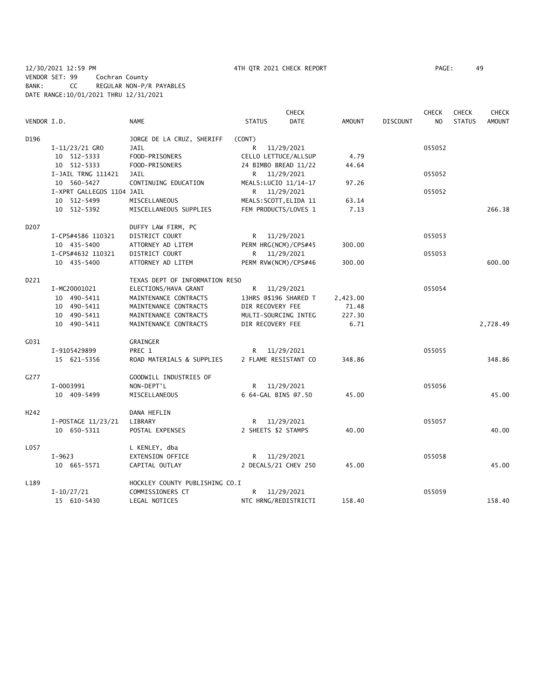# 12/30/2021 12:59 PM 4TH QTR 2021 CHECK REPORT PAGE: 49 VENDOR SET: 99 Cochran County BANK: CC REGULAR NON-P/R PAYABLES DATE RANGE:10/01/2021 THRU 12/31/2021

|                  |                           |                                |                     | <b>CHECK</b>           |               |                 | <b>CHECK</b>   | <b>CHECK</b>  | <b>CHECK</b>  |
|------------------|---------------------------|--------------------------------|---------------------|------------------------|---------------|-----------------|----------------|---------------|---------------|
| VENDOR I.D.      |                           | NAME                           | <b>STATUS</b>       | <b>DATE</b>            | <b>AMOUNT</b> | <b>DISCOUNT</b> | N <sub>O</sub> | <b>STATUS</b> | <b>AMOUNT</b> |
| D196             |                           | JORGE DE LA CRUZ, SHERIFF      | (CONT)              |                        |               |                 |                |               |               |
|                  | $I-11/23/21$ GRO          | JAIL                           | R                   | 11/29/2021             |               |                 | 055052         |               |               |
|                  | 10 512-5333               | FOOD-PRISONERS                 |                     | CELLO LETTUCE/ALLSUP   | 4.79          |                 |                |               |               |
|                  | 10 512-5333               | FOOD-PRISONERS                 |                     | 24 BIMBO BREAD 11/22   | 44.64         |                 |                |               |               |
|                  | I-JAIL TRNG 111421        | JAIL                           |                     | R 11/29/2021           |               |                 | 055052         |               |               |
|                  | 10 560-5427               | CONTINUING EDUCATION           |                     | MEALS: LUCIO 11/14-17  | 97.26         |                 |                |               |               |
|                  | I-XPRT GALLEGOS 1104 JAIL |                                |                     | R 11/29/2021           |               |                 | 055052         |               |               |
|                  | 10 512-5499               | MISCELLANEOUS                  |                     | MEALS: SCOTT, ELIDA 11 | 63.14         |                 |                |               |               |
|                  | 10 512-5392               | MISCELLANEOUS SUPPLIES         |                     | FEM PRODUCTS/LOVES 1   | 7.13          |                 |                |               | 266.38        |
| D207             |                           | DUFFY LAW FIRM, PC             |                     |                        |               |                 |                |               |               |
|                  | I-CPS#4586 110321         | DISTRICT COURT                 |                     | R 11/29/2021           |               |                 | 055053         |               |               |
|                  | 10 435-5400               | ATTORNEY AD LITEM              |                     | PERM HRG(NCM)/CPS#45   | 300.00        |                 |                |               |               |
|                  | I-CPS#4632 110321         | DISTRICT COURT                 | R                   | 11/29/2021             |               |                 | 055053         |               |               |
|                  | 10 435-5400               | ATTORNEY AD LITEM              |                     | PERM RVW(NCM)/CPS#46   | 300.00        |                 |                |               | 600.00        |
| D221             |                           | TEXAS DEPT OF INFORMATION RESO |                     |                        |               |                 |                |               |               |
|                  | I-MC20001021              | ELECTIONS/HAVA GRANT           | R                   | 11/29/2021             |               |                 | 055054         |               |               |
|                  | 10 490-5411               | MAINTENANCE CONTRACTS          |                     | 13HRS @\$196 SHARED T  | 2,423.00      |                 |                |               |               |
|                  | 10 490-5411               | MAINTENANCE CONTRACTS          | DIR RECOVERY FEE    |                        | 71.48         |                 |                |               |               |
|                  | 10 490-5411               | MAINTENANCE CONTRACTS          |                     | MULTI-SOURCING INTEG   | 227.30        |                 |                |               |               |
|                  | 10 490-5411               | MAINTENANCE CONTRACTS          | DIR RECOVERY FEE    |                        | 6.71          |                 |                |               | 2,728.49      |
| C <sub>031</sub> |                           | GRAINGER                       |                     |                        |               |                 |                |               |               |
|                  | I-9105429899              | PREC 1                         | R                   | 11/29/2021             |               |                 | 055055         |               |               |
|                  | 15 621-5356               | ROAD MATERIALS & SUPPLIES      |                     | 2 FLAME RESISTANT CO   | 348.86        |                 |                |               | 348.86        |
| G277             |                           | GOODWILL INDUSTRIES OF         |                     |                        |               |                 |                |               |               |
|                  | I-0003991                 | NON-DEPT'L                     |                     | R 11/29/2021           |               |                 | 055056         |               |               |
|                  | 10 409-5499               | MISCELLANEOUS                  |                     | 6 64-GAL BINS @7.50    | 45.00         |                 |                |               | 45.00         |
| H <sub>242</sub> |                           | DANA HEFLIN                    |                     |                        |               |                 |                |               |               |
|                  | I-POSTAGE 11/23/21        | LIBRARY                        |                     | R 11/29/2021           |               |                 | 055057         |               |               |
|                  | 10 650-5311               | POSTAL EXPENSES                | 2 SHEETS \$2 STAMPS |                        | 40.00         |                 |                |               | 40.00         |
| L057             |                           | L KENLEY, dba                  |                     |                        |               |                 |                |               |               |
|                  | $I-9623$                  | EXTENSION OFFICE               |                     | R 11/29/2021           |               |                 | 055058         |               |               |
|                  | 10 665-5571               | CAPITAL OUTLAY                 |                     | 2 DECALS/21 CHEV 250   | 45.00         |                 |                |               | 45.00         |
| L189             |                           | HOCKLEY COUNTY PUBLISHING CO.I |                     |                        |               |                 |                |               |               |
|                  | $I-10/27/21$              | COMMISSIONERS CT               | R                   | 11/29/2021             |               |                 | 055059         |               |               |
|                  | 15 610-5430               | LEGAL NOTICES                  |                     | NTC HRNG/REDISTRICTI   | 158.40        |                 |                |               | 158.40        |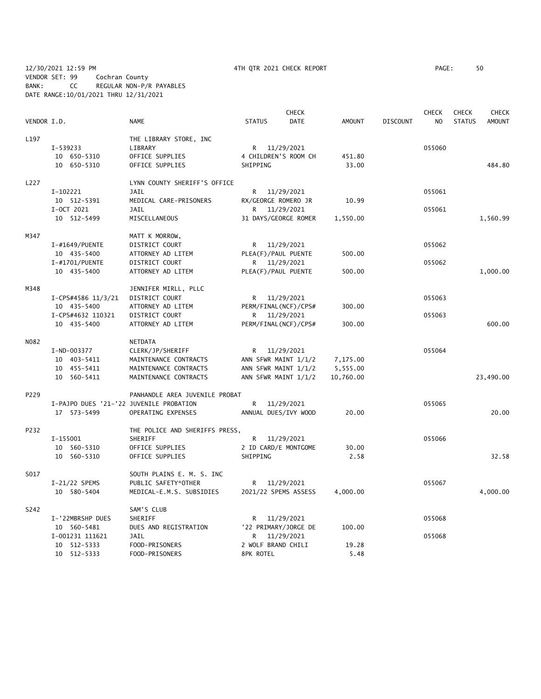12/30/2021 12:59 PM 4TH QTR 2021 CHECK REPORT PAGE: 50 VENDOR SET: 99 Cochran County BANK: CC REGULAR NON-P/R PAYABLES DATE RANGE:10/01/2021 THRU 12/31/2021

|             |                                         |                                |                      | <b>CHECK</b>         |               |                 | <b>CHECK</b>   | <b>CHECK</b>  | <b>CHECK</b>  |
|-------------|-----------------------------------------|--------------------------------|----------------------|----------------------|---------------|-----------------|----------------|---------------|---------------|
| VENDOR I.D. |                                         | <b>NAME</b>                    | <b>STATUS</b>        | <b>DATE</b>          | <b>AMOUNT</b> | <b>DISCOUNT</b> | N <sub>O</sub> | <b>STATUS</b> | <b>AMOUNT</b> |
| L197        |                                         | THE LIBRARY STORE, INC         |                      |                      |               |                 |                |               |               |
|             | I-539233                                | LIBRARY                        | R                    | 11/29/2021           |               |                 | 055060         |               |               |
|             | 10 650-5310                             | OFFICE SUPPLIES                |                      | 4 CHILDREN'S ROOM CH | 451.80        |                 |                |               |               |
|             | 10 650-5310                             | OFFICE SUPPLIES                | SHIPPING             |                      | 33.00         |                 |                |               | 484.80        |
| L227        |                                         | LYNN COUNTY SHERIFF'S OFFICE   |                      |                      |               |                 |                |               |               |
|             | I-102221                                | JAIL                           | R.                   | 11/29/2021           |               |                 | 055061         |               |               |
|             | 10 512-5391                             | MEDICAL CARE-PRISONERS         | RX/GEORGE ROMERO JR  |                      | 10.99         |                 |                |               |               |
|             | I-OCT 2021                              | <b>JAIL</b>                    | R                    | 11/29/2021           |               |                 | 055061         |               |               |
|             | 10 512-5499                             | MISCELLANEOUS                  |                      | 31 DAYS/GEORGE ROMER | 1,550.00      |                 |                |               | 1,560.99      |
| M347        |                                         | MATT K MORROW,                 |                      |                      |               |                 |                |               |               |
|             | I-#1649/PUENTE                          | DISTRICT COURT                 | R                    | 11/29/2021           |               |                 | 055062         |               |               |
|             | 10 435-5400                             | ATTORNEY AD LITEM              | PLEA(F)/PAUL PUENTE  |                      | 500.00        |                 |                |               |               |
|             | I-#1701/PUENTE                          | DISTRICT COURT                 | R                    | 11/29/2021           |               |                 | 055062         |               |               |
|             | 10 435-5400                             | ATTORNEY AD LITEM              | PLEA(F)/PAUL PUENTE  |                      | 500.00        |                 |                |               | 1,000.00      |
| M348        |                                         | JENNIFER MIRLL, PLLC           |                      |                      |               |                 |                |               |               |
|             | I-CPS#4586 11/3/21                      | DISTRICT COURT                 | R                    | 11/29/2021           |               |                 | 055063         |               |               |
|             | 10 435-5400                             | ATTORNEY AD LITEM              |                      | PERM/FINAL(NCF)/CPS# | 300.00        |                 |                |               |               |
|             | I-CPS#4632 110321                       | DISTRICT COURT                 |                      | R 11/29/2021         |               |                 | 055063         |               |               |
|             | 10 435-5400                             | ATTORNEY AD LITEM              |                      | PERM/FINAL(NCF)/CPS# | 300.00        |                 |                |               | 600.00        |
| N082        |                                         | NETDATA                        |                      |                      |               |                 |                |               |               |
|             | I-ND-003377                             | CLERK/JP/SHERIFF               | R                    | 11/29/2021           |               |                 | 055064         |               |               |
|             | 10 403-5411                             | MAINTENANCE CONTRACTS          | ANN SFWR MAINT 1/1/2 |                      | 7,175.00      |                 |                |               |               |
|             | 10 455-5411                             | MAINTENANCE CONTRACTS          | ANN SFWR MAINT 1/1/2 |                      | 5,555.00      |                 |                |               |               |
|             | 10 560-5411                             | MAINTENANCE CONTRACTS          | ANN SFWR MAINT 1/1/2 |                      | 10,760.00     |                 |                |               | 23,490.00     |
| P229        |                                         | PANHANDLE AREA JUVENILE PROBAT |                      |                      |               |                 |                |               |               |
|             | I-PAJPO DUES '21-'22 JUVENILE PROBATION |                                | R.                   | 11/29/2021           |               |                 | 055065         |               |               |
|             | 17 573-5499                             | OPERATING EXPENSES             | ANNUAL DUES/IVY WOOD |                      | 20.00         |                 |                |               | 20.00         |
| P232        |                                         | THE POLICE AND SHERIFFS PRESS, |                      |                      |               |                 |                |               |               |
|             | I-155001                                | SHERIFF                        | R.                   | 11/29/2021           |               |                 | 055066         |               |               |
|             | 10 560-5310                             | OFFICE SUPPLIES                | 2 ID CARD/E MONTGOME |                      | 30.00         |                 |                |               |               |
|             | 10 560-5310                             | OFFICE SUPPLIES                | SHIPPING             |                      | 2.58          |                 |                |               | 32.58         |
| S017        |                                         | SOUTH PLAINS E. M. S. INC      |                      |                      |               |                 |                |               |               |
|             | I-21/22 SPEMS                           | PUBLIC SAFETY*OTHER            | R.                   | 11/29/2021           |               |                 | 055067         |               |               |
|             | 10 580-5404                             | MEDICAL-E.M.S. SUBSIDIES       |                      | 2021/22 SPEMS ASSESS | 4,000.00      |                 |                |               | 4,000.00      |
| S242        |                                         | SAM'S CLUB                     |                      |                      |               |                 |                |               |               |
|             | I-'22MBRSHP DUES                        | SHERIFF                        | R                    | 11/29/2021           |               |                 | 055068         |               |               |
|             | 10 560-5481                             | DUES AND REGISTRATION          |                      | '22 PRIMARY/JORGE DE | 100.00        |                 |                |               |               |
|             | I-001231 111621                         | <b>JAIL</b>                    | R                    | 11/29/2021           |               |                 | 055068         |               |               |
|             | 10 512-5333                             | FOOD-PRISONERS                 | 2 WOLF BRAND CHILI   |                      | 19.28         |                 |                |               |               |
|             | 10 512-5333                             | FOOD-PRISONERS                 | 8PK ROTEL            |                      | 5.48          |                 |                |               |               |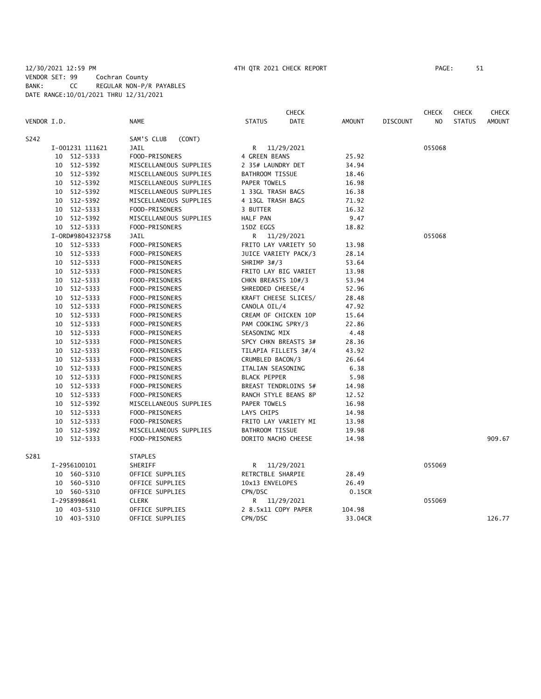## 12/30/2021 12:59 PM 4TH QTR 2021 CHECK REPORT PAGE: 51 VENDOR SET: 99 Cochran County BANK: CC REGULAR NON-P/R PAYABLES DATE RANGE:10/01/2021 THRU 12/31/2021

| VENDOR I.D. |                            | <b>NAME</b>                      | <b>STATUS</b>                       | <b>CHECK</b><br>DATE | AMOUNT         | <b>DISCOUNT</b> | <b>CHECK</b><br>NO. | <b>CHECK</b><br><b>STATUS</b> | <b>CHECK</b><br><b>AMOUNT</b> |
|-------------|----------------------------|----------------------------------|-------------------------------------|----------------------|----------------|-----------------|---------------------|-------------------------------|-------------------------------|
|             |                            |                                  |                                     |                      |                |                 |                     |                               |                               |
| S242        |                            | SAM'S CLUB<br>(CONT)             |                                     |                      |                |                 |                     |                               |                               |
|             | I-001231 111621            | JAIL                             | R                                   | 11/29/2021           |                |                 | 055068              |                               |                               |
|             | 10 512-5333                | FOOD-PRISONERS                   | 4 GREEN BEANS                       |                      | 25.92          |                 |                     |                               |                               |
|             | 10 512-5392                | MISCELLANEOUS SUPPLIES           | 2 35# LAUNDRY DET                   |                      | 34.94          |                 |                     |                               |                               |
|             | 10 512-5392                | MISCELLANEOUS SUPPLIES           | <b>BATHROOM TISSUE</b>              |                      | 18.46          |                 |                     |                               |                               |
|             | 10 512-5392                | MISCELLANEOUS SUPPLIES           | <b>PAPER TOWELS</b>                 |                      | 16.98          |                 |                     |                               |                               |
|             | 10 512-5392                | MISCELLANEOUS SUPPLIES           | 1 33GL TRASH BAGS                   |                      | 16.38          |                 |                     |                               |                               |
|             | 10 512-5392                | MISCELLANEOUS SUPPLIES           | 4 13GL TRASH BAGS                   |                      | 71.92          |                 |                     |                               |                               |
|             | 10 512-5333                | FOOD-PRISONERS                   | 3 BUTTER                            |                      | 16.32          |                 |                     |                               |                               |
|             | 10 512-5392                | MISCELLANEOUS SUPPLIES           | HALF PAN                            |                      | 9.47           |                 |                     |                               |                               |
|             | 10 512-5333                | FOOD-PRISONERS                   | 15DZ EGGS                           |                      | 18.82          |                 |                     |                               |                               |
|             | I-0RD#9804323758           | <b>JAIL</b>                      | R.                                  | 11/29/2021           |                |                 | 055068              |                               |                               |
|             | 10 512-5333                | FOOD-PRISONERS                   |                                     | FRITO LAY VARIETY 50 | 13.98          |                 |                     |                               |                               |
|             | 10 512-5333                | FOOD-PRISONERS                   |                                     | JUICE VARIETY PACK/3 | 28.14          |                 |                     |                               |                               |
| 10          | 512-5333                   | FOOD-PRISONERS                   | SHRIMP 3#/3                         |                      | 53.64          |                 |                     |                               |                               |
|             | 10 512-5333                | FOOD-PRISONERS                   |                                     | FRITO LAY BIG VARIET | 13.98          |                 |                     |                               |                               |
|             | 10 512-5333                | FOOD-PRISONERS                   | CHKN BREASTS 10#/3                  |                      | 53.94          |                 |                     |                               |                               |
| 10          | 512-5333                   | FOOD-PRISONERS                   | SHREDDED CHEESE/4                   |                      | 52.96          |                 |                     |                               |                               |
|             | 10 512-5333                | FOOD-PRISONERS                   |                                     | KRAFT CHEESE SLICES/ | 28.48          |                 |                     |                               |                               |
|             | 10 512-5333                | FOOD-PRISONERS<br>FOOD-PRISONERS | CANOLA OIL/4                        | CREAM OF CHICKEN 10P | 47.92<br>15.64 |                 |                     |                               |                               |
| 10          | 512-5333                   |                                  |                                     |                      |                |                 |                     |                               |                               |
|             | 10 512-5333<br>10 512-5333 | FOOD-PRISONERS<br>FOOD-PRISONERS | PAM COOKING SPRY/3<br>SEASONING MIX |                      | 22.86<br>4.48  |                 |                     |                               |                               |
| 10          | 512-5333                   | FOOD-PRISONERS                   |                                     | SPCY CHKN BREASTS 3# | 28.36          |                 |                     |                               |                               |
| 10          | 512-5333                   | FOOD-PRISONERS                   |                                     | TILAPIA FILLETS 3#/4 | 43.92          |                 |                     |                               |                               |
|             | 10 512-5333                | FOOD-PRISONERS                   | CRUMBLED BACON/3                    |                      | 26.64          |                 |                     |                               |                               |
| 10          | 512-5333                   | FOOD-PRISONERS                   | ITALIAN SEASONING                   |                      | 6.38           |                 |                     |                               |                               |
|             | 10 512-5333                | FOOD-PRISONERS                   | <b>BLACK PEPPER</b>                 |                      | 5.98           |                 |                     |                               |                               |
|             | 10 512-5333                | FOOD-PRISONERS                   |                                     | BREAST TENDRLOINS 5# | 14.98          |                 |                     |                               |                               |
| 10          | 512-5333                   | FOOD-PRISONERS                   |                                     | RANCH STYLE BEANS 8P | 12.52          |                 |                     |                               |                               |
| 10          | 512-5392                   | MISCELLANEOUS SUPPLIES           | PAPER TOWELS                        |                      | 16.98          |                 |                     |                               |                               |
|             | 10 512-5333                | FOOD-PRISONERS                   | LAYS CHIPS                          |                      | 14.98          |                 |                     |                               |                               |
| 10          | 512-5333                   | FOOD-PRISONERS                   |                                     | FRITO LAY VARIETY MI | 13.98          |                 |                     |                               |                               |
| 10          | 512-5392                   | MISCELLANEOUS SUPPLIES           | BATHROOM TISSUE                     |                      | 19.98          |                 |                     |                               |                               |
| 10          | 512-5333                   | FOOD-PRISONERS                   | DORITO NACHO CHEESE                 |                      | 14.98          |                 |                     |                               | 909.67                        |
|             |                            |                                  |                                     |                      |                |                 |                     |                               |                               |
| S281        |                            | <b>STAPLES</b>                   |                                     |                      |                |                 |                     |                               |                               |
|             | I-2956100101               | SHERIFF                          | R                                   | 11/29/2021           |                |                 | 055069              |                               |                               |
| 10          | 560-5310                   | OFFICE SUPPLIES                  | RETRCTBLE SHARPIE                   |                      | 28.49          |                 |                     |                               |                               |
| 10          | 560-5310                   | OFFICE SUPPLIES                  | 10x13 ENVELOPES                     |                      | 26.49          |                 |                     |                               |                               |
|             | 10 560-5310                | OFFICE SUPPLIES                  | CPN/DSC                             |                      | 0.15CR         |                 |                     |                               |                               |
|             | I-2958998641               | <b>CLERK</b>                     |                                     | R 11/29/2021         |                |                 | 055069              |                               |                               |
|             | 10 403-5310                | OFFICE SUPPLIES                  | 2 8.5x11 COPY PAPER                 |                      | 104.98         |                 |                     |                               |                               |
|             | 10 403-5310                | OFFICE SUPPLIES                  | CPN/DSC                             |                      | 33.04CR        |                 |                     |                               | 126.77                        |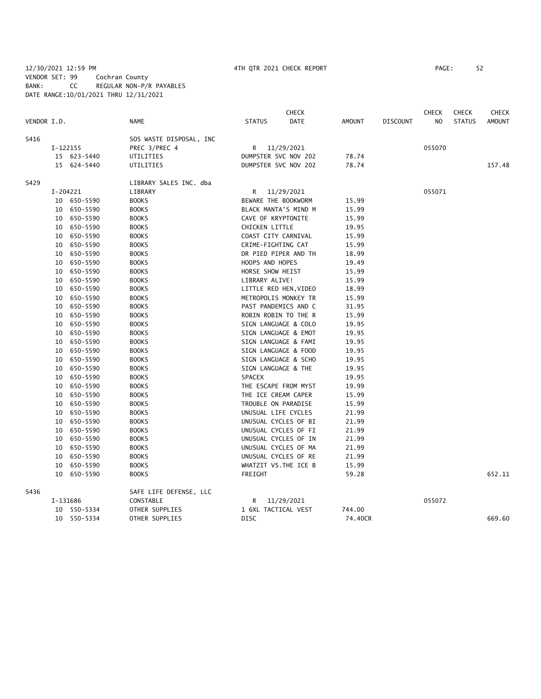## 12/30/2021 12:59 PM 4TH QTR 2021 CHECK REPORT PAGE: 52 VENDOR SET: 99 Cochran County BANK: CC REGULAR NON-P/R PAYABLES DATE RANGE:10/01/2021 THRU 12/31/2021

|             |          |             |                         |                     | <b>CHECK</b>          |               |                 | <b>CHECK</b>   | <b>CHECK</b>  | <b>CHECK</b>  |
|-------------|----------|-------------|-------------------------|---------------------|-----------------------|---------------|-----------------|----------------|---------------|---------------|
| VENDOR I.D. |          |             | <b>NAME</b>             | <b>STATUS</b>       | <b>DATE</b>           | <b>AMOUNT</b> | <b>DISCOUNT</b> | N <sub>O</sub> | <b>STATUS</b> | <b>AMOUNT</b> |
| S416        |          |             | SOS WASTE DISPOSAL, INC |                     |                       |               |                 |                |               |               |
|             | I-122155 |             | PREC 3/PREC 4           |                     | R 11/29/2021          |               |                 | 055070         |               |               |
|             |          | 15 623-5440 | UTILITIES               |                     | DUMPSTER SVC NOV 202  | 78.74         |                 |                |               |               |
|             |          | 15 624-5440 | UTILITIES               |                     | DUMPSTER SVC NOV 202  | 78.74         |                 |                |               | 157.48        |
| S429        |          |             | LIBRARY SALES INC. dba  |                     |                       |               |                 |                |               |               |
|             | I-204221 |             | LIBRARY                 |                     | R 11/29/2021          |               |                 | 055071         |               |               |
|             |          | 10 650-5590 | <b>BOOKS</b>            | BEWARE THE BOOKWORM |                       | 15.99         |                 |                |               |               |
|             |          | 10 650-5590 | <b>BOOKS</b>            |                     | BLACK MANTA'S MIND M  | 15.99         |                 |                |               |               |
|             |          | 10 650-5590 | <b>BOOKS</b>            | CAVE OF KRYPTONITE  |                       | 15.99         |                 |                |               |               |
|             |          | 10 650-5590 | <b>BOOKS</b>            | CHICKEN LITTLE      |                       | 19.95         |                 |                |               |               |
|             |          | 10 650-5590 | <b>BOOKS</b>            | COAST CITY CARNIVAL |                       | 15.99         |                 |                |               |               |
|             |          | 10 650-5590 | <b>BOOKS</b>            | CRIME-FIGHTING CAT  |                       | 15.99         |                 |                |               |               |
|             |          | 10 650-5590 | <b>BOOKS</b>            |                     | DR PIED PIPER AND TH  | 18.99         |                 |                |               |               |
|             |          | 10 650-5590 | <b>BOOKS</b>            | HOOPS AND HOPES     |                       | 19.49         |                 |                |               |               |
|             |          | 10 650-5590 | <b>BOOKS</b>            | HORSE SHOW HEIST    |                       | 15.99         |                 |                |               |               |
|             |          | 10 650-5590 | <b>BOOKS</b>            | LIBRARY ALIVE!      |                       | 15.99         |                 |                |               |               |
|             |          | 10 650-5590 | <b>BOOKS</b>            |                     | LITTLE RED HEN, VIDEO | 18.99         |                 |                |               |               |
|             |          | 10 650-5590 | <b>BOOKS</b>            |                     | METROPOLIS MONKEY TR  | 15.99         |                 |                |               |               |
|             |          | 10 650-5590 | <b>BOOKS</b>            |                     | PAST PANDEMICS AND C  | 31.95         |                 |                |               |               |
|             |          | 10 650-5590 | <b>BOOKS</b>            |                     | ROBIN ROBIN TO THE R  | 15.99         |                 |                |               |               |
|             |          | 10 650-5590 | <b>BOOKS</b>            |                     | SIGN LANGUAGE & COLO  | 19.95         |                 |                |               |               |
|             |          | 10 650-5590 | <b>BOOKS</b>            |                     | SIGN LANGUAGE & EMOT  | 19.95         |                 |                |               |               |
|             | 10       | 650-5590    | <b>BOOKS</b>            |                     | SIGN LANGUAGE & FAMI  | 19.95         |                 |                |               |               |
|             |          | 10 650-5590 | <b>BOOKS</b>            |                     | SIGN LANGUAGE & FOOD  | 19.95         |                 |                |               |               |
|             |          | 10 650-5590 | <b>BOOKS</b>            |                     | SIGN LANGUAGE & SCHO  | 19.95         |                 |                |               |               |
|             |          | 10 650-5590 | <b>BOOKS</b>            | SIGN LANGUAGE & THE |                       | 19.95         |                 |                |               |               |
|             |          | 10 650-5590 | <b>BOOKS</b>            | SPACEX              |                       | 19.95         |                 |                |               |               |
|             |          | 10 650-5590 | <b>BOOKS</b>            |                     | THE ESCAPE FROM MYST  | 19.99         |                 |                |               |               |
|             |          | 10 650-5590 | <b>BOOKS</b>            | THE ICE CREAM CAPER |                       | 15.99         |                 |                |               |               |
|             |          | 10 650-5590 | <b>BOOKS</b>            | TROUBLE ON PARADISE |                       | 15.99         |                 |                |               |               |
|             |          | 10 650-5590 | <b>BOOKS</b>            | UNUSUAL LIFE CYCLES |                       | 21.99         |                 |                |               |               |
|             |          | 10 650-5590 | <b>BOOKS</b>            |                     | UNUSUAL CYCLES OF BI  | 21.99         |                 |                |               |               |
|             |          | 10 650-5590 | <b>BOOKS</b>            |                     | UNUSUAL CYCLES OF FI  | 21.99         |                 |                |               |               |
|             |          | 10 650-5590 | <b>BOOKS</b>            |                     | UNUSUAL CYCLES OF IN  | 21.99         |                 |                |               |               |
|             |          | 10 650-5590 | <b>BOOKS</b>            |                     | UNUSUAL CYCLES OF MA  | 21.99         |                 |                |               |               |
|             |          | 10 650-5590 | <b>BOOKS</b>            |                     | UNUSUAL CYCLES OF RE  | 21.99         |                 |                |               |               |
|             |          | 10 650-5590 | <b>BOOKS</b>            |                     | WHATZIT VS. THE ICE B | 15.99         |                 |                |               |               |
|             |          | 10 650-5590 | <b>BOOKS</b>            | FREIGHT             |                       | 59.28         |                 |                |               | 652.11        |
| S436        |          |             | SAFE LIFE DEFENSE, LLC  |                     |                       |               |                 |                |               |               |
|             | I-131686 |             | CONSTABLE               | R                   | 11/29/2021            |               |                 | 055072         |               |               |
|             |          | 10 550-5334 | OTHER SUPPLIES          | 1 6XL TACTICAL VEST |                       | 744.00        |                 |                |               |               |
|             |          | 10 550-5334 | OTHER SUPPLIES          | <b>DISC</b>         |                       | 74.40CR       |                 |                |               | 669.60        |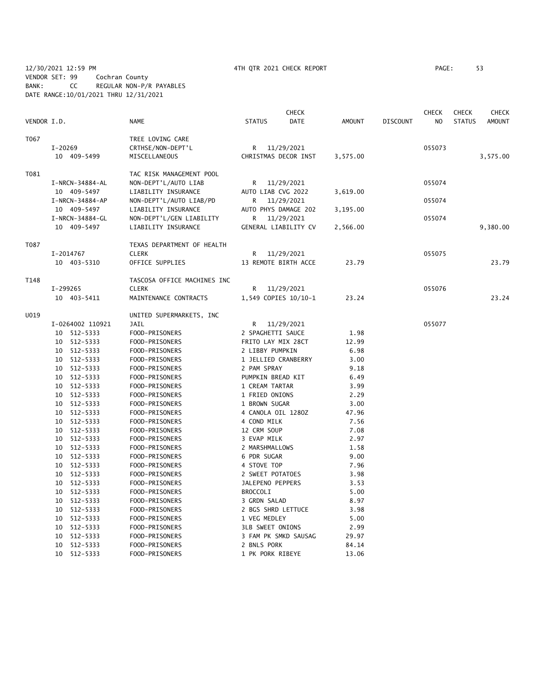# 12/30/2021 12:59 PM 4TH QTR 2021 CHECK REPORT PAGE: 53 VENDOR SET: 99 Cochran County BANK: CC REGULAR NON-P/R PAYABLES DATE RANGE:10/01/2021 THRU 12/31/2021

|             |                                  |                                  |                                     | <b>CHECK</b>         |               |                 | <b>CHECK</b>   | <b>CHECK</b>  | <b>CHECK</b>  |
|-------------|----------------------------------|----------------------------------|-------------------------------------|----------------------|---------------|-----------------|----------------|---------------|---------------|
| VENDOR I.D. |                                  | NAME                             | <b>STATUS</b>                       | <b>DATE</b>          | <b>AMOUNT</b> | <b>DISCOUNT</b> | N <sub>O</sub> | <b>STATUS</b> | <b>AMOUNT</b> |
| T067        |                                  | TREE LOVING CARE                 |                                     |                      |               |                 |                |               |               |
|             | $I-20269$                        | CRTHSE/NON-DEPT'L                | R                                   | 11/29/2021           |               |                 | 055073         |               |               |
|             | 10 409-5499                      | MISCELLANEOUS                    |                                     | CHRISTMAS DECOR INST | 3,575.00      |                 |                |               | 3,575.00      |
| T081        |                                  | TAC RISK MANAGEMENT POOL         |                                     |                      |               |                 |                |               |               |
|             | I-NRCN-34884-AL                  | NON-DEPT'L/AUTO LIAB             | R                                   | 11/29/2021           |               |                 | 055074         |               |               |
|             | 10 409-5497                      | LIABILITY INSURANCE              | AUTO LIAB CVG 2022                  |                      | 3,619.00      |                 |                |               |               |
|             | I-NRCN-34884-AP                  | NON-DEPT'L/AUTO LIAB/PD          | R                                   | 11/29/2021           |               |                 | 055074         |               |               |
|             | 10 409-5497                      | LIABILITY INSURANCE              |                                     | AUTO PHYS DAMAGE 202 | 3,195.00      |                 |                |               |               |
|             | I-NRCN-34884-GL                  | NON-DEPT'L/GEN LIABILITY         | R                                   | 11/29/2021           |               |                 | 055074         |               |               |
|             | 10 409-5497                      | LIABILITY INSURANCE              |                                     | GENERAL LIABILITY CV | 2,566.00      |                 |                |               | 9,380.00      |
| T087        |                                  | TEXAS DEPARTMENT OF HEALTH       |                                     |                      |               |                 |                |               |               |
|             | I-2014767                        | <b>CLERK</b>                     | R                                   | 11/29/2021           |               |                 | 055075         |               |               |
|             | 10 403-5310                      | OFFICE SUPPLIES                  |                                     | 13 REMOTE BIRTH ACCE | 23.79         |                 |                |               | 23.79         |
| T148        |                                  | TASCOSA OFFICE MACHINES INC      |                                     |                      |               |                 |                |               |               |
|             | I-299265                         | <b>CLERK</b>                     | R                                   | 11/29/2021           |               |                 | 055076         |               |               |
|             | 10 403-5411                      | MAINTENANCE CONTRACTS            |                                     | 1,549 COPIES 10/10-1 | 23.24         |                 |                |               | 23.24         |
| U019        |                                  | UNITED SUPERMARKETS, INC         |                                     |                      |               |                 |                |               |               |
|             | I-0264002 110921                 | <b>JAIL</b>                      | R                                   | 11/29/2021           |               |                 | 055077         |               |               |
|             | 10 512-5333                      | FOOD-PRISONERS                   | 2 SPAGHETTI SAUCE                   |                      | 1.98          |                 |                |               |               |
|             | 10 512-5333                      | FOOD-PRISONERS                   | FRITO LAY MIX 28CT                  |                      | 12.99         |                 |                |               |               |
|             | 10 512-5333                      | FOOD-PRISONERS                   | 2 LIBBY PUMPKIN                     |                      | 6.98          |                 |                |               |               |
|             | 10 512-5333                      | FOOD-PRISONERS                   | 1 JELLIED CRANBERRY                 |                      | 3.00          |                 |                |               |               |
|             | 10 512-5333                      | FOOD-PRISONERS                   | 2 PAM SPRAY                         |                      | 9.18          |                 |                |               |               |
|             | 10<br>512-5333                   | FOOD-PRISONERS                   | PUMPKIN BREAD KIT                   |                      | 6.49          |                 |                |               |               |
|             | 10<br>512-5333                   | FOOD-PRISONERS                   | 1 CREAM TARTAR                      |                      | 3.99          |                 |                |               |               |
|             | 512-5333<br>10                   | FOOD-PRISONERS                   | 1 FRIED ONIONS                      |                      | 2.29          |                 |                |               |               |
|             | 10<br>512-5333                   | FOOD-PRISONERS                   | 1 BROWN SUGAR                       |                      | 3.00          |                 |                |               |               |
|             | 10 512-5333                      | FOOD-PRISONERS                   | 4 CANOLA OIL 1280Z                  |                      | 47.96         |                 |                |               |               |
|             | 512-5333<br>10                   | FOOD-PRISONERS                   | 4 COND MILK                         |                      | 7.56          |                 |                |               |               |
|             | 10 512-5333                      | FOOD-PRISONERS                   | 12 CRM SOUP                         |                      | 7.08          |                 |                |               |               |
|             | 512-5333<br>10                   | FOOD-PRISONERS                   | 3 EVAP MILK                         |                      | 2.97          |                 |                |               |               |
|             | 512-5333<br>10                   | FOOD-PRISONERS                   | 2 MARSHMALLOWS                      |                      | 1.58          |                 |                |               |               |
|             | 512-5333<br>10                   | FOOD-PRISONERS                   | 6 PDR SUGAR                         |                      | 9.00          |                 |                |               |               |
|             | 10 512-5333                      | FOOD-PRISONERS                   | 4 STOVE TOP                         |                      | 7.96          |                 |                |               |               |
|             | 10 512-5333                      | FOOD-PRISONERS                   | 2 SWEET POTATOES                    |                      | 3.98          |                 |                |               |               |
|             | 10 512-5333<br>512-5333          | FOOD-PRISONERS                   | JALEPENO PEPPERS<br><b>BROCCOLI</b> |                      | 3.53          |                 |                |               |               |
|             | 10                               | FOOD-PRISONERS                   |                                     |                      | 5.00          |                 |                |               |               |
|             | 10 512-5333                      | FOOD-PRISONERS                   | 3 GRDN SALAD                        |                      | 8.97          |                 |                |               |               |
|             | 512-5333<br>10<br>512-5333<br>10 | FOOD-PRISONERS<br>FOOD-PRISONERS | 2 BGS SHRD LETTUCE<br>1 VEG MEDLEY  |                      | 3.98<br>5.00  |                 |                |               |               |
|             | 10<br>512-5333                   | FOOD-PRISONERS                   | <b>3LB SWEET ONIONS</b>             |                      | 2.99          |                 |                |               |               |
|             | 512-5333<br>10                   | FOOD-PRISONERS                   |                                     | 3 FAM PK SMKD SAUSAG | 29.97         |                 |                |               |               |
|             | 512-5333<br>10                   | FOOD-PRISONERS                   | 2 BNLS PORK                         |                      | 84.14         |                 |                |               |               |
|             | 10<br>512-5333                   | FOOD-PRISONERS                   | 1 PK PORK RIBEYE                    |                      | 13.06         |                 |                |               |               |
|             |                                  |                                  |                                     |                      |               |                 |                |               |               |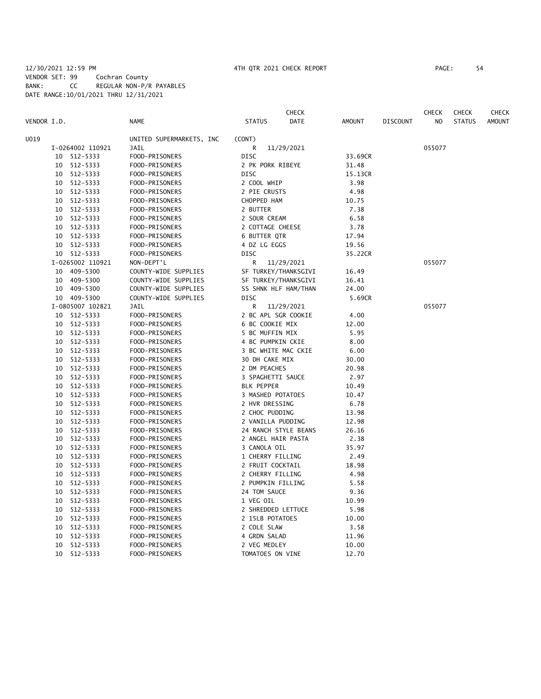## 12/30/2021 12:59 PM 4TH QTR 2021 CHECK REPORT PAGE: 54 VENDOR SET: 99 Cochran County BANK: CC REGULAR NON-P/R PAYABLES DATE RANGE:10/01/2021 THRU 12/31/2021

| VENDOR I.D. |                  | <b>NAME</b>              | <b>STATUS</b>        | <b>CHECK</b><br><b>DATE</b> | <b>AMOUNT</b> | <b>DISCOUNT</b> | <b>CHECK</b><br>N <sub>O</sub> | <b>CHECK</b><br><b>STATUS</b> | <b>CHECK</b><br><b>AMOUNT</b> |
|-------------|------------------|--------------------------|----------------------|-----------------------------|---------------|-----------------|--------------------------------|-------------------------------|-------------------------------|
|             |                  |                          |                      |                             |               |                 |                                |                               |                               |
| U019        |                  | UNITED SUPERMARKETS, INC | (CONT)               |                             |               |                 |                                |                               |                               |
|             | I-0264002 110921 | JAIL                     | R                    | 11/29/2021                  |               |                 | 055077                         |                               |                               |
|             | 10 512-5333      | FOOD-PRISONERS           | <b>DISC</b>          |                             | 33.69CR       |                 |                                |                               |                               |
| 10          | 512-5333         | FOOD-PRISONERS           | 2 PK PORK RIBEYE     |                             | 31.48         |                 |                                |                               |                               |
|             | 10 512-5333      | FOOD-PRISONERS           | DISC                 |                             | 15.13CR       |                 |                                |                               |                               |
|             | 10 512-5333      | FOOD-PRISONERS           | 2 COOL WHIP          |                             | 3.98          |                 |                                |                               |                               |
|             | 10 512-5333      | FOOD-PRISONERS           | 2 PIE CRUSTS         |                             | 4.98          |                 |                                |                               |                               |
|             | 10 512-5333      | FOOD-PRISONERS           | CHOPPED HAM          |                             | 10.75         |                 |                                |                               |                               |
| 10          | 512-5333         | FOOD-PRISONERS           | 2 BUTTER             |                             | 7.38          |                 |                                |                               |                               |
| 10          | 512-5333         | FOOD-PRISONERS           | 2 SOUR CREAM         |                             | 6.58          |                 |                                |                               |                               |
| 10          | 512-5333         | FOOD-PRISONERS           | 2 COTTAGE CHEESE     |                             | 3.78          |                 |                                |                               |                               |
| 10          | 512-5333         | FOOD-PRISONERS           | 6 BUTTER QTR         |                             | 17.94         |                 |                                |                               |                               |
|             | 10 512-5333      | FOOD-PRISONERS           | 4 DZ LG EGGS         |                             | 19.56         |                 |                                |                               |                               |
|             | 10 512-5333      | FOOD-PRISONERS           | <b>DISC</b>          |                             | 35.22CR       |                 |                                |                               |                               |
|             | I-0265002 110921 | NON-DEPT'L               | R                    | 11/29/2021                  |               |                 | 055077                         |                               |                               |
| 10          | 409-5300         | COUNTY-WIDE SUPPLIES     | SF TURKEY/THANKSGIVI |                             | 16.49         |                 |                                |                               |                               |
| 10          | 409-5300         | COUNTY-WIDE SUPPLIES     | SF TURKEY/THANKSGIVI |                             | 16.41         |                 |                                |                               |                               |
|             | 10 409-5300      | COUNTY-WIDE SUPPLIES     | SS SHNK HLF HAM/THAN |                             | 24.00         |                 |                                |                               |                               |
|             | 10 409-5300      | COUNTY-WIDE SUPPLIES     | <b>DISC</b>          |                             | 5.69CR        |                 |                                |                               |                               |
|             | I-0805007 102821 | <b>JAIL</b>              | R                    | 11/29/2021                  |               |                 | 055077                         |                               |                               |
|             | 10 512-5333      | FOOD-PRISONERS           | 2 BC APL SGR COOKIE  |                             | 4.00          |                 |                                |                               |                               |
| 10          | 512-5333         | FOOD-PRISONERS           | 6 BC COOKIE MIX      |                             | 12.00         |                 |                                |                               |                               |
| 10          | 512-5333         | FOOD-PRISONERS           | 5 BC MUFFIN MIX      |                             | 5.95          |                 |                                |                               |                               |
| 10          | 512-5333         | FOOD-PRISONERS           | 4 BC PUMPKIN CKIE    |                             | 8.00          |                 |                                |                               |                               |
| 10          | 512-5333         | FOOD-PRISONERS           | 3 BC WHITE MAC CKIE  |                             | 6.00          |                 |                                |                               |                               |
| 10          | 512-5333         | FOOD-PRISONERS           | 30 DH CAKE MIX       |                             | 30.00         |                 |                                |                               |                               |
| 10          | 512-5333         | FOOD-PRISONERS           | 2 DM PEACHES         |                             | 20.98         |                 |                                |                               |                               |
| 10          | 512-5333         | FOOD-PRISONERS           | 3 SPAGHETTI SAUCE    |                             | 2.97          |                 |                                |                               |                               |
| 10          | 512-5333         | FOOD-PRISONERS           | <b>BLK PEPPER</b>    |                             | 10.49         |                 |                                |                               |                               |
| 10          | 512-5333         | FOOD-PRISONERS           | 3 MASHED POTATOES    |                             | 10.47         |                 |                                |                               |                               |
| 10          | 512-5333         | FOOD-PRISONERS           | 2 HVR DRESSING       |                             | 6.78          |                 |                                |                               |                               |
| 10          | 512-5333         | FOOD-PRISONERS           | 2 CHOC PUDDING       |                             | 13.98         |                 |                                |                               |                               |
| 10          | 512-5333         | FOOD-PRISONERS           | 2 VANILLA PUDDING    |                             | 12.98         |                 |                                |                               |                               |
| 10          | 512-5333         | FOOD-PRISONERS           | 24 RANCH STYLE BEANS |                             | 26.16         |                 |                                |                               |                               |
| 10          | 512-5333         | FOOD-PRISONERS           | 2 ANGEL HAIR PASTA   |                             | 2.38          |                 |                                |                               |                               |
| 10          | 512-5333         | FOOD-PRISONERS           | 3 CANOLA OIL         |                             | 35.97         |                 |                                |                               |                               |
| 10          | 512-5333         | FOOD-PRISONERS           | 1 CHERRY FILLING     |                             | 2.49          |                 |                                |                               |                               |
| 10          | 512-5333         | FOOD-PRISONERS           | 2 FRUIT COCKTAIL     |                             | 18.98         |                 |                                |                               |                               |
| 10          | 512-5333         | FOOD-PRISONERS           | 2 CHERRY FILLING     |                             | 4.98          |                 |                                |                               |                               |
| 10          | 512-5333         | FOOD-PRISONERS           | 2 PUMPKIN FILLING    |                             | 5.58          |                 |                                |                               |                               |
| 10          | 512-5333         | FOOD-PRISONERS           | 24 TOM SAUCE         |                             | 9.36          |                 |                                |                               |                               |
| 10          | 512-5333         | FOOD-PRISONERS           | 1 VEG OIL            |                             | 10.99         |                 |                                |                               |                               |
| 10          | 512-5333         | FOOD-PRISONERS           | 2 SHREDDED LETTUCE   |                             | 5.98          |                 |                                |                               |                               |
| 10          | 512-5333         | FOOD-PRISONERS           | 2 15LB POTATOES      |                             | 10.00         |                 |                                |                               |                               |
| 10          | 512-5333         | FOOD-PRISONERS           | 2 COLE SLAW          |                             | 3.58          |                 |                                |                               |                               |
| 10          | 512-5333         | FOOD-PRISONERS           | 4 GRDN SALAD         |                             | 11.96         |                 |                                |                               |                               |
| 10          | 512-5333         | FOOD-PRISONERS           | 2 VEG MEDLEY         |                             | 10.00         |                 |                                |                               |                               |
|             | 10 512-5333      | FOOD-PRISONERS           | TOMATOES ON VINE     |                             | 12.70         |                 |                                |                               |                               |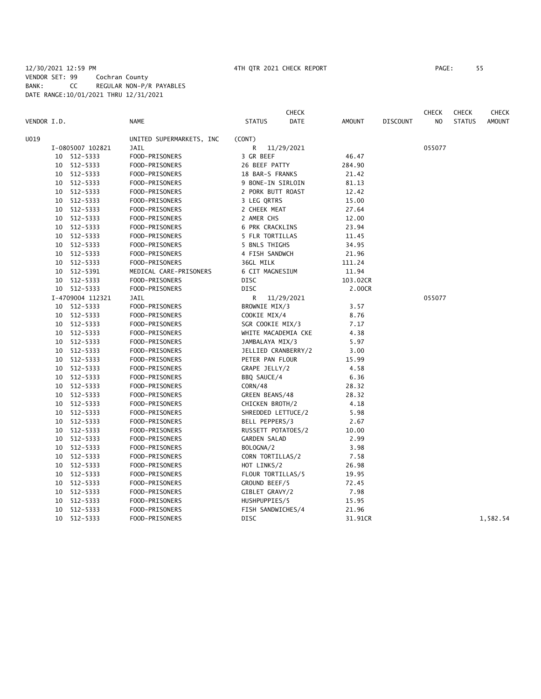#### 12/30/2021 12:59 PM 4TH QTR 2021 CHECK REPORT PAGE: 55 VENDOR SET: 99 Cochran County BANK: CC REGULAR NON-P/R PAYABLES DATE RANGE:10/01/2021 THRU 12/31/2021

**CHECK CHECK CHECK CHECK CHECK CHECK CHECK** VENDOR I.D. NAME STATUS DATE AMOUNT DISCOUNT NO STATUS AMOUNT U019 UNITED SUPERMARKETS, INC (CONT) I-0805007 102821 JAIL R 11/29/2021 055077 10 512-5333 FOOD-PRISONERS 3 GR BEEF 46.47 10 512-5333 FOOD-PRISONERS 26 BEEF PATTY 284.90 10 512-5333 FOOD-PRISONERS 18 BAR-S FRANKS 21.42 10 512-5333 FOOD-PRISONERS 9 BONE-IN SIRLOIN 81.13 10 512-5333 FOOD-PRISONERS 2 PORK BUTT ROAST 12.42 10 512-5333 FOOD-PRISONERS 3 LEG QRTRS 15.00 10 512-5333 FOOD-PRISONERS 2 CHEEK MEAT 27.64 10 512-5333 FOOD-PRISONERS 2 AMER CHS 12.00 10 512-5333 FOOD-PRISONERS 6 PRK CRACKLINS 23.94 10 512-5333 FOOD-PRISONERS 5 FLR TORTILLAS 11.45 10 512-5333 FOOD-PRISONERS 5 BNLS THIGHS 34.95 10 512-5333 FOOD-PRISONERS 4 FISH SANDWCH 21.96 10 512-5333 FOOD-PRISONERS 36GL MILK 111.24 10 512-5391 MEDICAL CARE-PRISONERS 6 CIT MAGNESIUM 11.94 10 512-5333 FOOD-PRISONERS DISC 103.02CR 10 512-5333 FOOD-PRISONERS DISC 2.00CR I-4709004 112321 JAIL R 11/29/2021 055077 10 512-5333 FOOD-PRISONERS BROWNIE MIX/3 3.57 10 512-5333 FOOD-PRISONERS COOKIE MIX/4 8.76 10 512-5333 FOOD-PRISONERS SGR COOKIE MIX/3 7.17 10 512-5333 FOOD-PRISONERS WHITE MACADEMIA CKE 4.38 10 512-5333 FOOD-PRISONERS JAMBALAYA MIX/3 5.97 10 512-5333 FOOD-PRISONERS JELLIED CRANBERRY/2 3.00 10 512-5333 FOOD-PRISONERS PETER PAN FLOUR 15.99 10 512-5333 FOOD-PRISONERS GRAPE JELLY/2 4.58 10 512-5333 FOOD-PRISONERS BBQ SAUCE/4 6.36 10 512-5333 FOOD-PRISONERS CORN/48 28.32 10 512-5333 FOOD-PRISONERS GREEN BEANS/48 28.32 10 512-5333 FOOD-PRISONERS CHICKEN BROTH/2 4.18 10 512-5333 FOOD-PRISONERS SHREDDED LETTUCE/2 5.98 10 512-5333 FOOD-PRISONERS BELL PEPPERS/3 2.67 10 512-5333 FOOD-PRISONERS RUSSETT POTATOES/2 10.00 10 512-5333 FOOD-PRISONERS GARDEN SALAD 2.99 10 512-5333 FOOD-PRISONERS BOLOGNA/2 3.98 10 512-5333 FOOD-PRISONERS CORN TORTILLAS/2 7.58 10 512-5333 FOOD-PRISONERS HOT LINKS/2 26.98 10 512-5333 FOOD-PRISONERS FLOUR TORTILLAS/5 19.95 10 512-5333 FOOD-PRISONERS GROUND BEEF/5 72.45 10 512-5333 FOOD-PRISONERS GIBLET GRAVY/2 7.98 10 512-5333 FOOD-PRISONERS HUSHPUPPIES/5 15.95 10 512-5333 FOOD-PRISONERS FISH SANDWICHES/4 21.96 10 512-5333 FOOD-PRISONERS DISC 31.91CR 1,582.54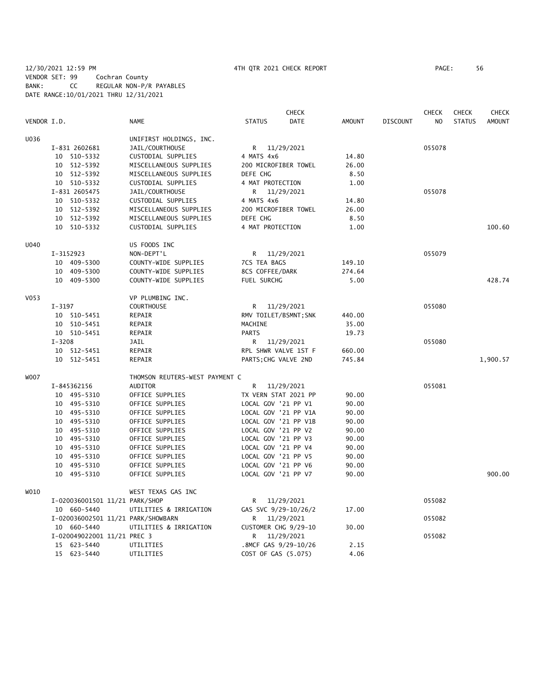## 12/30/2021 12:59 PM 4TH QTR 2021 CHECK REPORT PAGE: 56 VENDOR SET: 99 Cochran County BANK: CC REGULAR NON-P/R PAYABLES DATE RANGE:10/01/2021 THRU 12/31/2021

|             |            |                                |                                    |                      | <b>CHECK</b>          |               |                 | <b>CHECK</b>   | <b>CHECK</b>  | <b>CHECK</b>  |
|-------------|------------|--------------------------------|------------------------------------|----------------------|-----------------------|---------------|-----------------|----------------|---------------|---------------|
| VENDOR I.D. |            |                                | <b>NAME</b>                        | <b>STATUS</b>        | DATE                  | <b>AMOUNT</b> | <b>DISCOUNT</b> | N <sub>O</sub> | <b>STATUS</b> | <b>AMOUNT</b> |
| U036        |            |                                | UNIFIRST HOLDINGS, INC.            |                      |                       |               |                 |                |               |               |
|             |            | I-831 2602681                  | JAIL/COURTHOUSE                    | R                    | 11/29/2021            |               |                 | 055078         |               |               |
|             |            | 10 510-5332                    | CUSTODIAL SUPPLIES                 | 4 MATS 4x6           |                       | 14.80         |                 |                |               |               |
|             |            | 10 512-5392                    | MISCELLANEOUS SUPPLIES             |                      | 200 MICROFIBER TOWEL  | 26.00         |                 |                |               |               |
|             |            | 10 512-5392                    | MISCELLANEOUS SUPPLIES             | DEFE CHG             |                       | 8.50          |                 |                |               |               |
|             |            | 10 510-5332                    | CUSTODIAL SUPPLIES                 | 4 MAT PROTECTION     |                       | 1.00          |                 |                |               |               |
|             |            | I-831 2605475                  | JAIL/COURTHOUSE                    | R                    | 11/29/2021            |               |                 | 055078         |               |               |
|             |            | 10 510-5332                    | CUSTODIAL SUPPLIES                 | 4 MATS 4x6           |                       | 14.80         |                 |                |               |               |
|             |            | 10 512-5392                    | MISCELLANEOUS SUPPLIES             |                      | 200 MICROFIBER TOWEL  | 26.00         |                 |                |               |               |
|             |            | 10 512-5392                    | MISCELLANEOUS SUPPLIES             | DEFE CHG             |                       | 8.50          |                 |                |               |               |
|             |            | 10 510-5332                    | CUSTODIAL SUPPLIES                 | 4 MAT PROTECTION     |                       | 1.00          |                 |                |               | 100.60        |
| U040        |            |                                | US FOODS INC                       |                      |                       |               |                 |                |               |               |
|             |            | I-3152923                      | NON-DEPT'L                         | R                    | 11/29/2021            |               |                 | 055079         |               |               |
|             |            | 10 409-5300                    | COUNTY-WIDE SUPPLIES               | 7CS TEA BAGS         |                       | 149.10        |                 |                |               |               |
|             |            | 10 409-5300                    | COUNTY-WIDE SUPPLIES               | 8CS COFFEE/DARK      |                       | 274.64        |                 |                |               |               |
|             |            | 10 409-5300                    | COUNTY-WIDE SUPPLIES               | FUEL SURCHG          |                       | 5.00          |                 |                |               | 428.74        |
| V053        |            |                                | VP PLUMBING INC.                   |                      |                       |               |                 |                |               |               |
|             | $I - 3197$ |                                | <b>COURTHOUSE</b>                  | R.                   | 11/29/2021            |               |                 | 055080         |               |               |
|             |            | 10 510-5451                    | REPAIR                             |                      | RMV TOILET/BSMNT; SNK | 440.00        |                 |                |               |               |
|             |            | 10 510-5451                    | REPAIR                             | MACHINE              |                       | 35.00         |                 |                |               |               |
|             |            | 10 510-5451                    | REPAIR                             | <b>PARTS</b>         |                       | 19.73         |                 |                |               |               |
|             | $I - 3208$ |                                | JAIL                               | R                    | 11/29/2021            |               |                 | 055080         |               |               |
|             |            | 10 512-5451                    | REPAIR                             |                      | RPL SHWR VALVE 1ST F  | 660.00        |                 |                |               |               |
|             |            | 10 512-5451                    | REPAIR                             | PARTS; CHG VALVE 2ND |                       | 745.84        |                 |                |               | 1,900.57      |
| <b>WOO7</b> |            |                                | THOMSON REUTERS-WEST PAYMENT C     |                      |                       |               |                 |                |               |               |
|             |            | I-845362156                    | AUDITOR                            | R                    | 11/29/2021            |               |                 | 055081         |               |               |
|             |            | 10 495-5310                    | OFFICE SUPPLIES                    |                      | TX VERN STAT 2021 PP  | 90.00         |                 |                |               |               |
|             |            | 10 495-5310                    | OFFICE SUPPLIES                    | LOCAL GOV '21 PP V1  |                       | 90.00         |                 |                |               |               |
|             |            | 10 495-5310                    | OFFICE SUPPLIES                    |                      | LOCAL GOV '21 PP V1A  | 90.00         |                 |                |               |               |
|             |            | 10 495-5310                    | OFFICE SUPPLIES                    |                      | LOCAL GOV '21 PP V1B  | 90.00         |                 |                |               |               |
|             |            | 10 495-5310                    | OFFICE SUPPLIES                    | LOCAL GOV '21 PP V2  |                       | 90.00         |                 |                |               |               |
|             |            | 10 495-5310                    | OFFICE SUPPLIES                    | LOCAL GOV '21 PP V3  |                       | 90.00         |                 |                |               |               |
|             |            | 10 495-5310                    | OFFICE SUPPLIES                    | LOCAL GOV '21 PP V4  |                       | 90.00         |                 |                |               |               |
|             |            | 10 495-5310                    | OFFICE SUPPLIES                    | LOCAL GOV '21 PP V5  |                       | 90.00         |                 |                |               |               |
|             |            | 10 495-5310                    | OFFICE SUPPLIES                    | LOCAL GOV '21 PP V6  |                       | 90.00         |                 |                |               |               |
|             |            | 10 495-5310                    | OFFICE SUPPLIES                    | LOCAL GOV '21 PP V7  |                       | 90.00         |                 |                |               | 900.00        |
| W010        |            |                                | WEST TEXAS GAS INC                 |                      |                       |               |                 |                |               |               |
|             |            | I-020036001501 11/21 PARK/SHOP |                                    | R                    | 11/29/2021            |               |                 | 055082         |               |               |
|             |            | 10 660-5440                    | UTILITIES & IRRIGATION             |                      | GAS SVC 9/29-10/26/2  | 17.00         |                 |                |               |               |
|             |            |                                | I-020036002501 11/21 PARK/SHOWBARN | R                    | 11/29/2021            |               |                 | 055082         |               |               |
|             |            | 10 660-5440                    | UTILITIES & IRRIGATION             |                      | CUSTOMER CHG 9/29-10  | 30.00         |                 |                |               |               |
|             |            | I-020049022001 11/21 PREC 3    |                                    | R                    | 11/29/2021            |               |                 | 055082         |               |               |
|             |            | 15 623-5440                    | UTILITIES                          |                      | .8MCF GAS 9/29-10/26  | 2.15          |                 |                |               |               |
|             |            | 15 623-5440                    | UTILITIES                          | COST OF GAS (5.075)  |                       | 4.06          |                 |                |               |               |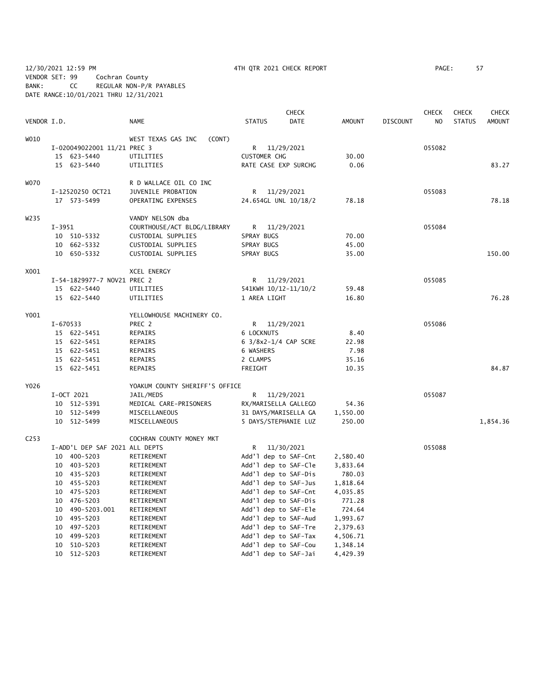12/30/2021 12:59 PM 4TH QTR 2021 CHECK REPORT PAGE: 57 VENDOR SET: 99 Cochran County BANK: CC REGULAR NON-P/R PAYABLES DATE RANGE:10/01/2021 THRU 12/31/2021

|                  |          |                                |                                |                     | <b>CHECK</b>         |               |                 | <b>CHECK</b>   | <b>CHECK</b>  | <b>CHECK</b>  |
|------------------|----------|--------------------------------|--------------------------------|---------------------|----------------------|---------------|-----------------|----------------|---------------|---------------|
| VENDOR I.D.      |          |                                | <b>NAME</b>                    | <b>STATUS</b>       | <b>DATE</b>          | <b>AMOUNT</b> | <b>DISCOUNT</b> | N <sub>O</sub> | <b>STATUS</b> | <b>AMOUNT</b> |
| W010             |          |                                | WEST TEXAS GAS INC<br>(CONT)   |                     |                      |               |                 |                |               |               |
|                  |          | I-020049022001 11/21 PREC 3    |                                | R                   | 11/29/2021           |               |                 | 055082         |               |               |
|                  |          | 15 623-5440                    | UTILITIES                      | <b>CUSTOMER CHG</b> |                      | 30.00         |                 |                |               |               |
|                  |          | 15 623-5440                    | UTILITIES                      |                     | RATE CASE EXP SURCHG | 0.06          |                 |                |               | 83.27         |
| <b>WO70</b>      |          |                                | R D WALLACE OIL CO INC         |                     |                      |               |                 |                |               |               |
|                  |          | I-12520250 OCT21               | JUVENILE PROBATION             |                     | R 11/29/2021         |               |                 | 055083         |               |               |
|                  |          | 17 573-5499                    | OPERATING EXPENSES             |                     | 24.654GL UNL 10/18/2 | 78.18         |                 |                |               | 78.18         |
| W235             |          |                                | VANDY NELSON dba               |                     |                      |               |                 |                |               |               |
|                  | $I-3951$ |                                | COURTHOUSE/ACT BLDG/LIBRARY    |                     | R 11/29/2021         |               |                 | 055084         |               |               |
|                  |          | 10 510-5332                    | CUSTODIAL SUPPLIES             | SPRAY BUGS          |                      | 70.00         |                 |                |               |               |
|                  |          | 10 662-5332                    | CUSTODIAL SUPPLIES             | SPRAY BUGS          |                      | 45.00         |                 |                |               |               |
|                  |          | 10 650-5332                    | CUSTODIAL SUPPLIES             | SPRAY BUGS          |                      | 35.00         |                 |                |               | 150.00        |
| X001             |          |                                | XCEL ENERGY                    |                     |                      |               |                 |                |               |               |
|                  |          | I-54-1829977-7 NOV21 PREC 2    |                                | R                   | 11/29/2021           |               |                 | 055085         |               |               |
|                  |          | 15 622-5440                    | UTILITIES                      |                     | 541KWH 10/12-11/10/2 | 59.48         |                 |                |               |               |
|                  |          | 15 622-5440                    | UTILITIES                      | 1 AREA LIGHT        |                      | 16.80         |                 |                |               | 76.28         |
| Y001             |          |                                | YELLOWHOUSE MACHINERY CO.      |                     |                      |               |                 |                |               |               |
|                  | I-670533 |                                | PREC 2                         | R                   | 11/29/2021           |               |                 | 055086         |               |               |
|                  |          | 15 622-5451                    | REPAIRS                        | 6 LOCKNUTS          |                      | 8.40          |                 |                |               |               |
|                  |          | 15 622-5451                    | REPAIRS                        |                     | 6 3/8x2-1/4 CAP SCRE | 22.98         |                 |                |               |               |
|                  |          | 15 622-5451                    | REPAIRS                        | 6 WASHERS           |                      | 7.98          |                 |                |               |               |
|                  |          | 15 622-5451                    | REPAIRS                        | 2 CLAMPS            |                      | 35.16         |                 |                |               |               |
|                  |          | 15 622-5451                    | REPAIRS                        | FREIGHT             |                      | 10.35         |                 |                |               | 84.87         |
| Y026             |          |                                | YOAKUM COUNTY SHERIFF'S OFFICE |                     |                      |               |                 |                |               |               |
|                  |          | I-OCT 2021                     | JAIL/MEDS                      | R —                 | 11/29/2021           |               |                 | 055087         |               |               |
|                  |          | 10 512-5391                    | MEDICAL CARE-PRISONERS         |                     | RX/MARISELLA GALLEGO | 54.36         |                 |                |               |               |
|                  |          | 10 512-5499                    | MISCELLANEOUS                  |                     | 31 DAYS/MARISELLA GA | 1,550.00      |                 |                |               |               |
|                  |          | 10 512-5499                    | MISCELLANEOUS                  |                     | 5 DAYS/STEPHANIE LUZ | 250.00        |                 |                |               | 1,854.36      |
| C <sub>253</sub> |          |                                | COCHRAN COUNTY MONEY MKT       |                     |                      |               |                 |                |               |               |
|                  |          | I-ADD'L DEP SAF 2021 ALL DEPTS |                                | R                   | 11/30/2021           |               |                 | 055088         |               |               |
|                  |          | 10 400-5203                    | RETIREMENT                     |                     | Add'l dep to SAF-Cnt | 2,580.40      |                 |                |               |               |
|                  |          | 10 403-5203                    | RETIREMENT                     |                     | Add'l dep to SAF-Cle | 3,833.64      |                 |                |               |               |
|                  |          | 10 435-5203                    | RETIREMENT                     |                     | Add'l dep to SAF-Dis | 780.03        |                 |                |               |               |
|                  |          | 10 455-5203                    | RETIREMENT                     |                     | Add'l dep to SAF-Jus | 1,818.64      |                 |                |               |               |
|                  |          | 10 475-5203                    | RETIREMENT                     |                     | Add'l dep to SAF-Cnt | 4,035.85      |                 |                |               |               |
|                  |          | 10 476-5203                    | RETIREMENT                     |                     | Add'l dep to SAF-Dis | 771.28        |                 |                |               |               |
|                  |          | 10 490-5203.001                | RETIREMENT                     |                     | Add'l dep to SAF-Ele | 724.64        |                 |                |               |               |
|                  |          | 10 495-5203                    | RETIREMENT                     |                     | Add'l dep to SAF-Aud | 1,993.67      |                 |                |               |               |
|                  |          | 10 497-5203                    | RETIREMENT                     |                     | Add'l dep to SAF-Tre | 2,379.63      |                 |                |               |               |
|                  |          | 10 499-5203                    | RETIREMENT                     |                     | Add'l dep to SAF-Tax | 4,506.71      |                 |                |               |               |
|                  |          | 10 510-5203                    | RETIREMENT                     |                     | Add'l dep to SAF-Cou | 1,348.14      |                 |                |               |               |
|                  |          | 10 512-5203                    | RETIREMENT                     |                     | Add'l dep to SAF-Jai | 4,429.39      |                 |                |               |               |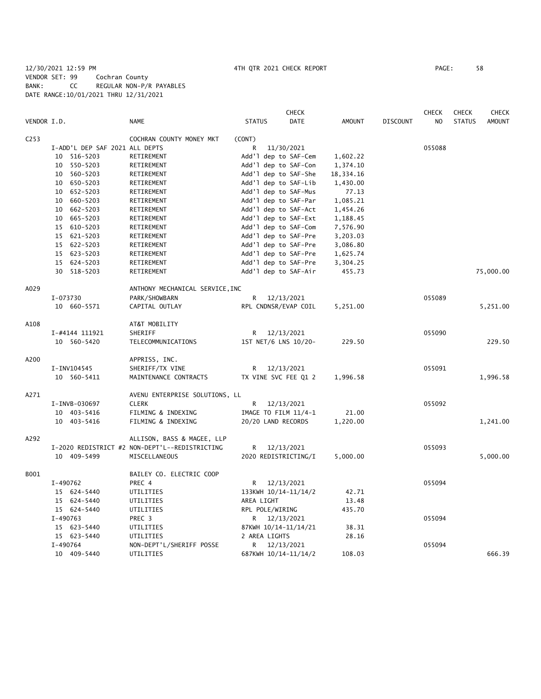# 12/30/2021 12:59 PM 4TH QTR 2021 CHECK REPORT PAGE: 58 VENDOR SET: 99 Cochran County BANK: CC REGULAR NON-P/R PAYABLES DATE RANGE:10/01/2021 THRU 12/31/2021

|                  |                |                                |                                                |                 | CHECK                |               |                 | <b>CHECK</b>   | <b>CHECK</b>  | <b>CHECK</b>  |
|------------------|----------------|--------------------------------|------------------------------------------------|-----------------|----------------------|---------------|-----------------|----------------|---------------|---------------|
| VENDOR I.D.      |                |                                | <b>NAME</b>                                    | <b>STATUS</b>   | <b>DATE</b>          | <b>AMOUNT</b> | <b>DISCOUNT</b> | N <sub>O</sub> | <b>STATUS</b> | <b>AMOUNT</b> |
| C <sub>253</sub> |                |                                | COCHRAN COUNTY MONEY MKT                       | (CONT)          |                      |               |                 |                |               |               |
|                  |                | I-ADD'L DEP SAF 2021 ALL DEPTS |                                                | R               | 11/30/2021           |               |                 | 055088         |               |               |
|                  | 10 516-5203    |                                | RETIREMENT                                     |                 | Add'l dep to SAF-Cem | 1,602.22      |                 |                |               |               |
|                  | 10 550-5203    |                                | RETIREMENT                                     |                 | Add'l dep to SAF-Con | 1,374.10      |                 |                |               |               |
|                  | 10 560-5203    |                                | RETIREMENT                                     |                 | Add'l dep to SAF-She | 18,334.16     |                 |                |               |               |
|                  | 10 650-5203    |                                | RETIREMENT                                     |                 | Add'l dep to SAF-Lib | 1,430.00      |                 |                |               |               |
|                  | 10 652-5203    |                                | RETIREMENT                                     |                 | Add'l dep to SAF-Mus | 77.13         |                 |                |               |               |
|                  | 10 660-5203    |                                | RETIREMENT                                     |                 | Add'l dep to SAF-Par | 1,085.21      |                 |                |               |               |
|                  | 10 662-5203    |                                | RETIREMENT                                     |                 | Add'l dep to SAF-Act | 1,454.26      |                 |                |               |               |
|                  | 10 665-5203    |                                | RETIREMENT                                     |                 | Add'l dep to SAF-Ext | 1,188.45      |                 |                |               |               |
|                  | 15 610-5203    |                                | RETIREMENT                                     |                 | Add'l dep to SAF-Com | 7,576.90      |                 |                |               |               |
|                  | 15 621-5203    |                                | RETIREMENT                                     |                 | Add'l dep to SAF-Pre | 3,203.03      |                 |                |               |               |
|                  | 15 622-5203    |                                | RETIREMENT                                     |                 | Add'l dep to SAF-Pre | 3,086.80      |                 |                |               |               |
|                  | 15 623-5203    |                                | RETIREMENT                                     |                 | Add'1 dep to SAF-Pre | 1,625.74      |                 |                |               |               |
|                  | 15 624-5203    |                                | RETIREMENT                                     |                 | Add'l dep to SAF-Pre | 3,304.25      |                 |                |               |               |
|                  | 30 518-5203    |                                | RETIREMENT                                     |                 | Add'l dep to SAF-Air | 455.73        |                 |                |               | 75,000.00     |
| A029             |                |                                | ANTHONY MECHANICAL SERVICE, INC                |                 |                      |               |                 |                |               |               |
|                  | I-073730       |                                | PARK/SHOWBARN                                  | R               | 12/13/2021           |               |                 | 055089         |               |               |
|                  | 10 660-5571    |                                | CAPITAL OUTLAY                                 |                 | RPL CNDNSR/EVAP COIL | 5,251.00      |                 |                |               | 5,251.00      |
| A108             |                |                                | AT&T MOBILITY                                  |                 |                      |               |                 |                |               |               |
|                  | I-#4144 111921 |                                | SHERIFF                                        | R               | 12/13/2021           |               |                 | 055090         |               |               |
|                  | 10 560-5420    |                                | TELECOMMUNICATIONS                             |                 | 1ST NET/6 LNS 10/20- | 229.50        |                 |                |               | 229.50        |
| A200             |                |                                | APPRISS, INC.                                  |                 |                      |               |                 |                |               |               |
|                  | I-INV104545    |                                | SHERIFF/TX VINE                                |                 | R 12/13/2021         |               |                 | 055091         |               |               |
|                  | 10 560-5411    |                                | MAINTENANCE CONTRACTS                          |                 | TX VINE SVC FEE Q1 2 | 1,996.58      |                 |                |               | 1,996.58      |
| A271             |                |                                | AVENU ENTERPRISE SOLUTIONS, LL                 |                 |                      |               |                 |                |               |               |
|                  | I-INVB-030697  |                                | <b>CLERK</b>                                   | R               | 12/13/2021           |               |                 | 055092         |               |               |
|                  | 10 403-5416    |                                | FILMING & INDEXING                             |                 | IMAGE TO FILM 11/4-1 | 21.00         |                 |                |               |               |
|                  | 10 403-5416    |                                | FILMING & INDEXING                             |                 | 20/20 LAND RECORDS   | 1,220.00      |                 |                |               | 1,241.00      |
| A292             |                |                                | ALLISON, BASS & MAGEE, LLP                     |                 |                      |               |                 |                |               |               |
|                  |                |                                | I-2020 REDISTRICT #2 NON-DEPT'L--REDISTRICTING | R               | 12/13/2021           |               |                 | 055093         |               |               |
|                  | 10 409-5499    |                                | MISCELLANEOUS                                  |                 | 2020 REDISTRICTING/I | 5,000.00      |                 |                |               | 5,000.00      |
| B001             |                |                                | BAILEY CO. ELECTRIC COOP                       |                 |                      |               |                 |                |               |               |
|                  | I-490762       |                                | PREC 4                                         | R               | 12/13/2021           |               |                 | 055094         |               |               |
|                  | 15 624-5440    |                                | UTILITIES                                      |                 | 133KWH 10/14-11/14/2 | 42.71         |                 |                |               |               |
|                  | 15 624-5440    |                                | UTILITIES                                      | AREA LIGHT      |                      | 13.48         |                 |                |               |               |
|                  | 15 624-5440    |                                | UTILITIES                                      | RPL POLE/WIRING |                      | 435.70        |                 |                |               |               |
|                  | I-490763       |                                | PREC 3                                         |                 | R 12/13/2021         |               |                 | 055094         |               |               |
|                  | 15 623-5440    |                                | UTILITIES                                      |                 | 87KWH 10/14-11/14/21 | 38.31         |                 |                |               |               |
|                  | 15 623-5440    |                                | UTILITIES                                      | 2 AREA LIGHTS   |                      | 28.16         |                 |                |               |               |
|                  | I-490764       |                                | NON-DEPT'L/SHERIFF POSSE                       | R.              | 12/13/2021           |               |                 | 055094         |               |               |
|                  | 10 409-5440    |                                | UTILITIES                                      |                 | 687KWH 10/14-11/14/2 | 108.03        |                 |                |               | 666.39        |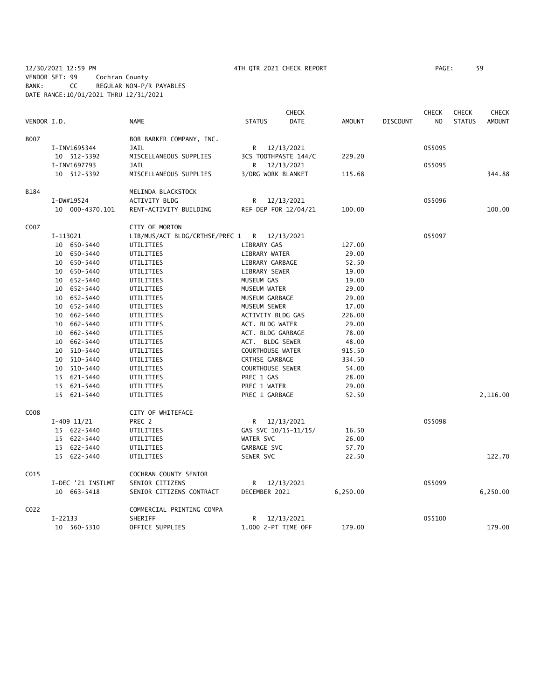12/30/2021 12:59 PM 4TH QTR 2021 CHECK REPORT PAGE: 59 VENDOR SET: 99 Cochran County BANK: CC REGULAR NON-P/R PAYABLES DATE RANGE:10/01/2021 THRU 12/31/2021

| VENDOR I.D.<br><b>NAME</b><br><b>STATUS</b><br><b>DATE</b><br><b>AMOUNT</b><br><b>DISCOUNT</b><br>N <sub>O</sub><br><b>STATUS</b><br><b>AMOUNT</b><br><b>B007</b><br>BOB BARKER COMPANY, INC.<br>I-INV1695344<br><b>JAIL</b><br>055095<br>R 12/13/2021<br>MISCELLANEOUS SUPPLIES<br>229.20<br>10 512-5392<br>3CS TOOTHPASTE 144/C<br>I-INV1697793<br>12/13/2021<br>055095<br>JAIL<br>R<br>10 512-5392<br>MISCELLANEOUS SUPPLIES<br>3/ORG WORK BLANKET<br>115.68<br>344.88<br>B184<br>MELINDA BLACKSTOCK<br>ACTIVITY BLDG<br>055096<br>I-DW#19524<br>R<br>12/13/2021<br>RENT-ACTIVITY BUILDING<br>REF DEP FOR 12/04/21<br>100.00<br>10 000-4370.101<br>100.00<br>C007<br>CITY OF MORTON<br>I-113021<br>LIB/MUS/ACT BLDG/CRTHSE/PREC 1<br>$\mathsf{R}$<br>12/13/2021<br>055097<br>LIBRARY GAS<br>127.00<br>10 650-5440<br>UTILITIES<br>10 650-5440<br>UTILITIES<br>LIBRARY WATER<br>29.00<br>10 650-5440<br>UTILITIES<br>LIBRARY GARBAGE<br>52.50<br>10 650-5440<br>LIBRARY SEWER<br>UTILITIES<br>19.00<br>10 652-5440<br>UTILITIES<br>MUSEUM GAS<br>19.00<br>10 652-5440<br>UTILITIES<br>MUSEUM WATER<br>29.00<br>10 652-5440<br>UTILITIES<br>MUSEUM GARBAGE<br>29.00<br>10 652-5440<br>MUSEUM SEWER<br>UTILITIES<br>17.00<br>10 662-5440<br>ACTIVITY BLDG GAS<br>UTILITIES<br>226.00<br>10 662-5440<br>ACT. BLDG WATER<br>29.00<br>UTILITIES<br>10 662-5440<br>ACT. BLDG GARBAGE<br>UTILITIES<br>78.00<br>10 662-5440<br>ACT. BLDG SEWER<br>UTILITIES<br>48.00<br>10 510-5440<br><b>COURTHOUSE WATER</b><br>UTILITIES<br>915.50<br>10 510-5440<br>CRTHSE GARBAGE<br>334.50<br>UTILITIES<br>10 510-5440<br>COURTHOUSE SEWER<br>UTILITIES<br>54.00<br>15 621-5440<br>PREC 1 GAS<br>UTILITIES<br>28.00<br>15 621-5440<br>PREC 1 WATER<br>29.00<br>UTILITIES<br>15 621-5440<br>PREC 1 GARBAGE<br>52.50<br>2,116.00<br>UTILITIES<br>C008<br>CITY OF WHITEFACE<br>055098<br>$I-409$ 11/21<br>PREC 2<br>R 12/13/2021<br>15 622-5440<br>GAS SVC 10/15-11/15/<br>UTILITIES<br>16.50<br>WATER SVC<br>15 622-5440<br>UTILITIES<br>26.00<br>GARBAGE SVC<br>15 622-5440<br>UTILITIES<br>57.70<br>122.70<br>15 622-5440<br>UTILITIES<br>SEWER SVC<br>22.50<br>C015<br>COCHRAN COUNTY SENIOR<br>055099<br>I-DEC '21 INSTLMT<br>SENIOR CITIZENS<br>12/13/2021<br>R<br>10 663-5418<br>SENIOR CITIZENS CONTRACT<br>DECEMBER 2021<br>6,250.00<br>6,250.00<br>C022<br>COMMERCIAL PRINTING COMPA<br>$I-22133$<br>SHERIFF<br>12/13/2021<br>055100<br>R<br>10 560-5310<br>OFFICE SUPPLIES<br>1,000 2-PT TIME OFF<br>179.00<br>179.00 |  |  | <b>CHECK</b> |  | <b>CHECK</b> | <b>CHECK</b> | <b>CHECK</b> |
|---------------------------------------------------------------------------------------------------------------------------------------------------------------------------------------------------------------------------------------------------------------------------------------------------------------------------------------------------------------------------------------------------------------------------------------------------------------------------------------------------------------------------------------------------------------------------------------------------------------------------------------------------------------------------------------------------------------------------------------------------------------------------------------------------------------------------------------------------------------------------------------------------------------------------------------------------------------------------------------------------------------------------------------------------------------------------------------------------------------------------------------------------------------------------------------------------------------------------------------------------------------------------------------------------------------------------------------------------------------------------------------------------------------------------------------------------------------------------------------------------------------------------------------------------------------------------------------------------------------------------------------------------------------------------------------------------------------------------------------------------------------------------------------------------------------------------------------------------------------------------------------------------------------------------------------------------------------------------------------------------------------------------------------------------------------------------------------------------------------------------------------------------------------------------------------------------------------------------------------------------------------------------------------------------------------------------------------------------------------------------------------------------------------------------------------------------------------------------------------------------------------|--|--|--------------|--|--------------|--------------|--------------|
|                                                                                                                                                                                                                                                                                                                                                                                                                                                                                                                                                                                                                                                                                                                                                                                                                                                                                                                                                                                                                                                                                                                                                                                                                                                                                                                                                                                                                                                                                                                                                                                                                                                                                                                                                                                                                                                                                                                                                                                                                                                                                                                                                                                                                                                                                                                                                                                                                                                                                                               |  |  |              |  |              |              |              |
|                                                                                                                                                                                                                                                                                                                                                                                                                                                                                                                                                                                                                                                                                                                                                                                                                                                                                                                                                                                                                                                                                                                                                                                                                                                                                                                                                                                                                                                                                                                                                                                                                                                                                                                                                                                                                                                                                                                                                                                                                                                                                                                                                                                                                                                                                                                                                                                                                                                                                                               |  |  |              |  |              |              |              |
|                                                                                                                                                                                                                                                                                                                                                                                                                                                                                                                                                                                                                                                                                                                                                                                                                                                                                                                                                                                                                                                                                                                                                                                                                                                                                                                                                                                                                                                                                                                                                                                                                                                                                                                                                                                                                                                                                                                                                                                                                                                                                                                                                                                                                                                                                                                                                                                                                                                                                                               |  |  |              |  |              |              |              |
|                                                                                                                                                                                                                                                                                                                                                                                                                                                                                                                                                                                                                                                                                                                                                                                                                                                                                                                                                                                                                                                                                                                                                                                                                                                                                                                                                                                                                                                                                                                                                                                                                                                                                                                                                                                                                                                                                                                                                                                                                                                                                                                                                                                                                                                                                                                                                                                                                                                                                                               |  |  |              |  |              |              |              |
|                                                                                                                                                                                                                                                                                                                                                                                                                                                                                                                                                                                                                                                                                                                                                                                                                                                                                                                                                                                                                                                                                                                                                                                                                                                                                                                                                                                                                                                                                                                                                                                                                                                                                                                                                                                                                                                                                                                                                                                                                                                                                                                                                                                                                                                                                                                                                                                                                                                                                                               |  |  |              |  |              |              |              |
|                                                                                                                                                                                                                                                                                                                                                                                                                                                                                                                                                                                                                                                                                                                                                                                                                                                                                                                                                                                                                                                                                                                                                                                                                                                                                                                                                                                                                                                                                                                                                                                                                                                                                                                                                                                                                                                                                                                                                                                                                                                                                                                                                                                                                                                                                                                                                                                                                                                                                                               |  |  |              |  |              |              |              |
|                                                                                                                                                                                                                                                                                                                                                                                                                                                                                                                                                                                                                                                                                                                                                                                                                                                                                                                                                                                                                                                                                                                                                                                                                                                                                                                                                                                                                                                                                                                                                                                                                                                                                                                                                                                                                                                                                                                                                                                                                                                                                                                                                                                                                                                                                                                                                                                                                                                                                                               |  |  |              |  |              |              |              |
|                                                                                                                                                                                                                                                                                                                                                                                                                                                                                                                                                                                                                                                                                                                                                                                                                                                                                                                                                                                                                                                                                                                                                                                                                                                                                                                                                                                                                                                                                                                                                                                                                                                                                                                                                                                                                                                                                                                                                                                                                                                                                                                                                                                                                                                                                                                                                                                                                                                                                                               |  |  |              |  |              |              |              |
|                                                                                                                                                                                                                                                                                                                                                                                                                                                                                                                                                                                                                                                                                                                                                                                                                                                                                                                                                                                                                                                                                                                                                                                                                                                                                                                                                                                                                                                                                                                                                                                                                                                                                                                                                                                                                                                                                                                                                                                                                                                                                                                                                                                                                                                                                                                                                                                                                                                                                                               |  |  |              |  |              |              |              |
|                                                                                                                                                                                                                                                                                                                                                                                                                                                                                                                                                                                                                                                                                                                                                                                                                                                                                                                                                                                                                                                                                                                                                                                                                                                                                                                                                                                                                                                                                                                                                                                                                                                                                                                                                                                                                                                                                                                                                                                                                                                                                                                                                                                                                                                                                                                                                                                                                                                                                                               |  |  |              |  |              |              |              |
|                                                                                                                                                                                                                                                                                                                                                                                                                                                                                                                                                                                                                                                                                                                                                                                                                                                                                                                                                                                                                                                                                                                                                                                                                                                                                                                                                                                                                                                                                                                                                                                                                                                                                                                                                                                                                                                                                                                                                                                                                                                                                                                                                                                                                                                                                                                                                                                                                                                                                                               |  |  |              |  |              |              |              |
|                                                                                                                                                                                                                                                                                                                                                                                                                                                                                                                                                                                                                                                                                                                                                                                                                                                                                                                                                                                                                                                                                                                                                                                                                                                                                                                                                                                                                                                                                                                                                                                                                                                                                                                                                                                                                                                                                                                                                                                                                                                                                                                                                                                                                                                                                                                                                                                                                                                                                                               |  |  |              |  |              |              |              |
|                                                                                                                                                                                                                                                                                                                                                                                                                                                                                                                                                                                                                                                                                                                                                                                                                                                                                                                                                                                                                                                                                                                                                                                                                                                                                                                                                                                                                                                                                                                                                                                                                                                                                                                                                                                                                                                                                                                                                                                                                                                                                                                                                                                                                                                                                                                                                                                                                                                                                                               |  |  |              |  |              |              |              |
|                                                                                                                                                                                                                                                                                                                                                                                                                                                                                                                                                                                                                                                                                                                                                                                                                                                                                                                                                                                                                                                                                                                                                                                                                                                                                                                                                                                                                                                                                                                                                                                                                                                                                                                                                                                                                                                                                                                                                                                                                                                                                                                                                                                                                                                                                                                                                                                                                                                                                                               |  |  |              |  |              |              |              |
|                                                                                                                                                                                                                                                                                                                                                                                                                                                                                                                                                                                                                                                                                                                                                                                                                                                                                                                                                                                                                                                                                                                                                                                                                                                                                                                                                                                                                                                                                                                                                                                                                                                                                                                                                                                                                                                                                                                                                                                                                                                                                                                                                                                                                                                                                                                                                                                                                                                                                                               |  |  |              |  |              |              |              |
|                                                                                                                                                                                                                                                                                                                                                                                                                                                                                                                                                                                                                                                                                                                                                                                                                                                                                                                                                                                                                                                                                                                                                                                                                                                                                                                                                                                                                                                                                                                                                                                                                                                                                                                                                                                                                                                                                                                                                                                                                                                                                                                                                                                                                                                                                                                                                                                                                                                                                                               |  |  |              |  |              |              |              |
|                                                                                                                                                                                                                                                                                                                                                                                                                                                                                                                                                                                                                                                                                                                                                                                                                                                                                                                                                                                                                                                                                                                                                                                                                                                                                                                                                                                                                                                                                                                                                                                                                                                                                                                                                                                                                                                                                                                                                                                                                                                                                                                                                                                                                                                                                                                                                                                                                                                                                                               |  |  |              |  |              |              |              |
|                                                                                                                                                                                                                                                                                                                                                                                                                                                                                                                                                                                                                                                                                                                                                                                                                                                                                                                                                                                                                                                                                                                                                                                                                                                                                                                                                                                                                                                                                                                                                                                                                                                                                                                                                                                                                                                                                                                                                                                                                                                                                                                                                                                                                                                                                                                                                                                                                                                                                                               |  |  |              |  |              |              |              |
|                                                                                                                                                                                                                                                                                                                                                                                                                                                                                                                                                                                                                                                                                                                                                                                                                                                                                                                                                                                                                                                                                                                                                                                                                                                                                                                                                                                                                                                                                                                                                                                                                                                                                                                                                                                                                                                                                                                                                                                                                                                                                                                                                                                                                                                                                                                                                                                                                                                                                                               |  |  |              |  |              |              |              |
|                                                                                                                                                                                                                                                                                                                                                                                                                                                                                                                                                                                                                                                                                                                                                                                                                                                                                                                                                                                                                                                                                                                                                                                                                                                                                                                                                                                                                                                                                                                                                                                                                                                                                                                                                                                                                                                                                                                                                                                                                                                                                                                                                                                                                                                                                                                                                                                                                                                                                                               |  |  |              |  |              |              |              |
|                                                                                                                                                                                                                                                                                                                                                                                                                                                                                                                                                                                                                                                                                                                                                                                                                                                                                                                                                                                                                                                                                                                                                                                                                                                                                                                                                                                                                                                                                                                                                                                                                                                                                                                                                                                                                                                                                                                                                                                                                                                                                                                                                                                                                                                                                                                                                                                                                                                                                                               |  |  |              |  |              |              |              |
|                                                                                                                                                                                                                                                                                                                                                                                                                                                                                                                                                                                                                                                                                                                                                                                                                                                                                                                                                                                                                                                                                                                                                                                                                                                                                                                                                                                                                                                                                                                                                                                                                                                                                                                                                                                                                                                                                                                                                                                                                                                                                                                                                                                                                                                                                                                                                                                                                                                                                                               |  |  |              |  |              |              |              |
|                                                                                                                                                                                                                                                                                                                                                                                                                                                                                                                                                                                                                                                                                                                                                                                                                                                                                                                                                                                                                                                                                                                                                                                                                                                                                                                                                                                                                                                                                                                                                                                                                                                                                                                                                                                                                                                                                                                                                                                                                                                                                                                                                                                                                                                                                                                                                                                                                                                                                                               |  |  |              |  |              |              |              |
|                                                                                                                                                                                                                                                                                                                                                                                                                                                                                                                                                                                                                                                                                                                                                                                                                                                                                                                                                                                                                                                                                                                                                                                                                                                                                                                                                                                                                                                                                                                                                                                                                                                                                                                                                                                                                                                                                                                                                                                                                                                                                                                                                                                                                                                                                                                                                                                                                                                                                                               |  |  |              |  |              |              |              |
|                                                                                                                                                                                                                                                                                                                                                                                                                                                                                                                                                                                                                                                                                                                                                                                                                                                                                                                                                                                                                                                                                                                                                                                                                                                                                                                                                                                                                                                                                                                                                                                                                                                                                                                                                                                                                                                                                                                                                                                                                                                                                                                                                                                                                                                                                                                                                                                                                                                                                                               |  |  |              |  |              |              |              |
|                                                                                                                                                                                                                                                                                                                                                                                                                                                                                                                                                                                                                                                                                                                                                                                                                                                                                                                                                                                                                                                                                                                                                                                                                                                                                                                                                                                                                                                                                                                                                                                                                                                                                                                                                                                                                                                                                                                                                                                                                                                                                                                                                                                                                                                                                                                                                                                                                                                                                                               |  |  |              |  |              |              |              |
|                                                                                                                                                                                                                                                                                                                                                                                                                                                                                                                                                                                                                                                                                                                                                                                                                                                                                                                                                                                                                                                                                                                                                                                                                                                                                                                                                                                                                                                                                                                                                                                                                                                                                                                                                                                                                                                                                                                                                                                                                                                                                                                                                                                                                                                                                                                                                                                                                                                                                                               |  |  |              |  |              |              |              |
|                                                                                                                                                                                                                                                                                                                                                                                                                                                                                                                                                                                                                                                                                                                                                                                                                                                                                                                                                                                                                                                                                                                                                                                                                                                                                                                                                                                                                                                                                                                                                                                                                                                                                                                                                                                                                                                                                                                                                                                                                                                                                                                                                                                                                                                                                                                                                                                                                                                                                                               |  |  |              |  |              |              |              |
|                                                                                                                                                                                                                                                                                                                                                                                                                                                                                                                                                                                                                                                                                                                                                                                                                                                                                                                                                                                                                                                                                                                                                                                                                                                                                                                                                                                                                                                                                                                                                                                                                                                                                                                                                                                                                                                                                                                                                                                                                                                                                                                                                                                                                                                                                                                                                                                                                                                                                                               |  |  |              |  |              |              |              |
|                                                                                                                                                                                                                                                                                                                                                                                                                                                                                                                                                                                                                                                                                                                                                                                                                                                                                                                                                                                                                                                                                                                                                                                                                                                                                                                                                                                                                                                                                                                                                                                                                                                                                                                                                                                                                                                                                                                                                                                                                                                                                                                                                                                                                                                                                                                                                                                                                                                                                                               |  |  |              |  |              |              |              |
|                                                                                                                                                                                                                                                                                                                                                                                                                                                                                                                                                                                                                                                                                                                                                                                                                                                                                                                                                                                                                                                                                                                                                                                                                                                                                                                                                                                                                                                                                                                                                                                                                                                                                                                                                                                                                                                                                                                                                                                                                                                                                                                                                                                                                                                                                                                                                                                                                                                                                                               |  |  |              |  |              |              |              |
|                                                                                                                                                                                                                                                                                                                                                                                                                                                                                                                                                                                                                                                                                                                                                                                                                                                                                                                                                                                                                                                                                                                                                                                                                                                                                                                                                                                                                                                                                                                                                                                                                                                                                                                                                                                                                                                                                                                                                                                                                                                                                                                                                                                                                                                                                                                                                                                                                                                                                                               |  |  |              |  |              |              |              |
|                                                                                                                                                                                                                                                                                                                                                                                                                                                                                                                                                                                                                                                                                                                                                                                                                                                                                                                                                                                                                                                                                                                                                                                                                                                                                                                                                                                                                                                                                                                                                                                                                                                                                                                                                                                                                                                                                                                                                                                                                                                                                                                                                                                                                                                                                                                                                                                                                                                                                                               |  |  |              |  |              |              |              |
|                                                                                                                                                                                                                                                                                                                                                                                                                                                                                                                                                                                                                                                                                                                                                                                                                                                                                                                                                                                                                                                                                                                                                                                                                                                                                                                                                                                                                                                                                                                                                                                                                                                                                                                                                                                                                                                                                                                                                                                                                                                                                                                                                                                                                                                                                                                                                                                                                                                                                                               |  |  |              |  |              |              |              |
|                                                                                                                                                                                                                                                                                                                                                                                                                                                                                                                                                                                                                                                                                                                                                                                                                                                                                                                                                                                                                                                                                                                                                                                                                                                                                                                                                                                                                                                                                                                                                                                                                                                                                                                                                                                                                                                                                                                                                                                                                                                                                                                                                                                                                                                                                                                                                                                                                                                                                                               |  |  |              |  |              |              |              |
|                                                                                                                                                                                                                                                                                                                                                                                                                                                                                                                                                                                                                                                                                                                                                                                                                                                                                                                                                                                                                                                                                                                                                                                                                                                                                                                                                                                                                                                                                                                                                                                                                                                                                                                                                                                                                                                                                                                                                                                                                                                                                                                                                                                                                                                                                                                                                                                                                                                                                                               |  |  |              |  |              |              |              |
|                                                                                                                                                                                                                                                                                                                                                                                                                                                                                                                                                                                                                                                                                                                                                                                                                                                                                                                                                                                                                                                                                                                                                                                                                                                                                                                                                                                                                                                                                                                                                                                                                                                                                                                                                                                                                                                                                                                                                                                                                                                                                                                                                                                                                                                                                                                                                                                                                                                                                                               |  |  |              |  |              |              |              |
|                                                                                                                                                                                                                                                                                                                                                                                                                                                                                                                                                                                                                                                                                                                                                                                                                                                                                                                                                                                                                                                                                                                                                                                                                                                                                                                                                                                                                                                                                                                                                                                                                                                                                                                                                                                                                                                                                                                                                                                                                                                                                                                                                                                                                                                                                                                                                                                                                                                                                                               |  |  |              |  |              |              |              |
|                                                                                                                                                                                                                                                                                                                                                                                                                                                                                                                                                                                                                                                                                                                                                                                                                                                                                                                                                                                                                                                                                                                                                                                                                                                                                                                                                                                                                                                                                                                                                                                                                                                                                                                                                                                                                                                                                                                                                                                                                                                                                                                                                                                                                                                                                                                                                                                                                                                                                                               |  |  |              |  |              |              |              |
|                                                                                                                                                                                                                                                                                                                                                                                                                                                                                                                                                                                                                                                                                                                                                                                                                                                                                                                                                                                                                                                                                                                                                                                                                                                                                                                                                                                                                                                                                                                                                                                                                                                                                                                                                                                                                                                                                                                                                                                                                                                                                                                                                                                                                                                                                                                                                                                                                                                                                                               |  |  |              |  |              |              |              |
|                                                                                                                                                                                                                                                                                                                                                                                                                                                                                                                                                                                                                                                                                                                                                                                                                                                                                                                                                                                                                                                                                                                                                                                                                                                                                                                                                                                                                                                                                                                                                                                                                                                                                                                                                                                                                                                                                                                                                                                                                                                                                                                                                                                                                                                                                                                                                                                                                                                                                                               |  |  |              |  |              |              |              |
|                                                                                                                                                                                                                                                                                                                                                                                                                                                                                                                                                                                                                                                                                                                                                                                                                                                                                                                                                                                                                                                                                                                                                                                                                                                                                                                                                                                                                                                                                                                                                                                                                                                                                                                                                                                                                                                                                                                                                                                                                                                                                                                                                                                                                                                                                                                                                                                                                                                                                                               |  |  |              |  |              |              |              |
|                                                                                                                                                                                                                                                                                                                                                                                                                                                                                                                                                                                                                                                                                                                                                                                                                                                                                                                                                                                                                                                                                                                                                                                                                                                                                                                                                                                                                                                                                                                                                                                                                                                                                                                                                                                                                                                                                                                                                                                                                                                                                                                                                                                                                                                                                                                                                                                                                                                                                                               |  |  |              |  |              |              |              |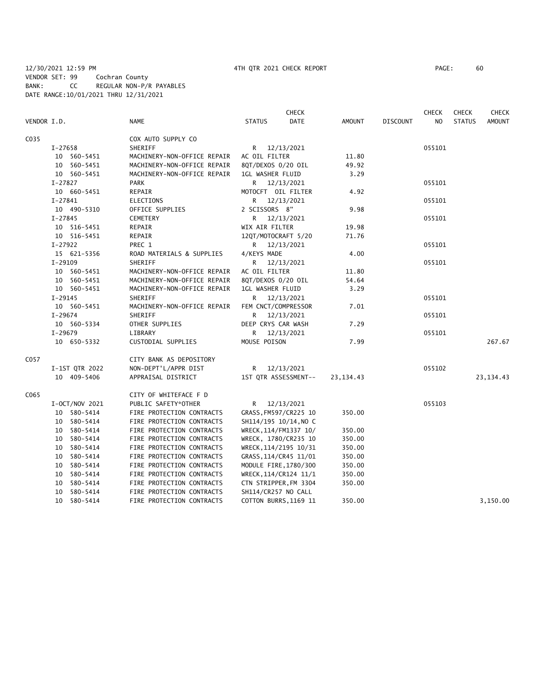|             |                |                             | <b>CHECK</b>                 |               |                 |                | <b>CHECK</b>  | <b>CHECK</b>  |
|-------------|----------------|-----------------------------|------------------------------|---------------|-----------------|----------------|---------------|---------------|
| VENDOR I.D. |                | <b>NAME</b>                 | <b>DATE</b><br><b>STATUS</b> | <b>AMOUNT</b> | <b>DISCOUNT</b> | N <sub>O</sub> | <b>STATUS</b> | <b>AMOUNT</b> |
| C035        |                | COX AUTO SUPPLY CO          |                              |               |                 |                |               |               |
|             | I-27658        | SHERIFF                     | R 12/13/2021                 |               |                 | 055101         |               |               |
|             | 10 560-5451    | MACHINERY-NON-OFFICE REPAIR | AC OIL FILTER                | 11.80         |                 |                |               |               |
|             | 10 560-5451    | MACHINERY-NON-OFFICE REPAIR | 8QT/DEXOS 0/20 OIL           | 49.92         |                 |                |               |               |
|             | 10 560-5451    | MACHINERY-NON-OFFICE REPAIR | 1GL WASHER FLUID             | 3.29          |                 |                |               |               |
|             | I-27827        | <b>PARK</b>                 | R 12/13/2021                 |               |                 | 055101         |               |               |
|             | 10 660-5451    | REPAIR                      | MOTOCFT OIL FILTER           | 4.92          |                 |                |               |               |
|             | $I-27841$      | ELECTIONS                   | R 12/13/2021                 |               |                 | 055101         |               |               |
|             | 10 490-5310    | OFFICE SUPPLIES             | 2 SCISSORS 8"                | 9.98          |                 |                |               |               |
|             | $I - 27845$    | CEMETERY                    | R 12/13/2021                 |               |                 | 055101         |               |               |
|             | 10 516-5451    | REPAIR                      | WIX AIR FILTER               | 19.98         |                 |                |               |               |
|             | 10 516-5451    | REPAIR                      | 12QT/MOTOCRAFT 5/20          | 71.76         |                 |                |               |               |
|             | I-27922        | PREC 1                      | R 12/13/2021                 |               |                 | 055101         |               |               |
|             | 15 621-5356    | ROAD MATERIALS & SUPPLIES   | 4/KEYS MADE                  | 4.00          |                 |                |               |               |
|             | $I-29109$      | SHERIFF                     | R 12/13/2021                 |               |                 | 055101         |               |               |
|             | 10 560-5451    | MACHINERY-NON-OFFICE REPAIR | AC OIL FILTER                | 11.80         |                 |                |               |               |
|             | 10 560-5451    | MACHINERY-NON-OFFICE REPAIR | 8QT/DEXOS 0/20 OIL           | 54.64         |                 |                |               |               |
|             | 10 560-5451    | MACHINERY-NON-OFFICE REPAIR | 1GL WASHER FLUID             | 3.29          |                 |                |               |               |
|             | $I-29145$      | SHERIFF                     | R 12/13/2021                 |               |                 | 055101         |               |               |
|             | 10 560-5451    | MACHINERY-NON-OFFICE REPAIR | FEM CNCT/COMPRESSOR          | 7.01          |                 |                |               |               |
|             | I-29674        | SHERIFF                     | R 12/13/2021                 |               |                 | 055101         |               |               |
|             | 10 560-5334    | OTHER SUPPLIES              | DEEP CRYS CAR WASH           | 7.29          |                 |                |               |               |
|             | I-29679        | LIBRARY                     | R 12/13/2021                 |               |                 | 055101         |               |               |
|             | 10 650-5332    | CUSTODIAL SUPPLIES          | MOUSE POISON                 | 7.99          |                 |                |               | 267.67        |
| C057        |                | CITY BANK AS DEPOSITORY     |                              |               |                 |                |               |               |
|             | I-1ST QTR 2022 | NON-DEPT'L/APPR DIST        | R 12/13/2021                 |               |                 | 055102         |               |               |
|             | 10 409-5406    | APPRAISAL DISTRICT          | 1ST QTR ASSESSMENT--         | 23, 134. 43   |                 |                |               | 23, 134.43    |
| C065        |                | CITY OF WHITEFACE F D       |                              |               |                 |                |               |               |
|             | I-OCT/NOV 2021 | PUBLIC SAFETY*OTHER         | R 12/13/2021                 |               |                 | 055103         |               |               |
|             | 10 580-5414    | FIRE PROTECTION CONTRACTS   | GRASS, FM597/CR225 10        | 350.00        |                 |                |               |               |
|             | 10 580-5414    | FIRE PROTECTION CONTRACTS   | SH114/195 10/14, NO C        |               |                 |                |               |               |
|             | 10 580-5414    | FIRE PROTECTION CONTRACTS   | WRECK, 114/FM1337 10/        | 350.00        |                 |                |               |               |
|             | 10 580-5414    | FIRE PROTECTION CONTRACTS   | WRECK, 1780/CR235 10         | 350.00        |                 |                |               |               |
|             | 10 580-5414    | FIRE PROTECTION CONTRACTS   | WRECK, 114/2195 10/31        | 350.00        |                 |                |               |               |
|             | 10 580-5414    | FIRE PROTECTION CONTRACTS   | GRASS, 114/CR45 11/01        | 350.00        |                 |                |               |               |
|             | 10 580-5414    | FIRE PROTECTION CONTRACTS   | MODULE FIRE, 1780/300        | 350.00        |                 |                |               |               |
|             | 10 580-5414    | FIRE PROTECTION CONTRACTS   | WRECK, 114/CR124 11/1        | 350.00        |                 |                |               |               |
|             | 10 580-5414    | FIRE PROTECTION CONTRACTS   | CTN STRIPPER, FM 3304        | 350.00        |                 |                |               |               |
|             | 580-5414<br>10 | FIRE PROTECTION CONTRACTS   | SH114/CR257 NO CALL          |               |                 |                |               |               |
|             | 10 580-5414    | FIRE PROTECTION CONTRACTS   | COTTON BURRS, 1169 11        | 350.00        |                 |                |               | 3,150.00      |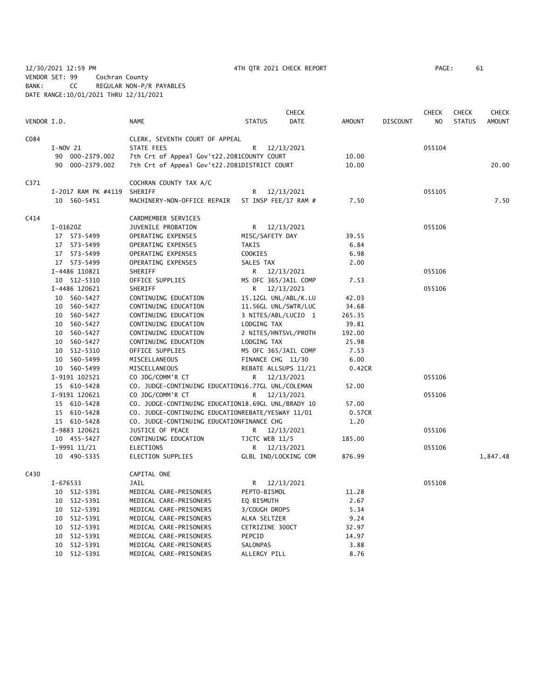12/30/2021 12:59 PM 4TH QTR 2021 CHECK REPORT PAGE: 61 VENDOR SET: 99 Cochran County BANK: CC REGULAR NON-P/R PAYABLES DATE RANGE:10/01/2021 THRU 12/31/2021

|             |                     |                                                    |                            | CHECK       |        |                 | CHECK  | CHECK         | CHECK    |
|-------------|---------------------|----------------------------------------------------|----------------------------|-------------|--------|-----------------|--------|---------------|----------|
| VENDOR I.D. |                     | <b>NAME</b>                                        | <b>STATUS</b>              | <b>DATE</b> | AMOUNT | <b>DISCOUNT</b> | NO     | <b>STATUS</b> | AMOUNT   |
| C084        |                     | CLERK, SEVENTH COURT OF APPEAL                     |                            |             |        |                 |        |               |          |
|             | $I-NOV$ 21          | STATE FEES                                         | R                          | 12/13/2021  |        |                 | 055104 |               |          |
|             | 90 000-2379.002     | 7th Crt of Appeal Gov't22.2081COUNTY COURT         |                            |             | 10.00  |                 |        |               |          |
|             | 90 000-2379.002     | 7th Crt of Appeal Gov't22.2081DISTRICT COURT       |                            |             | 10.00  |                 |        |               | 20.00    |
| C371        |                     | COCHRAN COUNTY TAX A/C                             |                            |             |        |                 |        |               |          |
|             | I-2017 RAM PK #4119 | SHERIFF                                            | R                          | 12/13/2021  |        |                 | 055105 |               |          |
|             | 10 560-5451         | MACHINERY-NON-OFFICE REPAIR                        | ST INSP FEE/17 RAM #       |             | 7.50   |                 |        |               | 7.50     |
| C414        |                     | CARDMEMBER SERVICES                                |                            |             |        |                 |        |               |          |
|             | $I-01620Z$          | JUVENILE PROBATION                                 | R 12/13/2021               |             |        |                 | 055106 |               |          |
|             | 17 573-5499         | OPERATING EXPENSES                                 | MISC/SAFETY DAY            |             | 39.55  |                 |        |               |          |
|             | 17 573-5499         | OPERATING EXPENSES                                 | <b>TAKIS</b>               |             | 6.84   |                 |        |               |          |
|             | 17 573-5499         | OPERATING EXPENSES                                 | <b>COOKIES</b>             |             | 6.98   |                 |        |               |          |
|             | 17 573-5499         | OPERATING EXPENSES                                 | SALES TAX                  |             | 2.00   |                 |        |               |          |
|             | I-4486 110821       | SHERIFF                                            | R 12/13/2021               |             |        |                 | 055106 |               |          |
|             | 10 512-5310         | OFFICE SUPPLIES                                    | MS OFC 365/JAIL COMP       |             | 7.53   |                 |        |               |          |
|             | I-4486 120621       | SHERIFF                                            | R.                         | 12/13/2021  |        |                 | 055106 |               |          |
|             | 10 560-5427         | CONTINUING EDUCATION                               | 15.12GL UNL/ABL/K.LU       |             | 42.03  |                 |        |               |          |
|             | 10 560-5427         | CONTINUING EDUCATION                               | 11.56GL UNL/SWTR/LUC       |             | 34.68  |                 |        |               |          |
|             | 10 560-5427         | CONTINUING EDUCATION                               | 3 NITES/ABL/LUCIO 1        |             | 265.35 |                 |        |               |          |
|             | 10 560-5427         | CONTINUING EDUCATION                               | LODGING TAX                |             | 39.81  |                 |        |               |          |
|             | 10 560-5427         | CONTINUING EDUCATION                               | 2 NITES/HNTSVL/PROTH       |             | 192.00 |                 |        |               |          |
|             | 10 560-5427         | CONTINUING EDUCATION                               | LODGING TAX                |             | 25.98  |                 |        |               |          |
|             | 10 512-5310         | OFFICE SUPPLIES                                    | MS OFC 365/JAIL COMP       |             | 7.53   |                 |        |               |          |
|             | 10 560-5499         | MISCELLANEOUS                                      | FINANCE CHG 11/30          |             | 6.00   |                 |        |               |          |
|             | 10 560-5499         | MISCELLANEOUS                                      | REBATE ALLSUPS 11/21       |             | 0.42CR |                 |        |               |          |
|             | I-9191 102521       | CO JDG/COMM'R CT                                   | R.                         | 12/13/2021  |        |                 | 055106 |               |          |
|             | 15 610-5428         | CO. JUDGE-CONTINUING EDUCATION16.77GL UNL/COLEMAN  |                            |             | 52.00  |                 |        |               |          |
|             | I-9191 120621       | CO JDG/COMM'R CT                                   | R                          | 12/13/2021  |        |                 | 055106 |               |          |
|             | 15 610-5428         | CO. JUDGE-CONTINUING EDUCATION18.69GL UNL/BRADY 10 |                            |             | 57.00  |                 |        |               |          |
|             | 15 610-5428         | CO. JUDGE-CONTINUING EDUCATIONREBATE/YESWAY 11/01  |                            |             | 0.57CR |                 |        |               |          |
|             | 15 610-5428         | CO. JUDGE-CONTINUING EDUCATIONFINANCE CHG          |                            |             | 1.20   |                 |        |               |          |
|             | I-9883 120621       | JUSTICE OF PEACE                                   |                            | 12/13/2021  |        |                 | 055106 |               |          |
|             | 10 455-5427         | CONTINUING EDUCATION                               | R.<br>TJCTC WEB 11/5       |             | 185.00 |                 |        |               |          |
|             | I-9991 11/21        | <b>ELECTIONS</b>                                   |                            | 12/13/2021  |        |                 | 055106 |               |          |
|             | 10 490-5335         | ELECTION SUPPLIES                                  | R.<br>GLBL IND/LOCKING COM |             | 876.99 |                 |        |               | 1,847.48 |
|             |                     |                                                    |                            |             |        |                 |        |               |          |
| C430        |                     | CAPITAL ONE                                        |                            |             |        |                 |        |               |          |
|             | I-676533            | JAIL                                               | R.                         | 12/13/2021  |        |                 | 055108 |               |          |
|             | 10 512-5391         | MEDICAL CARE-PRISONERS                             | PEPTO-BISMOL               |             | 11.28  |                 |        |               |          |
|             | 10 512-5391         | MEDICAL CARE-PRISONERS                             | EQ BISMUTH                 |             | 2.67   |                 |        |               |          |
|             | 10 512-5391         | MEDICAL CARE-PRISONERS                             | 3/COUGH DROPS              |             | 5.34   |                 |        |               |          |
|             | 10 512-5391         | MEDICAL CARE-PRISONERS                             | ALKA SELTZER               |             | 9.24   |                 |        |               |          |
|             | 10 512-5391         | MEDICAL CARE-PRISONERS                             | CETRIZINE 300CT            |             | 32.97  |                 |        |               |          |
|             | 10 512-5391         | MEDICAL CARE-PRISONERS                             | PEPCID                     |             | 14.97  |                 |        |               |          |
|             | 10 512-5391         | MEDICAL CARE-PRISONERS                             | SALONPAS                   |             | 3.88   |                 |        |               |          |
|             | 10 512-5391         | MEDICAL CARE-PRISONERS                             | ALLERGY PILL               |             | 8.76   |                 |        |               |          |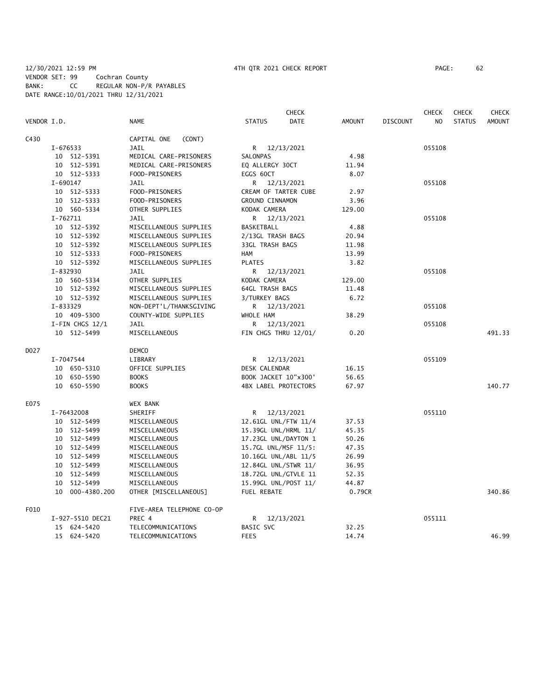|             |                     |                           | <b>CHECK</b>                 |        |                 | <b>CHECK</b> | <b>CHECK</b>  | <b>CHECK</b>  |
|-------------|---------------------|---------------------------|------------------------------|--------|-----------------|--------------|---------------|---------------|
| VENDOR I.D. |                     | NAME                      | <b>STATUS</b><br><b>DATE</b> | AMOUNT | <b>DISCOUNT</b> | NO           | <b>STATUS</b> | <b>AMOUNT</b> |
| C430        |                     | CAPITAL ONE<br>(CONT)     |                              |        |                 |              |               |               |
|             | I-676533            | <b>JAIL</b>               | R 12/13/2021                 |        |                 | 055108       |               |               |
|             | 10 512-5391         | MEDICAL CARE-PRISONERS    | SALONPAS                     | 4.98   |                 |              |               |               |
|             | 10 512-5391         | MEDICAL CARE-PRISONERS    | EQ ALLERGY 30CT              | 11.94  |                 |              |               |               |
|             | 10 512-5333         | FOOD-PRISONERS            | EGGS 60CT                    | 8.07   |                 |              |               |               |
|             | I-690147            | <b>JAIL</b>               | R 12/13/2021                 |        |                 | 055108       |               |               |
|             | 10 512-5333         | FOOD-PRISONERS            | CREAM OF TARTER CUBE         | 2.97   |                 |              |               |               |
|             | 10 512-5333         | FOOD-PRISONERS            | GROUND CINNAMON              | 3.96   |                 |              |               |               |
|             | 10 560-5334         | OTHER SUPPLIES            | KODAK CAMERA                 | 129.00 |                 |              |               |               |
|             | $I - 762711$        | <b>JAIL</b>               | R 12/13/2021                 |        |                 | 055108       |               |               |
|             | 10 512-5392         | MISCELLANEOUS SUPPLIES    | BASKETBALL                   | 4.88   |                 |              |               |               |
|             | 10 512-5392         | MISCELLANEOUS SUPPLIES    | 2/13GL TRASH BAGS            | 20.94  |                 |              |               |               |
|             | 10 512-5392         | MISCELLANEOUS SUPPLIES    | 33GL TRASH BAGS              | 11.98  |                 |              |               |               |
|             | 10 512-5333         | FOOD-PRISONERS            | <b>HAM</b>                   | 13.99  |                 |              |               |               |
|             | 10 512-5392         | MISCELLANEOUS SUPPLIES    | <b>PLATES</b>                | 3.82   |                 |              |               |               |
|             | I-832930            | JAIL                      | R.<br>12/13/2021             |        |                 | 055108       |               |               |
|             | 10 560-5334         | OTHER SUPPLIES            | KODAK CAMERA                 | 129.00 |                 |              |               |               |
|             | 10 512-5392         | MISCELLANEOUS SUPPLIES    | <b>64GL TRASH BAGS</b>       | 11.48  |                 |              |               |               |
|             | 10 512-5392         | MISCELLANEOUS SUPPLIES    | 3/TURKEY BAGS                | 6.72   |                 |              |               |               |
|             | I-833329            | NON-DEPT'L/THANKSGIVING   | R 12/13/2021                 |        |                 | 055108       |               |               |
| 10 409-5300 |                     | COUNTY-WIDE SUPPLIES      | WHOLE HAM                    | 38.29  |                 |              |               |               |
|             | $I-FIN$ CHGS $12/1$ | <b>JAIL</b>               | R<br>12/13/2021              |        |                 | 055108       |               | 491.33        |
|             | 10 512-5499         | MISCELLANEOUS             | FIN CHGS THRU 12/01/         | 0.20   |                 |              |               |               |
| D027        |                     | <b>DEMCO</b>              |                              |        |                 |              |               |               |
|             | I-7047544           | LIBRARY                   | R 12/13/2021                 |        |                 | 055109       |               |               |
|             | 10 650-5310         | OFFICE SUPPLIES           | DESK CALENDAR                | 16.15  |                 |              |               |               |
|             | 10 650-5590         | <b>BOOKS</b>              | BOOK JACKET 10"x300"         | 56.65  |                 |              |               |               |
|             | 10 650-5590         | <b>BOOKS</b>              | <b>4BX LABEL PROTECTORS</b>  | 67.97  |                 |              |               | 140.77        |
| E075        |                     | WEX BANK                  |                              |        |                 |              |               |               |
|             | I-76432008          | SHERIFF                   | R<br>12/13/2021              |        |                 | 055110       |               |               |
|             | 10 512-5499         | MISCELLANEOUS             | 12.61GL UNL/FTW 11/4         | 37.53  |                 |              |               |               |
|             | 10 512-5499         | MISCELLANEOUS             | 15.39GL UNL/HRML 11/         | 45.35  |                 |              |               |               |
|             | 10 512-5499         | MISCELLANEOUS             | 17.23GL UNL/DAYTON 1         | 50.26  |                 |              |               |               |
|             | 10 512-5499         | MISCELLANEOUS             | 15.7GL UNL/MSF 11/5:         | 47.35  |                 |              |               |               |
|             | 10 512-5499         | MISCELLANEOUS             | 10.16GL UNL/ABL 11/5         | 26.99  |                 |              |               |               |
|             | 10 512-5499         | MISCELLANEOUS             | 12.84GL UNL/STWR 11/         | 36.95  |                 |              |               |               |
|             | 10 512-5499         | MISCELLANEOUS             | 18.72GL UNL/GTVLE 11         | 52.35  |                 |              |               |               |
|             | 512-5499<br>10      | MISCELLANEOUS             | 15.99GL UNL/POST 11/         | 44.87  |                 |              |               |               |
|             | 10 000-4380.200     | OTHER [MISCELLANEOUS]     | FUEL REBATE                  | 0.79CR |                 |              |               | 340.86        |
| F010        |                     | FIVE-AREA TELEPHONE CO-OP |                              |        |                 |              |               |               |
|             | I-927-5510 DEC21    | PREC 4                    | R 12/13/2021                 |        |                 | 055111       |               |               |
|             | 15 624-5420         | TELECOMMUNICATIONS        | BASIC SVC                    | 32.25  |                 |              |               |               |
|             | 15 624-5420         | TELECOMMUNICATIONS        | <b>FEES</b>                  | 14.74  |                 |              |               | 46.99         |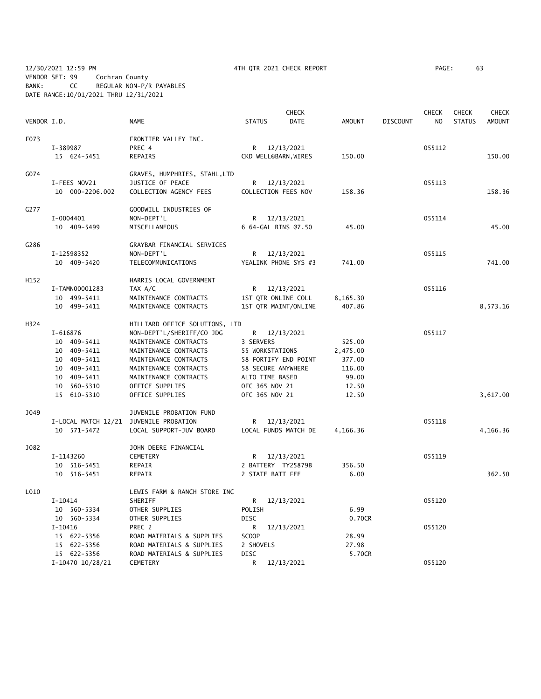12/30/2021 12:59 PM 4TH QTR 2021 CHECK REPORT PAGE: 63 VENDOR SET: 99 Cochran County BANK: CC REGULAR NON-P/R PAYABLES DATE RANGE:10/01/2021 THRU 12/31/2021

| VENDOR I.D. |                                        | <b>NAME</b>                    | <b>STATUS</b> | <b>CHECK</b><br><b>DATE</b> | <b>AMOUNT</b> | <b>DISCOUNT</b> | <b>CHECK</b><br>N <sub>O</sub> | <b>CHECK</b><br><b>STATUS</b> | CHECK<br><b>AMOUNT</b> |
|-------------|----------------------------------------|--------------------------------|---------------|-----------------------------|---------------|-----------------|--------------------------------|-------------------------------|------------------------|
| F073        |                                        | FRONTIER VALLEY INC.           |               |                             |               |                 |                                |                               |                        |
|             | I-389987                               | PREC 4                         |               | R 12/13/2021                |               |                 | 055112                         |                               |                        |
|             | 15 624-5451                            | REPAIRS                        |               | CKD WELL@BARN, WIRES        | 150.00        |                 |                                |                               | 150.00                 |
| G074        |                                        | GRAVES, HUMPHRIES, STAHL,LTD   |               |                             |               |                 |                                |                               |                        |
|             | I-FEES NOV21                           | JUSTICE OF PEACE               | R             | 12/13/2021                  |               |                 | 055113                         |                               |                        |
|             | 10 000-2206.002                        | COLLECTION AGENCY FEES         |               | COLLECTION FEES NOV         | 158.36        |                 |                                |                               | 158.36                 |
| G277        |                                        | GOODWILL INDUSTRIES OF         |               |                             |               |                 |                                |                               |                        |
|             | I-0004401                              | NON-DEPT'L                     | R             | 12/13/2021                  |               |                 | 055114                         |                               |                        |
|             | 10 409-5499                            | MISCELLANEOUS                  |               | 6 64-GAL BINS @7.50         | 45.00         |                 |                                |                               | 45.00                  |
| G286        |                                        | GRAYBAR FINANCIAL SERVICES     |               |                             |               |                 |                                |                               |                        |
|             | I-12598352                             | NON-DEPT'L                     |               | R 12/13/2021                |               |                 | 055115                         |                               |                        |
|             | 10 409-5420                            | TELECOMMUNICATIONS             |               | YEALINK PHONE SYS #3        | 741.00        |                 |                                |                               | 741.00                 |
| H152        |                                        | HARRIS LOCAL GOVERNMENT        |               |                             |               |                 |                                |                               |                        |
|             | I-TAMN00001283                         | TAX A/C                        | R             | 12/13/2021                  |               |                 | 055116                         |                               |                        |
|             | 10 499-5411                            | MAINTENANCE CONTRACTS          |               | 1ST QTR ONLINE COLL         | 8,165.30      |                 |                                |                               |                        |
|             | 10 499-5411                            | MAINTENANCE CONTRACTS          |               | 1ST QTR MAINT/ONLINE        | 407.86        |                 |                                |                               | 8,573.16               |
| H324        |                                        | HILLIARD OFFICE SOLUTIONS, LTD |               |                             |               |                 |                                |                               |                        |
|             | I-616876                               | NON-DEPT'L/SHERIFF/CO JDG      | R             | 12/13/2021                  |               |                 | 055117                         |                               |                        |
|             | 10 409-5411                            | MAINTENANCE CONTRACTS          | 3 SERVERS     |                             | 525.00        |                 |                                |                               |                        |
|             | 10 409-5411                            | MAINTENANCE CONTRACTS          |               | 55 WORKSTATIONS             | 2,475.00      |                 |                                |                               |                        |
|             | 10 409-5411                            | MAINTENANCE CONTRACTS          |               | 58 FORTIFY END POINT        | 377.00        |                 |                                |                               |                        |
|             | 10 409-5411                            | MAINTENANCE CONTRACTS          |               | 58 SECURE ANYWHERE          | 116.00        |                 |                                |                               |                        |
|             | 10 409-5411                            | MAINTENANCE CONTRACTS          |               | ALTO TIME BASED             | 99.00         |                 |                                |                               |                        |
|             | 10 560-5310                            | OFFICE SUPPLIES                |               | OFC 365 NOV 21              | 12.50         |                 |                                |                               |                        |
|             | 15 610-5310                            | OFFICE SUPPLIES                |               | OFC 365 NOV 21              | 12.50         |                 |                                |                               | 3,617.00               |
| J049        |                                        | JUVENILE PROBATION FUND        |               |                             |               |                 |                                |                               |                        |
|             | I-LOCAL MATCH 12/21 JUVENILE PROBATION |                                | R             | 12/13/2021                  |               |                 | 055118                         |                               |                        |
|             | 10 571-5472                            | LOCAL SUPPORT-JUV BOARD        |               | LOCAL FUNDS MATCH DE        | 4,166.36      |                 |                                |                               | 4,166.36               |
| J082        |                                        | JOHN DEERE FINANCIAL           |               |                             |               |                 |                                |                               |                        |
|             | I-1143260                              | CEMETERY                       | R             | 12/13/2021                  |               |                 | 055119                         |                               |                        |
|             | 10 516-5451                            | REPAIR                         |               | 2 BATTERY TY25879B          | 356.50        |                 |                                |                               |                        |
|             | 10 516-5451                            | REPAIR                         |               | 2 STATE BATT FEE            | 6.00          |                 |                                |                               | 362.50                 |
| L010        |                                        | LEWIS FARM & RANCH STORE INC   |               |                             |               |                 |                                |                               |                        |
|             | $I-10414$                              | SHERIFF                        | R             | 12/13/2021                  |               |                 | 055120                         |                               |                        |
|             | 10 560-5334                            | OTHER SUPPLIES                 | POLISH        |                             | 6.99          |                 |                                |                               |                        |
|             | 10 560-5334                            | OTHER SUPPLIES                 | DISC          |                             | 0.70CR        |                 |                                |                               |                        |
|             | $I-10416$                              | PREC 2                         | R             | 12/13/2021                  |               |                 | 055120                         |                               |                        |
|             | 15 622-5356                            | ROAD MATERIALS & SUPPLIES      | <b>SCOOP</b>  |                             | 28.99         |                 |                                |                               |                        |
|             | 15 622-5356                            | ROAD MATERIALS & SUPPLIES      | 2 SHOVELS     |                             | 27.98         |                 |                                |                               |                        |
|             | 15 622-5356                            | ROAD MATERIALS & SUPPLIES      | <b>DISC</b>   |                             | 5.70CR        |                 |                                |                               |                        |
|             | I-10470 10/28/21                       | CEMETERY                       | R             | 12/13/2021                  |               |                 | 055120                         |                               |                        |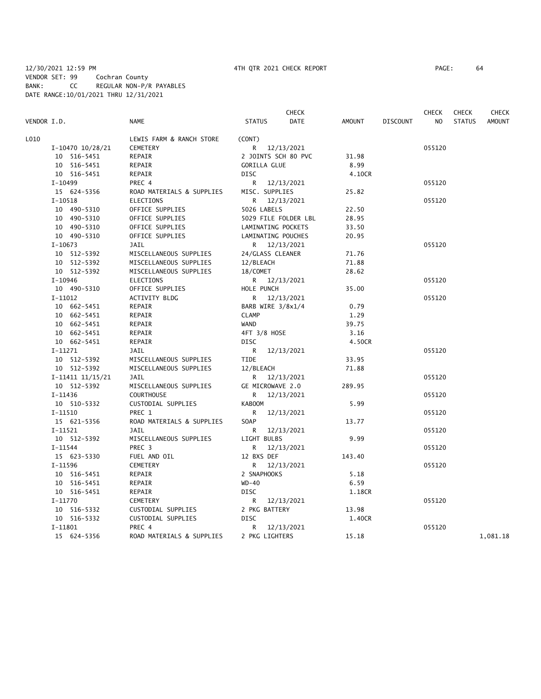## 12/30/2021 12:59 PM 4TH QTR 2021 CHECK REPORT PAGE: 64 VENDOR SET: 99 Cochran County BANK: CC REGULAR NON-P/R PAYABLES DATE RANGE:10/01/2021 THRU 12/31/2021

|             |                  |                           |                     | <b>CHECK</b>         |        |                 | <b>CHECK</b> | <b>CHECK</b>  | CHECK         |
|-------------|------------------|---------------------------|---------------------|----------------------|--------|-----------------|--------------|---------------|---------------|
| VENDOR I.D. |                  | <b>NAME</b>               | <b>STATUS</b>       | <b>DATE</b>          | AMOUNT | <b>DISCOUNT</b> | NO.          | <b>STATUS</b> | <b>AMOUNT</b> |
| L010        |                  | LEWIS FARM & RANCH STORE  | (CONT)              |                      |        |                 |              |               |               |
|             | I-10470 10/28/21 | <b>CEMETERY</b>           | R.                  | 12/13/2021           |        |                 | 055120       |               |               |
| 10 516-5451 |                  | REPAIR                    |                     | 2 JOINTS SCH 80 PVC  | 31.98  |                 |              |               |               |
| 10 516-5451 |                  | REPAIR                    | <b>GORILLA GLUE</b> |                      | 8.99   |                 |              |               |               |
| 10 516-5451 |                  | REPAIR                    | <b>DISC</b>         |                      | 4.10CR |                 |              |               |               |
| $I-10499$   |                  | PREC 4                    |                     | R 12/13/2021         |        |                 | 055120       |               |               |
| 15 624-5356 |                  | ROAD MATERIALS & SUPPLIES | MISC. SUPPLIES      |                      | 25.82  |                 |              |               |               |
| I-10518     |                  | <b>ELECTIONS</b>          |                     | R 12/13/2021         |        |                 | 055120       |               |               |
| 10 490-5310 |                  | OFFICE SUPPLIES           | 5026 LABELS         |                      | 22.50  |                 |              |               |               |
| 10 490-5310 |                  | OFFICE SUPPLIES           |                     | 5029 FILE FOLDER LBL | 28.95  |                 |              |               |               |
| 10 490-5310 |                  | OFFICE SUPPLIES           |                     | LAMINATING POCKETS   | 33.50  |                 |              |               |               |
| 10 490-5310 |                  | OFFICE SUPPLIES           |                     | LAMINATING POUCHES   | 20.95  |                 |              |               |               |
| $I-10673$   |                  | <b>JAIL</b>               |                     | R 12/13/2021         |        |                 | 055120       |               |               |
| 10 512-5392 |                  | MISCELLANEOUS SUPPLIES    | 24/GLASS CLEANER    |                      | 71.76  |                 |              |               |               |
| 10 512-5392 |                  | MISCELLANEOUS SUPPLIES    | 12/BLEACH           |                      | 71.88  |                 |              |               |               |
| 10 512-5392 |                  | MISCELLANEOUS SUPPLIES    | 18/COMET            |                      | 28.62  |                 |              |               |               |
| I-10946     |                  | ELECTIONS                 |                     | R 12/13/2021         |        |                 | 055120       |               |               |
| 10 490-5310 |                  | OFFICE SUPPLIES           | HOLE PUNCH          |                      | 35.00  |                 |              |               |               |
| $I-11012$   |                  | ACTIVITY BLDG             | R                   | 12/13/2021           |        |                 | 055120       |               |               |
| 10 662-5451 |                  | REPAIR                    | BARB WIRE 3/8x1/4   |                      | 0.79   |                 |              |               |               |
| 10 662-5451 |                  | REPAIR                    | <b>CLAMP</b>        |                      | 1.29   |                 |              |               |               |
| 10 662-5451 |                  | REPAIR                    | <b>WAND</b>         |                      | 39.75  |                 |              |               |               |
| 10 662-5451 |                  | REPAIR                    | 4FT 3/8 HOSE        |                      | 3.16   |                 |              |               |               |
| 10 662-5451 |                  | REPAIR                    | <b>DISC</b>         |                      | 4.50CR |                 |              |               |               |
| $I-11271$   |                  | JAIL                      | R.                  | 12/13/2021           |        |                 | 055120       |               |               |
| 10 512-5392 |                  | MISCELLANEOUS SUPPLIES    | <b>TIDE</b>         |                      | 33.95  |                 |              |               |               |
| 10 512-5392 |                  | MISCELLANEOUS SUPPLIES    | 12/BLEACH           |                      | 71.88  |                 |              |               |               |
|             | I-11411 11/15/21 | JAIL                      |                     | R 12/13/2021         |        |                 | 055120       |               |               |
| 10 512-5392 |                  | MISCELLANEOUS SUPPLIES    | GE MICROWAVE 2.0    |                      | 289.95 |                 |              |               |               |
| I-11436     |                  | <b>COURTHOUSE</b>         | R —                 | 12/13/2021           |        |                 | 055120       |               |               |
| 10 510-5332 |                  | CUSTODIAL SUPPLIES        | <b>KABOOM</b>       |                      | 5.99   |                 |              |               |               |
| $I-11510$   |                  | PREC 1                    | R                   | 12/13/2021           |        |                 | 055120       |               |               |
| 15 621-5356 |                  | ROAD MATERIALS & SUPPLIES | SOAP                |                      | 13.77  |                 |              |               |               |
| $I-11521$   |                  | <b>JAIL</b>               |                     | R 12/13/2021         |        |                 | 055120       |               |               |
| 10 512-5392 |                  | MISCELLANEOUS SUPPLIES    | LIGHT BULBS         |                      | 9.99   |                 |              |               |               |
| $I-11544$   |                  | PREC <sub>3</sub>         | R.                  | 12/13/2021           |        |                 | 055120       |               |               |
| 15 623-5330 |                  | FUEL AND OIL              | 12 BXS DEF          |                      | 143.40 |                 |              |               |               |
| I-11596     |                  | CEMETERY                  | R                   | 12/13/2021           |        |                 | 055120       |               |               |
| 10 516-5451 |                  | REPAIR                    | 2 SNAPHOOKS         |                      | 5.18   |                 |              |               |               |
| 10 516-5451 |                  | REPAIR                    | $WD-40$             |                      | 6.59   |                 |              |               |               |
| 10 516-5451 |                  | REPAIR                    | <b>DISC</b>         |                      | 1.18CR |                 |              |               |               |
| I-11770     |                  | CEMETERY                  | R.                  | 12/13/2021           |        |                 | 055120       |               |               |
| 10 516-5332 |                  | CUSTODIAL SUPPLIES        | 2 PKG BATTERY       |                      | 13.98  |                 |              |               |               |
| 10 516-5332 |                  | CUSTODIAL SUPPLIES        | DISC                |                      | 1.40CR |                 |              |               |               |
| $I-11801$   |                  | PREC 4                    |                     | R 12/13/2021         |        |                 | 055120       |               |               |
| 15 624-5356 |                  | ROAD MATERIALS & SUPPLIES | 2 PKG LIGHTERS      |                      | 15.18  |                 |              |               | 1,081.18      |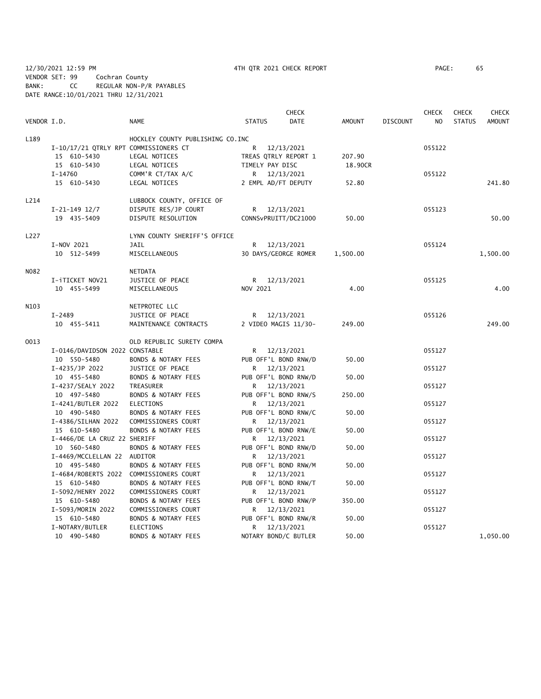12/30/2021 12:59 PM 4TH QTR 2021 CHECK REPORT PAGE: 65 VENDOR SET: 99 Cochran County BANK: CC REGULAR NON-P/R PAYABLES DATE RANGE:10/01/2021 THRU 12/31/2021

|             |                                         |                                  |                      | <b>CHECK</b> |               |                 | <b>CHECK</b>   | <b>CHECK</b>  | <b>CHECK</b>  |
|-------------|-----------------------------------------|----------------------------------|----------------------|--------------|---------------|-----------------|----------------|---------------|---------------|
| VENDOR I.D. |                                         | <b>NAME</b>                      | <b>STATUS</b>        | <b>DATE</b>  | <b>AMOUNT</b> | <b>DISCOUNT</b> | N <sub>O</sub> | <b>STATUS</b> | <b>AMOUNT</b> |
| L189        |                                         | HOCKLEY COUNTY PUBLISHING CO.INC |                      |              |               |                 |                |               |               |
|             | I-10/17/21 QTRLY RPT COMMISSIONERS CT   |                                  | R                    | 12/13/2021   |               |                 | 055122         |               |               |
|             | 15 610-5430                             | LEGAL NOTICES                    | TREAS QTRLY REPORT 1 |              | 207.90        |                 |                |               |               |
|             | 15 610-5430                             | LEGAL NOTICES                    | TIMELY PAY DISC      |              | 18.90CR       |                 |                |               |               |
|             | I-14760                                 | COMM'R CT/TAX A/C                | R 12/13/2021         |              |               |                 | 055122         |               |               |
|             | 15 610-5430                             | LEGAL NOTICES                    | 2 EMPL AD/FT DEPUTY  |              | 52.80         |                 |                |               | 241.80        |
| L214        |                                         | LUBBOCK COUNTY, OFFICE OF        |                      |              |               |                 |                |               |               |
|             | $I-21-149$ 12/7                         | DISPUTE RES/JP COURT             | R 12/13/2021         |              |               |                 | 055123         |               |               |
|             | 19 435-5409                             | DISPUTE RESOLUTION               | CONNSvPRUITT/DC21000 |              | 50.00         |                 |                |               | 50.00         |
| L227        |                                         | LYNN COUNTY SHERIFF'S OFFICE     |                      |              |               |                 |                |               |               |
|             | I-NOV 2021                              | <b>JAIL</b>                      | R 12/13/2021         |              |               |                 | 055124         |               |               |
|             | 10 512-5499                             | MISCELLANEOUS                    | 30 DAYS/GEORGE ROMER |              | 1,500.00      |                 |                |               | 1,500.00      |
|             |                                         |                                  |                      |              |               |                 |                |               |               |
| N082        |                                         | <b>NETDATA</b>                   |                      |              |               |                 |                |               |               |
|             | I-iTICKET NOV21                         | JUSTICE OF PEACE                 | R 12/13/2021         |              |               |                 | 055125         |               |               |
|             | 10 455-5499                             | MISCELLANEOUS                    | NOV 2021             |              | 4.00          |                 |                |               | 4.00          |
| N103        |                                         | NETPROTEC LLC                    |                      |              |               |                 |                |               |               |
|             | $I - 2489$                              | JUSTICE OF PEACE                 | R 12/13/2021         |              |               |                 | 055126         |               |               |
|             | 10 455-5411                             | MAINTENANCE CONTRACTS            | 2 VIDEO MAGIS 11/30- |              | 249.00        |                 |                |               | 249.00        |
| 0013        |                                         | OLD REPUBLIC SURETY COMPA        |                      |              |               |                 |                |               |               |
|             | I-0146/DAVIDSON 2022 CONSTABLE          |                                  | R 12/13/2021         |              |               |                 | 055127         |               |               |
|             | 10 550-5480                             | BONDS & NOTARY FEES              | PUB OFF'L BOND RNW/D |              | 50.00         |                 |                |               |               |
|             | I-4235/JP 2022                          | JUSTICE OF PEACE                 | R 12/13/2021         |              |               |                 | 055127         |               |               |
|             | 10 455-5480                             | <b>BONDS &amp; NOTARY FEES</b>   | PUB OFF'L BOND RNW/D |              | 50.00         |                 |                |               |               |
|             | I-4237/SEALY 2022                       | TREASURER                        | R 12/13/2021         |              |               |                 | 055127         |               |               |
|             | 10 497-5480                             | BONDS & NOTARY FEES              | PUB OFF'L BOND RNW/S |              | 250.00        |                 |                |               |               |
|             | I-4241/BUTLER 2022                      | ELECTIONS                        | R 12/13/2021         |              |               |                 | 055127         |               |               |
|             | 10 490-5480                             | BONDS & NOTARY FEES              | PUB OFF'L BOND RNW/C |              | 50.00         |                 |                |               |               |
|             | I-4386/SILHAN 2022                      | COMMISSIONERS COURT              | R 12/13/2021         |              |               |                 | 055127         |               |               |
|             | 15 610-5480                             | <b>BONDS &amp; NOTARY FEES</b>   | PUB OFF'L BOND RNW/E |              | 50.00         |                 |                |               |               |
|             | I-4466/DE LA CRUZ 22 SHERIFF            |                                  | R 12/13/2021         |              |               |                 | 055127         |               |               |
|             | 10 560-5480                             | BONDS & NOTARY FEES              | PUB OFF'L BOND RNW/D |              | 50.00         |                 |                |               |               |
|             | I-4469/MCCLELLAN 22 AUDITOR             |                                  | R 12/13/2021         |              |               |                 | 055127         |               |               |
|             | 10 495-5480                             | BONDS & NOTARY FEES              | PUB OFF'L BOND RNW/M |              | 50.00         |                 |                |               |               |
|             | I-4684/ROBERTS 2022 COMMISSIONERS COURT |                                  | R 12/13/2021         |              |               |                 | 055127         |               |               |
|             | 15 610-5480                             | BONDS & NOTARY FEES              | PUB OFF'L BOND RNW/T |              | 50.00         |                 |                |               |               |
|             | I-5092/HENRY 2022                       | COMMISSIONERS COURT              | R 12/13/2021         |              |               |                 | 055127         |               |               |
|             | 15 610-5480                             | BONDS & NOTARY FEES              | PUB OFF'L BOND RNW/P |              | 350.00        |                 |                |               |               |
|             | I-5093/MORIN 2022                       | COMMISSIONERS COURT              | R                    | 12/13/2021   |               |                 | 055127         |               |               |
|             | 15 610-5480                             | BONDS & NOTARY FEES              | PUB OFF'L BOND RNW/R |              | 50.00         |                 |                |               |               |
|             | I-NOTARY/BUTLER                         | <b>ELECTIONS</b>                 | R                    | 12/13/2021   |               |                 | 055127         |               |               |
|             | 10 490-5480                             | <b>BONDS &amp; NOTARY FEES</b>   | NOTARY BOND/C BUTLER |              | 50.00         |                 |                |               | 1,050.00      |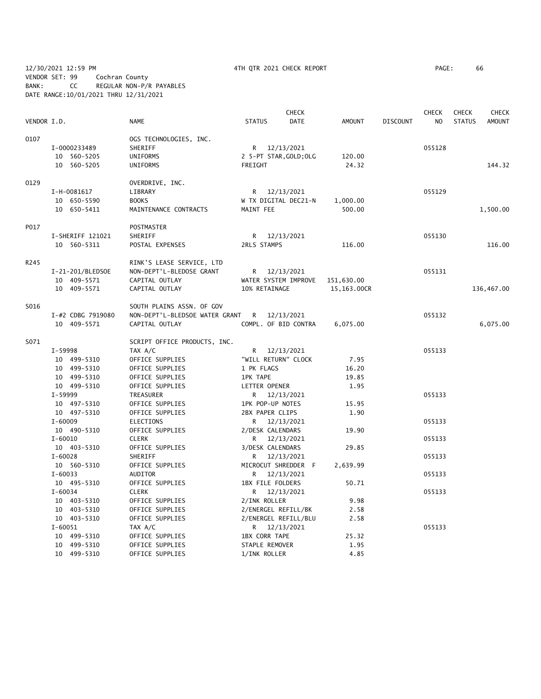12/30/2021 12:59 PM 4TH QTR 2021 CHECK REPORT PAGE: 66 VENDOR SET: 99 Cochran County BANK: CC REGULAR NON-P/R PAYABLES DATE RANGE:10/01/2021 THRU 12/31/2021

|             |                   |                                |                     | <b>CHECK</b>           |               |                 | <b>CHECK</b>   | <b>CHECK</b>  | <b>CHECK</b> |
|-------------|-------------------|--------------------------------|---------------------|------------------------|---------------|-----------------|----------------|---------------|--------------|
| VENDOR I.D. |                   | <b>NAME</b>                    | <b>STATUS</b>       | DATE                   | <b>AMOUNT</b> | <b>DISCOUNT</b> | N <sub>O</sub> | <b>STATUS</b> | AMOUNT       |
| 0107        |                   | OGS TECHNOLOGIES, INC.         |                     |                        |               |                 |                |               |              |
|             | I-0000233489      | SHERIFF                        |                     | R 12/13/2021           |               |                 | 055128         |               |              |
|             | 10 560-5205       | UNIFORMS                       |                     | 2 5-PT STAR, GOLD; OLG | 120.00        |                 |                |               |              |
|             | 10 560-5205       | UNIFORMS                       | FREIGHT             |                        | 24.32         |                 |                |               | 144.32       |
|             |                   |                                |                     |                        |               |                 |                |               |              |
| 0129        |                   | OVERDRIVE, INC.                |                     |                        |               |                 |                |               |              |
|             | I-H-0081617       | LIBRARY                        |                     | R 12/13/2021           |               |                 | 055129         |               |              |
|             | 10 650-5590       | <b>BOOKS</b>                   |                     | W TX DIGITAL DEC21-N   | 1,000.00      |                 |                |               |              |
|             | 10 650-5411       | MAINTENANCE CONTRACTS          | MAINT FEE           |                        | 500.00        |                 |                |               | 1,500.00     |
| P017        |                   | POSTMASTER                     |                     |                        |               |                 |                |               |              |
|             | I-SHERIFF 121021  | SHERIFF                        |                     | R 12/13/2021           |               |                 | 055130         |               |              |
|             | 10 560-5311       | POSTAL EXPENSES                | 2RLS STAMPS         |                        | 116.00        |                 |                |               | 116.00       |
|             |                   |                                |                     |                        |               |                 |                |               |              |
| R245        |                   | RINK'S LEASE SERVICE, LTD      |                     |                        |               |                 |                |               |              |
|             | I-21-201/BLEDSOE  | NON-DEPT'L-BLEDOSE GRANT       |                     | R 12/13/2021           |               |                 | 055131         |               |              |
|             | 10 409-5571       | CAPITAL OUTLAY                 |                     | WATER SYSTEM IMPROVE   | 151,630.00    |                 |                |               |              |
|             | 10 409-5571       | CAPITAL OUTLAY                 | 10% RETAINAGE       |                        | 15,163.00CR   |                 |                |               | 136,467.00   |
| S016        |                   | SOUTH PLAINS ASSN. OF GOV      |                     |                        |               |                 |                |               |              |
|             | I-#2 CDBG 7919080 | NON-DEPT'L-BLEDSOE WATER GRANT |                     | R 12/13/2021           |               |                 | 055132         |               |              |
|             | 10 409-5571       | CAPITAL OUTLAY                 |                     | COMPL. OF BID CONTRA   | 6,075.00      |                 |                |               | 6,075.00     |
| S071        |                   | SCRIPT OFFICE PRODUCTS, INC.   |                     |                        |               |                 |                |               |              |
|             | I-59998           | TAX A/C                        |                     | R 12/13/2021           |               |                 | 055133         |               |              |
|             | 10 499-5310       | OFFICE SUPPLIES                | "WILL RETURN" CLOCK |                        | 7.95          |                 |                |               |              |
|             | 10 499-5310       | OFFICE SUPPLIES                | 1 PK FLAGS          |                        | 16.20         |                 |                |               |              |
|             | 10 499-5310       | OFFICE SUPPLIES                | <b>1PK TAPE</b>     |                        | 19.85         |                 |                |               |              |
|             | 10 499-5310       | OFFICE SUPPLIES                | LETTER OPENER       |                        | 1.95          |                 |                |               |              |
|             | I-59999           | TREASURER                      |                     |                        |               |                 | 055133         |               |              |
|             |                   |                                |                     | R 12/13/2021           |               |                 |                |               |              |
|             | 10 497-5310       | OFFICE SUPPLIES                | 1PK POP-UP NOTES    |                        | 15.95         |                 |                |               |              |
|             | 10 497-5310       | OFFICE SUPPLIES                | 2BX PAPER CLIPS     |                        | 1.90          |                 |                |               |              |
|             | $I - 60009$       | <b>ELECTIONS</b>               |                     | R 12/13/2021           |               |                 | 055133         |               |              |
|             | 10 490-5310       | OFFICE SUPPLIES                | 2/DESK CALENDARS    |                        | 19.90         |                 |                |               |              |
|             | $I - 60010$       | <b>CLERK</b>                   |                     | R 12/13/2021           |               |                 | 055133         |               |              |
|             | 10 403-5310       | OFFICE SUPPLIES                | 3/DESK CALENDARS    |                        | 29.85         |                 |                |               |              |
|             | $I - 60028$       | SHERIFF                        |                     | R 12/13/2021           |               |                 | 055133         |               |              |
|             | 10 560-5310       | OFFICE SUPPLIES                |                     | MICROCUT SHREDDER F    | 2,639.99      |                 |                |               |              |
|             | $I - 60033$       | <b>AUDITOR</b>                 |                     | R 12/13/2021           |               |                 | 055133         |               |              |
|             | 10 495-5310       | OFFICE SUPPLIES                | 1BX FILE FOLDERS    |                        | 50.71         |                 |                |               |              |
|             | $I - 60034$       | <b>CLERK</b>                   |                     | R 12/13/2021           |               |                 | 055133         |               |              |
|             | 10 403-5310       | OFFICE SUPPLIES                | 2/INK ROLLER        |                        | 9.98          |                 |                |               |              |
|             | 10 403-5310       | OFFICE SUPPLIES                | 2/ENERGEL REFILL/BK |                        | 2.58          |                 |                |               |              |
|             | 10 403-5310       | OFFICE SUPPLIES                |                     | 2/ENERGEL REFILL/BLU   | 2.58          |                 |                |               |              |
|             | $I - 60051$       | TAX A/C                        |                     | R 12/13/2021           |               |                 | 055133         |               |              |
|             | 10 499-5310       | OFFICE SUPPLIES                | 1BX CORR TAPE       |                        | 25.32         |                 |                |               |              |
|             | 10 499-5310       | OFFICE SUPPLIES                | STAPLE REMOVER      |                        | 1.95          |                 |                |               |              |
|             | 10 499-5310       | OFFICE SUPPLIES                | 1/INK ROLLER        |                        | 4.85          |                 |                |               |              |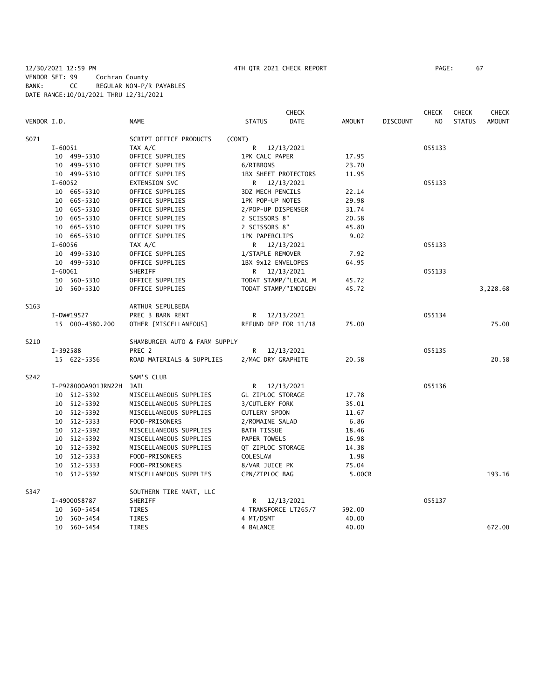|             |             |                     |                               |                       | <b>CHECK</b> |               |                 | <b>CHECK</b> | <b>CHECK</b>  | <b>CHECK</b>  |
|-------------|-------------|---------------------|-------------------------------|-----------------------|--------------|---------------|-----------------|--------------|---------------|---------------|
| VENDOR I.D. |             |                     | <b>NAME</b>                   | <b>STATUS</b>         | <b>DATE</b>  | <b>AMOUNT</b> | <b>DISCOUNT</b> | NO.          | <b>STATUS</b> | <b>AMOUNT</b> |
| S071        |             |                     | SCRIPT OFFICE PRODUCTS        | (CONT)                |              |               |                 |              |               |               |
|             | I-60051     |                     | TAX A/C                       | R                     | 12/13/2021   |               |                 | 055133       |               |               |
|             |             | 10 499-5310         | OFFICE SUPPLIES               | 1PK CALC PAPER        |              | 17.95         |                 |              |               |               |
|             |             | 10 499-5310         | OFFICE SUPPLIES               | 6/RIBBONS             |              | 23.70         |                 |              |               |               |
|             |             | 10 499-5310         | OFFICE SUPPLIES               | 1BX SHEET PROTECTORS  |              | 11.95         |                 |              |               |               |
|             | $I - 60052$ |                     | EXTENSION SVC                 | R 12/13/2021          |              |               |                 | 055133       |               |               |
|             |             | 10 665-5310         | OFFICE SUPPLIES               | 3DZ MECH PENCILS      |              | 22.14         |                 |              |               |               |
|             |             | 10 665-5310         | OFFICE SUPPLIES               | 1PK POP-UP NOTES      |              | 29.98         |                 |              |               |               |
|             |             | 10 665-5310         | OFFICE SUPPLIES               | 2/POP-UP DISPENSER    |              | 31.74         |                 |              |               |               |
|             |             | 10 665-5310         | OFFICE SUPPLIES               | 2 SCISSORS 8"         |              | 20.58         |                 |              |               |               |
|             |             | 10 665-5310         | OFFICE SUPPLIES               | 2 SCISSORS 8"         |              | 45.80         |                 |              |               |               |
|             |             | 10 665-5310         | OFFICE SUPPLIES               | <b>1PK PAPERCLIPS</b> |              | 9.02          |                 |              |               |               |
|             | I-60056     |                     | TAX A/C                       | R 12/13/2021          |              |               |                 | 055133       |               |               |
|             |             | 10 499-5310         | OFFICE SUPPLIES               | 1/STAPLE REMOVER      |              | 7.92          |                 |              |               |               |
|             |             | 10 499-5310         | OFFICE SUPPLIES               | 1BX 9x12 ENVELOPES    |              | 64.95         |                 |              |               |               |
|             | $I - 60061$ |                     | SHERIFF                       | R 12/13/2021          |              |               |                 | 055133       |               |               |
|             |             | 10 560-5310         | OFFICE SUPPLIES               | TODAT STAMP/"LEGAL M  |              | 45.72         |                 |              |               |               |
|             |             | 10 560-5310         | OFFICE SUPPLIES               | TODAT STAMP/"INDIGEN  |              | 45.72         |                 |              |               | 3,228.68      |
| S163        |             |                     | ARTHUR SEPULBEDA              |                       |              |               |                 |              |               |               |
|             |             | I-DW#19527          | PREC 3 BARN RENT              | R                     | 12/13/2021   |               |                 | 055134       |               |               |
|             |             | 15 000-4380.200     | OTHER [MISCELLANEOUS]         | REFUND DEP FOR 11/18  |              | 75.00         |                 |              |               | 75.00         |
| S210        |             |                     | SHAMBURGER AUTO & FARM SUPPLY |                       |              |               |                 |              |               |               |
|             | I-392588    |                     | PREC 2                        | R                     | 12/13/2021   |               |                 | 055135       |               |               |
|             |             | 15 622-5356         | ROAD MATERIALS & SUPPLIES     | 2/MAC DRY GRAPHITE    |              | 20.58         |                 |              |               | 20.58         |
| S242        |             |                     | SAM'S CLUB                    |                       |              |               |                 |              |               |               |
|             |             | I-P928000A901JRN22H | JAIL                          | R 12/13/2021          |              |               |                 | 055136       |               |               |
|             |             | 10 512-5392         | MISCELLANEOUS SUPPLIES        | GL ZIPLOC STORAGE     |              | 17.78         |                 |              |               |               |
|             |             | 10 512-5392         | MISCELLANEOUS SUPPLIES        | 3/CUTLERY FORK        |              | 35.01         |                 |              |               |               |
|             |             | 10 512-5392         | MISCELLANEOUS SUPPLIES        | <b>CUTLERY SPOON</b>  |              | 11.67         |                 |              |               |               |
|             |             | 10 512-5333         | FOOD-PRISONERS                | 2/ROMAINE SALAD       |              | 6.86          |                 |              |               |               |
|             |             | 10 512-5392         | MISCELLANEOUS SUPPLIES        | <b>BATH TISSUE</b>    |              | 18.46         |                 |              |               |               |
|             |             | 10 512-5392         | MISCELLANEOUS SUPPLIES        | PAPER TOWELS          |              | 16.98         |                 |              |               |               |
|             |             | 10 512-5392         | MISCELLANEOUS SUPPLIES        | QT ZIPLOC STORAGE     |              | 14.38         |                 |              |               |               |
|             |             | 10 512-5333         | FOOD-PRISONERS                | COLESLAW              |              | 1.98          |                 |              |               |               |
|             |             | 10 512-5333         | FOOD-PRISONERS                | 8/VAR JUICE PK        |              | 75.04         |                 |              |               |               |
|             |             | 10 512-5392         | MISCELLANEOUS SUPPLIES        | CPN/ZIPLOC BAG        |              | 5.00CR        |                 |              |               | 193.16        |
| S347        |             |                     | SOUTHERN TIRE MART, LLC       |                       |              |               |                 |              |               |               |
|             |             | I-4900058787        | SHERIFF                       | R 12/13/2021          |              |               |                 | 055137       |               |               |
|             |             | 10 560-5454         | TIRES                         | 4 TRANSFORCE LT265/7  |              | 592.00        |                 |              |               |               |
|             |             | 10 560-5454         | <b>TIRES</b>                  | 4 MT/DSMT             |              | 40.00         |                 |              |               |               |
|             |             | 10 560-5454         | <b>TIRES</b>                  | 4 BALANCE             |              | 40.00         |                 |              |               | 672.00        |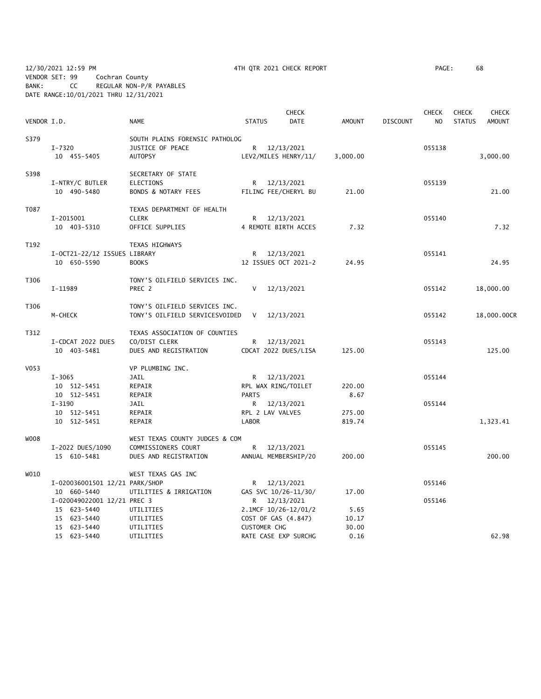12/30/2021 12:59 PM 4TH QTR 2021 CHECK REPORT PAGE: 68 VENDOR SET: 99 Cochran County BANK: CC REGULAR NON-P/R PAYABLES DATE RANGE:10/01/2021 THRU 12/31/2021

|             |                                |                                |                     | <b>CHECK</b>                   |               |                 | <b>CHECK</b> | <b>CHECK</b>  | <b>CHECK</b>  |
|-------------|--------------------------------|--------------------------------|---------------------|--------------------------------|---------------|-----------------|--------------|---------------|---------------|
| VENDOR I.D. |                                | <b>NAME</b>                    | <b>STATUS</b>       | <b>DATE</b>                    | <b>AMOUNT</b> | <b>DISCOUNT</b> | NO.          | <b>STATUS</b> | <b>AMOUNT</b> |
| S379        |                                | SOUTH PLAINS FORENSIC PATHOLOG |                     |                                |               |                 |              |               |               |
|             | $I - 7320$                     | JUSTICE OF PEACE               |                     | R 12/13/2021                   |               |                 | 055138       |               |               |
|             | 10 455-5405                    | <b>AUTOPSY</b>                 |                     | LEV2/MILES HENRY/11/           | 3,000.00      |                 |              |               | 3,000.00      |
| S398        |                                | SECRETARY OF STATE             |                     |                                |               |                 |              |               |               |
|             | I-NTRY/C BUTLER                | ELECTIONS                      | R.                  | 12/13/2021                     |               |                 | 055139       |               |               |
|             | 10 490-5480                    | BONDS & NOTARY FEES            |                     | FILING FEE/CHERYL BU           | 21.00         |                 |              |               | 21.00         |
| T087        |                                | TEXAS DEPARTMENT OF HEALTH     |                     |                                |               |                 |              |               |               |
|             | I-2015001                      | <b>CLERK</b>                   |                     | R 12/13/2021                   |               |                 | 055140       |               |               |
|             | 10 403-5310                    | OFFICE SUPPLIES                |                     | 4 REMOTE BIRTH ACCES           | 7.32          |                 |              |               | 7.32          |
| T192        |                                | TEXAS HIGHWAYS                 |                     |                                |               |                 |              |               |               |
|             | I-OCT21-22/12 ISSUES LIBRARY   |                                | R                   | 12/13/2021                     |               |                 | 055141       |               |               |
|             | 10 650-5590                    | <b>BOOKS</b>                   |                     | 12 ISSUES OCT 2021-2           | 24.95         |                 |              |               | 24.95         |
| T306        |                                | TONY'S OILFIELD SERVICES INC.  |                     |                                |               |                 |              |               |               |
|             | I-11989                        | PREC 2                         | V                   | 12/13/2021                     |               |                 | 055142       |               | 18,000.00     |
| T306        |                                | TONY'S OILFIELD SERVICES INC.  |                     |                                |               |                 |              |               |               |
|             | M-CHECK                        | TONY'S OILFIELD SERVICESVOIDED | V                   | 12/13/2021                     |               |                 | 055142       |               | 18,000.00CR   |
| T312        |                                | TEXAS ASSOCIATION OF COUNTIES  |                     |                                |               |                 |              |               |               |
|             | I-CDCAT 2022 DUES              | CO/DIST CLERK                  | R                   | 12/13/2021                     |               |                 | 055143       |               |               |
|             | 10 403-5481                    | DUES AND REGISTRATION          |                     | CDCAT 2022 DUES/LISA           | 125.00        |                 |              |               | 125.00        |
| V053        |                                | VP PLUMBING INC.               |                     |                                |               |                 |              |               |               |
|             | $I-3065$                       | JAIL                           | R.                  | 12/13/2021                     |               |                 | 055144       |               |               |
|             | 10 512-5451                    | REPAIR                         |                     | RPL WAX RING/TOILET            | 220.00        |                 |              |               |               |
|             | 10 512-5451<br>$I-3190$        | REPAIR<br>JAIL                 | <b>PARTS</b>        |                                | 8.67          |                 | 055144       |               |               |
|             | 10 512-5451                    | REPAIR                         | R.                  | 12/13/2021<br>RPL 2 LAV VALVES | 275.00        |                 |              |               |               |
|             | 10 512-5451                    | REPAIR                         | <b>LABOR</b>        |                                | 819.74        |                 |              |               | 1,323.41      |
| W008        |                                | WEST TEXAS COUNTY JUDGES & COM |                     |                                |               |                 |              |               |               |
|             | I-2022 DUES/1090               | COMMISSIONERS COURT            | R                   | 12/13/2021                     |               |                 | 055145       |               |               |
|             | 15 610-5481                    | DUES AND REGISTRATION          |                     | ANNUAL MEMBERSHIP/20           | 200.00        |                 |              |               | 200.00        |
| WO10        |                                | WEST TEXAS GAS INC             |                     |                                |               |                 |              |               |               |
|             | I-020036001501 12/21 PARK/SHOP |                                |                     | R 12/13/2021                   |               |                 | 055146       |               |               |
|             | 10 660-5440                    | UTILITIES & IRRIGATION         |                     | GAS SVC 10/26-11/30/           | 17.00         |                 |              |               |               |
|             | I-020049022001 12/21 PREC 3    |                                |                     | R 12/13/2021                   |               |                 | 055146       |               |               |
|             | 15 623-5440                    | UTILITIES                      |                     | 2.1MCF 10/26-12/01/2           | 5.65          |                 |              |               |               |
|             | 15 623-5440                    | UTILITIES                      |                     | COST OF GAS (4.847)            | 10.17         |                 |              |               |               |
|             | 15 623-5440                    | UTILITIES                      | <b>CUSTOMER CHG</b> |                                | 30.00         |                 |              |               |               |
|             | 15 623-5440                    | UTILITIES                      |                     | RATE CASE EXP SURCHG           | 0.16          |                 |              |               | 62.98         |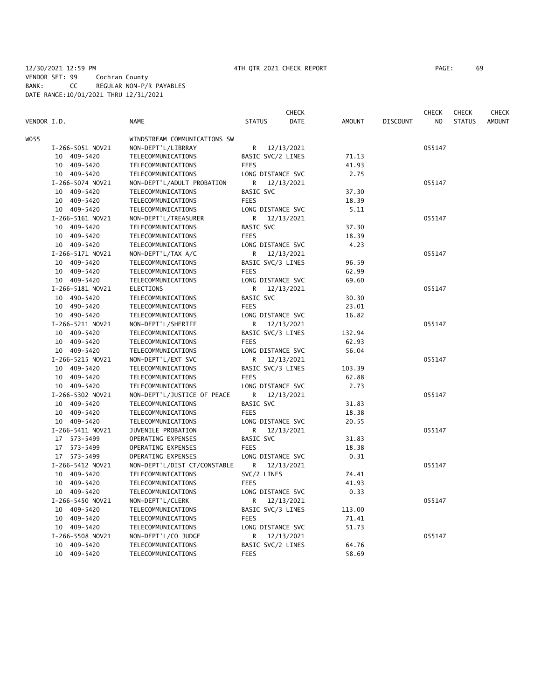# 12/30/2021 12:59 PM 4TH QTR 2021 CHECK REPORT PAGE: 69 VENDOR SET: 99 Cochran County BANK: CC REGULAR NON-P/R PAYABLES DATE RANGE:10/01/2021 THRU 12/31/2021

|             |                  |                              |                          | CHECK       |               |                 | CHECK  | <b>CHECK</b>  | <b>CHECK</b>  |
|-------------|------------------|------------------------------|--------------------------|-------------|---------------|-----------------|--------|---------------|---------------|
| VENDOR I.D. |                  | <b>NAME</b>                  | <b>STATUS</b>            | <b>DATE</b> | <b>AMOUNT</b> | <b>DISCOUNT</b> | NO.    | <b>STATUS</b> | <b>AMOUNT</b> |
| WO55        |                  | WINDSTREAM COMMUNICATIONS SW |                          |             |               |                 |        |               |               |
|             | I-266-5051 NOV21 | NON-DEPT'L/LIBRRAY           | R 12/13/2021             |             |               |                 | 055147 |               |               |
|             | 10 409-5420      | TELECOMMUNICATIONS           | BASIC SVC/2 LINES        |             | 71.13         |                 |        |               |               |
|             | 10 409-5420      | TELECOMMUNICATIONS           | <b>FEES</b>              |             | 41.93         |                 |        |               |               |
|             | 10 409-5420      | TELECOMMUNICATIONS           | LONG DISTANCE SVC        |             | 2.75          |                 |        |               |               |
|             | I-266-5074 NOV21 | NON-DEPT'L/ADULT PROBATION   | R                        | 12/13/2021  |               |                 | 055147 |               |               |
|             | 10 409-5420      | TELECOMMUNICATIONS           | BASIC SVC                |             | 37.30         |                 |        |               |               |
|             | 10 409-5420      | TELECOMMUNICATIONS           | <b>FEES</b>              |             | 18.39         |                 |        |               |               |
|             | 10 409-5420      | TELECOMMUNICATIONS           | LONG DISTANCE SVC        |             | 5.11          |                 |        |               |               |
|             | I-266-5161 NOV21 | NON-DEPT'L/TREASURER         | R.                       | 12/13/2021  |               |                 | 055147 |               |               |
|             | 10 409-5420      | TELECOMMUNICATIONS           | BASIC SVC                |             | 37.30         |                 |        |               |               |
|             | 10 409-5420      | TELECOMMUNICATIONS           | <b>FEES</b>              |             | 18.39         |                 |        |               |               |
|             | 10 409-5420      | TELECOMMUNICATIONS           | LONG DISTANCE SVC        |             | 4.23          |                 |        |               |               |
|             | I-266-5171 NOV21 | NON-DEPT'L/TAX A/C           | R 12/13/2021             |             |               |                 | 055147 |               |               |
|             | 10 409-5420      | TELECOMMUNICATIONS           | BASIC SVC/3 LINES        |             | 96.59         |                 |        |               |               |
|             | 10 409-5420      | TELECOMMUNICATIONS           | <b>FEES</b>              |             | 62.99         |                 |        |               |               |
|             |                  |                              |                          |             | 69.60         |                 |        |               |               |
|             | 10 409-5420      | TELECOMMUNICATIONS           | LONG DISTANCE SVC        |             |               |                 |        |               |               |
|             | I-266-5181 NOV21 | ELECTIONS                    | R.                       | 12/13/2021  |               |                 | 055147 |               |               |
|             | 10 490-5420      | TELECOMMUNICATIONS           | BASIC SVC<br><b>FEES</b> |             | 30.30         |                 |        |               |               |
|             | 10 490-5420      | TELECOMMUNICATIONS           |                          |             | 23.01         |                 |        |               |               |
|             | 10 490-5420      | TELECOMMUNICATIONS           | LONG DISTANCE SVC        |             | 16.82         |                 |        |               |               |
|             | I-266-5211 NOV21 | NON-DEPT'L/SHERIFF           | R                        | 12/13/2021  |               |                 | 055147 |               |               |
|             | 10 409-5420      | TELECOMMUNICATIONS           | BASIC SVC/3 LINES        |             | 132.94        |                 |        |               |               |
|             | 10 409-5420      | TELECOMMUNICATIONS           | <b>FEES</b>              |             | 62.93         |                 |        |               |               |
|             | 10 409-5420      | TELECOMMUNICATIONS           | LONG DISTANCE SVC        |             | 56.04         |                 |        |               |               |
|             | I-266-5215 NOV21 | NON-DEPT'L/EXT SVC           | R                        | 12/13/2021  |               |                 | 055147 |               |               |
|             | 10 409-5420      | TELECOMMUNICATIONS           | BASIC SVC/3 LINES        |             | 103.39        |                 |        |               |               |
|             | 10 409-5420      | TELECOMMUNICATIONS           | <b>FEES</b>              |             | 62.88         |                 |        |               |               |
|             | 10 409-5420      | TELECOMMUNICATIONS           | LONG DISTANCE SVC        |             | 2.73          |                 |        |               |               |
|             | I-266-5302 NOV21 | NON-DEPT'L/JUSTICE OF PEACE  | R                        | 12/13/2021  |               |                 | 055147 |               |               |
|             | 10 409-5420      | TELECOMMUNICATIONS           | BASIC SVC                |             | 31.83         |                 |        |               |               |
|             | 10 409-5420      | TELECOMMUNICATIONS           | <b>FEES</b>              |             | 18.38         |                 |        |               |               |
|             | 10 409-5420      | TELECOMMUNICATIONS           | LONG DISTANCE SVC        |             | 20.55         |                 |        |               |               |
|             | I-266-5411 NOV21 | JUVENILE PROBATION           | R.                       | 12/13/2021  |               |                 | 055147 |               |               |
|             | 17 573-5499      | OPERATING EXPENSES           | BASIC SVC                |             | 31.83         |                 |        |               |               |
|             | 17 573-5499      | OPERATING EXPENSES           | <b>FEES</b>              |             | 18.38         |                 |        |               |               |
|             | 17 573-5499      | OPERATING EXPENSES           | LONG DISTANCE SVC        |             | 0.31          |                 |        |               |               |
|             | I-266-5412 NOV21 | NON-DEPT'L/DIST CT/CONSTABLE | R                        | 12/13/2021  |               |                 | 055147 |               |               |
|             | 10 409-5420      | TELECOMMUNICATIONS           | SVC/2 LINES              |             | 74.41         |                 |        |               |               |
|             | 10 409-5420      | TELECOMMUNICATIONS           | <b>FEES</b>              |             | 41.93         |                 |        |               |               |
|             | 10 409-5420      | TELECOMMUNICATIONS           | LONG DISTANCE SVC        |             | 0.33          |                 |        |               |               |
|             | I-266-5450 NOV21 | NON-DEPT'L/CLERK             | R                        | 12/13/2021  |               |                 | 055147 |               |               |
|             | 10 409-5420      | TELECOMMUNICATIONS           | BASIC SVC/3 LINES        |             | 113.00        |                 |        |               |               |
|             | 10 409-5420      | TELECOMMUNICATIONS           | <b>FEES</b>              |             | 71.41         |                 |        |               |               |
|             | 10 409-5420      | TELECOMMUNICATIONS           | LONG DISTANCE SVC        |             | 51.73         |                 |        |               |               |
|             | I-266-5508 NOV21 | NON-DEPT'L/CO JUDGE          | R                        | 12/13/2021  |               |                 | 055147 |               |               |
|             | 10 409-5420      | TELECOMMUNICATIONS           | BASIC SVC/2 LINES        |             | 64.76         |                 |        |               |               |
|             | 10 409-5420      | TELECOMMUNICATIONS           | <b>FEES</b>              |             | 58.69         |                 |        |               |               |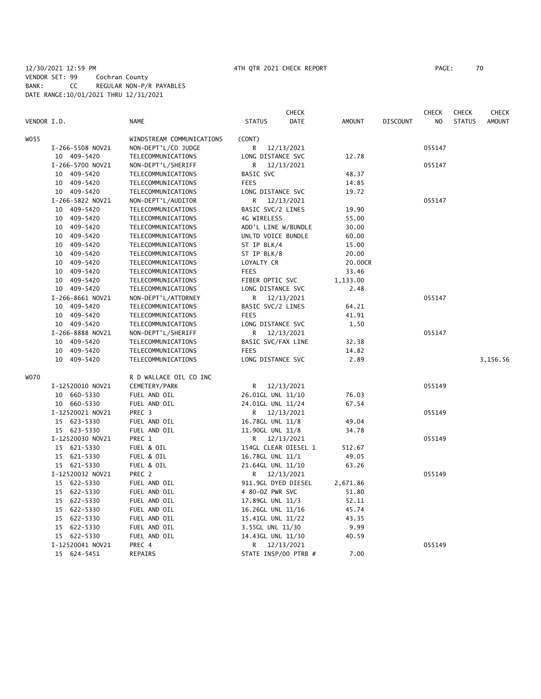## 12/30/2021 12:59 PM 4TH QTR 2021 CHECK REPORT PAGE: 70 VENDOR SET: 99 Cochran County BANK: CC REGULAR NON-P/R PAYABLES DATE RANGE:10/01/2021 THRU 12/31/2021

|             |                  |                              |                        | <b>CHECK</b> |               |                 | <b>CHECK</b>   | <b>CHECK</b>  | CHECK         |
|-------------|------------------|------------------------------|------------------------|--------------|---------------|-----------------|----------------|---------------|---------------|
| VENDOR I.D. |                  | <b>NAME</b>                  | <b>STATUS</b>          | <b>DATE</b>  | <b>AMOUNT</b> | <b>DISCOUNT</b> | N <sub>O</sub> | <b>STATUS</b> | <b>AMOUNT</b> |
| W055        |                  | WINDSTREAM COMMUNICATIONS    | (CONT)                 |              |               |                 |                |               |               |
|             | I-266-5508 NOV21 | NON-DEPT'L/CO JUDGE          | R                      | 12/13/2021   |               |                 | 055147         |               |               |
|             | 10 409-5420      | TELECOMMUNICATIONS           | LONG DISTANCE SVC      |              | 12.78         |                 |                |               |               |
|             | I-266-5700 NOV21 | NON-DEPT'L/SHERIFF           | R                      | 12/13/2021   |               |                 | 055147         |               |               |
|             | 10 409-5420      | TELECOMMUNICATIONS           | BASIC SVC              |              | 48.37         |                 |                |               |               |
|             | 10 409-5420      | TELECOMMUNICATIONS           | <b>FEES</b>            |              | 14.85         |                 |                |               |               |
|             | 10 409-5420      | TELECOMMUNICATIONS           | LONG DISTANCE SVC      |              | 19.72         |                 |                |               |               |
|             | I-266-5822 NOV21 | NON-DEPT'L/AUDITOR           | R                      | 12/13/2021   |               |                 | 055147         |               |               |
|             | 10 409-5420      | TELECOMMUNICATIONS           | BASIC SVC/2 LINES      |              | 19.90         |                 |                |               |               |
|             | 10 409-5420      | TELECOMMUNICATIONS           | 4G WIRELESS            |              | 55.00         |                 |                |               |               |
|             | 10 409-5420      | TELECOMMUNICATIONS           | ADD'L LINE W/BUNDLE    |              | 30.00         |                 |                |               |               |
|             | 10 409-5420      | TELECOMMUNICATIONS           | UNLTD VOICE BUNDLE     |              | 60.00         |                 |                |               |               |
|             | 10 409-5420      | TELECOMMUNICATIONS           | ST IP BLK/4            |              | 15.00         |                 |                |               |               |
|             | 10 409-5420      | TELECOMMUNICATIONS           | ST IP BLK/8            |              | 20.00         |                 |                |               |               |
|             | 10 409-5420      | TELECOMMUNICATIONS           | LOYALTY CR             |              | 20.00CR       |                 |                |               |               |
|             | 10 409-5420      | TELECOMMUNICATIONS           | <b>FEES</b>            |              | 33.46         |                 |                |               |               |
|             | 10 409-5420      | TELECOMMUNICATIONS           | FIBER OPTIC SVC        |              | 1,133.00      |                 |                |               |               |
|             | 10 409-5420      | TELECOMMUNICATIONS           | LONG DISTANCE SVC      |              | 2.48          |                 |                |               |               |
|             | I-266-8661 NOV21 | NON-DEPT'L/ATTORNEY          | R                      | 12/13/2021   |               |                 | 055147         |               |               |
|             | 10 409-5420      | TELECOMMUNICATIONS           | BASIC SVC/2 LINES      |              | 64.21         |                 |                |               |               |
|             | 10 409-5420      | TELECOMMUNICATIONS           | <b>FEES</b>            |              | 41.91         |                 |                |               |               |
|             | 10 409-5420      | TELECOMMUNICATIONS           | LONG DISTANCE SVC      |              | 1.50          |                 |                |               |               |
|             | I-266-8888 NOV21 | NON-DEPT'L/SHERIFF           | R                      | 12/13/2021   |               |                 | 055147         |               |               |
|             | 10 409-5420      | TELECOMMUNICATIONS           | BASIC SVC/FAX LINE     |              | 32.38         |                 |                |               |               |
|             | 10 409-5420      | TELECOMMUNICATIONS           | <b>FEES</b>            |              | 14.82         |                 |                |               |               |
|             | 10 409-5420      | TELECOMMUNICATIONS           | LONG DISTANCE SVC      |              | 2.89          |                 |                |               | 3,156.56      |
| <b>WO70</b> |                  | R D WALLACE OIL CO INC       |                        |              |               |                 |                |               |               |
|             | I-12520010 NOV21 | CEMETERY/PARK                | R                      | 12/13/2021   |               |                 | 055149         |               |               |
|             | 10 660-5330      | FUEL AND OIL                 | 26.01GL UNL 11/10      |              | 76.03         |                 |                |               |               |
|             | 10 660-5330      | FUEL AND OIL                 | 24.01GL UNL 11/24      |              | 67.54         |                 |                |               |               |
|             | I-12520021 NOV21 | PREC 3                       | R 12/13/2021           |              |               |                 | 055149         |               |               |
|             | 15 623-5330      | FUEL AND OIL                 | 16.78GL UNL 11/8       |              | 49.04         |                 |                |               |               |
|             | 15 623-5330      | FUEL AND OIL                 | 11.90GL UNL 11/8       |              | 34.78         |                 |                |               |               |
|             | I-12520030 NOV21 | PREC 1                       | R.                     | 12/13/2021   |               |                 | 055149         |               |               |
|             | 15 621-5330      | FUEL & OIL                   | 154GL CLEAR DIESEL 1   |              | 512.67        |                 |                |               |               |
|             | 15 621-5330      | FUEL & OIL                   | 16.78GL UNL 11/1       |              | 49.05         |                 |                |               |               |
|             | 15 621-5330      | FUEL & OIL                   | 21.64GL UNL 11/10      |              | 63.26         |                 |                |               |               |
|             | I-12520032 NOV21 | PREC 2                       | R 12/13/2021           |              |               |                 | 055149         |               |               |
|             | 15 622-5330      | FUEL AND OIL                 | 911.9GL DYED DIESEL    |              | 2,671.86      |                 |                |               |               |
|             | 15 622-5330      | FUEL AND OIL                 | 4 80-0Z PWR SVC        |              | 51.80         |                 |                |               |               |
|             | 15 622-5330      | FUEL AND OIL                 | 17.89GL UNL 11/3       |              | 52.11         |                 |                |               |               |
|             | 15 622-5330      | FUEL AND OIL                 |                        |              | 45.74         |                 |                |               |               |
|             | 15 622-5330      |                              | 16.26GL UNL 11/16      |              |               |                 |                |               |               |
|             | 15 622-5330      | FUEL AND OIL<br>FUEL AND OIL | 15.41GL UNL 11/22      |              | 43.35<br>9.99 |                 |                |               |               |
|             | 15 622-5330      | FUEL AND OIL                 | 3.55GL UNL 11/30       |              | 40.59         |                 |                |               |               |
|             | I-12520041 NOV21 | PREC 4                       | 14.43GL UNL 11/30<br>R | 12/13/2021   |               |                 | 055149         |               |               |
|             |                  |                              |                        |              | 7.00          |                 |                |               |               |
|             | 15 624-5451      | REPAIRS                      | STATE INSP/00 PTRB #   |              |               |                 |                |               |               |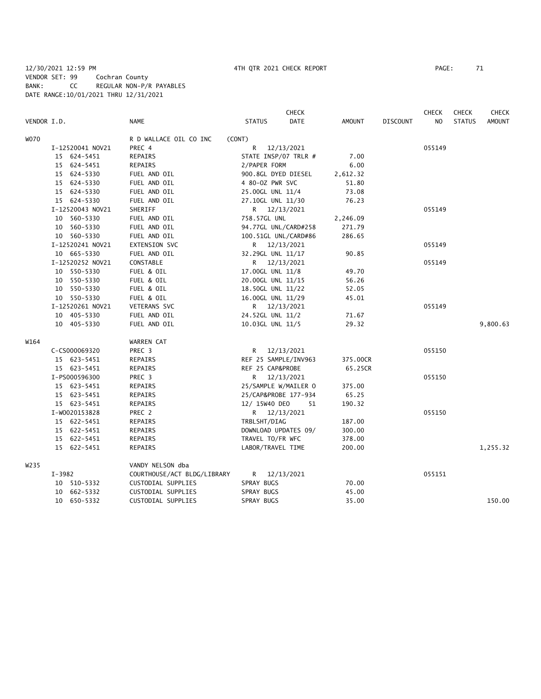## 12/30/2021 12:59 PM 4TH QTR 2021 CHECK REPORT PAGE: 71 VENDOR SET: 99 Cochran County BANK: CC REGULAR NON-P/R PAYABLES DATE RANGE:10/01/2021 THRU 12/31/2021

|             |                  |                             | <b>CHECK</b>                 |          |                 | <b>CHECK</b>   | <b>CHECK</b>  | <b>CHECK</b>  |
|-------------|------------------|-----------------------------|------------------------------|----------|-----------------|----------------|---------------|---------------|
| VENDOR I.D. |                  | <b>NAME</b>                 | <b>DATE</b><br><b>STATUS</b> | AMOUNT   | <b>DISCOUNT</b> | N <sub>O</sub> | <b>STATUS</b> | <b>AMOUNT</b> |
| <b>WO70</b> |                  | R D WALLACE OIL CO INC      | (CONT)                       |          |                 |                |               |               |
|             | I-12520041 NOV21 | PREC 4                      | R<br>12/13/2021              |          |                 | 055149         |               |               |
|             | 15 624-5451      | REPAIRS                     | STATE INSP/07 TRLR #         | 7.00     |                 |                |               |               |
|             | 15 624-5451      | REPAIRS                     | 2/PAPER FORM                 | 6.00     |                 |                |               |               |
|             | 15 624-5330      | FUEL AND OIL                | 900.8GL DYED DIESEL          | 2,612.32 |                 |                |               |               |
|             | 15 624-5330      | FUEL AND OIL                | 4 80-0Z PWR SVC              | 51.80    |                 |                |               |               |
|             | 15 624-5330      | FUEL AND OIL                | 25.00GL UNL 11/4             | 73.08    |                 |                |               |               |
|             | 15 624-5330      | FUEL AND OIL                | 27.10GL UNL 11/30            | 76.23    |                 |                |               |               |
|             | I-12520043 NOV21 | SHERIFF                     | R 12/13/2021                 |          |                 | 055149         |               |               |
|             | 10 560-5330      | FUEL AND OIL                | 758.57GL UNL                 | 2,246.09 |                 |                |               |               |
|             | 10 560-5330      | FUEL AND OIL                | 94.77GL UNL/CARD#258         | 271.79   |                 |                |               |               |
|             | 10 560-5330      | FUEL AND OIL                | 100.51GL UNL/CARD#86         | 286.65   |                 |                |               |               |
|             | I-12520241 NOV21 | EXTENSION SVC               | R 12/13/2021                 |          |                 | 055149         |               |               |
|             | 10 665-5330      | FUEL AND OIL                | 32.29GL UNL 11/17            | 90.85    |                 |                |               |               |
|             | I-12520252 NOV21 | CONSTABLE                   | R 12/13/2021                 |          |                 | 055149         |               |               |
|             | 10 550-5330      | FUEL & OIL                  | 17.00GL UNL 11/8             | 49.70    |                 |                |               |               |
|             | 10 550-5330      | FUEL & OIL                  | 20.00GL UNL 11/15            | 56.26    |                 |                |               |               |
|             | 10 550-5330      | FUEL & OIL                  | 18.50GL UNL 11/22            | 52.05    |                 |                |               |               |
|             | 10 550-5330      | FUEL & OIL                  | 16.00GL UNL 11/29            | 45.01    |                 |                |               |               |
|             | I-12520261 NOV21 | <b>VETERANS SVC</b>         | R 12/13/2021                 |          |                 | 055149         |               |               |
|             | 10 405-5330      | FUEL AND OIL                | 24.52GL UNL 11/2             | 71.67    |                 |                |               |               |
|             | 10 405-5330      | FUEL AND OIL                | 10.03GL UNL 11/5             | 29.32    |                 |                |               | 9,800.63      |
| W164        |                  | WARREN CAT                  |                              |          |                 |                |               |               |
|             | C-CS000069320    | PREC <sub>3</sub>           | R<br>12/13/2021              |          |                 | 055150         |               |               |
|             | 15 623-5451      | REPAIRS                     | REF 25 SAMPLE/INV963         | 375.00CR |                 |                |               |               |
|             | 15 623-5451      | REPAIRS                     | REF 25 CAP&PROBE             | 65.25CR  |                 |                |               |               |
|             | I-PS000596300    | PREC 3                      | 12/13/2021<br>R.             |          |                 | 055150         |               |               |
|             | 15 623-5451      | REPAIRS                     | 25/SAMPLE W/MAILER O         | 375.00   |                 |                |               |               |
|             | 15 623-5451      | REPAIRS                     | 25/CAP&PROBE 177-934         | 65.25    |                 |                |               |               |
|             | 15 623-5451      | REPAIRS                     | 12/ 15W40 DEO<br>51          | 190.32   |                 |                |               |               |
|             | I-W0020153828    | PREC 2                      | R 12/13/2021                 |          |                 | 055150         |               |               |
|             | 15 622-5451      | REPAIRS                     | TRBLSHT/DIAG                 | 187.00   |                 |                |               |               |
|             | 15 622-5451      | REPAIRS                     | DOWNLOAD UPDATES 09/         | 300.00   |                 |                |               |               |
|             | 15 622-5451      | REPAIRS                     | TRAVEL TO/FR WFC             | 378.00   |                 |                |               |               |
|             | 15 622-5451      | REPAIRS                     | LABOR/TRAVEL TIME            | 200.00   |                 |                |               | 1,255.32      |
| W235        |                  | VANDY NELSON dba            |                              |          |                 |                |               |               |
|             | I-3982           | COURTHOUSE/ACT BLDG/LIBRARY | 12/13/2021<br>R.             |          |                 | 055151         |               |               |
|             | 10 510-5332      | CUSTODIAL SUPPLIES          | SPRAY BUGS                   | 70.00    |                 |                |               |               |
|             | 10 662-5332      | CUSTODIAL SUPPLIES          | SPRAY BUGS                   | 45.00    |                 |                |               |               |
|             | 10 650-5332      | CUSTODIAL SUPPLIES          | SPRAY BUGS                   | 35.00    |                 |                |               | 150.00        |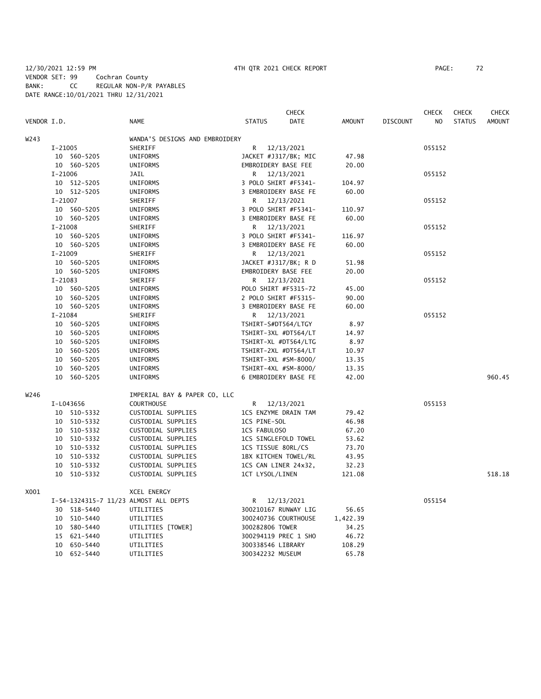## 12/30/2021 12:59 PM 4TH QTR 2021 CHECK REPORT PAGE: 72 VENDOR SET: 99 Cochran County BANK: CC REGULAR NON-P/R PAYABLES DATE RANGE:10/01/2021 THRU 12/31/2021

|             |             |             |                                       |                      | <b>CHECK</b> |               |                 | <b>CHECK</b>   | <b>CHECK</b>  | <b>CHECK</b>  |
|-------------|-------------|-------------|---------------------------------------|----------------------|--------------|---------------|-----------------|----------------|---------------|---------------|
| VENDOR I.D. |             |             | <b>NAME</b>                           | <b>STATUS</b>        | DATE         | <b>AMOUNT</b> | <b>DISCOUNT</b> | N <sub>O</sub> | <b>STATUS</b> | <b>AMOUNT</b> |
| W243        |             |             | WANDA'S DESIGNS AND EMBROIDERY        |                      |              |               |                 |                |               |               |
|             | I-21005     |             | SHERIFF                               | R                    | 12/13/2021   |               |                 | 055152         |               |               |
|             |             | 10 560-5205 | UNIFORMS                              | JACKET #J317/BK; MIC |              | 47.98         |                 |                |               |               |
|             |             | 10 560-5205 | UNIFORMS                              | EMBROIDERY BASE FEE  |              | 20.00         |                 |                |               |               |
|             | $I - 21006$ |             | JAIL                                  | R 12/13/2021         |              |               |                 | 055152         |               |               |
|             |             | 10 512-5205 | UNIFORMS                              | 3 POLO SHIRT #F5341- |              | 104.97        |                 |                |               |               |
|             |             | 10 512-5205 | UNIFORMS                              | 3 EMBROIDERY BASE FE |              | 60.00         |                 |                |               |               |
|             | $I - 21007$ |             | SHERIFF                               | R 12/13/2021         |              |               |                 | 055152         |               |               |
|             |             | 10 560-5205 | UNIFORMS                              | 3 POLO SHIRT #F5341- |              | 110.97        |                 |                |               |               |
|             |             | 10 560-5205 | UNIFORMS                              | 3 EMBROIDERY BASE FE |              | 60.00         |                 |                |               |               |
|             | $I-21008$   |             | SHERIFF                               | R 12/13/2021         |              |               |                 | 055152         |               |               |
|             |             | 10 560-5205 | UNIFORMS                              | 3 POLO SHIRT #F5341- |              | 116.97        |                 |                |               |               |
|             |             | 10 560-5205 | <b>UNIFORMS</b>                       | 3 EMBROIDERY BASE FE |              | 60.00         |                 |                |               |               |
|             | $I-21009$   |             | SHERIFF                               | R 12/13/2021         |              |               |                 | 055152         |               |               |
|             |             | 10 560-5205 | UNIFORMS                              | JACKET #J317/BK; R D |              | 51.98         |                 |                |               |               |
|             |             | 10 560-5205 | UNIFORMS                              | EMBROIDERY BASE FEE  |              | 20.00         |                 |                |               |               |
|             | I-21083     |             | SHERIFF                               | R 12/13/2021         |              |               |                 | 055152         |               |               |
|             |             | 10 560-5205 | UNIFORMS                              | POLO SHIRT #F5315-72 |              | 45.00         |                 |                |               |               |
|             |             | 10 560-5205 | UNIFORMS                              | 2 POLO SHIRT #F5315- |              | 90.00         |                 |                |               |               |
|             |             | 10 560-5205 | UNIFORMS                              | 3 EMBROIDERY BASE FE |              | 60.00         |                 |                |               |               |
|             | I-21084     |             | SHERIFF                               | R                    | 12/13/2021   |               |                 | 055152         |               |               |
|             |             | 10 560-5205 | UNIFORMS                              | TSHIRT-S#DT564/LTGY  |              | 8.97          |                 |                |               |               |
|             |             | 10 560-5205 | UNIFORMS                              | TSHIRT-3XL #DT564/LT |              | 14.97         |                 |                |               |               |
|             |             | 10 560-5205 | UNIFORMS                              | TSHIRT-XL #DT564/LTG |              | 8.97          |                 |                |               |               |
|             |             | 10 560-5205 | UNIFORMS                              | TSHIRT-2XL #DT564/LT |              | 10.97         |                 |                |               |               |
|             |             | 10 560-5205 | UNIFORMS                              | TSHIRT-3XL #SM-8000/ |              | 13.35         |                 |                |               |               |
|             |             | 10 560-5205 | UNIFORMS                              | TSHIRT-4XL #SM-8000/ |              | 13.35         |                 |                |               |               |
|             |             | 10 560-5205 | UNIFORMS                              | 6 EMBROIDERY BASE FE |              | 42.00         |                 |                |               | 960.45        |
|             |             |             |                                       |                      |              |               |                 |                |               |               |
| W246        |             |             | IMPERIAL BAY & PAPER CO, LLC          |                      |              |               |                 |                |               |               |
|             |             | I-L043656   | <b>COURTHOUSE</b>                     | R 12/13/2021         |              |               |                 | 055153         |               |               |
|             |             | 10 510-5332 | CUSTODIAL SUPPLIES                    | 1CS ENZYME DRAIN TAM |              | 79.42         |                 |                |               |               |
|             |             | 10 510-5332 | CUSTODIAL SUPPLIES                    | 1CS PINE-SOL         |              | 46.98         |                 |                |               |               |
|             |             | 10 510-5332 | CUSTODIAL SUPPLIES                    | 1CS FABULOSO         |              | 67.20         |                 |                |               |               |
|             |             | 10 510-5332 | CUSTODIAL SUPPLIES                    | 1CS SINGLEFOLD TOWEL |              | 53.62         |                 |                |               |               |
|             |             | 10 510-5332 | CUSTODIAL SUPPLIES                    | 1CS TISSUE 80RL/CS   |              | 73.70         |                 |                |               |               |
|             |             | 10 510-5332 | CUSTODIAL SUPPLIES                    | 1BX KITCHEN TOWEL/RL |              | 43.95         |                 |                |               |               |
|             | 10          | 510-5332    | CUSTODIAL SUPPLIES                    | 1CS CAN LINER 24x32, |              | 32.23         |                 |                |               |               |
|             |             | 10 510-5332 | CUSTODIAL SUPPLIES                    | 1CT LYSOL/LINEN      |              | 121.08        |                 |                |               | 518.18        |
| X001        |             |             | XCEL ENERGY                           |                      |              |               |                 |                |               |               |
|             |             |             | I-54-1324315-7 11/23 ALMOST ALL DEPTS | R 12/13/2021         |              |               |                 | 055154         |               |               |
|             |             | 30 518-5440 | UTILITIES                             | 300210167 RUNWAY LIG |              | 56.65         |                 |                |               |               |
|             |             | 10 510-5440 | UTILITIES                             | 300240736 COURTHOUSE |              | 1,422.39      |                 |                |               |               |
|             |             | 10 580-5440 | UTILITIES [TOWER]                     | 300282806 TOWER      |              | 34.25         |                 |                |               |               |
|             |             | 15 621-5440 | UTILITIES                             | 300294119 PREC 1 SHO |              | 46.72         |                 |                |               |               |
|             |             | 10 650-5440 | UTILITIES                             | 300338546 LIBRARY    |              | 108.29        |                 |                |               |               |
|             |             | 10 652-5440 | UTILITIES                             | 300342232 MUSEUM     |              | 65.78         |                 |                |               |               |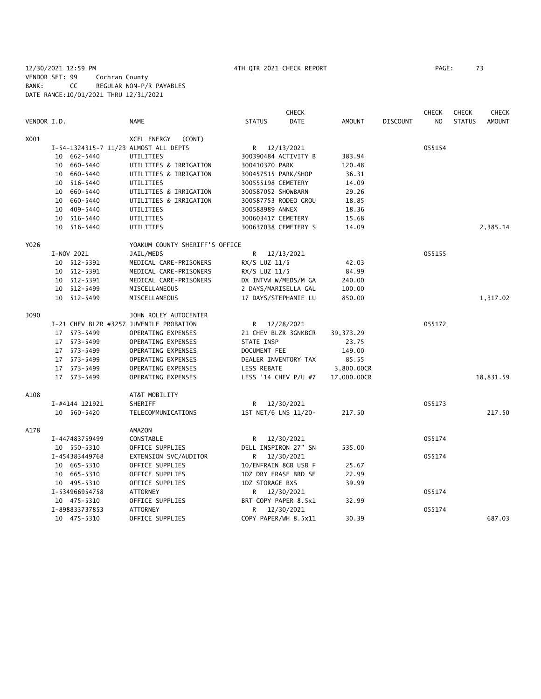12/30/2021 12:59 PM 4TH QTR 2021 CHECK REPORT PAGE: 73 VENDOR SET: 99 Cochran County BANK: CC REGULAR NON-P/R PAYABLES DATE RANGE:10/01/2021 THRU 12/31/2021

|             |                |                                         |                    | <b>CHECK</b>         |               |                 | <b>CHECK</b> | <b>CHECK</b>  | <b>CHECK</b>  |
|-------------|----------------|-----------------------------------------|--------------------|----------------------|---------------|-----------------|--------------|---------------|---------------|
| VENDOR I.D. |                | <b>NAME</b>                             | <b>STATUS</b>      | <b>DATE</b>          | <b>AMOUNT</b> | <b>DISCOUNT</b> | NO.          | <b>STATUS</b> | <b>AMOUNT</b> |
| X001        |                | XCEL ENERGY<br>(CONT)                   |                    |                      |               |                 |              |               |               |
|             |                | I-54-1324315-7 11/23 ALMOST ALL DEPTS   | R.                 | 12/13/2021           |               |                 | 055154       |               |               |
|             | 10 662-5440    | UTILITIES                               |                    | 300390484 ACTIVITY B | 383.94        |                 |              |               |               |
|             | 10 660-5440    | UTILITIES & IRRIGATION                  | 300410370 PARK     |                      | 120.48        |                 |              |               |               |
|             | 10 660-5440    | UTILITIES & IRRIGATION                  |                    | 300457515 PARK/SHOP  | 36.31         |                 |              |               |               |
|             | 10 516-5440    | UTILITIES                               | 300555198 CEMETERY |                      | 14.09         |                 |              |               |               |
|             | 10 660-5440    | UTILITIES & IRRIGATION                  | 300587052 SHOWBARN |                      | 29.26         |                 |              |               |               |
|             | 10 660-5440    | UTILITIES & IRRIGATION                  |                    | 300587753 RODEO GROU | 18.85         |                 |              |               |               |
|             | 10 409-5440    | UTILITIES                               | 300588989 ANNEX    |                      | 18.36         |                 |              |               |               |
|             | 10 516-5440    | UTILITIES                               |                    | 300603417 CEMETERY   | 15.68         |                 |              |               |               |
|             | 10 516-5440    | UTILITIES                               |                    | 300637038 CEMETERY S | 14.09         |                 |              |               | 2,385.14      |
| Y026        |                | YOAKUM COUNTY SHERIFF'S OFFICE          |                    |                      |               |                 |              |               |               |
|             | I-NOV 2021     | JAIL/MEDS                               | R                  | 12/13/2021           |               |                 | 055155       |               |               |
|             | 10 512-5391    | MEDICAL CARE-PRISONERS                  | RX/S LUZ 11/5      |                      | 42.03         |                 |              |               |               |
|             | 10 512-5391    | MEDICAL CARE-PRISONERS                  | RX/S LUZ 11/5      |                      | 84.99         |                 |              |               |               |
|             | 10 512-5391    | MEDICAL CARE-PRISONERS                  |                    | DX INTVW W/MEDS/M GA | 240.00        |                 |              |               |               |
|             | 10 512-5499    | MISCELLANEOUS                           |                    | 2 DAYS/MARISELLA GAL | 100.00        |                 |              |               |               |
|             | 10 512-5499    | MISCELLANEOUS                           |                    | 17 DAYS/STEPHANIE LU | 850.00        |                 |              |               | 1,317.02      |
| J090        |                | JOHN ROLEY AUTOCENTER                   |                    |                      |               |                 |              |               |               |
|             |                | I-21 CHEV BLZR #3257 JUVENILE PROBATION | R                  | 12/28/2021           |               |                 | 055172       |               |               |
|             | 17 573-5499    | OPERATING EXPENSES                      |                    | 21 CHEV BLZR 3GNKBCR | 39, 373. 29   |                 |              |               |               |
|             | 17 573-5499    | OPERATING EXPENSES                      | STATE INSP         |                      | 23.75         |                 |              |               |               |
|             | 17 573-5499    | OPERATING EXPENSES                      | DOCUMENT FEE       |                      | 149.00        |                 |              |               |               |
|             | 17 573-5499    | OPERATING EXPENSES                      |                    | DEALER INVENTORY TAX | 85.55         |                 |              |               |               |
|             | 17 573-5499    | OPERATING EXPENSES                      | <b>LESS REBATE</b> |                      | 3,800.00CR    |                 |              |               |               |
|             | 17 573-5499    | OPERATING EXPENSES                      |                    | LESS '14 CHEV P/U #7 | 17,000.00CR   |                 |              |               | 18,831.59     |
| A108        |                | AT&T MOBILITY                           |                    |                      |               |                 |              |               |               |
|             | I-#4144 121921 | SHERIFF                                 | R <sub>a</sub>     | 12/30/2021           |               |                 | 055173       |               |               |
|             | 10 560-5420    | TELECOMMUNICATIONS                      |                    | 1ST NET/6 LNS 11/20- | 217.50        |                 |              |               | 217.50        |
| A178        |                | AMAZON                                  |                    |                      |               |                 |              |               |               |
|             | I-447483759499 | CONSTABLE                               | R.                 | 12/30/2021           |               |                 | 055174       |               |               |
|             | 10 550-5310    | OFFICE SUPPLIES                         |                    | DELL INSPIRON 27" SN | 535.00        |                 |              |               |               |
|             | I-454383449768 | EXTENSION SVC/AUDITOR                   | R                  | 12/30/2021           |               |                 | 055174       |               |               |
|             | 10 665-5310    | OFFICE SUPPLIES                         |                    | 10/ENFRAIN 8GB USB F | 25.67         |                 |              |               |               |
|             | 10 665-5310    | OFFICE SUPPLIES                         |                    | 1DZ DRY ERASE BRD SE | 22.99         |                 |              |               |               |
|             | 10 495-5310    | OFFICE SUPPLIES                         | 1DZ STORAGE BXS    |                      | 39.99         |                 |              |               |               |
|             | I-534966954758 | ATTORNEY                                | R.                 | 12/30/2021           |               |                 | 055174       |               |               |
|             | 10 475-5310    | OFFICE SUPPLIES                         |                    | BRT COPY PAPER 8.5x1 | 32.99         |                 |              |               |               |
|             | I-898833737853 | <b>ATTORNEY</b>                         | R                  | 12/30/2021           |               |                 | 055174       |               |               |
|             | 10 475-5310    | OFFICE SUPPLIES                         |                    | COPY PAPER/WH 8.5x11 | 30.39         |                 |              |               | 687.03        |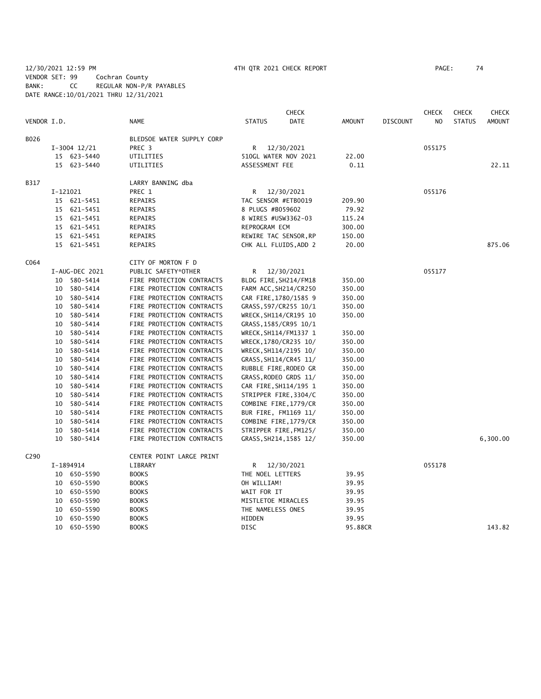### 12/30/2021 12:59 PM 4TH QTR 2021 CHECK REPORT PAGE: 74 VENDOR SET: 99 Cochran County BANK: CC REGULAR NON-P/R PAYABLES DATE RANGE:10/01/2021 THRU 12/31/2021

|                  |          |                |                           |                     | <b>CHECK</b>           |               |                 | <b>CHECK</b>   | <b>CHECK</b>  | <b>CHECK</b>  |
|------------------|----------|----------------|---------------------------|---------------------|------------------------|---------------|-----------------|----------------|---------------|---------------|
| VENDOR I.D.      |          |                | <b>NAME</b>               | <b>STATUS</b>       | <b>DATE</b>            | <b>AMOUNT</b> | <b>DISCOUNT</b> | N <sub>O</sub> | <b>STATUS</b> | <b>AMOUNT</b> |
| B026             |          |                | BLEDSOE WATER SUPPLY CORP |                     |                        |               |                 |                |               |               |
|                  |          | $I-3004$ 12/21 | PREC <sub>3</sub>         | R                   | 12/30/2021             |               |                 | 055175         |               |               |
|                  |          | 15 623-5440    | UTILITIES                 |                     | 510GL WATER NOV 2021   | 22.00         |                 |                |               |               |
|                  |          | 15 623-5440    | UTILITIES                 | ASSESSMENT FEE      |                        | 0.11          |                 |                |               | 22.11         |
| B317             |          |                | LARRY BANNING dba         |                     |                        |               |                 |                |               |               |
|                  | I-121021 |                | PREC 1                    | R                   | 12/30/2021             |               |                 | 055176         |               |               |
|                  |          | 15 621-5451    | REPAIRS                   | TAC SENSOR #ETB0019 |                        | 209.90        |                 |                |               |               |
|                  |          | 15 621-5451    | REPAIRS                   | 8 PLUGS #B059602    |                        | 79.92         |                 |                |               |               |
|                  |          | 15 621-5451    | REPAIRS                   | 8 WIRES #USW3362-03 |                        | 115.24        |                 |                |               |               |
|                  |          | 15 621-5451    | REPAIRS                   | REPROGRAM ECM       |                        | 300.00        |                 |                |               |               |
|                  |          | 15 621-5451    | REPAIRS                   |                     | REWIRE TAC SENSOR, RP  | 150.00        |                 |                |               |               |
|                  |          | 15 621-5451    | REPAIRS                   |                     | CHK ALL FLUIDS, ADD 2  | 20.00         |                 |                |               | 875.06        |
| C064             |          |                | CITY OF MORTON F D        |                     |                        |               |                 |                |               |               |
|                  |          | I-AUG-DEC 2021 | PUBLIC SAFETY*OTHER       | R                   | 12/30/2021             |               |                 | 055177         |               |               |
|                  |          | 10 580-5414    | FIRE PROTECTION CONTRACTS |                     | BLDG FIRE, SH214/FM18  | 350.00        |                 |                |               |               |
|                  |          | 10 580-5414    | FIRE PROTECTION CONTRACTS |                     | FARM ACC, SH214/CR250  | 350.00        |                 |                |               |               |
|                  |          | 10 580-5414    | FIRE PROTECTION CONTRACTS |                     | CAR FIRE, 1780/1585 9  | 350.00        |                 |                |               |               |
|                  |          | 10 580-5414    | FIRE PROTECTION CONTRACTS |                     | GRASS, 597/CR255 10/1  | 350.00        |                 |                |               |               |
|                  |          | 10 580-5414    | FIRE PROTECTION CONTRACTS |                     | WRECK, SH114/CR195 10  | 350.00        |                 |                |               |               |
|                  |          | 10 580-5414    | FIRE PROTECTION CONTRACTS |                     | GRASS, 1585/CR95 10/1  |               |                 |                |               |               |
|                  |          | 10 580-5414    | FIRE PROTECTION CONTRACTS |                     | WRECK, SH114/FM1337 1  | 350.00        |                 |                |               |               |
|                  |          | 10 580-5414    | FIRE PROTECTION CONTRACTS |                     | WRECK, 1780/CR235 10/  | 350.00        |                 |                |               |               |
|                  |          | 10 580-5414    | FIRE PROTECTION CONTRACTS |                     | WRECK, SH114/2195 10/  | 350.00        |                 |                |               |               |
|                  |          | 10 580-5414    | FIRE PROTECTION CONTRACTS |                     | GRASS, SH114/CR45 11/  | 350.00        |                 |                |               |               |
|                  |          | 10 580-5414    | FIRE PROTECTION CONTRACTS |                     | RUBBLE FIRE, RODEO GR  | 350.00        |                 |                |               |               |
|                  |          | 10 580-5414    | FIRE PROTECTION CONTRACTS |                     | GRASS, RODEO GRDS 11/  | 350.00        |                 |                |               |               |
|                  |          | 10 580-5414    | FIRE PROTECTION CONTRACTS |                     | CAR FIRE, SH114/195 1  | 350.00        |                 |                |               |               |
|                  |          | 10 580-5414    | FIRE PROTECTION CONTRACTS |                     | STRIPPER FIRE, 3304/C  | 350.00        |                 |                |               |               |
|                  |          | 10 580-5414    | FIRE PROTECTION CONTRACTS |                     | COMBINE FIRE, 1779/CR  | 350.00        |                 |                |               |               |
|                  |          | 10 580-5414    | FIRE PROTECTION CONTRACTS |                     | BUR FIRE, FM1169 11/   | 350.00        |                 |                |               |               |
|                  |          | 10 580-5414    | FIRE PROTECTION CONTRACTS |                     | COMBINE FIRE, 1779/CR  | 350.00        |                 |                |               |               |
|                  |          | 10 580-5414    | FIRE PROTECTION CONTRACTS |                     | STRIPPER FIRE, FM125/  | 350.00        |                 |                |               |               |
|                  |          | 10 580-5414    | FIRE PROTECTION CONTRACTS |                     | GRASS, SH214, 1585 12/ | 350.00        |                 |                |               | 6,300.00      |
| C <sub>290</sub> |          |                | CENTER POINT LARGE PRINT  |                     |                        |               |                 |                |               |               |
|                  |          | I-1894914      | LIBRARY                   |                     | R 12/30/2021           |               |                 | 055178         |               |               |
|                  |          | 10 650-5590    | <b>BOOKS</b>              | THE NOEL LETTERS    |                        | 39.95         |                 |                |               |               |
|                  |          | 10 650-5590    | <b>BOOKS</b>              | OH WILLIAM!         |                        | 39.95         |                 |                |               |               |
|                  |          | 10 650-5590    | <b>BOOKS</b>              | WAIT FOR IT         |                        | 39.95         |                 |                |               |               |
|                  |          | 10 650-5590    | <b>BOOKS</b>              | MISTLETOE MIRACLES  |                        | 39.95         |                 |                |               |               |
|                  |          | 10 650-5590    | <b>BOOKS</b>              | THE NAMELESS ONES   |                        | 39.95         |                 |                |               |               |
|                  |          | 10 650-5590    | <b>BOOKS</b>              | <b>HIDDEN</b>       |                        | 39.95         |                 |                |               |               |
|                  |          | 10 650-5590    | <b>BOOKS</b>              | <b>DISC</b>         |                        | 95.88CR       |                 |                |               | 143.82        |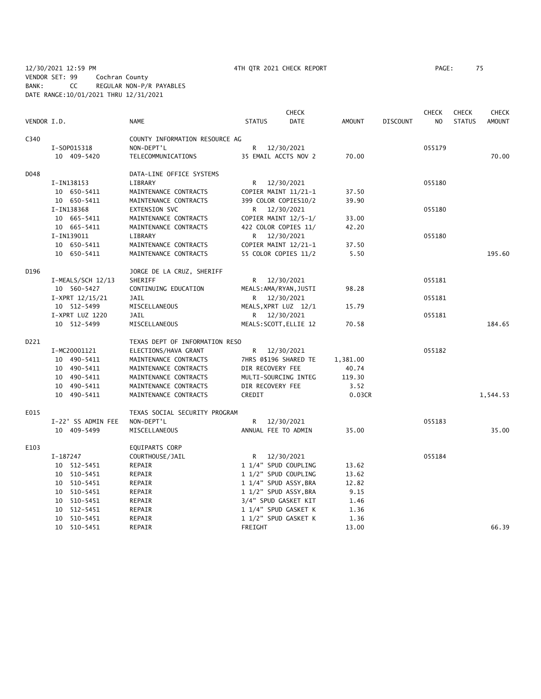12/30/2021 12:59 PM 4TH QTR 2021 CHECK REPORT PAGE: 75 VENDOR SET: 99 Cochran County BANK: CC REGULAR NON-P/R PAYABLES DATE RANGE:10/01/2021 THRU 12/31/2021

|             |                    |                                |                     | <b>CHECK</b>           |               |                 | <b>CHECK</b>   | <b>CHECK</b>  | <b>CHECK</b>  |
|-------------|--------------------|--------------------------------|---------------------|------------------------|---------------|-----------------|----------------|---------------|---------------|
| VENDOR I.D. |                    | NAME                           | <b>STATUS</b>       | <b>DATE</b>            | <b>AMOUNT</b> | <b>DISCOUNT</b> | N <sub>O</sub> | <b>STATUS</b> | <b>AMOUNT</b> |
| C340        |                    | COUNTY INFORMATION RESOURCE AG |                     |                        |               |                 |                |               |               |
|             | I-S0P015318        | NON-DEPT'L                     | R                   | 12/30/2021             |               |                 | 055179         |               |               |
|             | 10 409-5420        | TELECOMMUNICATIONS             |                     | 35 EMAIL ACCTS NOV 2   | 70.00         |                 |                |               | 70.00         |
| D048        |                    | DATA-LINE OFFICE SYSTEMS       |                     |                        |               |                 |                |               |               |
|             | I-IN138153         | LIBRARY                        |                     | R 12/30/2021           |               |                 | 055180         |               |               |
|             | 10 650-5411        | MAINTENANCE CONTRACTS          |                     | COPIER MAINT 11/21-1   | 37.50         |                 |                |               |               |
|             | 10 650-5411        | MAINTENANCE CONTRACTS          |                     | 399 COLOR COPIES10/2   | 39.90         |                 |                |               |               |
|             | I-IN138368         | EXTENSION SVC                  |                     | R 12/30/2021           |               |                 | 055180         |               |               |
|             | 10 665-5411        | MAINTENANCE CONTRACTS          |                     | COPIER MAINT 12/5-1/   | 33.00         |                 |                |               |               |
|             | 10 665-5411        | MAINTENANCE CONTRACTS          |                     | 422 COLOR COPIES 11/   | 42.20         |                 |                |               |               |
|             | I-IN139011         | LIBRARY                        |                     | R 12/30/2021           |               |                 | 055180         |               |               |
|             | 10 650-5411        | MAINTENANCE CONTRACTS          |                     | COPIER MAINT 12/21-1   | 37.50         |                 |                |               |               |
|             | 10 650-5411        | MAINTENANCE CONTRACTS          |                     | 55 COLOR COPIES 11/2   | 5.50          |                 |                |               | 195.60        |
| D196        |                    | JORGE DE LA CRUZ, SHERIFF      |                     |                        |               |                 |                |               |               |
|             | I-MEALS/SCH 12/13  | SHERIFF                        | R                   | 12/30/2021             |               |                 | 055181         |               |               |
|             | 10 560-5427        | CONTINUING EDUCATION           |                     | MEALS: AMA/RYAN, JUSTI | 98.28         |                 |                |               |               |
|             | $I-XPRT$ 12/15/21  | JAIL                           |                     | R 12/30/2021           |               |                 | 055181         |               |               |
|             | 10 512-5499        | MISCELLANEOUS                  |                     | MEALS, XPRT LUZ 12/1   | 15.79         |                 |                |               |               |
|             | I-XPRT LUZ 1220    | <b>JAIL</b>                    |                     | R 12/30/2021           |               |                 | 055181         |               |               |
|             | 10 512-5499        | MISCELLANEOUS                  |                     | MEALS: SCOTT, ELLIE 12 | 70.58         |                 |                |               | 184.65        |
| D221        |                    | TEXAS DEPT OF INFORMATION RESO |                     |                        |               |                 |                |               |               |
|             | I-MC20001121       | ELECTIONS/HAVA GRANT           |                     | R 12/30/2021           |               |                 | 055182         |               |               |
|             | 10 490-5411        | MAINTENANCE CONTRACTS          |                     | 7HRS @\$196 SHARED TE  | 1,381.00      |                 |                |               |               |
|             | 10 490-5411        | MAINTENANCE CONTRACTS          | DIR RECOVERY FEE    |                        | 40.74         |                 |                |               |               |
|             | 10 490-5411        | MAINTENANCE CONTRACTS          |                     | MULTI-SOURCING INTEG   | 119.30        |                 |                |               |               |
|             | 10 490-5411        | MAINTENANCE CONTRACTS          | DIR RECOVERY FEE    |                        | 3.52          |                 |                |               |               |
|             | 10 490-5411        | MAINTENANCE CONTRACTS          | CREDIT              |                        | 0.03CR        |                 |                |               | 1,544.53      |
| E015        |                    | TEXAS SOCIAL SECURITY PROGRAM  |                     |                        |               |                 |                |               |               |
|             | I-22' SS ADMIN FEE | NON-DEPT'L                     | R.                  | 12/30/2021             |               |                 | 055183         |               |               |
|             | 10 409-5499        | MISCELLANEOUS                  | ANNUAL FEE TO ADMIN |                        | 35.00         |                 |                |               | 35.00         |
| E103        |                    | EQUIPARTS CORP                 |                     |                        |               |                 |                |               |               |
|             | I-187247           | COURTHOUSE/JAIL                | R                   | 12/30/2021             |               |                 | 055184         |               |               |
|             | 10 512-5451        | REPAIR                         |                     | 1 1/4" SPUD COUPLING   | 13.62         |                 |                |               |               |
|             | 10 510-5451        | REPAIR                         |                     | 1 1/2" SPUD COUPLING   | 13.62         |                 |                |               |               |
|             | 10 510-5451        | REPAIR                         |                     | 1 1/4" SPUD ASSY, BRA  | 12.82         |                 |                |               |               |
|             | 10 510-5451        | REPAIR                         |                     | 1 1/2" SPUD ASSY, BRA  | 9.15          |                 |                |               |               |
|             | 10 510-5451        | REPAIR                         |                     | 3/4" SPUD GASKET KIT   | 1.46          |                 |                |               |               |
|             | 10 512-5451        | REPAIR                         |                     | 1 1/4" SPUD GASKET K   | 1.36          |                 |                |               |               |
|             | 10 510-5451        | REPAIR                         |                     | 1 1/2" SPUD GASKET K   | 1.36          |                 |                |               |               |
|             | 10 510-5451        | REPAIR                         | FREIGHT             |                        | 13.00         |                 |                |               | 66.39         |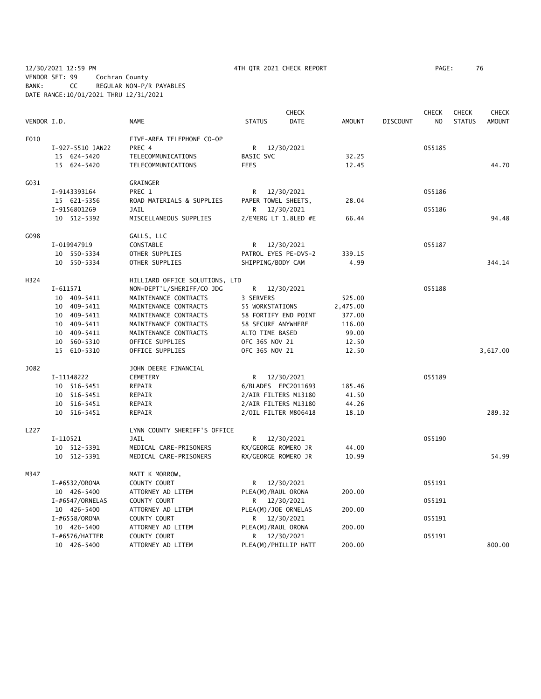12/30/2021 12:59 PM 4TH QTR 2021 CHECK REPORT PAGE: 76 VENDOR SET: 99 Cochran County BANK: CC REGULAR NON-P/R PAYABLES DATE RANGE:10/01/2021 THRU 12/31/2021

|             |                   |                                |                      | <b>CHECK</b>         |               |                 | <b>CHECK</b>   | <b>CHECK</b>  | <b>CHECK</b>  |
|-------------|-------------------|--------------------------------|----------------------|----------------------|---------------|-----------------|----------------|---------------|---------------|
| VENDOR I.D. |                   | <b>NAME</b>                    | <b>STATUS</b>        | <b>DATE</b>          | <b>AMOUNT</b> | <b>DISCOUNT</b> | N <sub>O</sub> | <b>STATUS</b> | <b>AMOUNT</b> |
| F010        |                   | FIVE-AREA TELEPHONE CO-OP      |                      |                      |               |                 |                |               |               |
|             | I-927-5510 JAN22  | PREC 4                         | R                    | 12/30/2021           |               |                 | 055185         |               |               |
|             | 15 624-5420       | TELECOMMUNICATIONS             | BASIC SVC            |                      | 32.25         |                 |                |               |               |
|             | 15 624-5420       | TELECOMMUNICATIONS             | <b>FEES</b>          |                      | 12.45         |                 |                |               | 44.70         |
| G031        |                   | GRAINGER                       |                      |                      |               |                 |                |               |               |
|             | I-9143393164      | PREC 1                         | R                    | 12/30/2021           |               |                 | 055186         |               |               |
|             | 15 621-5356       | ROAD MATERIALS & SUPPLIES      | PAPER TOWEL SHEETS,  |                      | 28.04         |                 |                |               |               |
|             | I-9156801269      | <b>JAIL</b>                    | R.                   | 12/30/2021           |               |                 | 055186         |               |               |
|             | 10 512-5392       | MISCELLANEOUS SUPPLIES         |                      | 2/EMERG LT 1.8LED #E | 66.44         |                 |                |               | 94.48         |
| G098        |                   | GALLS, LLC                     |                      |                      |               |                 |                |               |               |
|             | I-019947919       | CONSTABLE                      | R 12/30/2021         |                      |               |                 | 055187         |               |               |
|             | 10 550-5334       | OTHER SUPPLIES                 | PATROL EYES PE-DV5-2 |                      | 339.15        |                 |                |               |               |
|             | 10 550-5334       | OTHER SUPPLIES                 | SHIPPING/BODY CAM    |                      | 4.99          |                 |                |               | 344.14        |
| H324        |                   | HILLIARD OFFICE SOLUTIONS, LTD |                      |                      |               |                 |                |               |               |
|             | $I - 611571$      | NON-DEPT'L/SHERIFF/CO JDG      | R                    | 12/30/2021           |               |                 | 055188         |               |               |
|             | 10 409-5411       | MAINTENANCE CONTRACTS          | 3 SERVERS            |                      | 525.00        |                 |                |               |               |
|             | 10 409-5411       | MAINTENANCE CONTRACTS          | 55 WORKSTATIONS      |                      | 2,475.00      |                 |                |               |               |
|             | 10 409-5411       | MAINTENANCE CONTRACTS          | 58 FORTIFY END POINT |                      | 377.00        |                 |                |               |               |
|             | 10 409-5411       | MAINTENANCE CONTRACTS          | 58 SECURE ANYWHERE   |                      | 116.00        |                 |                |               |               |
|             | 10 409-5411       | MAINTENANCE CONTRACTS          | ALTO TIME BASED      |                      | 99.00         |                 |                |               |               |
|             | 10 560-5310       | OFFICE SUPPLIES                | OFC 365 NOV 21       |                      | 12.50         |                 |                |               |               |
|             | 15 610-5310       | OFFICE SUPPLIES                | OFC 365 NOV 21       |                      | 12.50         |                 |                |               | 3,617.00      |
| J082        |                   | JOHN DEERE FINANCIAL           |                      |                      |               |                 |                |               |               |
|             | I-11148222        | <b>CEMETERY</b>                | R —                  | 12/30/2021           |               |                 | 055189         |               |               |
|             | 10 516-5451       | REPAIR                         | 6/BLADES EPC2011693  |                      | 185.46        |                 |                |               |               |
|             | 10 516-5451       | REPAIR                         | 2/AIR FILTERS M13180 |                      | 41.50         |                 |                |               |               |
|             | 10 516-5451       | REPAIR                         | 2/AIR FILTERS M13180 |                      | 44.26         |                 |                |               |               |
|             | 10 516-5451       | REPAIR                         | 2/OIL FILTER M806418 |                      | 18.10         |                 |                |               | 289.32        |
| L227        |                   | LYNN COUNTY SHERIFF'S OFFICE   |                      |                      |               |                 |                |               |               |
|             | I-110521          | JAIL                           | R —                  | 12/30/2021           |               |                 | 055190         |               |               |
|             | 10 512-5391       | MEDICAL CARE-PRISONERS         | RX/GEORGE ROMERO JR  |                      | 44.00         |                 |                |               |               |
|             | 10 512-5391       | MEDICAL CARE-PRISONERS         | RX/GEORGE ROMERO JR  |                      | 10.99         |                 |                |               | 54.99         |
| M347        |                   | MATT K MORROW,                 |                      |                      |               |                 |                |               |               |
|             | I-#6532/ORONA     | COUNTY COURT                   | R.                   | 12/30/2021           |               |                 | 055191         |               |               |
|             | 10 426-5400       | ATTORNEY AD LITEM              | PLEA(M)/RAUL ORONA   |                      | 200.00        |                 |                |               |               |
|             | I-#6547/ORNELAS   | COUNTY COURT                   | R.                   | 12/30/2021           |               |                 | 055191         |               |               |
|             | 10 426-5400       | ATTORNEY AD LITEM              | PLEA(M)/JOE ORNELAS  |                      | 200.00        |                 |                |               |               |
|             | I-#6558/ORONA     | COUNTY COURT                   | R.                   | 12/30/2021           |               |                 | 055191         |               |               |
|             | 10 426-5400       | ATTORNEY AD LITEM              | PLEA(M)/RAUL ORONA   |                      | 200.00        |                 |                |               |               |
|             | $I$ -#6576/HATTER | COUNTY COURT                   | R                    | 12/30/2021           |               |                 | 055191         |               |               |
|             | 10 426-5400       | ATTORNEY AD LITEM              | PLEA(M)/PHILLIP HATT |                      | 200.00        |                 |                |               | 800.00        |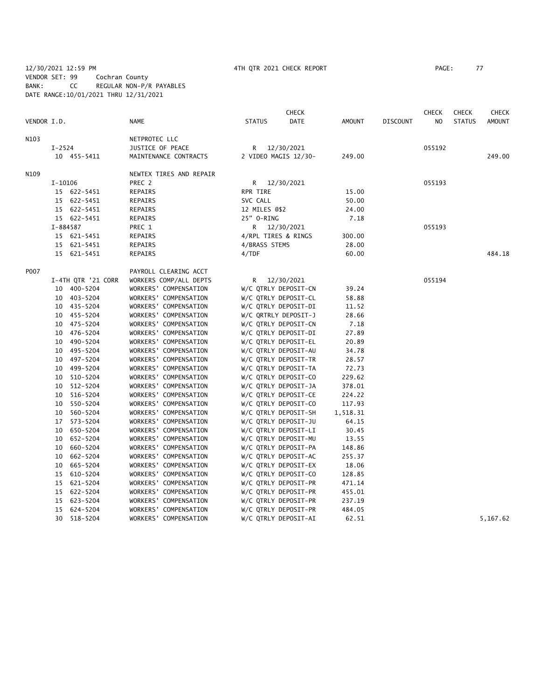#### 12/30/2021 12:59 PM 4TH QTR 2021 CHECK REPORT PAGE: 77 VENDOR SET: 99 Cochran County BANK: CC REGULAR NON-P/R PAYABLES DATE RANGE:10/01/2021 THRU 12/31/2021

|             |                    |                         |                      | <b>CHECK</b> |               |                 | <b>CHECK</b>   | <b>CHECK</b>  | <b>CHECK</b>  |
|-------------|--------------------|-------------------------|----------------------|--------------|---------------|-----------------|----------------|---------------|---------------|
| VENDOR I.D. |                    | <b>NAME</b>             | <b>STATUS</b>        | <b>DATE</b>  | <b>AMOUNT</b> | <b>DISCOUNT</b> | N <sub>O</sub> | <b>STATUS</b> | <b>AMOUNT</b> |
| N103        |                    | NETPROTEC LLC           |                      |              |               |                 |                |               |               |
|             | $I-2524$           | JUSTICE OF PEACE        | R.                   | 12/30/2021   |               |                 | 055192         |               |               |
|             | 10 455-5411        | MAINTENANCE CONTRACTS   | 2 VIDEO MAGIS 12/30- |              | 249.00        |                 |                |               | 249.00        |
| N109        |                    | NEWTEX TIRES AND REPAIR |                      |              |               |                 |                |               |               |
|             | $I-10106$          | PREC 2                  | R 12/30/2021         |              |               |                 | 055193         |               |               |
|             | 15 622-5451        | REPAIRS                 | RPR TIRE             |              | 15.00         |                 |                |               |               |
|             | 15 622-5451        | REPAIRS                 | SVC CALL             |              | 50.00         |                 |                |               |               |
|             | 15 622-5451        | REPAIRS                 | 12 MILES @\$2        |              | 24.00         |                 |                |               |               |
|             | 15 622-5451        | REPAIRS                 | 25" 0-RING           |              | 7.18          |                 |                |               |               |
|             | I-884587           | PREC 1                  |                      | R 12/30/2021 |               |                 | 055193         |               |               |
|             | 15 621-5451        | REPAIRS                 | 4/RPL TIRES & RINGS  |              | 300.00        |                 |                |               |               |
|             | 15 621-5451        | REPAIRS                 | 4/BRASS STEMS        |              | 28.00         |                 |                |               |               |
|             | 15 621-5451        | REPAIRS                 | 4/TDF                |              | 60.00         |                 |                |               | 484.18        |
| P007        |                    | PAYROLL CLEARING ACCT   |                      |              |               |                 |                |               |               |
|             | I-4TH QTR '21 CORR | WORKERS COMP/ALL DEPTS  | R.                   | 12/30/2021   |               |                 | 055194         |               |               |
|             | 10 400-5204        | WORKERS' COMPENSATION   | W/C QTRLY DEPOSIT-CN |              | 39.24         |                 |                |               |               |
|             | 10 403-5204        | WORKERS' COMPENSATION   | W/C QTRLY DEPOSIT-CL |              | 58.88         |                 |                |               |               |
|             | 10 435-5204        | WORKERS' COMPENSATION   | W/C QTRLY DEPOSIT-DI |              | 11.52         |                 |                |               |               |
|             | 10 455-5204        | WORKERS' COMPENSATION   | W/C QRTRLY DEPOSIT-J |              | 28.66         |                 |                |               |               |
|             | 10 475-5204        | WORKERS' COMPENSATION   | W/C QTRLY DEPOSIT-CN |              | 7.18          |                 |                |               |               |
|             | 10 476-5204        | WORKERS' COMPENSATION   | W/C QTRLY DEPOSIT-DI |              | 27.89         |                 |                |               |               |
|             | 490-5204<br>10     | WORKERS' COMPENSATION   | W/C QTRLY DEPOSIT-EL |              | 20.89         |                 |                |               |               |
|             | 495-5204<br>10     | WORKERS' COMPENSATION   | W/C QTRLY DEPOSIT-AU |              | 34.78         |                 |                |               |               |
|             | 497-5204<br>10     | WORKERS' COMPENSATION   | W/C QTRLY DEPOSIT-TR |              | 28.57         |                 |                |               |               |
|             | 499-5204<br>10     | WORKERS' COMPENSATION   | W/C QTRLY DEPOSIT-TA |              | 72.73         |                 |                |               |               |
|             | 510-5204<br>10     | WORKERS' COMPENSATION   | W/C QTRLY DEPOSIT-CO |              | 229.62        |                 |                |               |               |
|             | 512-5204<br>10     | WORKERS' COMPENSATION   | W/C QTRLY DEPOSIT-JA |              | 378.01        |                 |                |               |               |
|             | 516-5204<br>10     | WORKERS' COMPENSATION   | W/C QTRLY DEPOSIT-CE |              | 224.22        |                 |                |               |               |
|             | 550-5204<br>10     | WORKERS' COMPENSATION   | W/C QTRLY DEPOSIT-CO |              | 117.93        |                 |                |               |               |
|             | 560-5204<br>10     | WORKERS' COMPENSATION   | W/C QTRLY DEPOSIT-SH |              | 1,518.31      |                 |                |               |               |
|             | 17 573-5204        | WORKERS' COMPENSATION   | W/C QTRLY DEPOSIT-JU |              | 64.15         |                 |                |               |               |
|             | 650-5204<br>10     | WORKERS' COMPENSATION   | W/C QTRLY DEPOSIT-LI |              | 30.45         |                 |                |               |               |
|             | 10 652-5204        | WORKERS' COMPENSATION   | W/C QTRLY DEPOSIT-MU |              | 13.55         |                 |                |               |               |
|             | 660-5204<br>10     | WORKERS' COMPENSATION   | W/C QTRLY DEPOSIT-PA |              | 148.86        |                 |                |               |               |
|             | 662-5204<br>10     | WORKERS' COMPENSATION   | W/C QTRLY DEPOSIT-AC |              | 255.37        |                 |                |               |               |
|             | 665-5204<br>10     | WORKERS' COMPENSATION   | W/C QTRLY DEPOSIT-EX |              | 18.06         |                 |                |               |               |
|             | 610-5204<br>15     | WORKERS' COMPENSATION   | W/C QTRLY DEPOSIT-CO |              | 128.85        |                 |                |               |               |
|             | 15 621-5204        | WORKERS' COMPENSATION   | W/C QTRLY DEPOSIT-PR |              | 471.14        |                 |                |               |               |
|             | 15 622-5204        | WORKERS' COMPENSATION   | W/C QTRLY DEPOSIT-PR |              | 455.01        |                 |                |               |               |
|             | 623-5204<br>15     | WORKERS' COMPENSATION   | W/C QTRLY DEPOSIT-PR |              | 237.19        |                 |                |               |               |
|             | 624-5204<br>15     | WORKERS' COMPENSATION   | W/C QTRLY DEPOSIT-PR |              | 484.05        |                 |                |               |               |
|             | 30<br>518-5204     | WORKERS' COMPENSATION   | W/C QTRLY DEPOSIT-AI |              | 62.51         |                 |                |               | 5,167.62      |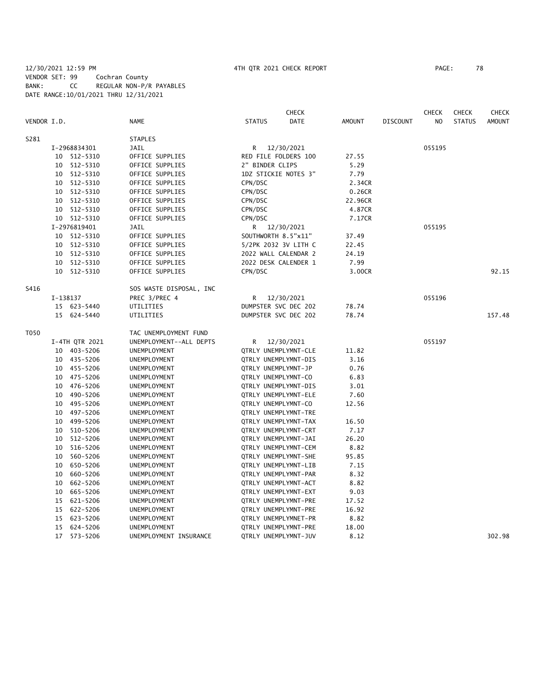#### 12/30/2021 12:59 PM 4TH QTR 2021 CHECK REPORT PAGE: 78 VENDOR SET: 99 Cochran County BANK: CC REGULAR NON-P/R PAYABLES DATE RANGE:10/01/2021 THRU 12/31/2021

|             |    |                |                         |                     | <b>CHECK</b>         |               |                 | <b>CHECK</b>   | <b>CHECK</b>  | <b>CHECK</b>  |
|-------------|----|----------------|-------------------------|---------------------|----------------------|---------------|-----------------|----------------|---------------|---------------|
| VENDOR I.D. |    |                | <b>NAME</b>             | <b>STATUS</b>       | <b>DATE</b>          | <b>AMOUNT</b> | <b>DISCOUNT</b> | N <sub>O</sub> | <b>STATUS</b> | <b>AMOUNT</b> |
| S281        |    |                | <b>STAPLES</b>          |                     |                      |               |                 |                |               |               |
|             |    | I-2968834301   | JAIL                    | R                   | 12/30/2021           |               |                 | 055195         |               |               |
|             |    | 10 512-5310    | OFFICE SUPPLIES         |                     | RED FILE FOLDERS 100 | 27.55         |                 |                |               |               |
|             | 10 | 512-5310       | OFFICE SUPPLIES         | 2" BINDER CLIPS     |                      | 5.29          |                 |                |               |               |
|             | 10 | 512-5310       | OFFICE SUPPLIES         |                     | 1DZ STICKIE NOTES 3" | 7.79          |                 |                |               |               |
|             | 10 | 512-5310       | OFFICE SUPPLIES         | CPN/DSC             |                      | 2.34CR        |                 |                |               |               |
|             | 10 | 512-5310       | OFFICE SUPPLIES         | CPN/DSC             |                      | 0.26CR        |                 |                |               |               |
|             | 10 | 512-5310       | OFFICE SUPPLIES         | CPN/DSC             |                      | 22.96CR       |                 |                |               |               |
|             |    | 10 512-5310    | OFFICE SUPPLIES         | CPN/DSC             |                      | 4.87CR        |                 |                |               |               |
|             |    | 10 512-5310    | OFFICE SUPPLIES         | CPN/DSC             |                      | 7.17CR        |                 |                |               |               |
|             |    | I-2976819401   | JAIL                    |                     | R 12/30/2021         |               |                 | 055195         |               |               |
|             |    | 10 512-5310    | OFFICE SUPPLIES         | SOUTHWORTH 8.5"x11" |                      | 37.49         |                 |                |               |               |
|             | 10 | 512-5310       | OFFICE SUPPLIES         |                     | 5/2PK 2032 3V LITH C | 22.45         |                 |                |               |               |
|             | 10 | 512-5310       | OFFICE SUPPLIES         |                     | 2022 WALL CALENDAR 2 | 24.19         |                 |                |               |               |
|             |    | 10 512-5310    | OFFICE SUPPLIES         |                     | 2022 DESK CALENDER 1 | 7.99          |                 |                |               |               |
|             |    | 10 512-5310    | OFFICE SUPPLIES         | CPN/DSC             |                      | 3.00CR        |                 |                |               | 92.15         |
| S416        |    |                | SOS WASTE DISPOSAL, INC |                     |                      |               |                 |                |               |               |
|             |    | I-138137       | PREC 3/PREC 4           | R.                  | 12/30/2021           |               |                 | 055196         |               |               |
|             |    | 15 623-5440    | UTILITIES               |                     | DUMPSTER SVC DEC 202 | 78.74         |                 |                |               |               |
|             |    | 15 624-5440    | UTILITIES               |                     | DUMPSTER SVC DEC 202 | 78.74         |                 |                |               | 157.48        |
| T050        |    |                | TAC UNEMPLOYMENT FUND   |                     |                      |               |                 |                |               |               |
|             |    | I-4TH QTR 2021 | UNEMPLOYMENT--ALL DEPTS | R                   | 12/30/2021           |               |                 | 055197         |               |               |
|             |    | 10 403-5206    | UNEMPLOYMENT            |                     | QTRLY UNEMPLYMNT-CLE | 11.82         |                 |                |               |               |
|             |    | 10 435-5206    | UNEMPLOYMENT            |                     | QTRLY UNEMPLYMNT-DIS | 3.16          |                 |                |               |               |
|             | 10 | 455–5206       | UNEMPLOYMENT            | QTRLY UNEMPLYMNT-JP |                      | 0.76          |                 |                |               |               |
|             |    | 10 475-5206    | UNEMPLOYMENT            | QTRLY UNEMPLYMNT-CO |                      | 6.83          |                 |                |               |               |
|             | 10 | 476–5206       | UNEMPLOYMENT            |                     | QTRLY UNEMPLYMNT-DIS | 3.01          |                 |                |               |               |
|             | 10 | 490-5206       | UNEMPLOYMENT            |                     | QTRLY UNEMPLYMNT-ELE | 7.60          |                 |                |               |               |
|             | 10 | 495-5206       | UNEMPLOYMENT            | QTRLY UNEMPLYMNT-CO |                      | 12.56         |                 |                |               |               |
|             | 10 | 497-5206       | UNEMPLOYMENT            |                     | QTRLY UNEMPLYMNT-TRE |               |                 |                |               |               |
|             | 10 | 499-5206       | UNEMPLOYMENT            |                     | QTRLY UNEMPLYMNT-TAX | 16.50         |                 |                |               |               |
|             | 10 | 510-5206       | UNEMPLOYMENT            |                     | QTRLY UNEMPLYMNT-CRT | 7.17          |                 |                |               |               |
|             | 10 | 512-5206       | UNEMPLOYMENT            |                     | QTRLY UNEMPLYMNT-JAI | 26.20         |                 |                |               |               |
|             | 10 | 516-5206       | UNEMPLOYMENT            |                     | QTRLY UNEMPLYMNT-CEM | 8.82          |                 |                |               |               |
|             | 10 | 560-5206       | UNEMPLOYMENT            |                     | QTRLY UNEMPLYMNT-SHE | 95.85         |                 |                |               |               |
|             | 10 | 650-5206       | UNEMPLOYMENT            |                     | QTRLY UNEMPLYMNT-LIB | 7.15          |                 |                |               |               |
|             | 10 | 660-5206       | UNEMPLOYMENT            |                     | QTRLY UNEMPLYMNT-PAR | 8.32          |                 |                |               |               |
|             | 10 | 662-5206       | UNEMPLOYMENT            |                     | QTRLY UNEMPLYMNT-ACT | 8.82          |                 |                |               |               |
|             | 10 | 665-5206       | UNEMPLOYMENT            |                     | QTRLY UNEMPLYMNT-EXT | 9.03          |                 |                |               |               |
|             | 15 | 621-5206       | UNEMPLOYMENT            |                     | QTRLY UNEMPLYMNT-PRE | 17.52         |                 |                |               |               |
|             | 15 | 622-5206       | UNEMPLOYMENT            |                     | QTRLY UNEMPLYMNT-PRE | 16.92         |                 |                |               |               |
|             | 15 | 623-5206       | UNEMPLOYMENT            |                     | QTRLY UNEMPLYMNET-PR | 8.82          |                 |                |               |               |
|             | 15 | 624-5206       | UNEMPLOYMENT            |                     | QTRLY UNEMPLYMNT-PRE | 18.00         |                 |                |               |               |
|             | 17 | $573 - 5206$   | UNEMPLOYMENT INSURANCE  |                     | QTRLY UNEMPLYMNT-JUV | 8.12          |                 |                |               | 302.98        |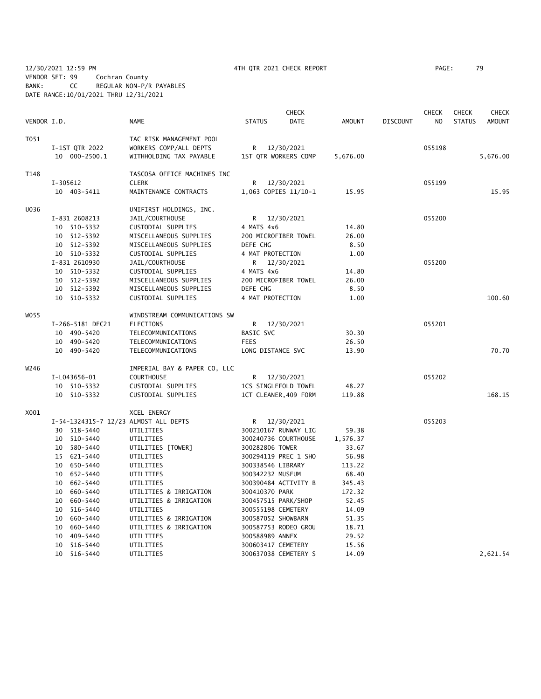12/30/2021 12:59 PM 4TH QTR 2021 CHECK REPORT PAGE: 79 VENDOR SET: 99 Cochran County BANK: CC REGULAR NON-P/R PAYABLES DATE RANGE:10/01/2021 THRU 12/31/2021

|             |    |                  |                                       |                       | <b>CHECK</b>         |          |                 | <b>CHECK</b>   | <b>CHECK</b>  | <b>CHECK</b>  |
|-------------|----|------------------|---------------------------------------|-----------------------|----------------------|----------|-----------------|----------------|---------------|---------------|
| VENDOR I.D. |    |                  | <b>NAME</b>                           | <b>STATUS</b>         | DATE                 | AMOUNT   | <b>DISCOUNT</b> | N <sub>O</sub> | <b>STATUS</b> | <b>AMOUNT</b> |
| T051        |    |                  | TAC RISK MANAGEMENT POOL              |                       |                      |          |                 |                |               |               |
|             |    | I-1ST QTR 2022   | WORKERS COMP/ALL DEPTS                | R.                    | 12/30/2021           |          |                 | 055198         |               |               |
|             |    | 10 000-2500.1    | WITHHOLDING TAX PAYABLE               | 1ST QTR WORKERS COMP  |                      | 5,676.00 |                 |                |               | 5,676.00      |
| T148        |    |                  | TASCOSA OFFICE MACHINES INC           |                       |                      |          |                 |                |               |               |
|             |    | I-305612         | <b>CLERK</b>                          | R                     | 12/30/2021           |          |                 | 055199         |               |               |
|             |    | 10 403-5411      | MAINTENANCE CONTRACTS                 |                       | 1,063 COPIES 11/10-1 | 15.95    |                 |                |               | 15.95         |
| U036        |    |                  | UNIFIRST HOLDINGS, INC.               |                       |                      |          |                 |                |               |               |
|             |    | I-831 2608213    | JAIL/COURTHOUSE                       |                       | R 12/30/2021         |          |                 | 055200         |               |               |
|             |    | 10 510-5332      | CUSTODIAL SUPPLIES                    | 4 MATS 4x6            |                      | 14.80    |                 |                |               |               |
|             |    | 10 512-5392      | MISCELLANEOUS SUPPLIES                | 200 MICROFIBER TOWEL  |                      | 26.00    |                 |                |               |               |
|             |    | 10 512-5392      | MISCELLANEOUS SUPPLIES                | DEFE CHG              |                      | 8.50     |                 |                |               |               |
|             |    | 10 510-5332      | CUSTODIAL SUPPLIES                    | 4 MAT PROTECTION      |                      | 1.00     |                 |                |               |               |
|             |    | I-831 2610930    | JAIL/COURTHOUSE                       |                       | R 12/30/2021         |          |                 | 055200         |               |               |
|             |    | 10 510-5332      | CUSTODIAL SUPPLIES                    | 4 MATS 4x6            |                      | 14.80    |                 |                |               |               |
|             |    | 10 512-5392      | MISCELLANEOUS SUPPLIES                | 200 MICROFIBER TOWEL  |                      | 26.00    |                 |                |               |               |
|             |    | 10 512-5392      | MISCELLANEOUS SUPPLIES                | DEFE CHG              |                      | 8.50     |                 |                |               |               |
|             |    | 10 510-5332      | CUSTODIAL SUPPLIES                    | 4 MAT PROTECTION      |                      | 1.00     |                 |                |               | 100.60        |
| W055        |    |                  | WINDSTREAM COMMUNICATIONS SW          |                       |                      |          |                 |                |               |               |
|             |    | I-266-5181 DEC21 | ELECTIONS                             | R.                    | 12/30/2021           |          |                 | 055201         |               |               |
|             |    | 10 490-5420      | TELECOMMUNICATIONS                    | <b>BASIC SVC</b>      |                      | 30.30    |                 |                |               |               |
|             |    | 10 490-5420      | TELECOMMUNICATIONS                    | <b>FEES</b>           |                      | 26.50    |                 |                |               |               |
|             |    | 10 490-5420      | TELECOMMUNICATIONS                    | LONG DISTANCE SVC     |                      | 13.90    |                 |                |               | 70.70         |
| W246        |    |                  | IMPERIAL BAY & PAPER CO, LLC          |                       |                      |          |                 |                |               |               |
|             |    | I-L043656-01     | <b>COURTHOUSE</b>                     | R 12/30/2021          |                      |          |                 | 055202         |               |               |
|             |    | 10 510-5332      | CUSTODIAL SUPPLIES                    | 1CS SINGLEFOLD TOWEL  |                      | 48.27    |                 |                |               |               |
|             |    | 10 510-5332      | CUSTODIAL SUPPLIES                    | 1CT CLEANER, 409 FORM |                      | 119.88   |                 |                |               | 168.15        |
| X001        |    |                  | XCEL ENERGY                           |                       |                      |          |                 |                |               |               |
|             |    |                  | I-54-1324315-7 12/23 ALMOST ALL DEPTS | R                     | 12/30/2021           |          |                 | 055203         |               |               |
|             |    | 30 518-5440      | UTILITIES                             | 300210167 RUNWAY LIG  |                      | 59.38    |                 |                |               |               |
|             |    | 10 510-5440      | UTILITIES                             | 300240736 COURTHOUSE  |                      | 1,576.37 |                 |                |               |               |
|             |    | 10 580-5440      | UTILITIES [TOWER]                     | 300282806 TOWER       |                      | 33.67    |                 |                |               |               |
|             |    | 15 621-5440      | UTILITIES                             | 300294119 PREC 1 SHO  |                      | 56.98    |                 |                |               |               |
|             |    | 10 650-5440      | UTILITIES                             | 300338546 LIBRARY     |                      | 113.22   |                 |                |               |               |
|             |    | 10 652-5440      | UTILITIES                             | 300342232 MUSEUM      |                      | 68.40    |                 |                |               |               |
|             |    | 10 662-5440      | UTILITIES                             | 300390484 ACTIVITY B  |                      | 345.43   |                 |                |               |               |
|             |    | 10 660-5440      | UTILITIES & IRRIGATION                | 300410370 PARK        |                      | 172.32   |                 |                |               |               |
|             |    | 10 660-5440      | UTILITIES & IRRIGATION                | 300457515 PARK/SHOP   |                      | 52.45    |                 |                |               |               |
|             | 10 | 516-5440         | UTILITIES                             | 300555198 CEMETERY    |                      | 14.09    |                 |                |               |               |
|             | 10 | 660-5440         | UTILITIES & IRRIGATION                | 300587052 SHOWBARN    |                      | 51.35    |                 |                |               |               |
|             | 10 | 660-5440         | UTILITIES & IRRIGATION                | 300587753 RODEO GROU  |                      | 18.71    |                 |                |               |               |
|             | 10 | 409-5440         | UTILITIES                             | 300588989 ANNEX       |                      | 29.52    |                 |                |               |               |
|             |    | 10 516-5440      | UTILITIES                             | 300603417 CEMETERY    |                      | 15.56    |                 |                |               |               |
|             |    | 10 516-5440      | UTILITIES                             | 300637038 CEMETERY S  |                      | 14.09    |                 |                |               | 2,621.54      |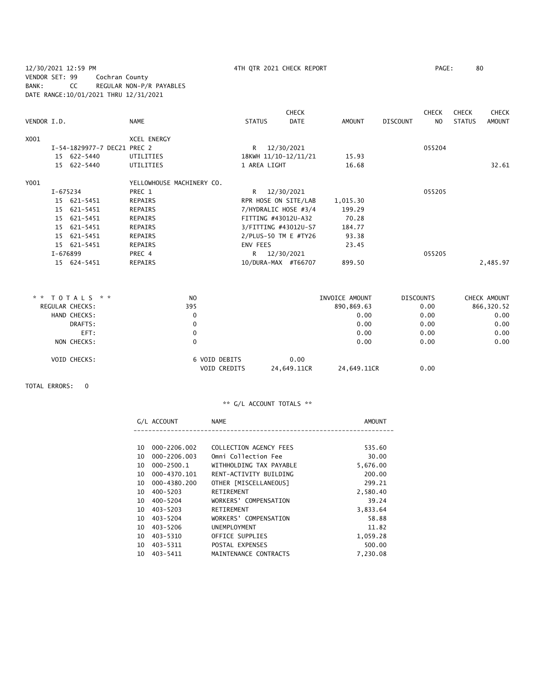12/30/2021 12:59 PM 4TH QTR 2021 CHECK REPORT PAGE: 80 VENDOR SET: 99 Cochran County BANK: CC REGULAR NON-P/R PAYABLES DATE RANGE:10/01/2021 THRU 12/31/2021

|             |          |                      |                           |               | <b>CHECK</b>         |               |                 | <b>CHECK</b> | <b>CHECK</b>  | <b>CHECK</b>  |
|-------------|----------|----------------------|---------------------------|---------------|----------------------|---------------|-----------------|--------------|---------------|---------------|
| VENDOR I.D. |          |                      | <b>NAME</b>               | <b>STATUS</b> | <b>DATE</b>          | <b>AMOUNT</b> | <b>DISCOUNT</b> | NO.          | <b>STATUS</b> | <b>AMOUNT</b> |
| X001        |          |                      | <b>XCEL ENERGY</b>        |               |                      |               |                 |              |               |               |
|             |          | I-54-1829977-7 DEC21 | PREC 2                    | R             | 12/30/2021           |               |                 | 055204       |               |               |
|             |          | 15 622-5440          | UTILITIES                 |               | 18KWH 11/10-12/11/21 | 15.93         |                 |              |               |               |
|             |          | 15 622-5440          | UTILITIES                 | 1 AREA LIGHT  |                      | 16.68         |                 |              |               | 32.61         |
| Y001        |          |                      | YELLOWHOUSE MACHINERY CO. |               |                      |               |                 |              |               |               |
|             | I-675234 |                      | PREC 1                    | R             | 12/30/2021           |               |                 | 055205       |               |               |
|             |          | 15 621-5451          | REPAIRS                   |               | RPR HOSE ON SITE/LAB | 1,015.30      |                 |              |               |               |
|             |          | 15 621-5451          | REPAIRS                   |               | 7/HYDRALIC HOSE #3/4 | 199.29        |                 |              |               |               |
|             |          | 15 621-5451          | REPAIRS                   |               | FITTING #43012U-A32  | 70.28         |                 |              |               |               |
|             |          | 15 621-5451          | REPAIRS                   |               | 3/FITTING #43012U-S7 | 184.77        |                 |              |               |               |
|             |          | 15 621-5451          | REPAIRS                   |               | 2/PLUS-50 TM E #TY26 | 93.38         |                 |              |               |               |
|             |          | 15 621-5451          | <b>REPAIRS</b>            | ENV FEES      |                      | 23.45         |                 |              |               |               |
|             | I-676899 |                      | PREC 4                    | R             | 12/30/2021           |               |                 | 055205       |               |               |
|             |          | 15 624-5451          | <b>REPAIRS</b>            |               | 10/DURA-MAX #T66707  | 899.50        |                 |              |               | 2,485.97      |

| * * TOTALS * *  | N <sub>O</sub>      | INVOICE AMOUNT             | <b>DISCOUNTS</b> | CHECK AMOUNT |
|-----------------|---------------------|----------------------------|------------------|--------------|
| REGULAR CHECKS: | 395                 | 890,869.63                 | 0.00             | 866,320.52   |
| HAND CHECKS:    | 0                   | 0.00                       | 0.00             | 0.00         |
| DRAFTS:         | 0                   | 0.00                       | 0.00             | 0.00         |
| EFT:            | 0                   | 0.00                       | 0.00             | 0.00         |
| NON CHECKS:     | 0                   | 0.00                       | 0.00             | 0.00         |
| VOID CHECKS:    | 6 VOID DEBITS       | 0.00                       |                  |              |
|                 | <b>VOID CREDITS</b> | 24.649.11CR<br>24.649.11CR | 0.00             |              |

TOTAL ERRORS: 0

| G/L ACCOUNT            | <b>NAME</b>             | AMOUNT   |
|------------------------|-------------------------|----------|
|                        |                         |          |
| 000-2206.002<br>10     | COLLECTION AGENCY FEES  | 535.60   |
| $000 - 2206.003$<br>10 | Omni Collection Fee     | 30.00    |
| $000 - 2500.1$<br>10   | WITHHOLDING TAX PAYABLE | 5,676.00 |
| 000-4370.101<br>10     | RENT-ACTIVITY BUILDING  | 200.00   |
| 000-4380.200<br>10.    | OTHER [MISCELLANEOUS]   | 299.21   |
| $400 - 5203$<br>10     | RETIREMENT              | 2,580.40 |
| $400 - 5204$<br>10     | WORKERS' COMPENSATION   | 39.24    |
| $403 - 5203$<br>10     | RETIREMENT              | 3,833.64 |
| $403 - 5204$<br>10     | WORKERS' COMPENSATION   | 58.88    |
| $403 - 5206$<br>10     | <b>UNEMPLOYMENT</b>     | 11.82    |
| 403-5310<br>10         | OFFICE SUPPLIES         | 1,059.28 |
| 403-5311<br>10         | POSTAL EXPENSES         | 500.00   |
| $403 - 5411$<br>10     | MAINTENANCE CONTRACTS   | 7,230.08 |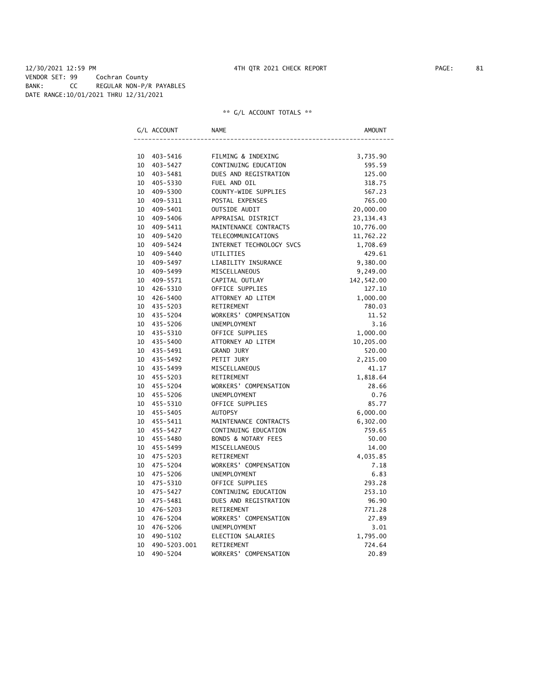#### 12/30/2021 12:59 PM 4TH QTR 2021 CHECK REPORT PAGE: 81 VENDOR SET: 99 Cochran County BANK: CC REGULAR NON-P/R PAYABLES DATE RANGE:10/01/2021 THRU 12/31/2021

|    | G/L ACCOUNT  | NAME                     | AMOUNT      |
|----|--------------|--------------------------|-------------|
|    |              |                          |             |
|    | 10 403-5416  | FILMING & INDEXING       | 3,735.90    |
| 10 | 403-5427     | CONTINUING EDUCATION     | 595.59      |
| 10 | 403-5481     | DUES AND REGISTRATION    | 125.00      |
| 10 | 405-5330     | FUEL AND OIL             | 318.75      |
| 10 | 409-5300     | COUNTY-WIDE SUPPLIES     | 567.23      |
| 10 | 409-5311     | POSTAL EXPENSES          | 765.00      |
| 10 | 409-5401     | OUTSIDE AUDIT            | 20,000.00   |
| 10 | 409-5406     | APPRAISAL DISTRICT       | 23, 134. 43 |
| 10 | 409-5411     | MAINTENANCE CONTRACTS    | 10,776.00   |
| 10 | 409-5420     | TELECOMMUNICATIONS       | 11,762.22   |
| 10 | 409-5424     | INTERNET TECHNOLOGY SVCS | 1,708.69    |
| 10 | 409-5440     | UTILITIES                | 429.61      |
| 10 | 409-5497     | LIABILITY INSURANCE      | 9,380.00    |
| 10 | 409-5499     | MISCELLANEOUS            | 9,249.00    |
| 10 | 409-5571     | CAPITAL OUTLAY           | 142,542.00  |
| 10 | 426-5310     | OFFICE SUPPLIES          | 127.10      |
| 10 | 426-5400     | ATTORNEY AD LITEM        | 1,000.00    |
| 10 | 435-5203     | RETIREMENT               | 780.03      |
| 10 | 435-5204     | WORKERS' COMPENSATION    | 11.52       |
| 10 | 435-5206     | UNEMPLOYMENT             | 3.16        |
| 10 | 435-5310     | OFFICE SUPPLIES          | 1,000.00    |
| 10 | 435-5400     | ATTORNEY AD LITEM        | 10,205.00   |
| 10 | 435-5491     | GRAND JURY               | 520.00      |
| 10 | 435-5492     | PETIT JURY               | 2,215.00    |
| 10 | 435-5499     | MISCELLANEOUS            | 41.17       |
| 10 | 455-5203     | RETIREMENT               | 1,818.64    |
| 10 | 455-5204     | WORKERS' COMPENSATION    | 28.66       |
| 10 | 455-5206     | UNEMPLOYMENT             | 0.76        |
| 10 | 455-5310     | OFFICE SUPPLIES          | 85.77       |
| 10 | 455-5405     | <b>AUTOPSY</b>           | 6,000.00    |
| 10 | 455-5411     | MAINTENANCE CONTRACTS    | 6,302.00    |
| 10 | 455-5427     | CONTINUING EDUCATION     | 759.65      |
| 10 | 455-5480     | BONDS & NOTARY FEES      | 50.00       |
| 10 | 455-5499     | MISCELLANEOUS            | 14.00       |
| 10 | 475-5203     | RETIREMENT               | 4,035.85    |
| 10 | 475-5204     | WORKERS' COMPENSATION    | 7.18        |
| 10 | 475-5206     | UNEMPLOYMENT             | 6.83        |
| 10 | 475-5310     | OFFICE SUPPLIES          | 293.28      |
| 10 | 475-5427     | CONTINUING EDUCATION     | 253.10      |
| 10 | 475-5481     | DUES AND REGISTRATION    | 96.90       |
| 10 | 476-5203     | RETIREMENT               | 771.28      |
| 10 | 476-5204     | WORKERS' COMPENSATION    | 27.89       |
| 10 | 476-5206     | UNEMPLOYMENT             | 3.01        |
| 10 | 490-5102     | ELECTION SALARIES        | 1,795.00    |
| 10 | 490-5203.001 | RETIREMENT               | 724.64      |
| 10 | 490-5204     | WORKERS' COMPENSATION    | 20.89       |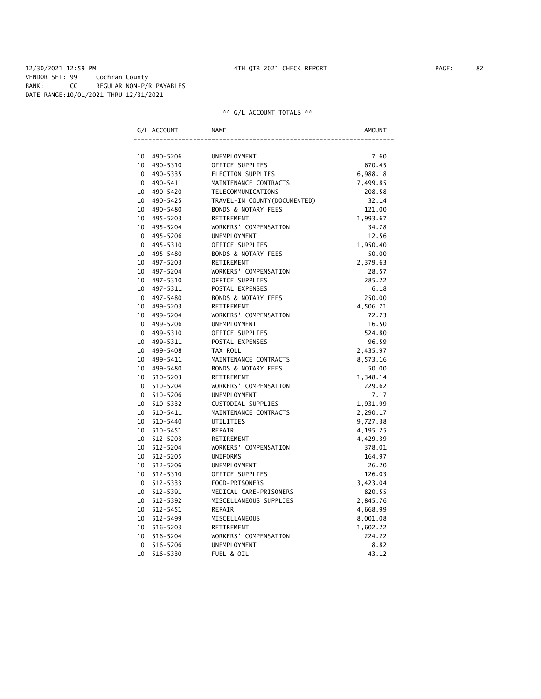#### 12/30/2021 12:59 PM 4TH QTR 2021 CHECK REPORT PAGE: 82 VENDOR SET: 99 Cochran County BANK: CC REGULAR NON-P/R PAYABLES DATE RANGE:10/01/2021 THRU 12/31/2021

|                 | G/L ACCOUNT  | <b>NAME</b>                    | AMOUNT   |
|-----------------|--------------|--------------------------------|----------|
|                 |              |                                |          |
|                 | 10 490-5206  | UNEMPLOYMENT                   | 7.60     |
| 10              | 490-5310     | OFFICE SUPPLIES                | 670.45   |
| 10              | 490-5335     | ELECTION SUPPLIES              | 6,988.18 |
|                 | 10 490-5411  | MAINTENANCE CONTRACTS          | 7,499.85 |
| 10              | 490-5420     | TELECOMMUNICATIONS             | 208.58   |
|                 | 10 490-5425  | TRAVEL-IN COUNTY (DOCUMENTED)  | 32.14    |
|                 | 10 490-5480  | <b>BONDS &amp; NOTARY FEES</b> | 121.00   |
|                 | 10 495-5203  | RETIREMENT                     | 1,993.67 |
| 10              | 495-5204     | WORKERS' COMPENSATION          | 34.78    |
|                 | 10 495-5206  | <b>UNEMPLOYMENT</b>            | 12.56    |
| 10 <sup>1</sup> | 495-5310     | OFFICE SUPPLIES                | 1,950.40 |
| 10              | 495–5480     | BONDS & NOTARY FEES            | 50.00    |
|                 | 10 497-5203  | RETIREMENT                     | 2,379.63 |
| 10              | 497-5204     | WORKERS' COMPENSATION          | 28.57    |
|                 | 10 497-5310  | OFFICE SUPPLIES                | 285.22   |
| 10              | 497-5311     | POSTAL EXPENSES                | 6.18     |
|                 | 10 497-5480  | <b>BONDS &amp; NOTARY FEES</b> | 250.00   |
|                 | 10 499-5203  | RETIREMENT                     | 4,506.71 |
|                 | 10 499-5204  | WORKERS' COMPENSATION          | 72.73    |
|                 | 10 499-5206  | UNEMPLOYMENT                   | 16.50    |
|                 | 10 499-5310  | OFFICE SUPPLIES                | 524.80   |
|                 | 10 499-5311  | POSTAL EXPENSES                | 96.59    |
|                 | 10 499-5408  | TAX ROLL                       | 2,435.97 |
| 10              | 499-5411     | MAINTENANCE CONTRACTS          | 8,573.16 |
| 10              | 499-5480     | <b>BONDS &amp; NOTARY FEES</b> | 50.00    |
| 10              | 510-5203     | RETIREMENT                     | 1,348.14 |
| 10              | 510-5204     | WORKERS' COMPENSATION          | 229.62   |
| 10              | 510-5206     | UNEMPLOYMENT                   | 7.17     |
| 10              | 510-5332     | CUSTODIAL SUPPLIES             | 1,931.99 |
| 10              | 510-5411     | MAINTENANCE CONTRACTS          | 2,290.17 |
| 10              | 510-5440     | <b>UTILITIES</b>               | 9,727.38 |
| 10              | 510-5451     | <b>REPAIR</b>                  | 4,195.25 |
| 10              | 512-5203     | RETIREMENT                     | 4,429.39 |
| 10              | 512-5204     | WORKERS' COMPENSATION          | 378.01   |
| 10              | $512 - 5205$ | <b>UNIFORMS</b>                | 164.97   |
| 10              | 512-5206     | UNEMPLOYMENT                   | 26.20    |
| 10              | 512-5310     | OFFICE SUPPLIES                | 126.03   |
| 10              | 512-5333     | FOOD-PRISONERS                 | 3,423.04 |
| 10              | 512-5391     | MEDICAL CARE-PRISONERS         | 820.55   |
| 10              | 512-5392     | MISCELLANEOUS SUPPLIES         | 2,845.76 |
| 10              | $512 - 5451$ | <b>REPAIR</b>                  | 4,668.99 |
| 10              | 512-5499     | MISCELLANEOUS                  | 8,001.08 |
| 10              | 516-5203     | RETIREMENT                     | 1,602.22 |
| 10              | 516-5204     | WORKERS' COMPENSATION          | 224.22   |
| 10              | 516-5206     | UNEMPLOYMENT                   | 8.82     |
| 10              | 516-5330     | FUEL & OIL                     | 43.12    |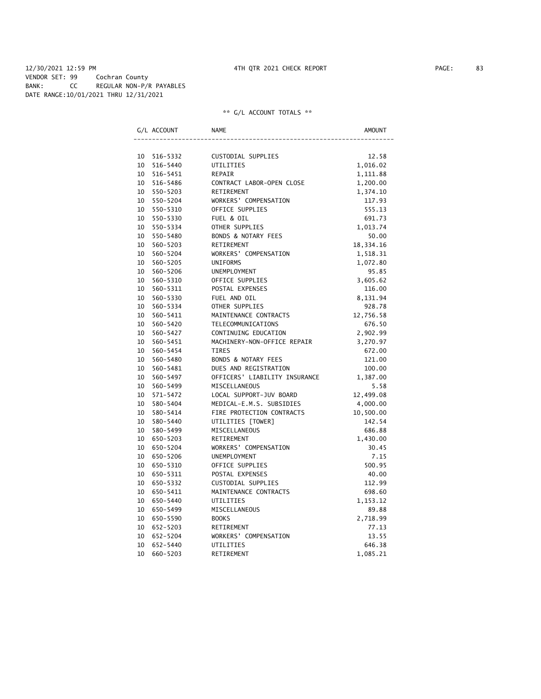#### 12/30/2021 12:59 PM 4TH QTR 2021 CHECK REPORT PAGE: 83 VENDOR SET: 99 Cochran County BANK: CC REGULAR NON-P/R PAYABLES DATE RANGE:10/01/2021 THRU 12/31/2021

|    | G/L ACCOUNT | <b>NAME</b>                   | AMOUNT    |
|----|-------------|-------------------------------|-----------|
|    |             |                               |           |
|    | 10 516-5332 | CUSTODIAL SUPPLIES            | 12.58     |
| 10 | 516-5440    | UTILITIES                     | 1,016.02  |
|    | 10 516-5451 | REPAIR                        | 1,111.88  |
| 10 | 516-5486    | CONTRACT LABOR-OPEN CLOSE     | 1,200.00  |
| 10 | 550-5203    | RETIREMENT                    | 1,374.10  |
| 10 | 550-5204    | WORKERS' COMPENSATION         | 117.93    |
| 10 | 550-5310    | OFFICE SUPPLIES               | 555.13    |
| 10 | 550-5330    | FUEL & OIL                    | 691.73    |
| 10 | 550-5334    | OTHER SUPPLIES                | 1,013.74  |
| 10 | 550-5480    | BONDS & NOTARY FEES           | 50.00     |
| 10 | 560-5203    | RETIREMENT                    | 18,334.16 |
| 10 | 560-5204    | WORKERS' COMPENSATION         | 1,518.31  |
| 10 | 560-5205    | <b>UNIFORMS</b>               | 1,072.80  |
| 10 | 560-5206    | UNEMPLOYMENT                  | 95.85     |
| 10 | 560-5310    | OFFICE SUPPLIES               | 3,605.62  |
| 10 | 560-5311    | POSTAL EXPENSES               | 116.00    |
| 10 | 560-5330    | FUEL AND OIL                  | 8,131.94  |
| 10 | 560-5334    | OTHER SUPPLIES                | 928.78    |
| 10 | 560-5411    | MAINTENANCE CONTRACTS         | 12,756.58 |
| 10 | 560-5420    | TELECOMMUNICATIONS            | 676.50    |
| 10 | 560-5427    | CONTINUING EDUCATION          | 2,902.99  |
| 10 | 560-5451    | MACHINERY-NON-OFFICE REPAIR   | 3,270.97  |
| 10 | 560-5454    | <b>TIRES</b>                  | 672.00    |
| 10 | 560-5480    | BONDS & NOTARY FEES           | 121.00    |
| 10 | 560-5481    | DUES AND REGISTRATION         | 100.00    |
| 10 | 560-5497    | OFFICERS' LIABILITY INSURANCE | 1,387.00  |
| 10 | 560-5499    | MISCELLANEOUS                 | 5.58      |
| 10 | 571-5472    | LOCAL SUPPORT-JUV BOARD       | 12,499.08 |
| 10 | 580-5404    | MEDICAL-E.M.S. SUBSIDIES      | 4,000.00  |
| 10 | 580-5414    | FIRE PROTECTION CONTRACTS     | 10,500.00 |
| 10 | 580-5440    | UTILITIES [TOWER]             | 142.54    |
| 10 | 580-5499    | MISCELLANEOUS                 | 686.88    |
|    | 10 650-5203 | RETIREMENT                    | 1,430.00  |
| 10 | 650-5204    | WORKERS' COMPENSATION         | 30.45     |
| 10 | 650-5206    | <b>UNEMPLOYMENT</b>           | 7.15      |
| 10 | 650-5310    | OFFICE SUPPLIES               | 500.95    |
| 10 | 650-5311    | POSTAL EXPENSES               | 40.00     |
|    | 10 650-5332 | CUSTODIAL SUPPLIES            | 112.99    |
|    | 10 650-5411 | MAINTENANCE CONTRACTS         | 698.60    |
|    | 10 650-5440 | UTILITIES                     | 1,153.12  |
| 10 | 650-5499    | MISCELLANEOUS                 | 89.88     |
|    | 10 650-5590 | <b>BOOKS</b>                  | 2,718.99  |
| 10 | 652-5203    | RETIREMENT                    | 77.13     |
| 10 | 652-5204    | WORKERS' COMPENSATION         | 13.55     |
| 10 | 652-5440    | UTILITIES                     | 646.38    |
| 10 | 660-5203    | RETIREMENT                    | 1,085.21  |
|    |             |                               |           |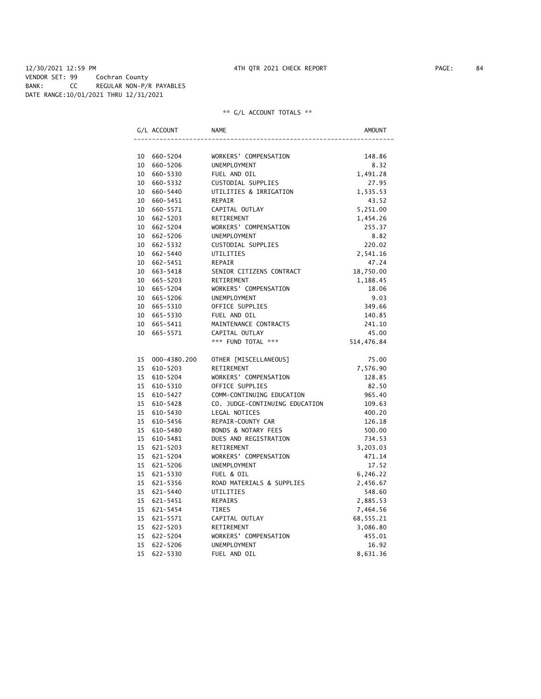|                 | G/L ACCOUNT     | NAME                           | AMOUNT     |
|-----------------|-----------------|--------------------------------|------------|
|                 |                 |                                |            |
|                 | 10 660-5204     | WORKERS' COMPENSATION          | 148.86     |
|                 | 10 660-5206     | <b>UNEMPLOYMENT</b>            | 8.32       |
|                 | 10 660-5330     | FUEL AND OIL                   | 1,491.28   |
|                 | 10 660-5332     | CUSTODIAL SUPPLIES             | 27.95      |
|                 | 10 660-5440     | UTILITIES & IRRIGATION         | 1,535.53   |
|                 | 10 660-5451     | REPAIR                         | 43.52      |
|                 | 10 660-5571     | CAPITAL OUTLAY                 | 5,251.00   |
|                 | 10 662-5203     | RETIREMENT                     | 1,454.26   |
|                 | 10 662-5204     | WORKERS' COMPENSATION          | 255.37     |
|                 | 10 662-5206     | <b>UNEMPLOYMENT</b>            | 8.82       |
|                 | 10 662-5332     | CUSTODIAL SUPPLIES             | 220.02     |
|                 | 10 662-5440     | UTILITIES                      | 2,541.16   |
|                 | 10 662-5451     | REPAIR                         | 47.24      |
|                 | 10 663-5418     | SENIOR CITIZENS CONTRACT       | 18,750.00  |
|                 | 10 665-5203     | RETIREMENT                     | 1,188.45   |
|                 | 10 665-5204     | WORKERS' COMPENSATION          | 18.06      |
|                 | 10 665-5206     | UNEMPLOYMENT                   | 9.03       |
|                 | 10 665-5310     | OFFICE SUPPLIES                | 349.66     |
|                 | 10 665-5330     | FUEL AND OIL                   | 140.85     |
|                 | 10 665-5411     | MAINTENANCE CONTRACTS          | 241.10     |
|                 | 10 665-5571     | CAPITAL OUTLAY                 | 45.00      |
|                 |                 | *** FUND TOTAL ***             | 514,476.84 |
|                 | 15 000-4380.200 | OTHER [MISCELLANEOUS]          | 75.00      |
|                 | 15 610-5203     | RETIREMENT                     | 7,576.90   |
|                 | 15 610-5204     | WORKERS' COMPENSATION          | 128.85     |
|                 | 15 610-5310     | OFFICE SUPPLIES                | 82.50      |
|                 | 15 610-5427     | COMM-CONTINUING EDUCATION      | 965.40     |
|                 | 15<br>610-5428  | CO. JUDGE-CONTINUING EDUCATION | 109.63     |
|                 | 15 610-5430     | LEGAL NOTICES                  | 400.20     |
|                 | 15 610-5456     | REPAIR-COUNTY CAR              | 126.18     |
|                 | 15 610-5480     | BONDS & NOTARY FEES            | 500.00     |
|                 | 15 610-5481     | DUES AND REGISTRATION          | 734.53     |
|                 | 15 621-5203     | RETIREMENT                     | 3,203.03   |
|                 | 15<br>621-5204  | WORKERS' COMPENSATION          | 471.14     |
|                 | 15<br>621-5206  | UNEMPLOYMENT                   | 17.52      |
|                 | 15 621-5330     | FUEL & OIL                     | 6,246.22   |
|                 | 15 621-5356     | ROAD MATERIALS & SUPPLIES      | 2,456.67   |
|                 | 15 621-5440     | UTILITIES                      | 548.60     |
|                 | 15 621-5451     | <b>REPAIRS</b>                 | 2,885.53   |
|                 | 15 621-5454     | <b>TIRES</b>                   | 7,464.56   |
|                 | 15 621-5571     | CAPITAL OUTLAY                 | 68,555.21  |
|                 | 15 622-5203     | RETIREMENT                     | 3,086.80   |
|                 | 15 622-5204     | WORKERS' COMPENSATION          | 455.01     |
|                 | 15 622-5206     | UNEMPLOYMENT                   | 16.92      |
| 15 <sub>1</sub> | 622-5330        | FUEL AND OIL                   | 8,631.36   |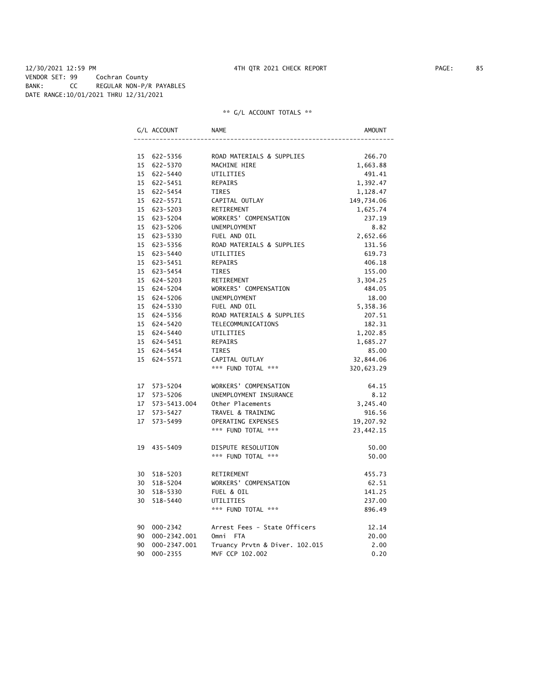#### 12/30/2021 12:59 PM 4TH QTR 2021 CHECK REPORT PAGE: 85 VENDOR SET: 99 Cochran County BANK: CC REGULAR NON-P/R PAYABLES DATE RANGE:10/01/2021 THRU 12/31/2021

|    | G/L ACCOUNT     | NAME                           | AMOUNT     |
|----|-----------------|--------------------------------|------------|
|    |                 |                                |            |
|    | 15 622-5356     | ROAD MATERIALS & SUPPLIES      | 266.70     |
|    | 15 622-5370     | MACHINE HIRE                   | 1,663.88   |
|    | 15 622-5440     | UTILITIES                      | 491.41     |
|    | 15 622-5451     | <b>REPAIRS</b>                 | 1,392.47   |
|    | 15 622-5454     | TIRES                          | 1,128.47   |
|    | 15 622-5571     | CAPITAL OUTLAY                 | 149,734.06 |
|    | 15 623-5203     | RETIREMENT                     | 1,625.74   |
|    | 15 623-5204     | WORKERS' COMPENSATION          | 237.19     |
|    | 15 623-5206     | <b>UNEMPLOYMENT</b>            | 8.82       |
|    | 15 623-5330     | FUEL AND OIL                   | 2,652.66   |
|    | 15 623-5356     | ROAD MATERIALS & SUPPLIES      | 131.56     |
|    | 15 623-5440     | UTILITIES                      | 619.73     |
|    | 15 623-5451     | REPAIRS                        | 406.18     |
|    | 15 623-5454     | TIRES                          | 155.00     |
|    | 15 624-5203     | RETIREMENT                     | 3,304.25   |
|    | 15 624-5204     | WORKERS' COMPENSATION          | 484.05     |
|    | 15 624-5206     | <b>UNEMPLOYMENT</b>            | 18.00      |
|    | 15 624-5330     | FUEL AND OIL                   | 5,358.36   |
|    | 15 624-5356     | ROAD MATERIALS & SUPPLIES      | 207.51     |
|    | 15 624-5420     | TELECOMMUNICATIONS             | 182.31     |
|    | 15 624-5440     | UTILITIES                      | 1,202.85   |
|    | 15 624-5451     | REPAIRS                        | 1,685.27   |
|    | 15 624-5454     | <b>TIRES</b>                   | 85.00      |
|    | 15 624-5571     | CAPITAL OUTLAY                 | 32,844.06  |
|    |                 | *** FUND TOTAL ***             | 320,623.29 |
|    | 17 573-5204     | WORKERS' COMPENSATION          | 64.15      |
|    | 17 573-5206     | UNEMPLOYMENT INSURANCE         | 8.12       |
|    | 17 573-5413.004 | Other Placements               | 3,245.40   |
|    | 17 573-5427     | TRAVEL & TRAINING              | 916.56     |
|    | 17 573-5499     | OPERATING EXPENSES             | 19,207.92  |
|    |                 | *** FUND TOTAL ***             | 23,442.15  |
|    | 19 435-5409     | DISPUTE RESOLUTION             | 50.00      |
|    |                 | *** FUND TOTAL ***             | 50.00      |
|    |                 |                                |            |
|    | 30 518-5203     | RETIREMENT                     | 455.73     |
|    | 30 518-5204     | WORKERS' COMPENSATION          | 62.51      |
|    | 30 518-5330     | FUEL & OIL                     | 141.25     |
|    | 30 518-5440     | UTILITIES                      | 237.00     |
|    |                 | *** FUND TOTAL ***             | 896.49     |
|    | 90 000-2342     | Arrest Fees - State Officers   | 12.14      |
|    | 90 000-2342.001 | Omni FTA                       | 20.00      |
| 90 | 000-2347.001    | Truancy Prvtn & Diver. 102.015 | 2.00       |
| 90 | 000-2355        | MVF CCP 102.002                | 0.20       |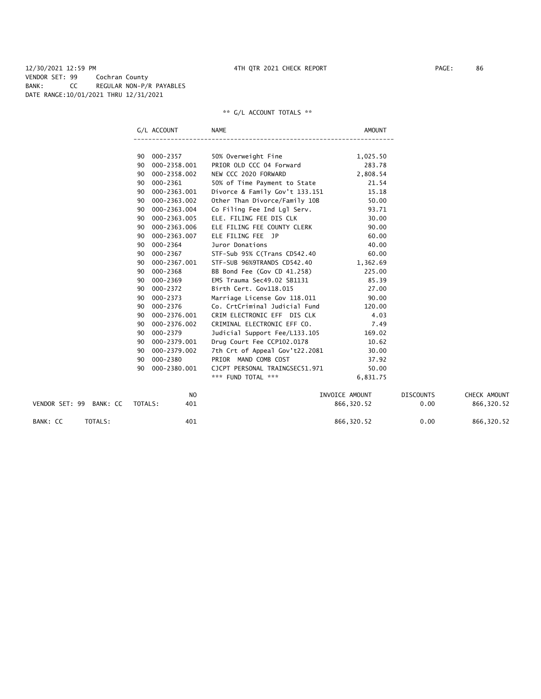12/30/2021 12:59 PM 4TH QTR 2021 CHECK REPORT PAGE: 86 VENDOR SET: 99 Cochran County BANK: CC REGULAR NON-P/R PAYABLES DATE RANGE:10/01/2021 THRU 12/31/2021

|                         |         | G/L ACCOUNT    | <b>NAME</b>                    | AMOUNT         |                  |              |
|-------------------------|---------|----------------|--------------------------------|----------------|------------------|--------------|
|                         |         |                |                                |                |                  |              |
|                         | 90      | 000-2357       | 50% Overweight Fine            | 1,025.50       |                  |              |
|                         | 90      | 000-2358.001   | PRIOR OLD CCC 04 Forward       | 283.78         |                  |              |
|                         | 90      | 000-2358.002   | NEW CCC 2020 FORWARD           | 2,808.54       |                  |              |
|                         | 90      | 000-2361       | 50% of Time Payment to State   | 21.54          |                  |              |
|                         | 90      | 000-2363.001   | Divorce & Family Gov't 133.151 | 15.18          |                  |              |
|                         | 90      | 000-2363.002   | Other Than Divorce/Family 10B  | 50.00          |                  |              |
|                         | 90      | 000-2363.004   | Co Filing Fee Ind Lgl Serv.    | 93.71          |                  |              |
|                         | 90      | 000-2363.005   | ELE. FILING FEE DIS CLK        | 30.00          |                  |              |
|                         | 90      | 000-2363.006   | ELE FILING FEE COUNTY CLERK    | 90.00          |                  |              |
|                         | 90      | 000-2363.007   | ELE FILING FEE JP              | 60.00          |                  |              |
|                         | 90      | 000-2364       | Juror Donations                | 40.00          |                  |              |
|                         | 90      | 000-2367       | STF-Sub 95% C(Trans CD542.40   | 60.00          |                  |              |
|                         | 90      | 000-2367.001   | STF-SUB 96%9TRANDS CD542.40    | 1,362.69       |                  |              |
|                         | 90      | $000 - 2368$   | BB Bond Fee (Gov CD 41.258)    | 225.00         |                  |              |
|                         | 90      | 000-2369       | EMS Trauma Sec49.02 SB1131     | 85.39          |                  |              |
|                         | 90      | $000 - 2372$   | Birth Cert. Gov118.015         | 27.00          |                  |              |
|                         | 90      | 000-2373       | Marriage License Gov 118.011   | 90.00          |                  |              |
|                         | 90      | 000-2376       | Co. CrtCriminal Judicial Fund  | 120.00         |                  |              |
|                         | 90      | 000-2376.001   | CRIM ELECTRONIC EFF DIS CLK    | 4.03           |                  |              |
|                         | 90      | 000-2376.002   | CRIMINAL ELECTRONIC EFF CO.    | 7.49           |                  |              |
|                         | 90      | 000-2379       | Judicial Support Fee/L133.105  | 169.02         |                  |              |
|                         | 90      | 000-2379.001   | Drug Court Fee CCP102.0178     | 10.62          |                  |              |
|                         | 90      | 000-2379.002   | 7th Crt of Appeal Gov't22.2081 | 30.00          |                  |              |
|                         | 90      | 000-2380       | PRIOR MAND COMB COST           | 37.92          |                  |              |
|                         | 90      | 000-2380.001   | CJCPT PERSONAL TRAINGSEC51.971 | 50.00          |                  |              |
|                         |         |                | *** FUND TOTAL ***             | 6,831.75       |                  |              |
|                         |         | N <sub>O</sub> |                                | INVOICE AMOUNT | <b>DISCOUNTS</b> | CHECK AMOUNT |
| VENDOR SET: 99 BANK: CC | TOTALS: | 401            |                                | 866,320.52     | 0.00             | 866,320.52   |

- BANK: CC TOTALS: 401 401 866,320.52 0.00 866,320.52
-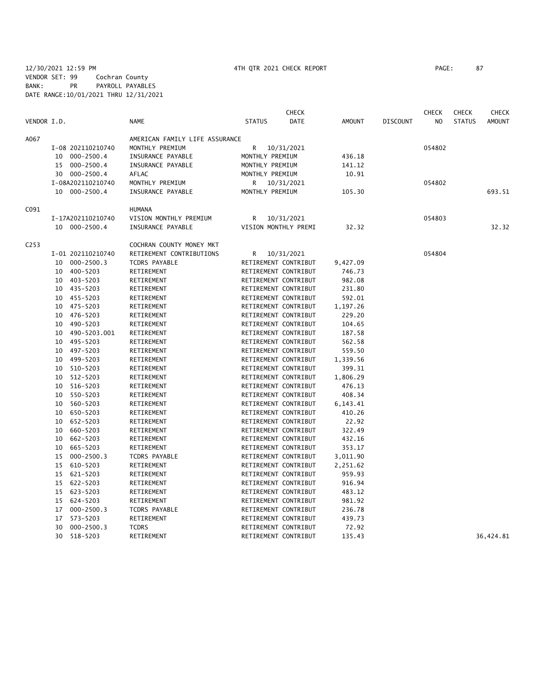| VENDOR I.D.<br><b>NAME</b><br><b>STATUS</b><br><b>DATE</b><br><b>AMOUNT</b><br>N <sub>O</sub><br><b>STATUS</b><br><b>DISCOUNT</b><br>A067<br>AMERICAN FAMILY LIFE ASSURANCE<br>I-08 202110210740<br>MONTHLY PREMIUM<br>R<br>10/31/2021<br>054802<br>000-2500.4<br>INSURANCE PAYABLE<br>MONTHLY PREMIUM<br>436.18<br>10<br>INSURANCE PAYABLE<br>15 000-2500.4<br>MONTHLY PREMIUM<br>141.12<br>30 000-2500.4<br>AFLAC<br>MONTHLY PREMIUM<br>10.91<br>I-08A202110210740<br>MONTHLY PREMIUM<br>R.<br>10/31/2021<br>054802<br>10 000-2500.4<br>INSURANCE PAYABLE<br>MONTHLY PREMIUM<br>105.30<br>C091<br><b>HUMANA</b><br>VISION MONTHLY PREMIUM<br>R<br>10/31/2021<br>054803<br>I-17A202110210740<br>VISION MONTHLY PREMI<br>32.32<br>32.32<br>10 000-2500.4<br>INSURANCE PAYABLE<br>C <sub>253</sub><br>COCHRAN COUNTY MONEY MKT<br>RETIREMENT CONTRIBUTIONS<br>054804<br>I-01 202110210740<br>R<br>10/31/2021<br>$000 - 2500.3$<br><b>TCDRS PAYABLE</b><br>10<br>RETIREMENT CONTRIBUT<br>9,427.09<br>400-5203<br>RETIREMENT<br>RETIREMENT CONTRIBUT<br>746.73<br>10<br>403-5203<br>RETIREMENT<br>RETIREMENT CONTRIBUT<br>982.08<br>10<br>435-5203<br>RETIREMENT CONTRIBUT<br>231.80<br>10<br>RETIREMENT<br>RETIREMENT CONTRIBUT<br>592.01<br>455-5203<br>RETIREMENT<br>10<br>10<br>475-5203<br>RETIREMENT<br>RETIREMENT CONTRIBUT<br>1,197.26<br>476-5203<br>RETIREMENT<br>RETIREMENT CONTRIBUT<br>229.20<br>10<br>490-5203<br>RETIREMENT CONTRIBUT<br>104.65<br>10<br>RETIREMENT<br>490-5203.001<br>RETIREMENT<br>RETIREMENT CONTRIBUT<br>187.58<br>10<br>495-5203<br>RETIREMENT CONTRIBUT<br>562.58<br>10<br>RETIREMENT<br>497-5203<br>RETIREMENT<br>RETIREMENT CONTRIBUT<br>559.50<br>10<br>499-5203<br>RETIREMENT CONTRIBUT<br>10<br>RETIREMENT<br>1,339.56<br>510-5203<br>RETIREMENT<br>RETIREMENT CONTRIBUT<br>399.31<br>10<br>512-5203<br>RETIREMENT CONTRIBUT<br>10<br>RETIREMENT<br>1,806.29<br>516-5203<br>RETIREMENT CONTRIBUT<br>10<br>RETIREMENT<br>476.13<br>550-5203<br>408.34<br>10<br>RETIREMENT<br>RETIREMENT CONTRIBUT<br>560-5203<br>RETIREMENT CONTRIBUT<br>6,143.41<br>10<br>RETIREMENT<br>650-5203<br>RETIREMENT CONTRIBUT<br>410.26<br>10<br>RETIREMENT<br>652-5203<br>RETIREMENT CONTRIBUT<br>22.92<br>10<br>RETIREMENT<br>660-5203<br>RETIREMENT<br>RETIREMENT CONTRIBUT<br>322.49<br>10<br>10<br>662-5203<br>RETIREMENT<br>RETIREMENT CONTRIBUT<br>432.16<br>665-5203<br>RETIREMENT<br>RETIREMENT CONTRIBUT<br>353.17<br>10<br>$000 - 2500.3$<br>15<br><b>TCDRS PAYABLE</b><br>RETIREMENT CONTRIBUT<br>3,011.90<br>610-5203<br>15<br>RETIREMENT<br>RETIREMENT CONTRIBUT<br>2,251.62<br>15<br>621-5203<br>RETIREMENT<br>RETIREMENT CONTRIBUT<br>959.93<br>622-5203<br>RETIREMENT<br>RETIREMENT CONTRIBUT<br>916.94<br>15<br>623-5203<br>RETIREMENT<br>RETIREMENT CONTRIBUT<br>483.12<br>15<br>624-5203<br>RETIREMENT<br>RETIREMENT CONTRIBUT<br>981.92<br>15<br>$000 - 2500.3$<br><b>TCDRS PAYABLE</b><br>RETIREMENT CONTRIBUT<br>236.78<br>17<br>573-5203<br>RETIREMENT<br>RETIREMENT CONTRIBUT<br>17<br>439.73<br>30<br>$000 - 2500.3$<br><b>TCDRS</b><br>RETIREMENT CONTRIBUT<br>72.92<br>30<br>518-5203<br>RETIREMENT<br>RETIREMENT CONTRIBUT<br>135.43<br>36,424.81 |  |  | <b>CHECK</b> |  | <b>CHECK</b> | <b>CHECK</b> | <b>CHECK</b>  |
|--------------------------------------------------------------------------------------------------------------------------------------------------------------------------------------------------------------------------------------------------------------------------------------------------------------------------------------------------------------------------------------------------------------------------------------------------------------------------------------------------------------------------------------------------------------------------------------------------------------------------------------------------------------------------------------------------------------------------------------------------------------------------------------------------------------------------------------------------------------------------------------------------------------------------------------------------------------------------------------------------------------------------------------------------------------------------------------------------------------------------------------------------------------------------------------------------------------------------------------------------------------------------------------------------------------------------------------------------------------------------------------------------------------------------------------------------------------------------------------------------------------------------------------------------------------------------------------------------------------------------------------------------------------------------------------------------------------------------------------------------------------------------------------------------------------------------------------------------------------------------------------------------------------------------------------------------------------------------------------------------------------------------------------------------------------------------------------------------------------------------------------------------------------------------------------------------------------------------------------------------------------------------------------------------------------------------------------------------------------------------------------------------------------------------------------------------------------------------------------------------------------------------------------------------------------------------------------------------------------------------------------------------------------------------------------------------------------------------------------------------------------------------------------------------------------------------------------------------------------------------------------------------------------------------------------------------------------------------------------------------------------------------------------------------------------------------------------------------------------------------------------------------------------------------------------------------|--|--|--------------|--|--------------|--------------|---------------|
|                                                                                                                                                                                                                                                                                                                                                                                                                                                                                                                                                                                                                                                                                                                                                                                                                                                                                                                                                                                                                                                                                                                                                                                                                                                                                                                                                                                                                                                                                                                                                                                                                                                                                                                                                                                                                                                                                                                                                                                                                                                                                                                                                                                                                                                                                                                                                                                                                                                                                                                                                                                                                                                                                                                                                                                                                                                                                                                                                                                                                                                                                                                                                                                                  |  |  |              |  |              |              | <b>AMOUNT</b> |
|                                                                                                                                                                                                                                                                                                                                                                                                                                                                                                                                                                                                                                                                                                                                                                                                                                                                                                                                                                                                                                                                                                                                                                                                                                                                                                                                                                                                                                                                                                                                                                                                                                                                                                                                                                                                                                                                                                                                                                                                                                                                                                                                                                                                                                                                                                                                                                                                                                                                                                                                                                                                                                                                                                                                                                                                                                                                                                                                                                                                                                                                                                                                                                                                  |  |  |              |  |              |              |               |
|                                                                                                                                                                                                                                                                                                                                                                                                                                                                                                                                                                                                                                                                                                                                                                                                                                                                                                                                                                                                                                                                                                                                                                                                                                                                                                                                                                                                                                                                                                                                                                                                                                                                                                                                                                                                                                                                                                                                                                                                                                                                                                                                                                                                                                                                                                                                                                                                                                                                                                                                                                                                                                                                                                                                                                                                                                                                                                                                                                                                                                                                                                                                                                                                  |  |  |              |  |              |              |               |
|                                                                                                                                                                                                                                                                                                                                                                                                                                                                                                                                                                                                                                                                                                                                                                                                                                                                                                                                                                                                                                                                                                                                                                                                                                                                                                                                                                                                                                                                                                                                                                                                                                                                                                                                                                                                                                                                                                                                                                                                                                                                                                                                                                                                                                                                                                                                                                                                                                                                                                                                                                                                                                                                                                                                                                                                                                                                                                                                                                                                                                                                                                                                                                                                  |  |  |              |  |              |              |               |
|                                                                                                                                                                                                                                                                                                                                                                                                                                                                                                                                                                                                                                                                                                                                                                                                                                                                                                                                                                                                                                                                                                                                                                                                                                                                                                                                                                                                                                                                                                                                                                                                                                                                                                                                                                                                                                                                                                                                                                                                                                                                                                                                                                                                                                                                                                                                                                                                                                                                                                                                                                                                                                                                                                                                                                                                                                                                                                                                                                                                                                                                                                                                                                                                  |  |  |              |  |              |              |               |
|                                                                                                                                                                                                                                                                                                                                                                                                                                                                                                                                                                                                                                                                                                                                                                                                                                                                                                                                                                                                                                                                                                                                                                                                                                                                                                                                                                                                                                                                                                                                                                                                                                                                                                                                                                                                                                                                                                                                                                                                                                                                                                                                                                                                                                                                                                                                                                                                                                                                                                                                                                                                                                                                                                                                                                                                                                                                                                                                                                                                                                                                                                                                                                                                  |  |  |              |  |              |              |               |
|                                                                                                                                                                                                                                                                                                                                                                                                                                                                                                                                                                                                                                                                                                                                                                                                                                                                                                                                                                                                                                                                                                                                                                                                                                                                                                                                                                                                                                                                                                                                                                                                                                                                                                                                                                                                                                                                                                                                                                                                                                                                                                                                                                                                                                                                                                                                                                                                                                                                                                                                                                                                                                                                                                                                                                                                                                                                                                                                                                                                                                                                                                                                                                                                  |  |  |              |  |              |              |               |
|                                                                                                                                                                                                                                                                                                                                                                                                                                                                                                                                                                                                                                                                                                                                                                                                                                                                                                                                                                                                                                                                                                                                                                                                                                                                                                                                                                                                                                                                                                                                                                                                                                                                                                                                                                                                                                                                                                                                                                                                                                                                                                                                                                                                                                                                                                                                                                                                                                                                                                                                                                                                                                                                                                                                                                                                                                                                                                                                                                                                                                                                                                                                                                                                  |  |  |              |  |              |              | 693.51        |
|                                                                                                                                                                                                                                                                                                                                                                                                                                                                                                                                                                                                                                                                                                                                                                                                                                                                                                                                                                                                                                                                                                                                                                                                                                                                                                                                                                                                                                                                                                                                                                                                                                                                                                                                                                                                                                                                                                                                                                                                                                                                                                                                                                                                                                                                                                                                                                                                                                                                                                                                                                                                                                                                                                                                                                                                                                                                                                                                                                                                                                                                                                                                                                                                  |  |  |              |  |              |              |               |
|                                                                                                                                                                                                                                                                                                                                                                                                                                                                                                                                                                                                                                                                                                                                                                                                                                                                                                                                                                                                                                                                                                                                                                                                                                                                                                                                                                                                                                                                                                                                                                                                                                                                                                                                                                                                                                                                                                                                                                                                                                                                                                                                                                                                                                                                                                                                                                                                                                                                                                                                                                                                                                                                                                                                                                                                                                                                                                                                                                                                                                                                                                                                                                                                  |  |  |              |  |              |              |               |
|                                                                                                                                                                                                                                                                                                                                                                                                                                                                                                                                                                                                                                                                                                                                                                                                                                                                                                                                                                                                                                                                                                                                                                                                                                                                                                                                                                                                                                                                                                                                                                                                                                                                                                                                                                                                                                                                                                                                                                                                                                                                                                                                                                                                                                                                                                                                                                                                                                                                                                                                                                                                                                                                                                                                                                                                                                                                                                                                                                                                                                                                                                                                                                                                  |  |  |              |  |              |              |               |
|                                                                                                                                                                                                                                                                                                                                                                                                                                                                                                                                                                                                                                                                                                                                                                                                                                                                                                                                                                                                                                                                                                                                                                                                                                                                                                                                                                                                                                                                                                                                                                                                                                                                                                                                                                                                                                                                                                                                                                                                                                                                                                                                                                                                                                                                                                                                                                                                                                                                                                                                                                                                                                                                                                                                                                                                                                                                                                                                                                                                                                                                                                                                                                                                  |  |  |              |  |              |              |               |
|                                                                                                                                                                                                                                                                                                                                                                                                                                                                                                                                                                                                                                                                                                                                                                                                                                                                                                                                                                                                                                                                                                                                                                                                                                                                                                                                                                                                                                                                                                                                                                                                                                                                                                                                                                                                                                                                                                                                                                                                                                                                                                                                                                                                                                                                                                                                                                                                                                                                                                                                                                                                                                                                                                                                                                                                                                                                                                                                                                                                                                                                                                                                                                                                  |  |  |              |  |              |              |               |
|                                                                                                                                                                                                                                                                                                                                                                                                                                                                                                                                                                                                                                                                                                                                                                                                                                                                                                                                                                                                                                                                                                                                                                                                                                                                                                                                                                                                                                                                                                                                                                                                                                                                                                                                                                                                                                                                                                                                                                                                                                                                                                                                                                                                                                                                                                                                                                                                                                                                                                                                                                                                                                                                                                                                                                                                                                                                                                                                                                                                                                                                                                                                                                                                  |  |  |              |  |              |              |               |
|                                                                                                                                                                                                                                                                                                                                                                                                                                                                                                                                                                                                                                                                                                                                                                                                                                                                                                                                                                                                                                                                                                                                                                                                                                                                                                                                                                                                                                                                                                                                                                                                                                                                                                                                                                                                                                                                                                                                                                                                                                                                                                                                                                                                                                                                                                                                                                                                                                                                                                                                                                                                                                                                                                                                                                                                                                                                                                                                                                                                                                                                                                                                                                                                  |  |  |              |  |              |              |               |
|                                                                                                                                                                                                                                                                                                                                                                                                                                                                                                                                                                                                                                                                                                                                                                                                                                                                                                                                                                                                                                                                                                                                                                                                                                                                                                                                                                                                                                                                                                                                                                                                                                                                                                                                                                                                                                                                                                                                                                                                                                                                                                                                                                                                                                                                                                                                                                                                                                                                                                                                                                                                                                                                                                                                                                                                                                                                                                                                                                                                                                                                                                                                                                                                  |  |  |              |  |              |              |               |
|                                                                                                                                                                                                                                                                                                                                                                                                                                                                                                                                                                                                                                                                                                                                                                                                                                                                                                                                                                                                                                                                                                                                                                                                                                                                                                                                                                                                                                                                                                                                                                                                                                                                                                                                                                                                                                                                                                                                                                                                                                                                                                                                                                                                                                                                                                                                                                                                                                                                                                                                                                                                                                                                                                                                                                                                                                                                                                                                                                                                                                                                                                                                                                                                  |  |  |              |  |              |              |               |
|                                                                                                                                                                                                                                                                                                                                                                                                                                                                                                                                                                                                                                                                                                                                                                                                                                                                                                                                                                                                                                                                                                                                                                                                                                                                                                                                                                                                                                                                                                                                                                                                                                                                                                                                                                                                                                                                                                                                                                                                                                                                                                                                                                                                                                                                                                                                                                                                                                                                                                                                                                                                                                                                                                                                                                                                                                                                                                                                                                                                                                                                                                                                                                                                  |  |  |              |  |              |              |               |
|                                                                                                                                                                                                                                                                                                                                                                                                                                                                                                                                                                                                                                                                                                                                                                                                                                                                                                                                                                                                                                                                                                                                                                                                                                                                                                                                                                                                                                                                                                                                                                                                                                                                                                                                                                                                                                                                                                                                                                                                                                                                                                                                                                                                                                                                                                                                                                                                                                                                                                                                                                                                                                                                                                                                                                                                                                                                                                                                                                                                                                                                                                                                                                                                  |  |  |              |  |              |              |               |
|                                                                                                                                                                                                                                                                                                                                                                                                                                                                                                                                                                                                                                                                                                                                                                                                                                                                                                                                                                                                                                                                                                                                                                                                                                                                                                                                                                                                                                                                                                                                                                                                                                                                                                                                                                                                                                                                                                                                                                                                                                                                                                                                                                                                                                                                                                                                                                                                                                                                                                                                                                                                                                                                                                                                                                                                                                                                                                                                                                                                                                                                                                                                                                                                  |  |  |              |  |              |              |               |
|                                                                                                                                                                                                                                                                                                                                                                                                                                                                                                                                                                                                                                                                                                                                                                                                                                                                                                                                                                                                                                                                                                                                                                                                                                                                                                                                                                                                                                                                                                                                                                                                                                                                                                                                                                                                                                                                                                                                                                                                                                                                                                                                                                                                                                                                                                                                                                                                                                                                                                                                                                                                                                                                                                                                                                                                                                                                                                                                                                                                                                                                                                                                                                                                  |  |  |              |  |              |              |               |
|                                                                                                                                                                                                                                                                                                                                                                                                                                                                                                                                                                                                                                                                                                                                                                                                                                                                                                                                                                                                                                                                                                                                                                                                                                                                                                                                                                                                                                                                                                                                                                                                                                                                                                                                                                                                                                                                                                                                                                                                                                                                                                                                                                                                                                                                                                                                                                                                                                                                                                                                                                                                                                                                                                                                                                                                                                                                                                                                                                                                                                                                                                                                                                                                  |  |  |              |  |              |              |               |
|                                                                                                                                                                                                                                                                                                                                                                                                                                                                                                                                                                                                                                                                                                                                                                                                                                                                                                                                                                                                                                                                                                                                                                                                                                                                                                                                                                                                                                                                                                                                                                                                                                                                                                                                                                                                                                                                                                                                                                                                                                                                                                                                                                                                                                                                                                                                                                                                                                                                                                                                                                                                                                                                                                                                                                                                                                                                                                                                                                                                                                                                                                                                                                                                  |  |  |              |  |              |              |               |
|                                                                                                                                                                                                                                                                                                                                                                                                                                                                                                                                                                                                                                                                                                                                                                                                                                                                                                                                                                                                                                                                                                                                                                                                                                                                                                                                                                                                                                                                                                                                                                                                                                                                                                                                                                                                                                                                                                                                                                                                                                                                                                                                                                                                                                                                                                                                                                                                                                                                                                                                                                                                                                                                                                                                                                                                                                                                                                                                                                                                                                                                                                                                                                                                  |  |  |              |  |              |              |               |
|                                                                                                                                                                                                                                                                                                                                                                                                                                                                                                                                                                                                                                                                                                                                                                                                                                                                                                                                                                                                                                                                                                                                                                                                                                                                                                                                                                                                                                                                                                                                                                                                                                                                                                                                                                                                                                                                                                                                                                                                                                                                                                                                                                                                                                                                                                                                                                                                                                                                                                                                                                                                                                                                                                                                                                                                                                                                                                                                                                                                                                                                                                                                                                                                  |  |  |              |  |              |              |               |
|                                                                                                                                                                                                                                                                                                                                                                                                                                                                                                                                                                                                                                                                                                                                                                                                                                                                                                                                                                                                                                                                                                                                                                                                                                                                                                                                                                                                                                                                                                                                                                                                                                                                                                                                                                                                                                                                                                                                                                                                                                                                                                                                                                                                                                                                                                                                                                                                                                                                                                                                                                                                                                                                                                                                                                                                                                                                                                                                                                                                                                                                                                                                                                                                  |  |  |              |  |              |              |               |
|                                                                                                                                                                                                                                                                                                                                                                                                                                                                                                                                                                                                                                                                                                                                                                                                                                                                                                                                                                                                                                                                                                                                                                                                                                                                                                                                                                                                                                                                                                                                                                                                                                                                                                                                                                                                                                                                                                                                                                                                                                                                                                                                                                                                                                                                                                                                                                                                                                                                                                                                                                                                                                                                                                                                                                                                                                                                                                                                                                                                                                                                                                                                                                                                  |  |  |              |  |              |              |               |
|                                                                                                                                                                                                                                                                                                                                                                                                                                                                                                                                                                                                                                                                                                                                                                                                                                                                                                                                                                                                                                                                                                                                                                                                                                                                                                                                                                                                                                                                                                                                                                                                                                                                                                                                                                                                                                                                                                                                                                                                                                                                                                                                                                                                                                                                                                                                                                                                                                                                                                                                                                                                                                                                                                                                                                                                                                                                                                                                                                                                                                                                                                                                                                                                  |  |  |              |  |              |              |               |
|                                                                                                                                                                                                                                                                                                                                                                                                                                                                                                                                                                                                                                                                                                                                                                                                                                                                                                                                                                                                                                                                                                                                                                                                                                                                                                                                                                                                                                                                                                                                                                                                                                                                                                                                                                                                                                                                                                                                                                                                                                                                                                                                                                                                                                                                                                                                                                                                                                                                                                                                                                                                                                                                                                                                                                                                                                                                                                                                                                                                                                                                                                                                                                                                  |  |  |              |  |              |              |               |
|                                                                                                                                                                                                                                                                                                                                                                                                                                                                                                                                                                                                                                                                                                                                                                                                                                                                                                                                                                                                                                                                                                                                                                                                                                                                                                                                                                                                                                                                                                                                                                                                                                                                                                                                                                                                                                                                                                                                                                                                                                                                                                                                                                                                                                                                                                                                                                                                                                                                                                                                                                                                                                                                                                                                                                                                                                                                                                                                                                                                                                                                                                                                                                                                  |  |  |              |  |              |              |               |
|                                                                                                                                                                                                                                                                                                                                                                                                                                                                                                                                                                                                                                                                                                                                                                                                                                                                                                                                                                                                                                                                                                                                                                                                                                                                                                                                                                                                                                                                                                                                                                                                                                                                                                                                                                                                                                                                                                                                                                                                                                                                                                                                                                                                                                                                                                                                                                                                                                                                                                                                                                                                                                                                                                                                                                                                                                                                                                                                                                                                                                                                                                                                                                                                  |  |  |              |  |              |              |               |
|                                                                                                                                                                                                                                                                                                                                                                                                                                                                                                                                                                                                                                                                                                                                                                                                                                                                                                                                                                                                                                                                                                                                                                                                                                                                                                                                                                                                                                                                                                                                                                                                                                                                                                                                                                                                                                                                                                                                                                                                                                                                                                                                                                                                                                                                                                                                                                                                                                                                                                                                                                                                                                                                                                                                                                                                                                                                                                                                                                                                                                                                                                                                                                                                  |  |  |              |  |              |              |               |
|                                                                                                                                                                                                                                                                                                                                                                                                                                                                                                                                                                                                                                                                                                                                                                                                                                                                                                                                                                                                                                                                                                                                                                                                                                                                                                                                                                                                                                                                                                                                                                                                                                                                                                                                                                                                                                                                                                                                                                                                                                                                                                                                                                                                                                                                                                                                                                                                                                                                                                                                                                                                                                                                                                                                                                                                                                                                                                                                                                                                                                                                                                                                                                                                  |  |  |              |  |              |              |               |
|                                                                                                                                                                                                                                                                                                                                                                                                                                                                                                                                                                                                                                                                                                                                                                                                                                                                                                                                                                                                                                                                                                                                                                                                                                                                                                                                                                                                                                                                                                                                                                                                                                                                                                                                                                                                                                                                                                                                                                                                                                                                                                                                                                                                                                                                                                                                                                                                                                                                                                                                                                                                                                                                                                                                                                                                                                                                                                                                                                                                                                                                                                                                                                                                  |  |  |              |  |              |              |               |
|                                                                                                                                                                                                                                                                                                                                                                                                                                                                                                                                                                                                                                                                                                                                                                                                                                                                                                                                                                                                                                                                                                                                                                                                                                                                                                                                                                                                                                                                                                                                                                                                                                                                                                                                                                                                                                                                                                                                                                                                                                                                                                                                                                                                                                                                                                                                                                                                                                                                                                                                                                                                                                                                                                                                                                                                                                                                                                                                                                                                                                                                                                                                                                                                  |  |  |              |  |              |              |               |
|                                                                                                                                                                                                                                                                                                                                                                                                                                                                                                                                                                                                                                                                                                                                                                                                                                                                                                                                                                                                                                                                                                                                                                                                                                                                                                                                                                                                                                                                                                                                                                                                                                                                                                                                                                                                                                                                                                                                                                                                                                                                                                                                                                                                                                                                                                                                                                                                                                                                                                                                                                                                                                                                                                                                                                                                                                                                                                                                                                                                                                                                                                                                                                                                  |  |  |              |  |              |              |               |
|                                                                                                                                                                                                                                                                                                                                                                                                                                                                                                                                                                                                                                                                                                                                                                                                                                                                                                                                                                                                                                                                                                                                                                                                                                                                                                                                                                                                                                                                                                                                                                                                                                                                                                                                                                                                                                                                                                                                                                                                                                                                                                                                                                                                                                                                                                                                                                                                                                                                                                                                                                                                                                                                                                                                                                                                                                                                                                                                                                                                                                                                                                                                                                                                  |  |  |              |  |              |              |               |
|                                                                                                                                                                                                                                                                                                                                                                                                                                                                                                                                                                                                                                                                                                                                                                                                                                                                                                                                                                                                                                                                                                                                                                                                                                                                                                                                                                                                                                                                                                                                                                                                                                                                                                                                                                                                                                                                                                                                                                                                                                                                                                                                                                                                                                                                                                                                                                                                                                                                                                                                                                                                                                                                                                                                                                                                                                                                                                                                                                                                                                                                                                                                                                                                  |  |  |              |  |              |              |               |
|                                                                                                                                                                                                                                                                                                                                                                                                                                                                                                                                                                                                                                                                                                                                                                                                                                                                                                                                                                                                                                                                                                                                                                                                                                                                                                                                                                                                                                                                                                                                                                                                                                                                                                                                                                                                                                                                                                                                                                                                                                                                                                                                                                                                                                                                                                                                                                                                                                                                                                                                                                                                                                                                                                                                                                                                                                                                                                                                                                                                                                                                                                                                                                                                  |  |  |              |  |              |              |               |
|                                                                                                                                                                                                                                                                                                                                                                                                                                                                                                                                                                                                                                                                                                                                                                                                                                                                                                                                                                                                                                                                                                                                                                                                                                                                                                                                                                                                                                                                                                                                                                                                                                                                                                                                                                                                                                                                                                                                                                                                                                                                                                                                                                                                                                                                                                                                                                                                                                                                                                                                                                                                                                                                                                                                                                                                                                                                                                                                                                                                                                                                                                                                                                                                  |  |  |              |  |              |              |               |
|                                                                                                                                                                                                                                                                                                                                                                                                                                                                                                                                                                                                                                                                                                                                                                                                                                                                                                                                                                                                                                                                                                                                                                                                                                                                                                                                                                                                                                                                                                                                                                                                                                                                                                                                                                                                                                                                                                                                                                                                                                                                                                                                                                                                                                                                                                                                                                                                                                                                                                                                                                                                                                                                                                                                                                                                                                                                                                                                                                                                                                                                                                                                                                                                  |  |  |              |  |              |              |               |
|                                                                                                                                                                                                                                                                                                                                                                                                                                                                                                                                                                                                                                                                                                                                                                                                                                                                                                                                                                                                                                                                                                                                                                                                                                                                                                                                                                                                                                                                                                                                                                                                                                                                                                                                                                                                                                                                                                                                                                                                                                                                                                                                                                                                                                                                                                                                                                                                                                                                                                                                                                                                                                                                                                                                                                                                                                                                                                                                                                                                                                                                                                                                                                                                  |  |  |              |  |              |              |               |
|                                                                                                                                                                                                                                                                                                                                                                                                                                                                                                                                                                                                                                                                                                                                                                                                                                                                                                                                                                                                                                                                                                                                                                                                                                                                                                                                                                                                                                                                                                                                                                                                                                                                                                                                                                                                                                                                                                                                                                                                                                                                                                                                                                                                                                                                                                                                                                                                                                                                                                                                                                                                                                                                                                                                                                                                                                                                                                                                                                                                                                                                                                                                                                                                  |  |  |              |  |              |              |               |
|                                                                                                                                                                                                                                                                                                                                                                                                                                                                                                                                                                                                                                                                                                                                                                                                                                                                                                                                                                                                                                                                                                                                                                                                                                                                                                                                                                                                                                                                                                                                                                                                                                                                                                                                                                                                                                                                                                                                                                                                                                                                                                                                                                                                                                                                                                                                                                                                                                                                                                                                                                                                                                                                                                                                                                                                                                                                                                                                                                                                                                                                                                                                                                                                  |  |  |              |  |              |              |               |
|                                                                                                                                                                                                                                                                                                                                                                                                                                                                                                                                                                                                                                                                                                                                                                                                                                                                                                                                                                                                                                                                                                                                                                                                                                                                                                                                                                                                                                                                                                                                                                                                                                                                                                                                                                                                                                                                                                                                                                                                                                                                                                                                                                                                                                                                                                                                                                                                                                                                                                                                                                                                                                                                                                                                                                                                                                                                                                                                                                                                                                                                                                                                                                                                  |  |  |              |  |              |              |               |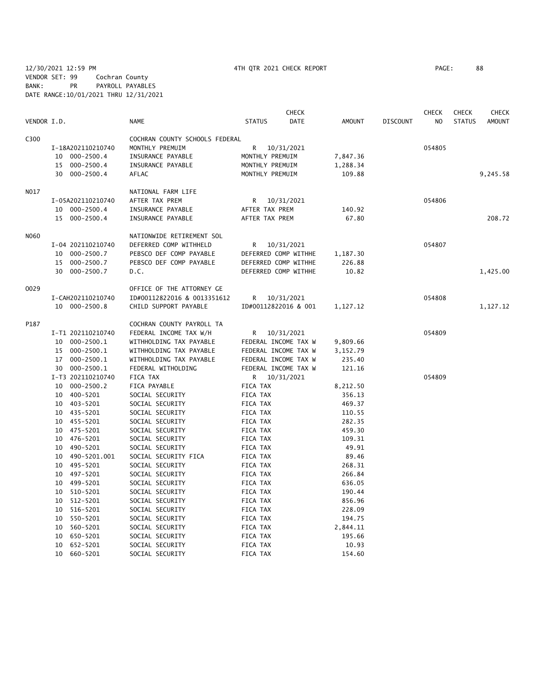12/30/2021 12:59 PM 4TH QTR 2021 CHECK REPORT PAGE: 88 VENDOR SET: 99 Cochran County BANK: PR PAYROLL PAYABLES DATE RANGE:10/01/2021 THRU 12/31/2021

|             |                                  |                                | <b>CHECK</b>                 |                  |                 | <b>CHECK</b>   | <b>CHECK</b>  | <b>CHECK</b>  |
|-------------|----------------------------------|--------------------------------|------------------------------|------------------|-----------------|----------------|---------------|---------------|
| VENDOR I.D. |                                  | <b>NAME</b>                    | <b>STATUS</b><br><b>DATE</b> | <b>AMOUNT</b>    | <b>DISCOUNT</b> | N <sub>O</sub> | <b>STATUS</b> | <b>AMOUNT</b> |
| C300        |                                  | COCHRAN COUNTY SCHOOLS FEDERAL |                              |                  |                 |                |               |               |
|             | I-18A202110210740                | MONTHLY PREMUIM                | R<br>10/31/2021              |                  |                 | 054805         |               |               |
|             | 10 000-2500.4                    | INSURANCE PAYABLE              | MONTHLY PREMUIM              | 7,847.36         |                 |                |               |               |
|             | $000 - 2500.4$<br>15             | INSURANCE PAYABLE              | MONTHLY PREMUIM              | 1,288.34         |                 |                |               |               |
|             | 30 000-2500.4                    | AFLAC                          | MONTHLY PREMUIM              | 109.88           |                 |                |               | 9,245.58      |
| N017        |                                  | NATIONAL FARM LIFE             |                              |                  |                 |                |               |               |
|             | I-05A202110210740                | AFTER TAX PREM                 | 10/31/2021<br>R              |                  |                 | 054806         |               |               |
|             | 10 000-2500.4                    | INSURANCE PAYABLE              | AFTER TAX PREM               | 140.92           |                 |                |               |               |
|             | 15 000-2500.4                    | INSURANCE PAYABLE              | AFTER TAX PREM               | 67.80            |                 |                |               | 208.72        |
| N060        |                                  | NATIONWIDE RETIREMENT SOL      |                              |                  |                 |                |               |               |
|             | I-04 202110210740                | DEFERRED COMP WITHHELD         | R<br>10/31/2021              |                  |                 | 054807         |               |               |
|             | 10 000-2500.7                    | PEBSCO DEF COMP PAYABLE        | DEFERRED COMP WITHHE         | 1,187.30         |                 |                |               |               |
|             | 15 000-2500.7                    | PEBSCO DEF COMP PAYABLE        | DEFERRED COMP WITHHE         | 226.88           |                 |                |               |               |
|             | 30 000-2500.7                    | D.C.                           | DEFERRED COMP WITHHE         | 10.82            |                 |                |               | 1,425.00      |
| 0029        |                                  | OFFICE OF THE ATTORNEY GE      |                              |                  |                 |                |               |               |
|             | I-CAH202110210740                | ID#00112822016 & 0013351612    | R<br>10/31/2021              |                  |                 | 054808         |               |               |
|             | 10 000-2500.8                    | CHILD SUPPORT PAYABLE          | ID#00112822016 & 001         | 1,127.12         |                 |                |               | 1,127.12      |
| P187        |                                  | COCHRAN COUNTY PAYROLL TA      |                              |                  |                 |                |               |               |
|             | I-T1 202110210740                | FEDERAL INCOME TAX W/H         | R 10/31/2021                 |                  |                 | 054809         |               |               |
|             | 10 000-2500.1                    | WITHHOLDING TAX PAYABLE        | FEDERAL INCOME TAX W         | 9,809.66         |                 |                |               |               |
|             | 15 000-2500.1                    | WITHHOLDING TAX PAYABLE        | FEDERAL INCOME TAX W         | 3,152.79         |                 |                |               |               |
|             | 17 000-2500.1                    | WITHHOLDING TAX PAYABLE        | FEDERAL INCOME TAX W         | 235.40           |                 |                |               |               |
|             | 30 000-2500.1                    | FEDERAL WITHOLDING             | FEDERAL INCOME TAX W         | 121.16           |                 |                |               |               |
|             | I-T3 202110210740                | FICA TAX                       | 10/31/2021<br>R.             |                  |                 | 054809         |               |               |
|             | 10 000-2500.2                    | FICA PAYABLE                   | FICA TAX                     | 8,212.50         |                 |                |               |               |
|             | 10 400-5201                      | SOCIAL SECURITY                | FICA TAX                     | 356.13           |                 |                |               |               |
|             | 10 403-5201                      | SOCIAL SECURITY                | FICA TAX                     | 469.37           |                 |                |               |               |
|             | 10 435-5201                      | SOCIAL SECURITY                | FICA TAX                     | 110.55           |                 |                |               |               |
|             | 10 455-5201                      | SOCIAL SECURITY                | FICA TAX                     | 282.35           |                 |                |               |               |
|             | 475-5201<br>10                   | SOCIAL SECURITY                | FICA TAX                     | 459.30           |                 |                |               |               |
|             | 10 476-5201                      | SOCIAL SECURITY                | FICA TAX                     | 109.31           |                 |                |               |               |
|             | 10 490-5201                      | SOCIAL SECURITY                | FICA TAX                     | 49.91            |                 |                |               |               |
|             | 490-5201.001<br>10               | SOCIAL SECURITY FICA           | FICA TAX                     | 89.46            |                 |                |               |               |
|             | 10 495-5201                      | SOCIAL SECURITY                | FICA TAX                     | 268.31           |                 |                |               |               |
|             | 10 497-5201                      | SOCIAL SECURITY                | FICA TAX                     | 266.84           |                 |                |               |               |
|             | 499-5201<br>10                   | SOCIAL SECURITY                | FICA TAX                     | 636.05           |                 |                |               |               |
|             | 10                               | SOCIAL SECURITY                |                              |                  |                 |                |               |               |
|             | 510-5201<br>512-5201<br>10       | SOCIAL SECURITY                | FICA TAX<br>FICA TAX         | 190.44<br>856.96 |                 |                |               |               |
|             |                                  |                                |                              |                  |                 |                |               |               |
|             | 516-5201<br>10                   | SOCIAL SECURITY                | FICA TAX                     | 228.09           |                 |                |               |               |
|             | 550-5201<br>10                   | SOCIAL SECURITY                | FICA TAX                     | 194.75           |                 |                |               |               |
|             | 560-5201<br>10                   | SOCIAL SECURITY                | FICA TAX                     | 2,844.11         |                 |                |               |               |
|             | 650-5201<br>10<br>652-5201<br>10 | SOCIAL SECURITY                | FICA TAX                     | 195.66<br>10.93  |                 |                |               |               |
|             | 10 660-5201                      | SOCIAL SECURITY                | FICA TAX<br>FICA TAX         |                  |                 |                |               |               |
|             |                                  | SOCIAL SECURITY                |                              | 154.60           |                 |                |               |               |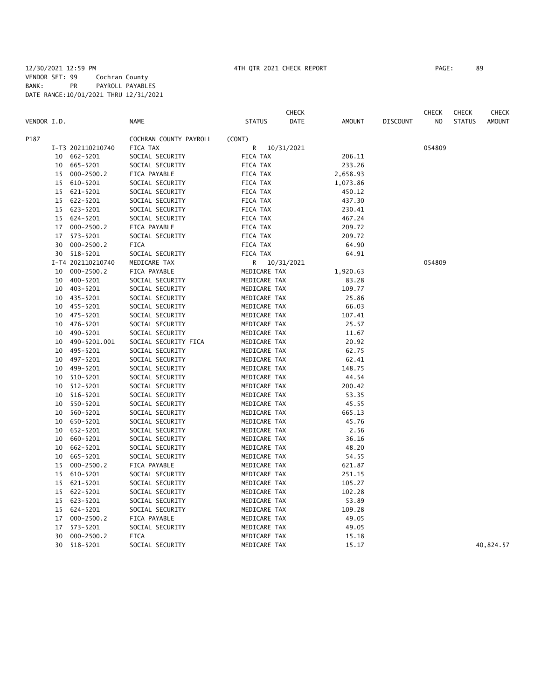|             |    |                   |                        |               | <b>CHECK</b> |               |                 | <b>CHECK</b> | <b>CHECK</b>  | CHECK         |
|-------------|----|-------------------|------------------------|---------------|--------------|---------------|-----------------|--------------|---------------|---------------|
| VENDOR I.D. |    |                   | <b>NAME</b>            | <b>STATUS</b> | DATE         | <b>AMOUNT</b> | <b>DISCOUNT</b> | NO           | <b>STATUS</b> | <b>AMOUNT</b> |
| P187        |    |                   | COCHRAN COUNTY PAYROLL | (CONT)        |              |               |                 |              |               |               |
|             |    | I-T3 202110210740 | FICA TAX               | R             | 10/31/2021   |               |                 | 054809       |               |               |
|             | 10 | 662-5201          | SOCIAL SECURITY        | FICA TAX      |              | 206.11        |                 |              |               |               |
|             | 10 | 665-5201          | SOCIAL SECURITY        | FICA TAX      |              | 233.26        |                 |              |               |               |
|             | 15 | $000 - 2500.2$    | FICA PAYABLE           | FICA TAX      |              | 2,658.93      |                 |              |               |               |
|             | 15 | 610-5201          | SOCIAL SECURITY        | FICA TAX      |              | 1,073.86      |                 |              |               |               |
|             | 15 | 621-5201          | SOCIAL SECURITY        | FICA TAX      |              | 450.12        |                 |              |               |               |
|             |    | 15 622-5201       | SOCIAL SECURITY        | FICA TAX      |              | 437.30        |                 |              |               |               |
|             |    | 15 623-5201       | SOCIAL SECURITY        | FICA TAX      |              | 230.41        |                 |              |               |               |
|             | 15 | 624-5201          | SOCIAL SECURITY        | FICA TAX      |              | 467.24        |                 |              |               |               |
|             | 17 | $000 - 2500.2$    | FICA PAYABLE           | FICA TAX      |              | 209.72        |                 |              |               |               |
|             | 17 | 573-5201          | SOCIAL SECURITY        | FICA TAX      |              | 209.72        |                 |              |               |               |
|             | 30 | $000 - 2500.2$    | <b>FICA</b>            | FICA TAX      |              | 64.90         |                 |              |               |               |
|             | 30 | 518-5201          | SOCIAL SECURITY        | FICA TAX      |              | 64.91         |                 |              |               |               |
|             |    | I-T4 202110210740 | MEDICARE TAX           | R             | 10/31/2021   |               |                 | 054809       |               |               |
|             | 10 | $000 - 2500.2$    | FICA PAYABLE           | MEDICARE TAX  |              | 1,920.63      |                 |              |               |               |
|             | 10 | 400-5201          | SOCIAL SECURITY        | MEDICARE TAX  |              | 83.28         |                 |              |               |               |
|             | 10 | 403-5201          | SOCIAL SECURITY        | MEDICARE TAX  |              | 109.77        |                 |              |               |               |
|             | 10 | 435-5201          | SOCIAL SECURITY        | MEDICARE TAX  |              | 25.86         |                 |              |               |               |
|             | 10 | 455-5201          | SOCIAL SECURITY        | MEDICARE TAX  |              | 66.03         |                 |              |               |               |
|             | 10 | 475-5201          | SOCIAL SECURITY        | MEDICARE TAX  |              | 107.41        |                 |              |               |               |
|             | 10 | 476-5201          | SOCIAL SECURITY        | MEDICARE TAX  |              | 25.57         |                 |              |               |               |
|             | 10 | 490-5201          | SOCIAL SECURITY        | MEDICARE TAX  |              | 11.67         |                 |              |               |               |
|             | 10 | 490-5201.001      | SOCIAL SECURITY FICA   | MEDICARE TAX  |              | 20.92         |                 |              |               |               |
|             | 10 | 495-5201          | SOCIAL SECURITY        | MEDICARE TAX  |              | 62.75         |                 |              |               |               |
|             | 10 | 497-5201          | SOCIAL SECURITY        | MEDICARE TAX  |              | 62.41         |                 |              |               |               |
|             | 10 | 499-5201          | SOCIAL SECURITY        | MEDICARE TAX  |              | 148.75        |                 |              |               |               |
|             | 10 | 510-5201          | SOCIAL SECURITY        | MEDICARE TAX  |              | 44.54         |                 |              |               |               |
|             | 10 | 512-5201          | SOCIAL SECURITY        | MEDICARE TAX  |              | 200.42        |                 |              |               |               |
|             | 10 | 516-5201          | SOCIAL SECURITY        | MEDICARE TAX  |              | 53.35         |                 |              |               |               |
|             | 10 | 550-5201          | SOCIAL SECURITY        | MEDICARE TAX  |              | 45.55         |                 |              |               |               |
|             | 10 | 560-5201          | SOCIAL SECURITY        | MEDICARE TAX  |              | 665.13        |                 |              |               |               |
|             | 10 | 650-5201          | SOCIAL SECURITY        | MEDICARE TAX  |              | 45.76         |                 |              |               |               |
|             | 10 | 652-5201          | SOCIAL SECURITY        | MEDICARE TAX  |              | 2.56          |                 |              |               |               |
|             | 10 | 660-5201          | SOCIAL SECURITY        | MEDICARE TAX  |              | 36.16         |                 |              |               |               |
|             | 10 | 662-5201          | SOCIAL SECURITY        | MEDICARE TAX  |              | 48.20         |                 |              |               |               |
|             | 10 | 665-5201          | SOCIAL SECURITY        | MEDICARE TAX  |              | 54.55         |                 |              |               |               |
|             | 15 | $000 - 2500.2$    | FICA PAYABLE           | MEDICARE TAX  |              | 621.87        |                 |              |               |               |
|             | 15 | 610-5201          | SOCIAL SECURITY        | MEDICARE TAX  |              | 251.15        |                 |              |               |               |
|             | 15 | 621-5201          | SOCIAL SECURITY        | MEDICARE TAX  |              | 105.27        |                 |              |               |               |
|             |    | 15 622-5201       | SOCIAL SECURITY        | MEDICARE TAX  |              | 102.28        |                 |              |               |               |
|             |    | 15 623-5201       | SOCIAL SECURITY        | MEDICARE TAX  |              | 53.89         |                 |              |               |               |
|             | 15 | 624-5201          | SOCIAL SECURITY        | MEDICARE TAX  |              | 109.28        |                 |              |               |               |
|             | 17 | $000 - 2500.2$    | FICA PAYABLE           | MEDICARE TAX  |              | 49.05         |                 |              |               |               |
|             | 17 | 573-5201          | SOCIAL SECURITY        | MEDICARE TAX  |              | 49.05         |                 |              |               |               |
|             | 30 | $000 - 2500.2$    | <b>FICA</b>            | MEDICARE TAX  |              | 15.18         |                 |              |               |               |
|             | 30 | 518-5201          | SOCIAL SECURITY        | MEDICARE TAX  |              | 15.17         |                 |              |               | 40,824.57     |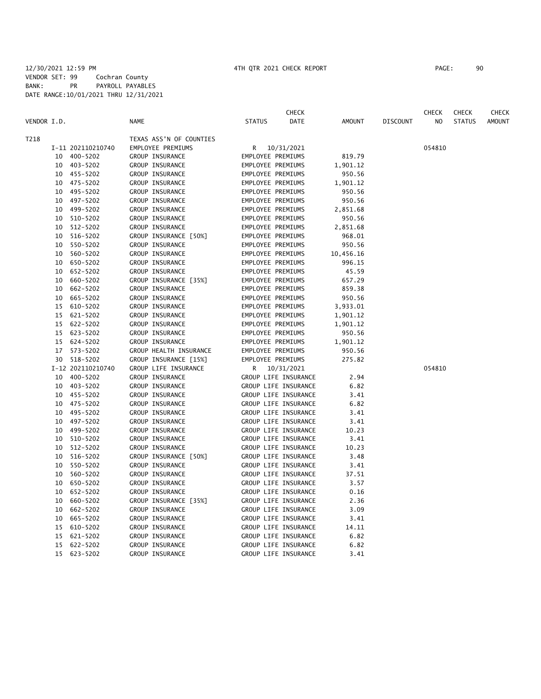**CHECK CHECK CHECK CHECK CHECK CHECK CHECK** VENDOR I.D. NAME STATUS DATE AMOUNT DISCOUNT NO STATUS AMOUNT T218 TEXAS ASS'N OF COUNTIES I-11 202110210740 EMPLOYEE PREMIUMS R 10/31/2021 054810 10 400-5202 GROUP INSURANCE EMPLOYEE PREMIUMS 819.79 10 403-5202 GROUP INSURANCE EMPLOYEE PREMIUMS 1,901.12 10 455-5202 GROUP INSURANCE EMPLOYEE PREMIUMS 950.56 10 475-5202 GROUP INSURANCE EMPLOYEE PREMIUMS 1,901.12 10 495-5202 GROUP INSURANCE EMPLOYEE PREMIUMS 950.56 10 497-5202 GROUP INSURANCE EMPLOYEE PREMIUMS 950.56 10 499-5202 GROUP INSURANCE EMPLOYEE PREMIUMS 2,851.68 10 510-5202 GROUP INSURANCE EMPLOYEE PREMIUMS 950.56 10 512-5202 GROUP INSURANCE EMPLOYEE PREMIUMS 2,851.68 10 516-5202 GROUP INSURANCE [50%] EMPLOYEE PREMIUMS 968.01 10 550-5202 GROUP INSURANCE EMPLOYEE PREMIUMS 950.56 10 560-5202 GROUP INSURANCE EMPLOYEE PREMIUMS 10,456.16 10 650-5202 GROUP INSURANCE EMPLOYEE PREMIUMS 996.15 10 652-5202 GROUP INSURANCE EMPLOYEE PREMIUMS 45.59 10 660-5202 GROUP INSURANCE [35%] EMPLOYEE PREMIUMS 657.29 10 662-5202 GROUP INSURANCE EMPLOYEE PREMIUMS 859.38 10 665-5202 GROUP INSURANCE EMPLOYEE PREMIUMS 950.56<br>15 610-5202 GROUP INSURANCE EMPLOYEE PREMIUMS 3,933.01 GROUP INSURANCE EMPLOYEE PREMIUMS 3,933.01 15 621-5202 GROUP INSURANCE EMPLOYEE PREMIUMS 1,901.12 15 622-5202 GROUP INSURANCE EMPLOYEE PREMIUMS 1,901.12 15 623-5202 GROUP INSURANCE EMPLOYEE PREMIUMS 950.56 15 624-5202 GROUP INSURANCE EMPLOYEE PREMIUMS 1,901.12 17 573-5202 GROUP HEALTH INSURANCE EMPLOYEE PREMIUMS 950.56 30 518-5202 GROUP INSURANCE [15%] EMPLOYEE PREMIUMS 275.82 I-12 202110210740 GROUP LIFE INSURANCE R 10/31/2021 054810 10 400-5202 GROUP INSURANCE GROUP LIFE INSURANCE 2.94 10 403-5202 GROUP INSURANCE GROUP LIFE INSURANCE 6.82 10 455-5202 GROUP INSURANCE GROUP LIFE INSURANCE 3.41 10 475-5202 GROUP INSURANCE GROUP CROUP LIFE INSURANCE 6.82<br>10 495-5202 GROUP INSURANCE GROUP LIFE INSURANCE 3.41 GROUP INSURANCE GROUP LIFE INSURANCE 3.41 10 497-5202 GROUP INSURANCE GROUP LIFE INSURANCE 3.41 10 499-5202 GROUP INSURANCE GROUP LIFE INSURANCE 10.23 10 510-5202 GROUP INSURANCE GROUP LIFE INSURANCE 3.41 10 512-5202 GROUP INSURANCE GROUP LIFE INSURANCE 10.23 10 516-5202 GROUP INSURANCE [50%] GROUP LIFE INSURANCE 3.48 10 550-5202 GROUP INSURANCE GROUP LIFE INSURANCE 3.41 10 560-5202 GROUP INSURANCE GROUP LIFE INSURANCE 37.51 10 650-5202 GROUP INSURANCE GROUP LIFE INSURANCE 3.57 10 652-5202 GROUP INSURANCE GROUP LIFE INSURANCE 0.16 10 660-5202 GROUP INSURANCE [35%] GROUP LIFE INSURANCE 2.36 10 662-5202 GROUP INSURANCE GROUP LIFE INSURANCE 3.09 10 665-5202 GROUP INSURANCE GROUP LIFE INSURANCE 3.41 15 610-5202 GROUP INSURANCE GROUP LIFE INSURANCE 14.11 15 621-5202 GROUP INSURANCE GROUP LIFE INSURANCE 6.82 15 622-5202 GROUP INSURANCE GROUP LIFE INSURANCE 6.82 15 623-5202 GROUP INSURANCE GROUP LIFE INSURANCE 3.41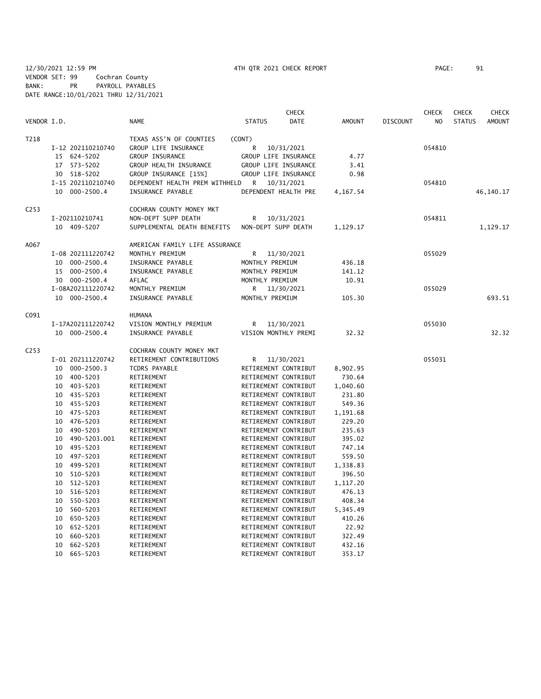12/30/2021 12:59 PM 4TH QTR 2021 CHECK REPORT PAGE: 91 VENDOR SET: 99 Cochran County BANK: PR PAYROLL PAYABLES DATE RANGE:10/01/2021 THRU 12/31/2021

|                  |                      |                                |                      | <b>CHECK</b> |               |                 | <b>CHECK</b>   | <b>CHECK</b>  | CHECK         |
|------------------|----------------------|--------------------------------|----------------------|--------------|---------------|-----------------|----------------|---------------|---------------|
| VENDOR I.D.      |                      | <b>NAME</b>                    | <b>STATUS</b>        | <b>DATE</b>  | <b>AMOUNT</b> | <b>DISCOUNT</b> | N <sub>O</sub> | <b>STATUS</b> | <b>AMOUNT</b> |
| T218             |                      | TEXAS ASS'N OF COUNTIES        | (CONT)               |              |               |                 |                |               |               |
|                  | I-12 202110210740    | GROUP LIFE INSURANCE           | R                    | 10/31/2021   |               |                 | 054810         |               |               |
|                  | 15 624-5202          | GROUP INSURANCE                | GROUP LIFE INSURANCE |              | 4.77          |                 |                |               |               |
|                  | 573-5202<br>17       | GROUP HEALTH INSURANCE         | GROUP LIFE INSURANCE |              | 3.41          |                 |                |               |               |
|                  | 518-5202<br>30       | GROUP INSURANCE [15%]          | GROUP LIFE INSURANCE |              | 0.98          |                 |                |               |               |
|                  | I-15 202110210740    | DEPENDENT HEALTH PREM WITHHELD | R                    | 10/31/2021   |               |                 | 054810         |               |               |
|                  | 10 000-2500.4        | INSURANCE PAYABLE              | DEPENDENT HEALTH PRE |              | 4,167.54      |                 |                |               | 46,140.17     |
| C <sub>253</sub> |                      | COCHRAN COUNTY MONEY MKT       |                      |              |               |                 |                |               |               |
|                  | I-202110210741       | NON-DEPT SUPP DEATH            | R                    | 10/31/2021   |               |                 | 054811         |               |               |
|                  | 10 409-5207          | SUPPLEMENTAL DEATH BENEFITS    | NON-DEPT SUPP DEATH  |              | 1,129.17      |                 |                |               | 1,129.17      |
| A067             |                      | AMERICAN FAMILY LIFE ASSURANCE |                      |              |               |                 |                |               |               |
|                  | I-08 202111220742    | MONTHLY PREMIUM                | R                    | 11/30/2021   |               |                 | 055029         |               |               |
|                  | 10 000-2500.4        | INSURANCE PAYABLE              | MONTHLY PREMIUM      |              | 436.18        |                 |                |               |               |
|                  | $000 - 2500.4$<br>15 | INSURANCE PAYABLE              | MONTHLY PREMIUM      |              | 141.12        |                 |                |               |               |
|                  | 30 000-2500.4        | AFLAC                          | MONTHLY PREMIUM      |              | 10.91         |                 |                |               |               |
|                  | I-08A202111220742    | MONTHLY PREMIUM                | R                    | 11/30/2021   |               |                 | 055029         |               |               |
|                  | 10 000-2500.4        | INSURANCE PAYABLE              | MONTHLY PREMIUM      |              | 105.30        |                 |                |               | 693.51        |
| C091             |                      | <b>HUMANA</b>                  |                      |              |               |                 |                |               |               |
|                  | I-17A202111220742    | VISION MONTHLY PREMIUM         | R                    | 11/30/2021   |               |                 | 055030         |               |               |
|                  | 10 000-2500.4        | INSURANCE PAYABLE              | VISION MONTHLY PREMI |              | 32.32         |                 |                |               | 32.32         |
| C <sub>253</sub> |                      | COCHRAN COUNTY MONEY MKT       |                      |              |               |                 |                |               |               |
|                  | I-01 202111220742    | RETIREMENT CONTRIBUTIONS       | R                    | 11/30/2021   |               |                 | 055031         |               |               |
|                  | $000 - 2500.3$<br>10 | TCDRS PAYABLE                  | RETIREMENT CONTRIBUT |              | 8,902.95      |                 |                |               |               |
|                  | 400-5203<br>10       | RETIREMENT                     | RETIREMENT CONTRIBUT |              | 730.64        |                 |                |               |               |
|                  | 10 403-5203          | RETIREMENT                     | RETIREMENT CONTRIBUT |              | 1,040.60      |                 |                |               |               |
|                  | 10 435-5203          | RETIREMENT                     | RETIREMENT CONTRIBUT |              | 231.80        |                 |                |               |               |
|                  | 455-5203<br>10       | RETIREMENT                     | RETIREMENT CONTRIBUT |              | 549.36        |                 |                |               |               |
|                  | 475-5203<br>10       | RETIREMENT                     | RETIREMENT CONTRIBUT |              | 1,191.68      |                 |                |               |               |
|                  | 476-5203<br>10       | RETIREMENT                     | RETIREMENT CONTRIBUT |              | 229.20        |                 |                |               |               |
|                  | 490-5203<br>10       | RETIREMENT                     | RETIREMENT CONTRIBUT |              | 235.63        |                 |                |               |               |
|                  | 490-5203.001<br>10   | RETIREMENT                     | RETIREMENT CONTRIBUT |              | 395.02        |                 |                |               |               |
|                  | 495-5203<br>10       | RETIREMENT                     | RETIREMENT CONTRIBUT |              | 747.14        |                 |                |               |               |
|                  | 497-5203<br>10       | RETIREMENT                     | RETIREMENT CONTRIBUT |              | 559.50        |                 |                |               |               |
|                  | 499-5203<br>10       | RETIREMENT                     | RETIREMENT CONTRIBUT |              | 1,338.83      |                 |                |               |               |
|                  | 510-5203<br>10       | RETIREMENT                     | RETIREMENT CONTRIBUT |              | 396.50        |                 |                |               |               |
|                  | 512-5203<br>10       | RETIREMENT                     | RETIREMENT CONTRIBUT |              | 1,117.20      |                 |                |               |               |
|                  | 10<br>516-5203       | RETIREMENT                     | RETIREMENT CONTRIBUT |              | 476.13        |                 |                |               |               |
|                  | 550-5203<br>10       | RETIREMENT                     | RETIREMENT CONTRIBUT |              | 408.34        |                 |                |               |               |
|                  | 560-5203<br>10       | RETIREMENT                     | RETIREMENT CONTRIBUT |              | 5,345.49      |                 |                |               |               |
|                  | 650-5203<br>10       | RETIREMENT                     | RETIREMENT CONTRIBUT |              | 410.26        |                 |                |               |               |
|                  | 652-5203<br>10       | RETIREMENT                     | RETIREMENT CONTRIBUT |              | 22.92         |                 |                |               |               |
|                  | 660-5203<br>10       | RETIREMENT                     | RETIREMENT CONTRIBUT |              | 322.49        |                 |                |               |               |
|                  | 10<br>662-5203       | RETIREMENT                     | RETIREMENT CONTRIBUT |              | 432.16        |                 |                |               |               |

10 665-5203 RETIREMENT RETIREMENT CONTRIBUT 353.17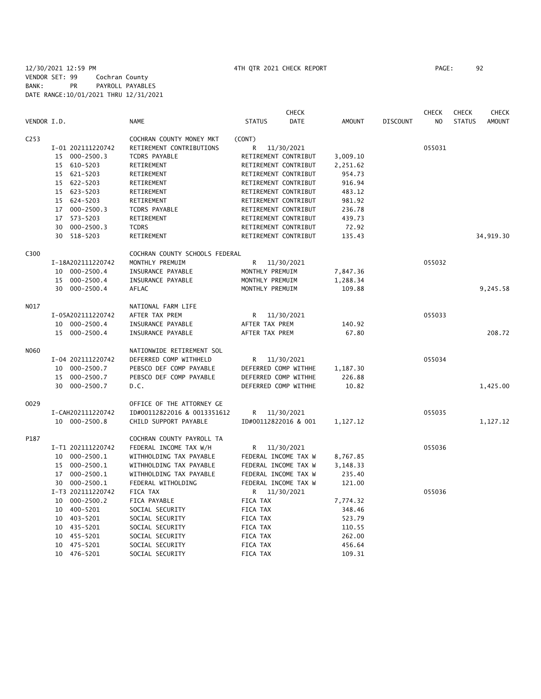### 12/30/2021 12:59 PM 4TH QTR 2021 CHECK REPORT PAGE: 92 VENDOR SET: 99 Cochran County BANK: PR PAYROLL PAYABLES DATE RANGE:10/01/2021 THRU 12/31/2021

|                  |                      |                                | <b>CHECK</b>          |          |                 | <b>CHECK</b>   | <b>CHECK</b>  | CHECK         |
|------------------|----------------------|--------------------------------|-----------------------|----------|-----------------|----------------|---------------|---------------|
| VENDOR I.D.      |                      | <b>NAME</b>                    | <b>STATUS</b><br>DATE | AMOUNT   | <b>DISCOUNT</b> | N <sub>O</sub> | <b>STATUS</b> | <b>AMOUNT</b> |
| C <sub>253</sub> |                      | COCHRAN COUNTY MONEY MKT       | (CONT)                |          |                 |                |               |               |
|                  | I-01 202111220742    | RETIREMENT CONTRIBUTIONS       | 11/30/2021<br>R       |          |                 | 055031         |               |               |
|                  | 15 000-2500.3        | <b>TCDRS PAYABLE</b>           | RETIREMENT CONTRIBUT  | 3,009.10 |                 |                |               |               |
|                  | 610-5203<br>15       | RETIREMENT                     | RETIREMENT CONTRIBUT  | 2,251.62 |                 |                |               |               |
|                  | 15 621-5203          | RETIREMENT                     | RETIREMENT CONTRIBUT  | 954.73   |                 |                |               |               |
|                  | 15 622-5203          | RETIREMENT                     | RETIREMENT CONTRIBUT  | 916.94   |                 |                |               |               |
|                  | 15 623-5203          | RETIREMENT                     | RETIREMENT CONTRIBUT  | 483.12   |                 |                |               |               |
|                  | 15 624-5203          | RETIREMENT                     | RETIREMENT CONTRIBUT  | 981.92   |                 |                |               |               |
|                  | 17 000-2500.3        | <b>TCDRS PAYABLE</b>           | RETIREMENT CONTRIBUT  | 236.78   |                 |                |               |               |
|                  | 17 573-5203          | RETIREMENT                     | RETIREMENT CONTRIBUT  | 439.73   |                 |                |               |               |
|                  | 30 000-2500.3        | <b>TCDRS</b>                   | RETIREMENT CONTRIBUT  | 72.92    |                 |                |               |               |
|                  | 30 518-5203          | RETIREMENT                     | RETIREMENT CONTRIBUT  | 135.43   |                 |                |               | 34,919.30     |
| C300             |                      | COCHRAN COUNTY SCHOOLS FEDERAL |                       |          |                 |                |               |               |
|                  | I-18A202111220742    | MONTHLY PREMUIM                | R.<br>11/30/2021      |          |                 | 055032         |               |               |
|                  | 10 000-2500.4        | INSURANCE PAYABLE              | MONTHLY PREMUIM       | 7,847.36 |                 |                |               |               |
|                  | 15 000-2500.4        | INSURANCE PAYABLE              | MONTHLY PREMUIM       | 1,288.34 |                 |                |               |               |
|                  | 30 000-2500.4        | AFLAC                          | MONTHLY PREMUIM       | 109.88   |                 |                |               | 9,245.58      |
| N017             |                      | NATIONAL FARM LIFE             |                       |          |                 |                |               |               |
|                  | I-05A202111220742    | AFTER TAX PREM                 | R<br>11/30/2021       |          |                 | 055033         |               |               |
|                  | 10 000-2500.4        | INSURANCE PAYABLE              | AFTER TAX PREM        | 140.92   |                 |                |               |               |
|                  | 15 000-2500.4        | INSURANCE PAYABLE              | AFTER TAX PREM        | 67.80    |                 |                |               | 208.72        |
| N060             |                      | NATIONWIDE RETIREMENT SOL      |                       |          |                 |                |               |               |
|                  | I-04 202111220742    | DEFERRED COMP WITHHELD         | R<br>11/30/2021       |          |                 | 055034         |               |               |
|                  | 10 000-2500.7        | PEBSCO DEF COMP PAYABLE        | DEFERRED COMP WITHHE  | 1,187.30 |                 |                |               |               |
|                  | $000 - 2500.7$<br>15 | PEBSCO DEF COMP PAYABLE        | DEFERRED COMP WITHHE  | 226.88   |                 |                |               |               |
|                  | 30 000-2500.7        | D.C.                           | DEFERRED COMP WITHHE  | 10.82    |                 |                |               | 1,425.00      |
| 0029             |                      | OFFICE OF THE ATTORNEY GE      |                       |          |                 |                |               |               |
|                  | I-CAH202111220742    | ID#00112822016 & 0013351612    | 11/30/2021<br>R       |          |                 | 055035         |               |               |
|                  | 10 000-2500.8        | CHILD SUPPORT PAYABLE          | ID#00112822016 & 001  | 1,127.12 |                 |                |               | 1,127.12      |
| P187             |                      | COCHRAN COUNTY PAYROLL TA      |                       |          |                 |                |               |               |
|                  | I-T1 202111220742    | FEDERAL INCOME TAX W/H         | R<br>11/30/2021       |          |                 | 055036         |               |               |
|                  | $000 - 2500.1$<br>10 | WITHHOLDING TAX PAYABLE        | FEDERAL INCOME TAX W  | 8,767.85 |                 |                |               |               |
|                  | 15 000-2500.1        | WITHHOLDING TAX PAYABLE        | FEDERAL INCOME TAX W  | 3,148.33 |                 |                |               |               |
|                  | 17 000-2500.1        | WITHHOLDING TAX PAYABLE        | FEDERAL INCOME TAX W  | 235.40   |                 |                |               |               |
|                  | 30 000-2500.1        | FEDERAL WITHOLDING             | FEDERAL INCOME TAX W  | 121.00   |                 |                |               |               |
|                  | I-T3 202111220742    | FICA TAX                       | R 11/30/2021          |          |                 | 055036         |               |               |
|                  | 10 000-2500.2        | FICA PAYABLE                   | FICA TAX              | 7,774.32 |                 |                |               |               |
|                  | 10 400-5201          | SOCIAL SECURITY                | FICA TAX              | 348.46   |                 |                |               |               |
|                  | 10 403-5201          | SOCIAL SECURITY                | FICA TAX              | 523.79   |                 |                |               |               |
|                  | 10 435-5201          | SOCIAL SECURITY                | FICA TAX              | 110.55   |                 |                |               |               |
|                  | 10 455-5201          | SOCIAL SECURITY                | FICA TAX              | 262.00   |                 |                |               |               |
|                  | 10 475-5201          | SOCIAL SECURITY                | FICA TAX              | 456.64   |                 |                |               |               |
|                  | 10 476-5201          | SOCIAL SECURITY                | FICA TAX              | 109.31   |                 |                |               |               |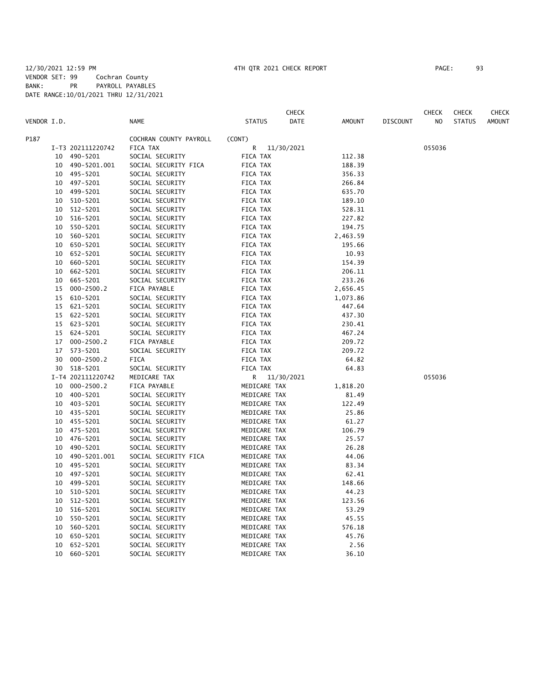|             |    |                   |                        |                 | <b>CHECK</b> |               |                 | <b>CHECK</b> | <b>CHECK</b>  | CHECK         |
|-------------|----|-------------------|------------------------|-----------------|--------------|---------------|-----------------|--------------|---------------|---------------|
| VENDOR I.D. |    |                   | <b>NAME</b>            | <b>STATUS</b>   | DATE         | <b>AMOUNT</b> | <b>DISCOUNT</b> | NO           | <b>STATUS</b> | <b>AMOUNT</b> |
| P187        |    |                   | COCHRAN COUNTY PAYROLL | (CONT)          |              |               |                 |              |               |               |
|             |    | I-T3 202111220742 | FICA TAX               | 11/30/2021<br>R |              |               |                 | 055036       |               |               |
|             | 10 | 490-5201          | SOCIAL SECURITY        | FICA TAX        |              | 112.38        |                 |              |               |               |
|             | 10 | 490-5201.001      | SOCIAL SECURITY FICA   | FICA TAX        |              | 188.39        |                 |              |               |               |
|             | 10 | 495-5201          | SOCIAL SECURITY        | FICA TAX        |              | 356.33        |                 |              |               |               |
|             | 10 | 497-5201          | SOCIAL SECURITY        | FICA TAX        |              | 266.84        |                 |              |               |               |
|             | 10 | 499-5201          | SOCIAL SECURITY        | FICA TAX        |              | 635.70        |                 |              |               |               |
|             | 10 | 510-5201          | SOCIAL SECURITY        | FICA TAX        |              | 189.10        |                 |              |               |               |
|             | 10 | 512-5201          | SOCIAL SECURITY        | FICA TAX        |              | 528.31        |                 |              |               |               |
|             | 10 | 516-5201          | SOCIAL SECURITY        | FICA TAX        |              | 227.82        |                 |              |               |               |
|             | 10 | 550-5201          | SOCIAL SECURITY        | FICA TAX        |              | 194.75        |                 |              |               |               |
|             | 10 | 560-5201          | SOCIAL SECURITY        | FICA TAX        |              | 2,463.59      |                 |              |               |               |
|             | 10 | 650-5201          | SOCIAL SECURITY        | FICA TAX        |              | 195.66        |                 |              |               |               |
|             | 10 | 652-5201          | SOCIAL SECURITY        | FICA TAX        |              | 10.93         |                 |              |               |               |
|             | 10 | 660-5201          | SOCIAL SECURITY        | FICA TAX        |              | 154.39        |                 |              |               |               |
|             | 10 | 662-5201          | SOCIAL SECURITY        | FICA TAX        |              | 206.11        |                 |              |               |               |
|             | 10 | 665-5201          | SOCIAL SECURITY        | FICA TAX        |              | 233.26        |                 |              |               |               |
|             | 15 | $000 - 2500.2$    | FICA PAYABLE           | FICA TAX        |              | 2,656.45      |                 |              |               |               |
|             | 15 | 610-5201          | SOCIAL SECURITY        | FICA TAX        |              | 1,073.86      |                 |              |               |               |
|             | 15 | 621-5201          | SOCIAL SECURITY        | FICA TAX        |              | 447.64        |                 |              |               |               |
|             | 15 | 622-5201          | SOCIAL SECURITY        | FICA TAX        |              | 437.30        |                 |              |               |               |
|             | 15 | 623-5201          | SOCIAL SECURITY        | FICA TAX        |              | 230.41        |                 |              |               |               |
|             | 15 | 624-5201          | SOCIAL SECURITY        | FICA TAX        |              | 467.24        |                 |              |               |               |
|             | 17 | $000 - 2500.2$    | FICA PAYABLE           | FICA TAX        |              | 209.72        |                 |              |               |               |
|             | 17 | 573-5201          | SOCIAL SECURITY        | FICA TAX        |              | 209.72        |                 |              |               |               |
|             | 30 | $000 - 2500.2$    | <b>FICA</b>            | FICA TAX        |              | 64.82         |                 |              |               |               |
|             |    | 30 518-5201       | SOCIAL SECURITY        | FICA TAX        |              | 64.83         |                 |              |               |               |
|             |    | I-T4 202111220742 | MEDICARE TAX           | R 11/30/2021    |              |               |                 | 055036       |               |               |
|             | 10 | $000 - 2500.2$    | FICA PAYABLE           | MEDICARE TAX    |              | 1,818.20      |                 |              |               |               |
|             | 10 | 400-5201          | SOCIAL SECURITY        | MEDICARE TAX    |              | 81.49         |                 |              |               |               |
|             | 10 | 403-5201          | SOCIAL SECURITY        | MEDICARE TAX    |              | 122.49        |                 |              |               |               |
|             | 10 | 435-5201          | SOCIAL SECURITY        | MEDICARE TAX    |              | 25.86         |                 |              |               |               |
|             | 10 | 455-5201          | SOCIAL SECURITY        | MEDICARE TAX    |              | 61.27         |                 |              |               |               |
|             | 10 | 475-5201          | SOCIAL SECURITY        | MEDICARE TAX    |              | 106.79        |                 |              |               |               |
|             | 10 | 476-5201          | SOCIAL SECURITY        | MEDICARE TAX    |              | 25.57         |                 |              |               |               |
|             | 10 | 490-5201          | SOCIAL SECURITY        | MEDICARE TAX    |              | 26.28         |                 |              |               |               |
|             | 10 | 490-5201.001      | SOCIAL SECURITY FICA   | MEDICARE TAX    |              | 44.06         |                 |              |               |               |
|             | 10 | 495-5201          | SOCIAL SECURITY        | MEDICARE TAX    |              | 83.34         |                 |              |               |               |
|             | 10 | 497-5201          | SOCIAL SECURITY        | MEDICARE TAX    |              | 62.41         |                 |              |               |               |
|             | 10 | 499-5201          | SOCIAL SECURITY        | MEDICARE TAX    |              | 148.66        |                 |              |               |               |
|             | 10 | 510-5201          | SOCIAL SECURITY        | MEDICARE TAX    |              | 44.23         |                 |              |               |               |
|             | 10 | 512-5201          | SOCIAL SECURITY        | MEDICARE TAX    |              | 123.56        |                 |              |               |               |
|             | 10 | 516-5201          | SOCIAL SECURITY        | MEDICARE TAX    |              | 53.29         |                 |              |               |               |
|             | 10 | 550-5201          | SOCIAL SECURITY        | MEDICARE TAX    |              | 45.55         |                 |              |               |               |
|             | 10 | 560-5201          | SOCIAL SECURITY        | MEDICARE TAX    |              | 576.18        |                 |              |               |               |
|             | 10 | 650-5201          | SOCIAL SECURITY        | MEDICARE TAX    |              | 45.76         |                 |              |               |               |
|             | 10 | 652-5201          | SOCIAL SECURITY        | MEDICARE TAX    |              | 2.56          |                 |              |               |               |
|             | 10 | 660-5201          | SOCIAL SECURITY        | MEDICARE TAX    |              | 36.10         |                 |              |               |               |
|             |    |                   |                        |                 |              |               |                 |              |               |               |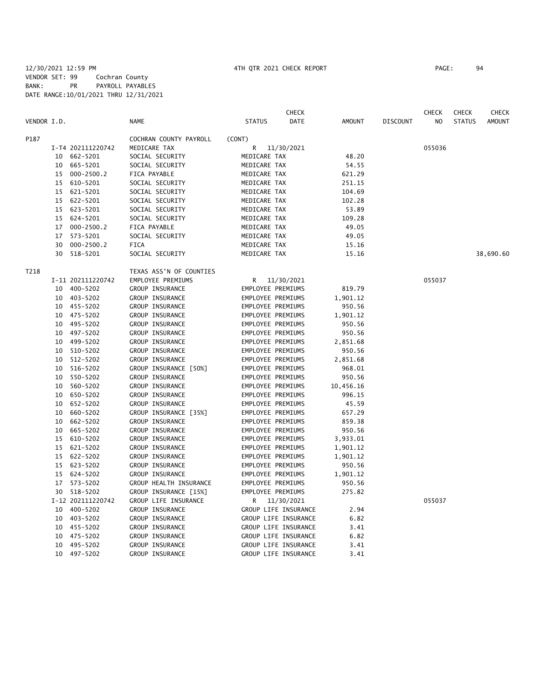|             |    |                   |                         |                      | <b>CHECK</b> |           |                 | <b>CHECK</b>   | <b>CHECK</b>  | CHECK         |
|-------------|----|-------------------|-------------------------|----------------------|--------------|-----------|-----------------|----------------|---------------|---------------|
| VENDOR I.D. |    |                   | <b>NAME</b>             | <b>STATUS</b>        | DATE         | AMOUNT    | <b>DISCOUNT</b> | N <sub>O</sub> | <b>STATUS</b> | <b>AMOUNT</b> |
| P187        |    |                   | COCHRAN COUNTY PAYROLL  | (CONT)               |              |           |                 |                |               |               |
|             |    | I-T4 202111220742 | MEDICARE TAX            | R                    | 11/30/2021   |           |                 | 055036         |               |               |
|             |    | 10 662-5201       | SOCIAL SECURITY         | MEDICARE TAX         |              | 48.20     |                 |                |               |               |
|             |    | 10 665-5201       | SOCIAL SECURITY         | MEDICARE TAX         |              | 54.55     |                 |                |               |               |
|             |    | 15 000-2500.2     | FICA PAYABLE            | MEDICARE TAX         |              | 621.29    |                 |                |               |               |
|             |    | 15 610-5201       | SOCIAL SECURITY         | MEDICARE TAX         |              | 251.15    |                 |                |               |               |
|             | 15 | 621-5201          | SOCIAL SECURITY         | MEDICARE TAX         |              | 104.69    |                 |                |               |               |
|             | 15 | 622-5201          | SOCIAL SECURITY         | MEDICARE TAX         |              | 102.28    |                 |                |               |               |
|             |    | 15 623-5201       | SOCIAL SECURITY         | MEDICARE TAX         |              | 53.89     |                 |                |               |               |
|             | 15 | 624-5201          | SOCIAL SECURITY         | MEDICARE TAX         |              | 109.28    |                 |                |               |               |
|             | 17 | $000 - 2500.2$    | FICA PAYABLE            | MEDICARE TAX         |              | 49.05     |                 |                |               |               |
|             | 17 | 573-5201          | SOCIAL SECURITY         | MEDICARE TAX         |              | 49.05     |                 |                |               |               |
|             | 30 | $000 - 2500.2$    | <b>FICA</b>             | MEDICARE TAX         |              | 15.16     |                 |                |               |               |
|             | 30 | 518-5201          | SOCIAL SECURITY         | MEDICARE TAX         |              | 15.16     |                 |                |               | 38,690.60     |
| T218        |    |                   | TEXAS ASS'N OF COUNTIES |                      |              |           |                 |                |               |               |
|             |    | I-11 202111220742 | EMPLOYEE PREMIUMS       | R                    | 11/30/2021   |           |                 | 055037         |               |               |
|             |    | 10 400-5202       | GROUP INSURANCE         | EMPLOYEE PREMIUMS    |              | 819.79    |                 |                |               |               |
|             |    | 10 403-5202       | GROUP INSURANCE         | EMPLOYEE PREMIUMS    |              | 1,901.12  |                 |                |               |               |
|             |    | 10 455-5202       | GROUP INSURANCE         | EMPLOYEE PREMIUMS    |              | 950.56    |                 |                |               |               |
|             |    | 10 475-5202       | GROUP INSURANCE         | EMPLOYEE PREMIUMS    |              | 1,901.12  |                 |                |               |               |
|             | 10 | 495-5202          | GROUP INSURANCE         | EMPLOYEE PREMIUMS    |              | 950.56    |                 |                |               |               |
|             |    | 10 497-5202       | GROUP INSURANCE         | EMPLOYEE PREMIUMS    |              | 950.56    |                 |                |               |               |
|             |    | 10 499-5202       | GROUP INSURANCE         | EMPLOYEE PREMIUMS    |              | 2,851.68  |                 |                |               |               |
|             |    | 10 510-5202       | GROUP INSURANCE         | EMPLOYEE PREMIUMS    |              | 950.56    |                 |                |               |               |
|             | 10 | 512-5202          | GROUP INSURANCE         | EMPLOYEE PREMIUMS    |              | 2,851.68  |                 |                |               |               |
|             | 10 | 516-5202          | GROUP INSURANCE [50%]   | EMPLOYEE PREMIUMS    |              | 968.01    |                 |                |               |               |
|             | 10 | 550-5202          | GROUP INSURANCE         | EMPLOYEE PREMIUMS    |              | 950.56    |                 |                |               |               |
|             | 10 | 560-5202          | GROUP INSURANCE         | EMPLOYEE PREMIUMS    |              | 10,456.16 |                 |                |               |               |
|             |    | 10 650-5202       | GROUP INSURANCE         | EMPLOYEE PREMIUMS    |              | 996.15    |                 |                |               |               |
|             | 10 | 652-5202          | GROUP INSURANCE         | EMPLOYEE PREMIUMS    |              | 45.59     |                 |                |               |               |
|             |    | 10 660-5202       | GROUP INSURANCE [35%]   | EMPLOYEE PREMIUMS    |              | 657.29    |                 |                |               |               |
|             | 10 | 662-5202          | GROUP INSURANCE         | EMPLOYEE PREMIUMS    |              | 859.38    |                 |                |               |               |
|             |    | 10 665-5202       | GROUP INSURANCE         | EMPLOYEE PREMIUMS    |              | 950.56    |                 |                |               |               |
|             | 15 | 610-5202          | GROUP INSURANCE         | EMPLOYEE PREMIUMS    |              | 3,933.01  |                 |                |               |               |
|             | 15 | 621-5202          | GROUP INSURANCE         | EMPLOYEE PREMIUMS    |              | 1,901.12  |                 |                |               |               |
|             | 15 | 622-5202          | GROUP INSURANCE         | EMPLOYEE PREMIUMS    |              | 1,901.12  |                 |                |               |               |
|             |    | 15 623-5202       | GROUP INSURANCE         | EMPLOYEE PREMIUMS    |              | 950.56    |                 |                |               |               |
|             |    | 15 624-5202       | GROUP INSURANCE         | EMPLOYEE PREMIUMS    |              | 1,901.12  |                 |                |               |               |
|             |    | 17 573-5202       | GROUP HEALTH INSURANCE  | EMPLOYEE PREMIUMS    |              | 950.56    |                 |                |               |               |
|             |    | 30 518-5202       | GROUP INSURANCE [15%]   | EMPLOYEE PREMIUMS    |              | 275.82    |                 |                |               |               |
|             |    | I-12 202111220742 | GROUP LIFE INSURANCE    | R                    | 11/30/2021   |           |                 | 055037         |               |               |
|             |    | 10 400-5202       | GROUP INSURANCE         | GROUP LIFE INSURANCE |              | 2.94      |                 |                |               |               |
|             |    | 10 403-5202       | GROUP INSURANCE         | GROUP LIFE INSURANCE |              | 6.82      |                 |                |               |               |
|             |    | 10 455-5202       | GROUP INSURANCE         | GROUP LIFE INSURANCE |              | 3.41      |                 |                |               |               |
|             | 10 | 475-5202          | GROUP INSURANCE         | GROUP LIFE INSURANCE |              | 6.82      |                 |                |               |               |
|             | 10 | 495-5202          | GROUP INSURANCE         | GROUP LIFE INSURANCE |              | 3.41      |                 |                |               |               |
|             |    | 10 497-5202       | GROUP INSURANCE         | GROUP LIFE INSURANCE |              | 3.41      |                 |                |               |               |
|             |    |                   |                         |                      |              |           |                 |                |               |               |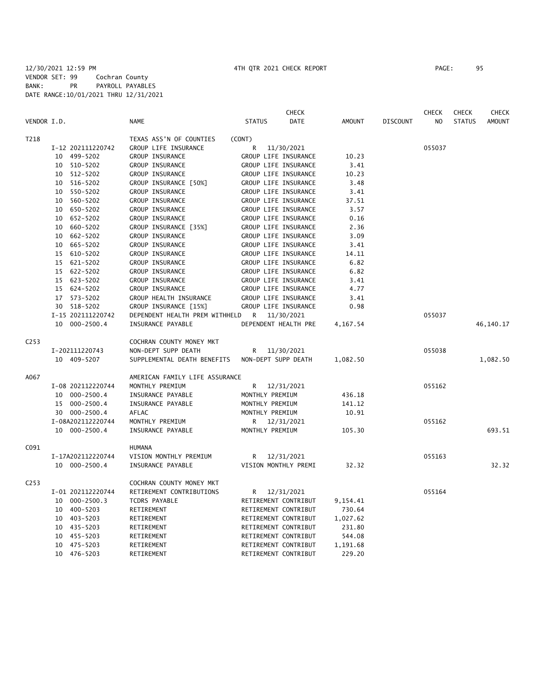|                  |                   |                                | <b>CHECK</b>          |               |                 | <b>CHECK</b> | <b>CHECK</b>  | <b>CHECK</b> |
|------------------|-------------------|--------------------------------|-----------------------|---------------|-----------------|--------------|---------------|--------------|
| VENDOR I.D.      |                   | <b>NAME</b>                    | <b>STATUS</b><br>DATE | <b>AMOUNT</b> | <b>DISCOUNT</b> | NO           | <b>STATUS</b> | AMOUNT       |
| T218             |                   | TEXAS ASS'N OF COUNTIES        | (CONT)                |               |                 |              |               |              |
|                  | I-12 202111220742 | GROUP LIFE INSURANCE           | R<br>11/30/2021       |               |                 | 055037       |               |              |
|                  | 10 499-5202       | <b>GROUP INSURANCE</b>         | GROUP LIFE INSURANCE  | 10.23         |                 |              |               |              |
|                  | 10 510-5202       | <b>GROUP INSURANCE</b>         | GROUP LIFE INSURANCE  | 3.41          |                 |              |               |              |
|                  | 10 512-5202       | GROUP INSURANCE                | GROUP LIFE INSURANCE  | 10.23         |                 |              |               |              |
|                  | 10 516-5202       | GROUP INSURANCE [50%]          | GROUP LIFE INSURANCE  | 3.48          |                 |              |               |              |
|                  | 10 550-5202       | <b>GROUP INSURANCE</b>         | GROUP LIFE INSURANCE  | 3.41          |                 |              |               |              |
|                  | 10 560-5202       | GROUP INSURANCE                | GROUP LIFE INSURANCE  | 37.51         |                 |              |               |              |
|                  | 10 650-5202       | <b>GROUP INSURANCE</b>         | GROUP LIFE INSURANCE  | 3.57          |                 |              |               |              |
|                  | 10 652-5202       | GROUP INSURANCE                | GROUP LIFE INSURANCE  | 0.16          |                 |              |               |              |
|                  | 10 660-5202       | GROUP INSURANCE [35%]          | GROUP LIFE INSURANCE  | 2.36          |                 |              |               |              |
|                  | 10 662-5202       | <b>GROUP INSURANCE</b>         | GROUP LIFE INSURANCE  | 3.09          |                 |              |               |              |
|                  | 10 665-5202       | GROUP INSURANCE                | GROUP LIFE INSURANCE  | 3.41          |                 |              |               |              |
|                  | 15 610-5202       | GROUP INSURANCE                | GROUP LIFE INSURANCE  | 14.11         |                 |              |               |              |
|                  | 15 621-5202       | GROUP INSURANCE                | GROUP LIFE INSURANCE  | 6.82          |                 |              |               |              |
|                  | 15 622-5202       | GROUP INSURANCE                | GROUP LIFE INSURANCE  | 6.82          |                 |              |               |              |
|                  | 15 623-5202       | GROUP INSURANCE                | GROUP LIFE INSURANCE  | 3.41          |                 |              |               |              |
|                  | 15 624-5202       | GROUP INSURANCE                | GROUP LIFE INSURANCE  | 4.77          |                 |              |               |              |
|                  | 17 573-5202       | GROUP HEALTH INSURANCE         | GROUP LIFE INSURANCE  | 3.41          |                 |              |               |              |
|                  | 30 518-5202       | GROUP INSURANCE [15%]          | GROUP LIFE INSURANCE  | 0.98          |                 |              |               |              |
|                  | I-15 202111220742 | DEPENDENT HEALTH PREM WITHHELD | R 11/30/2021          |               |                 | 055037       |               |              |
|                  | 10 000-2500.4     | INSURANCE PAYABLE              | DEPENDENT HEALTH PRE  | 4,167.54      |                 |              |               | 46,140.17    |
| C <sub>253</sub> |                   | COCHRAN COUNTY MONEY MKT       |                       |               |                 |              |               |              |
|                  | I-202111220743    | NON-DEPT SUPP DEATH            | 11/30/2021<br>R       |               |                 | 055038       |               |              |
|                  | 10 409-5207       | SUPPLEMENTAL DEATH BENEFITS    | NON-DEPT SUPP DEATH   | 1,082.50      |                 |              |               | 1,082.50     |
| A067             |                   | AMERICAN FAMILY LIFE ASSURANCE |                       |               |                 |              |               |              |
|                  | I-08 202112220744 | MONTHLY PREMIUM                | R<br>12/31/2021       |               |                 | 055162       |               |              |
|                  | 10 000-2500.4     | INSURANCE PAYABLE              | MONTHLY PREMIUM       | 436.18        |                 |              |               |              |
|                  | 15 000-2500.4     | INSURANCE PAYABLE              | MONTHLY PREMIUM       | 141.12        |                 |              |               |              |
|                  | 30 000-2500.4     | AFLAC                          | MONTHLY PREMIUM       | 10.91         |                 |              |               |              |
|                  | I-08A202112220744 | MONTHLY PREMIUM                | 12/31/2021<br>R       |               |                 | 055162       |               |              |
|                  | 10 000-2500.4     | INSURANCE PAYABLE              | MONTHLY PREMIUM       | 105.30        |                 |              |               | 693.51       |
| C091             |                   | <b>HUMANA</b>                  |                       |               |                 |              |               |              |
|                  | I-17A202112220744 | VISION MONTHLY PREMIUM         | R<br>12/31/2021       |               |                 | 055163       |               |              |
|                  | 10 000-2500.4     | INSURANCE PAYABLE              | VISION MONTHLY PREMI  | 32.32         |                 |              |               | 32.32        |
| C <sub>253</sub> |                   | COCHRAN COUNTY MONEY MKT       |                       |               |                 |              |               |              |
|                  | I-01 202112220744 | RETIREMENT CONTRIBUTIONS       | R 12/31/2021          |               |                 | 055164       |               |              |
|                  | 10 000-2500.3     | <b>TCDRS PAYABLE</b>           | RETIREMENT CONTRIBUT  | 9,154.41      |                 |              |               |              |
|                  | 10 400-5203       | RETIREMENT                     | RETIREMENT CONTRIBUT  | 730.64        |                 |              |               |              |
|                  | 10 403-5203       | RETIREMENT                     | RETIREMENT CONTRIBUT  | 1,027.62      |                 |              |               |              |
|                  | 10 435-5203       | RETIREMENT                     | RETIREMENT CONTRIBUT  | 231.80        |                 |              |               |              |
|                  | 10 455-5203       | RETIREMENT                     | RETIREMENT CONTRIBUT  | 544.08        |                 |              |               |              |
|                  | 10 475-5203       | RETIREMENT                     | RETIREMENT CONTRIBUT  | 1,191.68      |                 |              |               |              |

10 476-5203 RETIREMENT RETIREMENT CONTRIBUT 229.20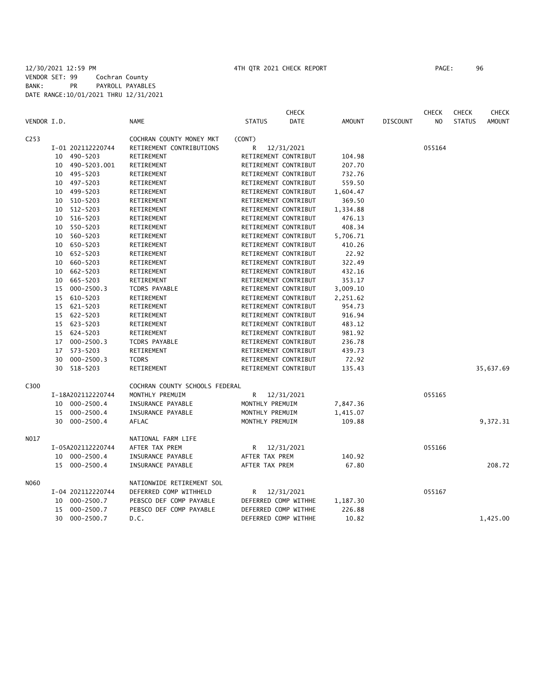### 12/30/2021 12:59 PM 4TH QTR 2021 CHECK REPORT PAGE: 96 VENDOR SET: 99 Cochran County BANK: PR PAYROLL PAYABLES DATE RANGE:10/01/2021 THRU 12/31/2021

|                  |    |                   |                                |                      | <b>CHECK</b> |               |                 | <b>CHECK</b>   | <b>CHECK</b>  | <b>CHECK</b>  |
|------------------|----|-------------------|--------------------------------|----------------------|--------------|---------------|-----------------|----------------|---------------|---------------|
| VENDOR I.D.      |    |                   | <b>NAME</b>                    | <b>STATUS</b>        | <b>DATE</b>  | <b>AMOUNT</b> | <b>DISCOUNT</b> | N <sub>O</sub> | <b>STATUS</b> | <b>AMOUNT</b> |
| C <sub>253</sub> |    |                   | COCHRAN COUNTY MONEY MKT       | (CONT)               |              |               |                 |                |               |               |
|                  |    | I-01 202112220744 | RETIREMENT CONTRIBUTIONS       | R                    | 12/31/2021   |               |                 | 055164         |               |               |
|                  |    | 10 490-5203       | RETIREMENT                     | RETIREMENT CONTRIBUT |              | 104.98        |                 |                |               |               |
|                  | 10 | 490-5203.001      | RETIREMENT                     | RETIREMENT CONTRIBUT |              | 207.70        |                 |                |               |               |
|                  | 10 | 495–5203          | RETIREMENT                     | RETIREMENT CONTRIBUT |              | 732.76        |                 |                |               |               |
|                  | 10 | 497-5203          | RETIREMENT                     | RETIREMENT CONTRIBUT |              | 559.50        |                 |                |               |               |
|                  | 10 | 499-5203          | RETIREMENT                     | RETIREMENT CONTRIBUT |              | 1,604.47      |                 |                |               |               |
|                  |    | 10 510-5203       | RETIREMENT                     | RETIREMENT CONTRIBUT |              | 369.50        |                 |                |               |               |
|                  | 10 | 512-5203          | RETIREMENT                     | RETIREMENT CONTRIBUT |              | 1,334.88      |                 |                |               |               |
|                  | 10 | 516-5203          | RETIREMENT                     | RETIREMENT CONTRIBUT |              | 476.13        |                 |                |               |               |
|                  | 10 | 550-5203          | RETIREMENT                     | RETIREMENT CONTRIBUT |              | 408.34        |                 |                |               |               |
|                  | 10 | 560-5203          | RETIREMENT                     | RETIREMENT CONTRIBUT |              | 5,706.71      |                 |                |               |               |
|                  | 10 | 650-5203          | RETIREMENT                     | RETIREMENT CONTRIBUT |              | 410.26        |                 |                |               |               |
|                  | 10 | 652-5203          | RETIREMENT                     | RETIREMENT CONTRIBUT |              | 22.92         |                 |                |               |               |
|                  | 10 | 660-5203          | RETIREMENT                     | RETIREMENT CONTRIBUT |              | 322.49        |                 |                |               |               |
|                  | 10 | 662-5203          | RETIREMENT                     | RETIREMENT CONTRIBUT |              | 432.16        |                 |                |               |               |
|                  | 10 | 665-5203          | RETIREMENT                     | RETIREMENT CONTRIBUT |              | 353.17        |                 |                |               |               |
|                  | 15 | 000-2500.3        | <b>TCDRS PAYABLE</b>           | RETIREMENT CONTRIBUT |              | 3,009.10      |                 |                |               |               |
|                  | 15 | 610-5203          | RETIREMENT                     | RETIREMENT CONTRIBUT |              | 2,251.62      |                 |                |               |               |
|                  | 15 | 621-5203          | RETIREMENT                     | RETIREMENT CONTRIBUT |              | 954.73        |                 |                |               |               |
|                  | 15 | 622-5203          | RETIREMENT                     | RETIREMENT CONTRIBUT |              | 916.94        |                 |                |               |               |
|                  | 15 | 623-5203          | RETIREMENT                     | RETIREMENT CONTRIBUT |              | 483.12        |                 |                |               |               |
|                  |    | 15 624-5203       | RETIREMENT                     | RETIREMENT CONTRIBUT |              | 981.92        |                 |                |               |               |
|                  | 17 | $000 - 2500.3$    | <b>TCDRS PAYABLE</b>           | RETIREMENT CONTRIBUT |              | 236.78        |                 |                |               |               |
|                  | 17 | 573-5203          | RETIREMENT                     | RETIREMENT CONTRIBUT |              | 439.73        |                 |                |               |               |
|                  | 30 | $000 - 2500.3$    | <b>TCDRS</b>                   | RETIREMENT CONTRIBUT |              | 72.92         |                 |                |               |               |
|                  | 30 | 518-5203          | RETIREMENT                     | RETIREMENT CONTRIBUT |              | 135.43        |                 |                |               | 35,637.69     |
| C300             |    |                   | COCHRAN COUNTY SCHOOLS FEDERAL |                      |              |               |                 |                |               |               |
|                  |    | I-18A202112220744 | MONTHLY PREMUIM                | R                    | 12/31/2021   |               |                 | 055165         |               |               |
|                  |    | 10 000-2500.4     | INSURANCE PAYABLE              | MONTHLY PREMUIM      |              | 7,847.36      |                 |                |               |               |
|                  | 15 | $000 - 2500.4$    | INSURANCE PAYABLE              | MONTHLY PREMUIM      |              | 1,415.07      |                 |                |               |               |
|                  |    | 30 000-2500.4     | AFLAC                          | MONTHLY PREMUIM      |              | 109.88        |                 |                |               | 9,372.31      |
| N017             |    |                   | NATIONAL FARM LIFE             |                      |              |               |                 |                |               |               |
|                  |    | I-05A202112220744 | AFTER TAX PREM                 | R                    | 12/31/2021   |               |                 | 055166         |               |               |
|                  | 10 | 000-2500.4        | INSURANCE PAYABLE              | AFTER TAX PREM       |              | 140.92        |                 |                |               |               |
|                  |    | 15 000-2500.4     | INSURANCE PAYABLE              | AFTER TAX PREM       |              | 67.80         |                 |                |               | 208.72        |
| N060             |    |                   | NATIONWIDE RETIREMENT SOL      |                      |              |               |                 |                |               |               |
|                  |    | I-04 202112220744 | DEFERRED COMP WITHHELD         | R                    | 12/31/2021   |               |                 | 055167         |               |               |
|                  | 10 | 000-2500.7        | PEBSCO DEF COMP PAYABLE        | DEFERRED COMP WITHHE |              | 1,187.30      |                 |                |               |               |
|                  | 15 | $000 - 2500.7$    | PEBSCO DEF COMP PAYABLE        | DEFERRED COMP WITHHE |              | 226.88        |                 |                |               |               |
|                  | 30 | 000-2500.7        | D.C.                           | DEFERRED COMP WITHHE |              | 10.82         |                 |                |               | 1,425.00      |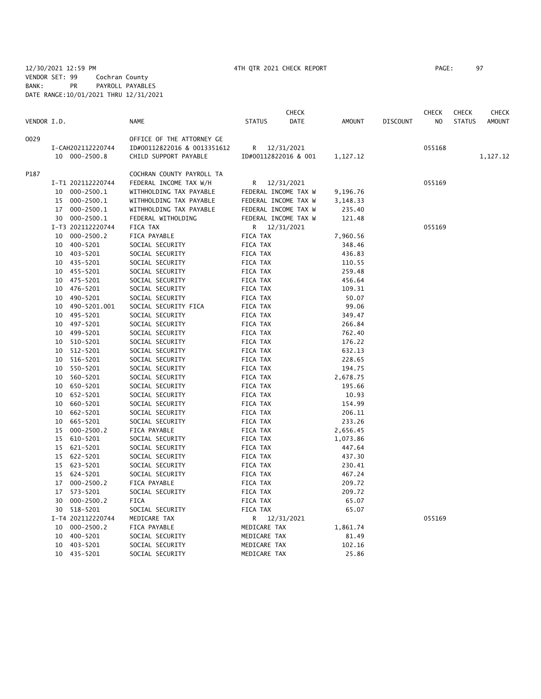|             |    |                   |                             |               | CHECK                |          |                 | <b>CHECK</b>   | <b>CHECK</b>  | CHECK         |
|-------------|----|-------------------|-----------------------------|---------------|----------------------|----------|-----------------|----------------|---------------|---------------|
| VENDOR I.D. |    |                   | <b>NAME</b>                 | <b>STATUS</b> | DATE                 | AMOUNT   | <b>DISCOUNT</b> | N <sub>O</sub> | <b>STATUS</b> | <b>AMOUNT</b> |
| 0029        |    |                   | OFFICE OF THE ATTORNEY GE   |               |                      |          |                 |                |               |               |
|             |    | I-CAH202112220744 | ID#00112822016 & 0013351612 | R             | 12/31/2021           |          |                 | 055168         |               |               |
|             |    | 10 000-2500.8     | CHILD SUPPORT PAYABLE       |               | ID#00112822016 & 001 | 1,127.12 |                 |                |               | 1,127.12      |
| P187        |    |                   | COCHRAN COUNTY PAYROLL TA   |               |                      |          |                 |                |               |               |
|             |    | I-T1 202112220744 | FEDERAL INCOME TAX W/H      | R             | 12/31/2021           |          |                 | 055169         |               |               |
|             |    | 10 000-2500.1     | WITHHOLDING TAX PAYABLE     |               | FEDERAL INCOME TAX W | 9,196.76 |                 |                |               |               |
|             | 15 | 000-2500.1        | WITHHOLDING TAX PAYABLE     |               | FEDERAL INCOME TAX W | 3,148.33 |                 |                |               |               |
|             |    | 17 000-2500.1     | WITHHOLDING TAX PAYABLE     |               | FEDERAL INCOME TAX W | 235.40   |                 |                |               |               |
|             |    | 30 000-2500.1     | FEDERAL WITHOLDING          |               | FEDERAL INCOME TAX W | 121.48   |                 |                |               |               |
|             |    | I-T3 202112220744 | FICA TAX                    |               | R 12/31/2021         |          |                 | 055169         |               |               |
|             | 10 | $000 - 2500.2$    | FICA PAYABLE                | FICA TAX      |                      | 7,960.56 |                 |                |               |               |
|             | 10 | 400-5201          | SOCIAL SECURITY             | FICA TAX      |                      | 348.46   |                 |                |               |               |
|             |    | 10 403-5201       | SOCIAL SECURITY             | FICA TAX      |                      | 436.83   |                 |                |               |               |
|             |    | 10 435-5201       | SOCIAL SECURITY             | FICA TAX      |                      | 110.55   |                 |                |               |               |
|             |    | 10 455-5201       | SOCIAL SECURITY             | FICA TAX      |                      | 259.48   |                 |                |               |               |
|             |    | 10 475-5201       | SOCIAL SECURITY             | FICA TAX      |                      | 456.64   |                 |                |               |               |
|             | 10 | 476-5201          | SOCIAL SECURITY             | FICA TAX      |                      | 109.31   |                 |                |               |               |
|             | 10 | 490-5201          | SOCIAL SECURITY             | FICA TAX      |                      | 50.07    |                 |                |               |               |
|             | 10 | 490-5201.001      | SOCIAL SECURITY FICA        | FICA TAX      |                      | 99.06    |                 |                |               |               |
|             | 10 | 495-5201          | SOCIAL SECURITY             | FICA TAX      |                      | 349.47   |                 |                |               |               |
|             | 10 | 497-5201          | SOCIAL SECURITY             | FICA TAX      |                      | 266.84   |                 |                |               |               |
|             | 10 | 499-5201          | SOCIAL SECURITY             | FICA TAX      |                      | 762.40   |                 |                |               |               |
|             |    | 10 510-5201       | SOCIAL SECURITY             | FICA TAX      |                      | 176.22   |                 |                |               |               |
|             | 10 | 512-5201          | SOCIAL SECURITY             | FICA TAX      |                      | 632.13   |                 |                |               |               |
|             |    | 10 516-5201       | SOCIAL SECURITY             | FICA TAX      |                      | 228.65   |                 |                |               |               |
|             |    | 10 550-5201       | SOCIAL SECURITY             | FICA TAX      |                      | 194.75   |                 |                |               |               |
|             |    | 10 560-5201       | SOCIAL SECURITY             | FICA TAX      |                      | 2,678.75 |                 |                |               |               |
|             | 10 | 650-5201          | SOCIAL SECURITY             | FICA TAX      |                      | 195.66   |                 |                |               |               |
|             | 10 | 652-5201          | SOCIAL SECURITY             | FICA TAX      |                      | 10.93    |                 |                |               |               |
|             | 10 | 660-5201          | SOCIAL SECURITY             | FICA TAX      |                      | 154.99   |                 |                |               |               |
|             | 10 | 662-5201          | SOCIAL SECURITY             | FICA TAX      |                      | 206.11   |                 |                |               |               |
|             | 10 | 665-5201          | SOCIAL SECURITY             | FICA TAX      |                      | 233.26   |                 |                |               |               |
|             | 15 | $000 - 2500.2$    | FICA PAYABLE                | FICA TAX      |                      | 2,656.45 |                 |                |               |               |
|             |    | 15 610-5201       | SOCIAL SECURITY             | FICA TAX      |                      | 1,073.86 |                 |                |               |               |
|             |    | 15 621-5201       | SOCIAL SECURITY             | FICA TAX      |                      | 447.64   |                 |                |               |               |
|             |    | 15 622-5201       | SOCIAL SECURITY             | FICA TAX      |                      | 437.30   |                 |                |               |               |
|             | 15 | 623-5201          | SOCIAL SECURITY             | FICA TAX      |                      | 230.41   |                 |                |               |               |
|             | 15 | 624-5201          | SOCIAL SECURITY             | FICA TAX      |                      | 467.24   |                 |                |               |               |
|             | 17 | $000 - 2500.2$    | FICA PAYABLE                | FICA TAX      |                      | 209.72   |                 |                |               |               |
|             | 17 | 573-5201          | SOCIAL SECURITY             | FICA TAX      |                      | 209.72   |                 |                |               |               |
|             | 30 | $000 - 2500.2$    | <b>FICA</b>                 | FICA TAX      |                      | 65.07    |                 |                |               |               |
|             |    | 30 518-5201       | SOCIAL SECURITY             | FICA TAX      |                      | 65.07    |                 |                |               |               |
|             |    | I-T4 202112220744 | MEDICARE TAX                | R             | 12/31/2021           |          |                 | 055169         |               |               |
|             | 10 | $000 - 2500.2$    | FICA PAYABLE                | MEDICARE TAX  |                      | 1,861.74 |                 |                |               |               |
|             | 10 | 400-5201          | SOCIAL SECURITY             | MEDICARE TAX  |                      | 81.49    |                 |                |               |               |
|             | 10 | 403-5201          | SOCIAL SECURITY             | MEDICARE TAX  |                      | 102.16   |                 |                |               |               |
|             | 10 | 435-5201          | SOCIAL SECURITY             | MEDICARE TAX  |                      | 25.86    |                 |                |               |               |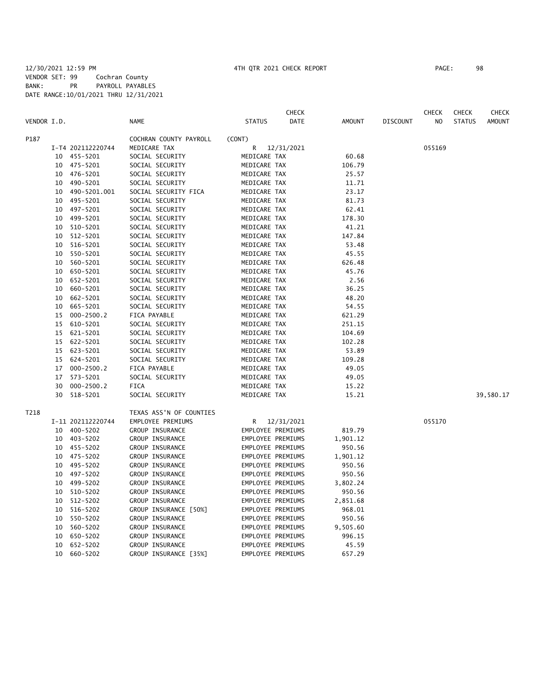### 12/30/2021 12:59 PM 4TH QTR 2021 CHECK REPORT PAGE: 98 VENDOR SET: 99 Cochran County BANK: PR PAYROLL PAYABLES DATE RANGE:10/01/2021 THRU 12/31/2021

|             |    |                   |                         |                   | <b>CHECK</b> |          |                 | <b>CHECK</b>   | <b>CHECK</b>  | CHECK         |
|-------------|----|-------------------|-------------------------|-------------------|--------------|----------|-----------------|----------------|---------------|---------------|
| VENDOR I.D. |    |                   | <b>NAME</b>             | <b>STATUS</b>     | <b>DATE</b>  | AMOUNT   | <b>DISCOUNT</b> | N <sub>O</sub> | <b>STATUS</b> | <b>AMOUNT</b> |
| P187        |    |                   | COCHRAN COUNTY PAYROLL  | (CONT)            |              |          |                 |                |               |               |
|             |    | I-T4 202112220744 | MEDICARE TAX            | R                 | 12/31/2021   |          |                 | 055169         |               |               |
|             |    | 10 455-5201       | SOCIAL SECURITY         | MEDICARE TAX      |              | 60.68    |                 |                |               |               |
|             | 10 | 475-5201          | SOCIAL SECURITY         | MEDICARE TAX      |              | 106.79   |                 |                |               |               |
|             | 10 | 476-5201          | SOCIAL SECURITY         | MEDICARE TAX      |              | 25.57    |                 |                |               |               |
|             | 10 | 490-5201          | SOCIAL SECURITY         | MEDICARE TAX      |              | 11.71    |                 |                |               |               |
|             | 10 | 490-5201.001      | SOCIAL SECURITY FICA    | MEDICARE TAX      |              | 23.17    |                 |                |               |               |
|             | 10 | 495-5201          | SOCIAL SECURITY         | MEDICARE TAX      |              | 81.73    |                 |                |               |               |
|             | 10 | 497-5201          | SOCIAL SECURITY         | MEDICARE TAX      |              | 62.41    |                 |                |               |               |
|             | 10 | 499-5201          | SOCIAL SECURITY         | MEDICARE TAX      |              | 178.30   |                 |                |               |               |
|             | 10 | 510-5201          | SOCIAL SECURITY         | MEDICARE TAX      |              | 41.21    |                 |                |               |               |
|             | 10 | 512-5201          | SOCIAL SECURITY         | MEDICARE TAX      |              | 147.84   |                 |                |               |               |
|             | 10 | 516-5201          | SOCIAL SECURITY         | MEDICARE TAX      |              | 53.48    |                 |                |               |               |
|             | 10 | 550-5201          | SOCIAL SECURITY         | MEDICARE TAX      |              | 45.55    |                 |                |               |               |
|             | 10 | 560-5201          | SOCIAL SECURITY         | MEDICARE TAX      |              | 626.48   |                 |                |               |               |
|             | 10 | 650-5201          | SOCIAL SECURITY         | MEDICARE TAX      |              | 45.76    |                 |                |               |               |
|             | 10 | 652-5201          | SOCIAL SECURITY         | MEDICARE TAX      |              | 2.56     |                 |                |               |               |
|             | 10 | 660-5201          | SOCIAL SECURITY         | MEDICARE TAX      |              | 36.25    |                 |                |               |               |
|             | 10 | 662-5201          | SOCIAL SECURITY         | MEDICARE TAX      |              | 48.20    |                 |                |               |               |
|             | 10 | 665-5201          | SOCIAL SECURITY         | MEDICARE TAX      |              | 54.55    |                 |                |               |               |
|             | 15 | $000 - 2500.2$    | FICA PAYABLE            | MEDICARE TAX      |              | 621.29   |                 |                |               |               |
|             | 15 | 610-5201          | SOCIAL SECURITY         | MEDICARE TAX      |              | 251.15   |                 |                |               |               |
|             |    | 15 621-5201       | SOCIAL SECURITY         | MEDICARE TAX      |              | 104.69   |                 |                |               |               |
|             | 15 | 622-5201          | SOCIAL SECURITY         | MEDICARE TAX      |              | 102.28   |                 |                |               |               |
|             |    | 15 623-5201       | SOCIAL SECURITY         | MEDICARE TAX      |              | 53.89    |                 |                |               |               |
|             | 15 | 624-5201          | SOCIAL SECURITY         | MEDICARE TAX      |              | 109.28   |                 |                |               |               |
|             | 17 | $000 - 2500.2$    | FICA PAYABLE            | MEDICARE TAX      |              | 49.05    |                 |                |               |               |
|             | 17 | 573-5201          | SOCIAL SECURITY         | MEDICARE TAX      |              | 49.05    |                 |                |               |               |
|             | 30 | $000 - 2500.2$    | FICA                    | MEDICARE TAX      |              | 15.22    |                 |                |               |               |
|             | 30 | 518-5201          | SOCIAL SECURITY         | MEDICARE TAX      |              | 15.21    |                 |                |               | 39,580.17     |
| T218        |    |                   | TEXAS ASS'N OF COUNTIES |                   |              |          |                 |                |               |               |
|             |    | I-11 202112220744 | EMPLOYEE PREMIUMS       | R                 | 12/31/2021   |          |                 | 055170         |               |               |
|             |    | 10 400-5202       | GROUP INSURANCE         | EMPLOYEE PREMIUMS |              | 819.79   |                 |                |               |               |
|             | 10 | 403-5202          | GROUP INSURANCE         | EMPLOYEE PREMIUMS |              | 1,901.12 |                 |                |               |               |
|             | 10 | 455-5202          | GROUP INSURANCE         | EMPLOYEE PREMIUMS |              | 950.56   |                 |                |               |               |
|             | 10 | 475-5202          | GROUP INSURANCE         | EMPLOYEE PREMIUMS |              | 1,901.12 |                 |                |               |               |
|             | 10 | 495-5202          | GROUP INSURANCE         | EMPLOYEE PREMIUMS |              | 950.56   |                 |                |               |               |
|             | 10 | 497-5202          | GROUP INSURANCE         | EMPLOYEE PREMIUMS |              | 950.56   |                 |                |               |               |
|             | 10 | 499-5202          | GROUP INSURANCE         | EMPLOYEE PREMIUMS |              | 3,802.24 |                 |                |               |               |
|             | 10 | 510-5202          | GROUP INSURANCE         | EMPLOYEE PREMIUMS |              | 950.56   |                 |                |               |               |
|             | 10 | 512-5202          | GROUP INSURANCE         | EMPLOYEE PREMIUMS |              | 2,851.68 |                 |                |               |               |
|             | 10 | 516-5202          | GROUP INSURANCE [50%]   | EMPLOYEE PREMIUMS |              | 968.01   |                 |                |               |               |
|             | 10 | 550-5202          | GROUP INSURANCE         | EMPLOYEE PREMIUMS |              | 950.56   |                 |                |               |               |
|             | 10 | 560-5202          | GROUP INSURANCE         | EMPLOYEE PREMIUMS |              | 9,505.60 |                 |                |               |               |
|             | 10 | 650-5202          | GROUP INSURANCE         | EMPLOYEE PREMIUMS |              | 996.15   |                 |                |               |               |
|             | 10 | 652-5202          | GROUP INSURANCE         | EMPLOYEE PREMIUMS |              | 45.59    |                 |                |               |               |

10 660-5202 GROUP INSURANCE [35%] EMPLOYEE PREMIUMS 657.29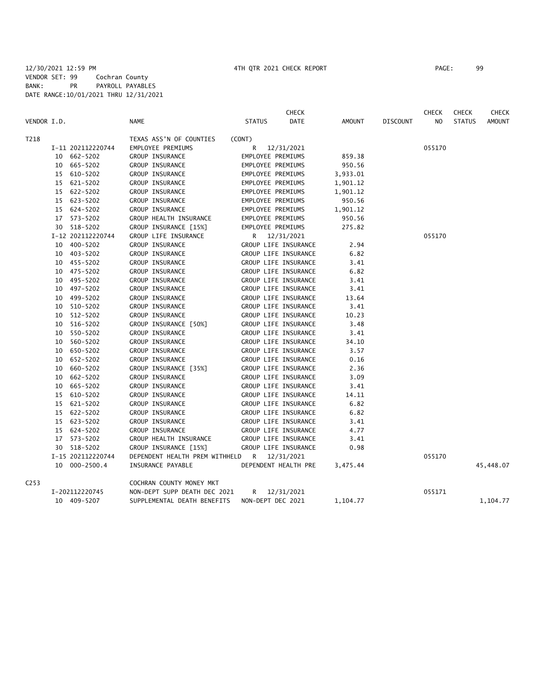|                  |    |                   |                                |                   | <b>CHECK</b>         |          |                 | <b>CHECK</b> | <b>CHECK</b>  | CHECK         |
|------------------|----|-------------------|--------------------------------|-------------------|----------------------|----------|-----------------|--------------|---------------|---------------|
| VENDOR I.D.      |    |                   | NAME                           | <b>STATUS</b>     | DATE                 | AMOUNT   | <b>DISCOUNT</b> | NO           | <b>STATUS</b> | <b>AMOUNT</b> |
| T218             |    |                   | TEXAS ASS'N OF COUNTIES        | (CONT)            |                      |          |                 |              |               |               |
|                  |    | I-11 202112220744 | EMPLOYEE PREMIUMS              | R                 | 12/31/2021           |          |                 | 055170       |               |               |
|                  |    | 10 662-5202       | GROUP INSURANCE                | EMPLOYEE PREMIUMS |                      | 859.38   |                 |              |               |               |
|                  |    | 10 665-5202       | GROUP INSURANCE                | EMPLOYEE PREMIUMS |                      | 950.56   |                 |              |               |               |
|                  |    | 15 610-5202       | GROUP INSURANCE                | EMPLOYEE PREMIUMS |                      | 3,933.01 |                 |              |               |               |
|                  |    | 15 621-5202       | GROUP INSURANCE                | EMPLOYEE PREMIUMS |                      | 1,901.12 |                 |              |               |               |
|                  |    | 15 622-5202       | GROUP INSURANCE                | EMPLOYEE PREMIUMS |                      | 1,901.12 |                 |              |               |               |
|                  |    | 15 623-5202       | GROUP INSURANCE                | EMPLOYEE PREMIUMS |                      | 950.56   |                 |              |               |               |
|                  |    | 15 624-5202       | GROUP INSURANCE                | EMPLOYEE PREMIUMS |                      | 1,901.12 |                 |              |               |               |
|                  |    | 17 573-5202       | GROUP HEALTH INSURANCE         | EMPLOYEE PREMIUMS |                      | 950.56   |                 |              |               |               |
|                  |    | 30 518-5202       | GROUP INSURANCE [15%]          | EMPLOYEE PREMIUMS |                      | 275.82   |                 |              |               |               |
|                  |    | I-12 202112220744 | GROUP LIFE INSURANCE           | R.                | 12/31/2021           |          |                 | 055170       |               |               |
|                  |    | 10 400-5202       | GROUP INSURANCE                |                   | GROUP LIFE INSURANCE | 2.94     |                 |              |               |               |
|                  |    | 10 403-5202       | GROUP INSURANCE                |                   | GROUP LIFE INSURANCE | 6.82     |                 |              |               |               |
|                  |    | 10 455-5202       | GROUP INSURANCE                |                   | GROUP LIFE INSURANCE | 3.41     |                 |              |               |               |
|                  |    | 10 475-5202       | GROUP INSURANCE                |                   | GROUP LIFE INSURANCE | 6.82     |                 |              |               |               |
|                  |    | 10 495-5202       | GROUP INSURANCE                |                   | GROUP LIFE INSURANCE | 3.41     |                 |              |               |               |
|                  |    | 10 497-5202       | GROUP INSURANCE                |                   | GROUP LIFE INSURANCE | 3.41     |                 |              |               |               |
|                  | 10 | 499-5202          | GROUP INSURANCE                |                   | GROUP LIFE INSURANCE | 13.64    |                 |              |               |               |
|                  | 10 | 510-5202          | GROUP INSURANCE                |                   | GROUP LIFE INSURANCE | 3.41     |                 |              |               |               |
|                  |    | 10 512-5202       | GROUP INSURANCE                |                   | GROUP LIFE INSURANCE | 10.23    |                 |              |               |               |
|                  | 10 | 516-5202          | GROUP INSURANCE [50%]          |                   | GROUP LIFE INSURANCE | 3.48     |                 |              |               |               |
|                  | 10 | 550-5202          | GROUP INSURANCE                |                   | GROUP LIFE INSURANCE | 3.41     |                 |              |               |               |
|                  | 10 | 560-5202          | GROUP INSURANCE                |                   | GROUP LIFE INSURANCE | 34.10    |                 |              |               |               |
|                  | 10 | 650-5202          | GROUP INSURANCE                |                   | GROUP LIFE INSURANCE | 3.57     |                 |              |               |               |
|                  | 10 | 652-5202          | GROUP INSURANCE                |                   | GROUP LIFE INSURANCE | 0.16     |                 |              |               |               |
|                  | 10 | 660-5202          | GROUP INSURANCE [35%]          |                   | GROUP LIFE INSURANCE | 2.36     |                 |              |               |               |
|                  | 10 | 662-5202          | GROUP INSURANCE                |                   | GROUP LIFE INSURANCE | 3.09     |                 |              |               |               |
|                  | 10 | 665-5202          | GROUP INSURANCE                |                   | GROUP LIFE INSURANCE | 3.41     |                 |              |               |               |
|                  |    | 15 610-5202       | GROUP INSURANCE                |                   | GROUP LIFE INSURANCE | 14.11    |                 |              |               |               |
|                  | 15 | 621-5202          | GROUP INSURANCE                |                   | GROUP LIFE INSURANCE | 6.82     |                 |              |               |               |
|                  |    | 15 622-5202       | GROUP INSURANCE                |                   | GROUP LIFE INSURANCE | 6.82     |                 |              |               |               |
|                  |    | 15 623-5202       | GROUP INSURANCE                |                   | GROUP LIFE INSURANCE | 3.41     |                 |              |               |               |
|                  |    | 15 624-5202       | GROUP INSURANCE                |                   | GROUP LIFE INSURANCE | 4.77     |                 |              |               |               |
|                  |    | 17 573-5202       | GROUP HEALTH INSURANCE         |                   | GROUP LIFE INSURANCE | 3.41     |                 |              |               |               |
|                  |    | 30 518-5202       | GROUP INSURANCE [15%]          |                   | GROUP LIFE INSURANCE | 0.98     |                 |              |               |               |
|                  |    | I-15 202112220744 | DEPENDENT HEALTH PREM WITHHELD | R                 | 12/31/2021           |          |                 | 055170       |               |               |
|                  |    | 10 000-2500.4     | INSURANCE PAYABLE              |                   | DEPENDENT HEALTH PRE | 3,475.44 |                 |              |               | 45,448.07     |
| C <sub>253</sub> |    |                   | COCHRAN COUNTY MONEY MKT       |                   |                      |          |                 |              |               |               |
|                  |    | I-202112220745    | NON-DEPT SUPP DEATH DEC 2021   | R                 | 12/31/2021           |          |                 | 055171       |               |               |
|                  |    | 10 409-5207       | SUPPLEMENTAL DEATH BENEFITS    | NON-DEPT DEC 2021 |                      | 1,104.77 |                 |              |               | 1,104.77      |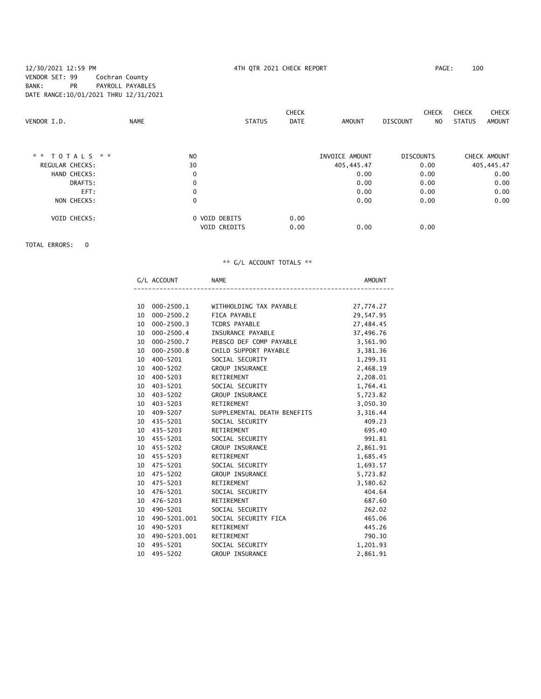### 12/30/2021 12:59 PM 4TH QTR 2021 CHECK REPORT PAGE: 100 VENDOR SET: 99 Cochran County BANK: PR PAYROLL PAYABLES DATE RANGE:10/01/2021 THRU 12/31/2021

| VENDOR I.D.            | <b>NAME</b>    | <b>STATUS</b>                        | <b>CHECK</b><br><b>DATE</b> | <b>AMOUNT</b>  | <b>CHECK</b><br><b>DISCOUNT</b><br>NO. | <b>CHECK</b><br><b>CHECK</b><br><b>STATUS</b><br><b>AMOUNT</b> |
|------------------------|----------------|--------------------------------------|-----------------------------|----------------|----------------------------------------|----------------------------------------------------------------|
| * * TOTALS * *         | N <sub>O</sub> |                                      |                             | INVOICE AMOUNT | <b>DISCOUNTS</b>                       | CHECK AMOUNT                                                   |
| <b>REGULAR CHECKS:</b> | 30             |                                      |                             | 405,445.47     | 0.00                                   | 405,445.47                                                     |
| HAND CHECKS:           | 0              |                                      |                             | 0.00           | 0.00                                   | 0.00                                                           |
| DRAFTS:                | 0              |                                      |                             | 0.00           | 0.00                                   | 0.00                                                           |
| EFT:                   | 0              |                                      |                             | 0.00           | 0.00                                   | 0.00                                                           |
| NON CHECKS:            | $\mathbf 0$    |                                      |                             | 0.00           | 0.00                                   | 0.00                                                           |
| <b>VOID CHECKS:</b>    |                | 0 VOID DEBITS<br><b>VOID CREDITS</b> | 0.00<br>0.00                | 0.00           | 0.00                                   |                                                                |

TOTAL ERRORS: 0

|                 | G/L ACCOUNT    | <b>NAME</b>                 | AMOUNT    |
|-----------------|----------------|-----------------------------|-----------|
|                 |                |                             |           |
| 10              | 000-2500.1     | WITHHOLDING TAX PAYABLE     | 27,774.27 |
|                 | 10 000-2500.2  | FICA PAYABLE                | 29,547.95 |
| 10              | 000-2500.3     | TCDRS PAYABLE               | 27,484.45 |
| 10 <sup>1</sup> | 000-2500.4     | INSURANCE PAYABLE           | 37,496.76 |
| 10              | 000-2500.7     | PEBSCO DEF COMP PAYABLE     | 3,561.90  |
| 10 <sup>1</sup> | $000 - 2500.8$ | CHILD SUPPORT PAYABLE       | 3,381.36  |
| 10              | 400-5201       | SOCIAL SECURITY             | 1,299.31  |
|                 | 10 400-5202    | GROUP INSURANCE             | 2,468.19  |
| 10              | 400-5203       | RETIREMENT                  | 2,208.01  |
|                 | 10 403-5201    | SOCIAL SECURITY             | 1,764.41  |
|                 | 10 403-5202    | GROUP INSURANCE             | 5,723.82  |
|                 | 10 403-5203    | RETIREMENT                  | 3,050.30  |
| 10              | 409-5207       | SUPPLEMENTAL DEATH BENEFITS | 3,316.44  |
|                 | 10 435-5201    | SOCIAL SECURITY             | 409.23    |
|                 | 10 435-5203    | RETIREMENT                  | 695.40    |
|                 | 10 455-5201    | SOCIAL SECURITY             | 991.81    |
|                 | 10 455-5202    | <b>GROUP INSURANCE</b>      | 2,861.91  |
|                 | 10 455-5203    | RETIREMENT                  | 1,685.45  |
|                 | 10 475-5201    | SOCIAL SECURITY             | 1,693.57  |
|                 | 10 475-5202    | <b>GROUP INSURANCE</b>      | 5,723.82  |
|                 | 10 475-5203    | RETIREMENT                  | 3,580.62  |
|                 | 10 476-5201    | SOCIAL SECURITY             | 404.64    |
|                 | 10 476-5203    | RETIREMENT                  | 687.60    |
| 10              | 490-5201       | SOCIAL SECURITY             | 262.02    |
| 10              | 490-5201.001   | SOCIAL SECURITY FICA        | 465.06    |
| 10              | 490-5203       | RETIREMENT                  | 445.26    |
| 10              | 490-5203.001   | RETIREMENT                  | 790.30    |
| 10              | 495-5201       | SOCIAL SECURITY             | 1,201.93  |
| 10              | 495-5202       | <b>GROUP INSURANCE</b>      | 2,861.91  |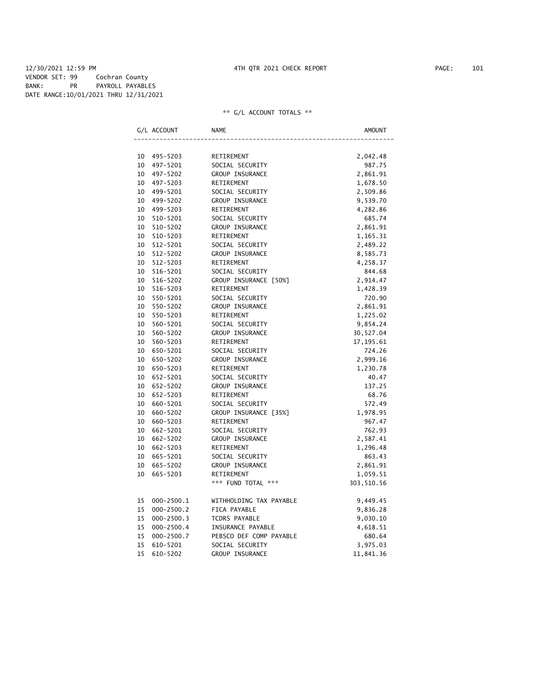#### 12/30/2021 12:59 PM 4TH QTR 2021 CHECK REPORT PAGE: 101 VENDOR SET: 99 Cochran County BANK: PR PAYROLL PAYABLES DATE RANGE:10/01/2021 THRU 12/31/2021

|    | G/L ACCOUNT    | NAME                    | AMOUNT     |
|----|----------------|-------------------------|------------|
|    |                |                         |            |
| 10 | 495–5203       | RETIREMENT              | 2,042.48   |
| 10 | 497-5201       | SOCIAL SECURITY         | 987.75     |
| 10 | 497-5202       | GROUP INSURANCE         | 2,861.91   |
| 10 | 497-5203       | RETIREMENT              | 1,678.50   |
| 10 | 499-5201       | SOCIAL SECURITY         | 2,509.86   |
| 10 | 499-5202       | GROUP INSURANCE         | 9,539.70   |
| 10 | 499-5203       | RETIREMENT              | 4,282.86   |
| 10 | 510-5201       | SOCIAL SECURITY         | 685.74     |
| 10 | 510-5202       | GROUP INSURANCE         | 2,861.91   |
| 10 | 510-5203       | RETIREMENT              | 1,165.31   |
| 10 | 512-5201       | SOCIAL SECURITY         | 2,489.22   |
| 10 | 512-5202       | GROUP INSURANCE         | 8,585.73   |
| 10 | 512-5203       | RETIREMENT              | 4,258.37   |
| 10 | 516-5201       | SOCIAL SECURITY         | 844.68     |
| 10 | 516-5202       | GROUP INSURANCE [50%]   | 2,914.47   |
| 10 | 516-5203       | RETIREMENT              | 1,428.39   |
| 10 | 550-5201       | SOCIAL SECURITY         | 720.90     |
| 10 | 550-5202       | GROUP INSURANCE         | 2,861.91   |
| 10 | 550-5203       | RETIREMENT              | 1,225.02   |
| 10 | 560-5201       | SOCIAL SECURITY         | 9,854.24   |
| 10 | 560-5202       | GROUP INSURANCE         | 30,527.04  |
| 10 | 560-5203       | RETIREMENT              | 17, 195.61 |
| 10 | 650-5201       | SOCIAL SECURITY         | 724.26     |
| 10 | 650-5202       | GROUP INSURANCE         | 2,999.16   |
| 10 | 650-5203       | RETIREMENT              | 1,230.78   |
| 10 | 652-5201       | SOCIAL SECURITY         | 40.47      |
| 10 | 652-5202       | GROUP INSURANCE         | 137.25     |
| 10 | 652-5203       | RETIREMENT              | 68.76      |
| 10 | 660-5201       | SOCIAL SECURITY         | 572.49     |
| 10 | 660-5202       | GROUP INSURANCE [35%]   | 1,978.95   |
| 10 | 660-5203       | RETIREMENT              | 967.47     |
| 10 | 662-5201       | SOCIAL SECURITY         | 762.93     |
| 10 | 662-5202       | GROUP INSURANCE         | 2,587.41   |
| 10 | 662-5203       | RETIREMENT              | 1,296.48   |
| 10 | 665-5201       | SOCIAL SECURITY         | 863.43     |
| 10 | 665-5202       | GROUP INSURANCE         | 2,861.91   |
| 10 | 665-5203       | RETIREMENT              | 1,059.51   |
|    |                | *** FUND TOTAL ***      | 303,510.56 |
| 15 | $000 - 2500.1$ | WITHHOLDING TAX PAYABLE | 9,449.45   |
| 15 | $000 - 2500.2$ | FICA PAYABLE            | 9,836.28   |
| 15 | $000 - 2500.3$ | <b>TCDRS PAYABLE</b>    | 9,030.10   |
| 15 | $000 - 2500.4$ | INSURANCE PAYABLE       | 4,618.51   |
| 15 | $000 - 2500.7$ | PEBSCO DEF COMP PAYABLE | 680.64     |
| 15 | 610-5201       | SOCIAL SECURITY         | 3,975.03   |
| 15 | 610-5202       | GROUP INSURANCE         | 11,841.36  |
|    |                |                         |            |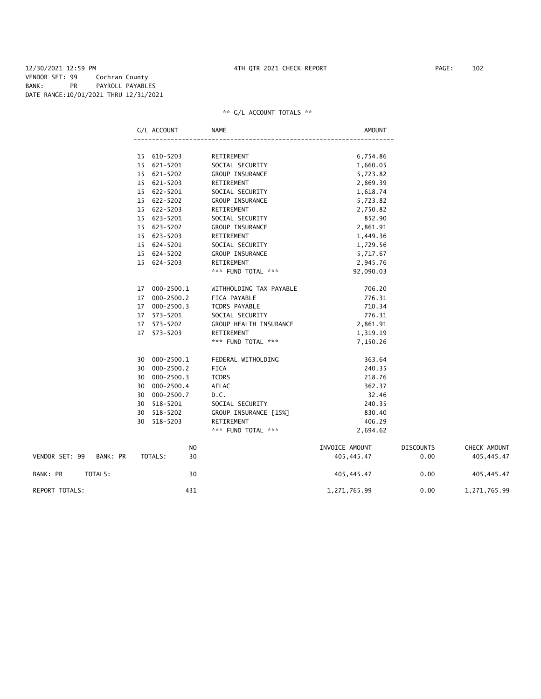#### 12/30/2021 12:59 PM 4TH QTR 2021 CHECK REPORT PAGE: 102 VENDOR SET: 99 Cochran County BANK: PR PAYROLL PAYABLES DATE RANGE:10/01/2021 THRU 12/31/2021

|                         |         | G/L ACCOUNT    | NAME                    | <b>AMOUNT</b>  |                  |              |
|-------------------------|---------|----------------|-------------------------|----------------|------------------|--------------|
|                         |         |                |                         |                |                  |              |
|                         |         | 15 610-5203    | RETIREMENT              | 6,754.86       |                  |              |
|                         |         | 15 621-5201    | SOCIAL SECURITY         | 1,660.05       |                  |              |
|                         |         | 15 621-5202    | GROUP INSURANCE         | 5,723.82       |                  |              |
|                         |         | 15 621-5203    | RETIREMENT              | 2,869.39       |                  |              |
|                         |         | 15 622-5201    | SOCIAL SECURITY         | 1,618.74       |                  |              |
|                         |         | 15 622-5202    | GROUP INSURANCE         | 5,723.82       |                  |              |
|                         |         | 15 622-5203    | RETIREMENT              | 2,750.82       |                  |              |
|                         |         | 15 623-5201    | SOCIAL SECURITY         | 852.90         |                  |              |
|                         |         | 15 623-5202    | GROUP INSURANCE         | 2,861.91       |                  |              |
|                         |         | 15 623-5203    | RETIREMENT              | 1,449.36       |                  |              |
|                         |         | 15 624-5201    | SOCIAL SECURITY         | 1,729.56       |                  |              |
|                         |         | 15 624-5202    | GROUP INSURANCE         | 5,717.67       |                  |              |
|                         |         | 15 624-5203    | RETIREMENT              | 2,945.76       |                  |              |
|                         |         |                | *** FUND TOTAL ***      | 92,090.03      |                  |              |
|                         |         | 17 000-2500.1  | WITHHOLDING TAX PAYABLE | 706.20         |                  |              |
|                         |         | 17 000-2500.2  | FICA PAYABLE            | 776.31         |                  |              |
|                         |         | 17 000-2500.3  | TCDRS PAYABLE           | 710.34         |                  |              |
|                         |         | 17 573-5201    | SOCIAL SECURITY         | 776.31         |                  |              |
|                         |         | 17 573-5202    | GROUP HEALTH INSURANCE  | 2,861.91       |                  |              |
|                         |         | 17 573-5203    | RETIREMENT              | 1,319.19       |                  |              |
|                         |         |                | *** FUND TOTAL ***      | 7,150.26       |                  |              |
|                         |         | 30 000-2500.1  | FEDERAL WITHOLDING      | 363.64         |                  |              |
|                         |         | 30 000-2500.2  | <b>FICA</b>             | 240.35         |                  |              |
|                         |         | 30 000-2500.3  | <b>TCDRS</b>            | 218.76         |                  |              |
|                         |         | 30 000-2500.4  | AFLAC                   | 362.37         |                  |              |
|                         |         | 30 000-2500.7  | D.C.                    | 32.46          |                  |              |
|                         |         | 30 518-5201    | SOCIAL SECURITY         | 240.35         |                  |              |
|                         |         | 30 518-5202    | GROUP INSURANCE [15%]   | 830.40         |                  |              |
|                         |         | 30 518-5203    | RETIREMENT              | 406.29         |                  |              |
|                         |         |                | *** FUND TOTAL ***      | 2,694.62       |                  |              |
|                         |         | N <sub>O</sub> |                         | INVOICE AMOUNT | <b>DISCOUNTS</b> | CHECK AMOUNT |
| VENDOR SET: 99 BANK: PR |         | 30<br>TOTALS:  |                         | 405, 445.47    | 0.00             | 405,445.47   |
| BANK: PR                | TOTALS: | 30             |                         | 405,445.47     | 0.00             | 405,445.47   |
| <b>REPORT TOTALS:</b>   |         | 431            |                         | 1,271,765.99   | 0.00             | 1,271,765.99 |